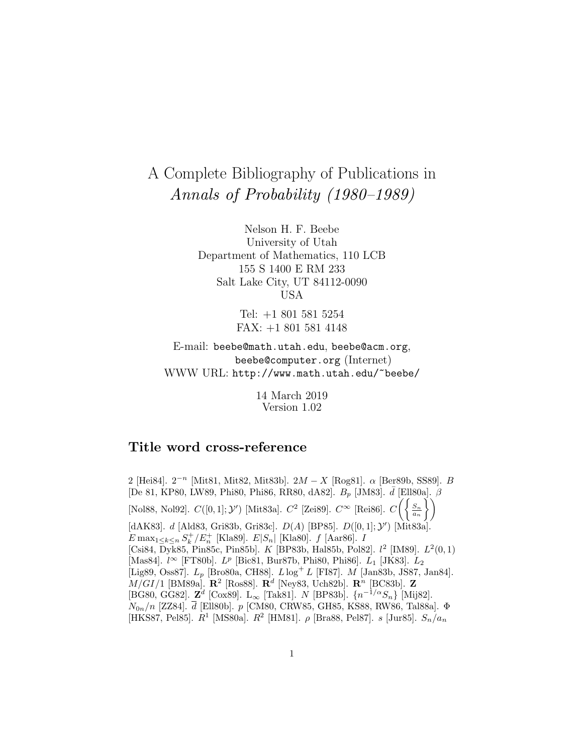# A Complete Bibliography of Publications in Annals of Probability (1980–1989)

Nelson H. F. Beebe University of Utah Department of Mathematics, 110 LCB 155 S 1400 E RM 233 Salt Lake City, UT 84112-0090 USA

> Tel: +1 801 581 5254 FAX: +1 801 581 4148

E-mail: beebe@math.utah.edu, beebe@acm.org, beebe@computer.org (Internet) WWW URL: http://www.math.utah.edu/~beebe/

> 14 March 2019 Version 1.02

# **Title word cross-reference**

2 [Hei84].  $2^{-n}$  [Mit81, Mit82, Mit83b].  $2M - X$  [Rog81].  $\alpha$  [Ber89b, SS89]. B [De 81, KP80, LW89, Phi80, Phi86, RR80, dA82].  $B_p$  [JM83].  $\bar{d}$  [Ell80a].  $\beta$ [Nol88, Nol92].  $C([0,1];\mathcal{Y}')$  [Mit83a].  $C^2$  [Zei89].  $C^{\infty}$  [Rei86].  $C\left(\left\{\frac{S_n}{a_n}\right\}\right)$  $\tilde{1}$ [dAK83]. *d* [Ald83, Gri83b, Gri83c].  $D(A)$  [BP85].  $D([0,1]; \mathcal{Y}')$  [Mit83a].  $E \max_{1 \leq k \leq n} S_k^+/E_n^+$  [Kla89].  $E|S_n|$  [Kla80].  $f$  [Aar86]. I [Csi84, Dyk85, Pin85c, Pin85b]. K [BP83b, Hal85b, Pol82].  $l^2$  [IM89].  $L^2(0,1)$ [Mas84].  $l^{\infty}$  [FT80b].  $L^{p}$  [Bic81, Bur87b, Phi80, Phi86].  $L_1$  [JK83].  $L_2$ [Lig89, Oss87].  $L_p$  [Bro80a, CH88].  $L \log^+ L$  [FI87]. M [Jan83b, JS87, Jan84]. M/GI/1 [BM89a]. **R**<sup>2</sup> [Ros88]. **R**<sup>d</sup> [Ney83, Uch82b]. **R**<sup>n</sup> [BC83b]. **Z** [BG80, GG82]. **<sup>Z</sup>**<sup>d</sup> [Cox89]. L<sup>∞</sup> [Tak81]. <sup>N</sup> [BP83b]. {n−1/αSn} [Mij82].  $N_{0n}/n$  [ZZ84].  $\bar{d}$  [Ell80b]. p [CM80, CRW85, GH85, KS88, RW86, Tal88a].  $\Phi$ [HKS87, Pel85].  $R^1$  [MS80a].  $R^2$  [HM81].  $\rho$  [Bra88, Pel87].  $s$  [Jur85].  $S_n/a_n$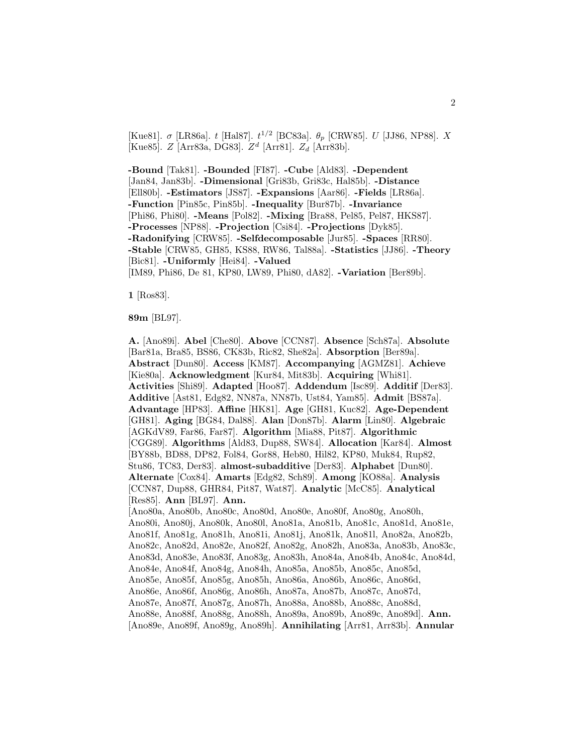[Kue81].  $\sigma$  [LR86a]. t [Hal87].  $t^{1/2}$  [BC83a].  $\theta_p$  [CRW85]. U [JJ86, NP88]. X [Kue85].  $Z$  [Arr83a, DG83].  $Z^d$  [Arr81].  $Z_d$  [Arr83b].

**-Bound** [Tak81]. **-Bounded** [FI87]. **-Cube** [Ald83]. **-Dependent** [Jan84, Jan83b]. **-Dimensional** [Gri83b, Gri83c, Hal85b]. **-Distance** [Ell80b]. **-Estimators** [JS87]. **-Expansions** [Aar86]. **-Fields** [LR86a]. **-Function** [Pin85c, Pin85b]. **-Inequality** [Bur87b]. **-Invariance** [Phi86, Phi80]. **-Means** [Pol82]. **-Mixing** [Bra88, Pel85, Pel87, HKS87]. **-Processes** [NP88]. **-Projection** [Csi84]. **-Projections** [Dyk85]. **-Radonifying** [CRW85]. **-Selfdecomposable** [Jur85]. **-Spaces** [RR80]. **-Stable** [CRW85, GH85, KS88, RW86, Tal88a]. **-Statistics** [JJ86]. **-Theory** [Bic81]. **-Uniformly** [Hei84]. **-Valued** [IM89, Phi86, De 81, KP80, LW89, Phi80, dA82]. **-Variation** [Ber89b].

**1** [Ros83].

**89m** [BL97].

**A.** [Ano89i]. **Abel** [Che80]. **Above** [CCN87]. **Absence** [Sch87a]. **Absolute** [Bar81a, Bra85, BS86, CK83b, Ric82, She82a]. **Absorption** [Ber89a]. **Abstract** [Dun80]. **Access** [KM87]. **Accompanying** [AGMZ81]. **Achieve** [Kie80a]. **Acknowledgment** [Kur84, Mit83b]. **Acquiring** [Whi81]. **Activities** [Shi89]. **Adapted** [Hoo87]. **Addendum** [Isc89]. **Additif** [Der83]. **Additive** [Ast81, Edg82, NN87a, NN87b, Ust84, Yam85]. **Admit** [BS87a]. **Advantage** [HP83]. **Affine** [HK81]. **Age** [GH81, Kuc82]. **Age-Dependent** [GH81]. **Aging** [BG84, Dal88]. **Alan** [Don87b]. **Alarm** [Lin80]. **Algebraic** [AGKdV89, Far86, Far87]. **Algorithm** [Mia88, Pit87]. **Algorithmic** [CGG89]. **Algorithms** [Ald83, Dup88, SW84]. **Allocation** [Kar84]. **Almost** [BY88b, BD88, DP82, Fol84, Gor88, Heb80, Hil82, KP80, Muk84, Rup82, Stu86, TC83, Der83]. **almost-subadditive** [Der83]. **Alphabet** [Dun80]. **Alternate** [Cox84]. **Amarts** [Edg82, Sch89]. **Among** [KO88a]. **Analysis** [CCN87, Dup88, GHR84, Pit87, Wat87]. **Analytic** [McC85]. **Analytical** [Res85]. **Ann** [BL97]. **Ann.** [Ano80a, Ano80b, Ano80c, Ano80d, Ano80e, Ano80f, Ano80g, Ano80h, Ano80i, Ano80j, Ano80k, Ano80l, Ano81a, Ano81b, Ano81c, Ano81d, Ano81e, Ano81f, Ano81g, Ano81h, Ano81i, Ano81j, Ano81k, Ano81l, Ano82a, Ano82b, Ano82c, Ano82d, Ano82e, Ano82f, Ano82g, Ano82h, Ano83a, Ano83b, Ano83c, Ano83d, Ano83e, Ano83f, Ano83g, Ano83h, Ano84a, Ano84b, Ano84c, Ano84d, Ano84e, Ano84f, Ano84g, Ano84h, Ano85a, Ano85b, Ano85c, Ano85d, Ano85e, Ano85f, Ano85g, Ano85h, Ano86a, Ano86b, Ano86c, Ano86d, Ano86e, Ano86f, Ano86g, Ano86h, Ano87a, Ano87b, Ano87c, Ano87d, Ano87e, Ano87f, Ano87g, Ano87h, Ano88a, Ano88b, Ano88c, Ano88d, Ano88e, Ano88f, Ano88g, Ano88h, Ano89a, Ano89b, Ano89c, Ano89d]. **Ann.** [Ano89e, Ano89f, Ano89g, Ano89h]. **Annihilating** [Arr81, Arr83b]. **Annular**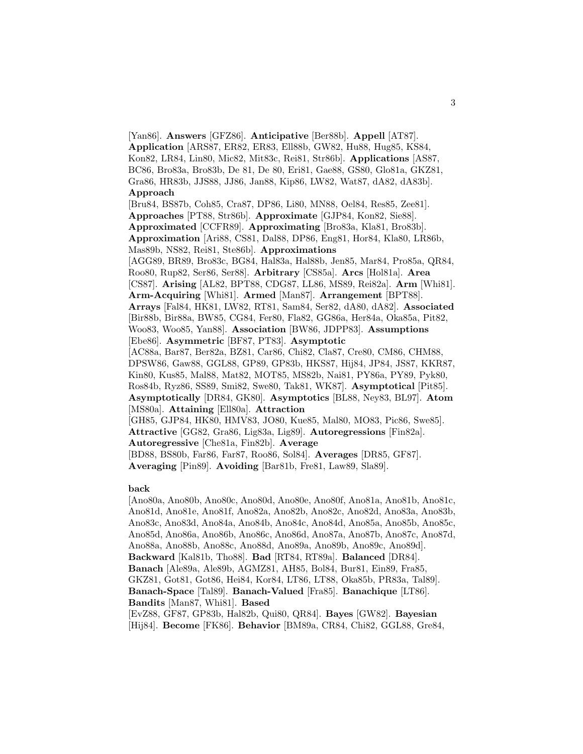[Yan86]. **Answers** [GFZ86]. **Anticipative** [Ber88b]. **Appell** [AT87]. **Application** [ARS87, ER82, ER83, Ell88b, GW82, Hu88, Hug85, KS84, Kon82, LR84, Lin80, Mic82, Mit83c, Rei81, Str86b]. **Applications** [AS87, BC86, Bro83a, Bro83b, De 81, De 80, Eri81, Gae88, GS80, Glo81a, GKZ81, Gra86, HR83b, JJS88, JJ86, Jan88, Kip86, LW82, Wat87, dA82, dA83b]. **Approach** [Bru84, BS87b, Coh85, Cra87, DP86, Li80, MN88, Oel84, Res85, Zee81]. **Approaches** [PT88, Str86b]. **Approximate** [GJP84, Kon82, Sie88]. **Approximated** [CCFR89]. **Approximating** [Bro83a, Kla81, Bro83b]. **Approximation** [Ari88, CS81, Dal88, DP86, Eng81, Hor84, Kla80, LR86b, Mas89b, NS82, Rei81, Ste86b]. **Approximations** [AGG89, BR89, Bro83c, BG84, Hal83a, Hal88b, Jen85, Mar84, Pro85a, QR84, Roo80, Rup82, Ser86, Ser88]. **Arbitrary** [CS85a]. **Arcs** [Hol81a]. **Area** [CS87]. **Arising** [AL82, BPT88, CDG87, LL86, MS89, Rei82a]. **Arm** [Whi81]. **Arm-Acquiring** [Whi81]. **Armed** [Man87]. **Arrangement** [BPT88]. **Arrays** [Fal84, HK81, LW82, RT81, Sam84, Ser82, dA80, dA82]. **Associated** [Bir88b, Bir88a, BW85, CG84, Fer80, Fla82, GG86a, Her84a, Oka85a, Pit82, Woo83, Woo85, Yan88]. **Association** [BW86, JDPP83]. **Assumptions** [Ebe86]. **Asymmetric** [BF87, PT83]. **Asymptotic** [AC88a, Bar87, Ber82a, BZ81, Car86, Chi82, Cla87, Cre80, CM86, CHM88, DPSW86, Gaw88, GGL88, GP89, GP83b, HKS87, Hij84, JP84, JS87, KKR87, Kin80, Kus85, Mal88, Mat82, MOT85, MS82b, Nai81, PY86a, PY89, Pyk80, Ros84b, Ryz86, SS89, Smi82, Swe80, Tak81, WK87]. **Asymptotical** [Pit85]. **Asymptotically** [DR84, GK80]. **Asymptotics** [BL88, Ney83, BL97]. **Atom** [MS80a]. **Attaining** [Ell80a]. **Attraction** [GH85, GJP84, HK80, HMV83, JO80, Kue85, Mal80, MO83, Pic86, Swe85]. **Attractive** [GG82, Gra86, Lig83a, Lig89]. **Autoregressions** [Fin82a]. **Autoregressive** [Che81a, Fin82b]. **Average** [BD88, BS80b, Far86, Far87, Roo86, Sol84]. **Averages** [DR85, GF87]. **Averaging** [Pin89]. **Avoiding** [Bar81b, Fre81, Law89, Sla89].

#### **back**

[Ano80a, Ano80b, Ano80c, Ano80d, Ano80e, Ano80f, Ano81a, Ano81b, Ano81c, Ano81d, Ano81e, Ano81f, Ano82a, Ano82b, Ano82c, Ano82d, Ano83a, Ano83b, Ano83c, Ano83d, Ano84a, Ano84b, Ano84c, Ano84d, Ano85a, Ano85b, Ano85c, Ano85d, Ano86a, Ano86b, Ano86c, Ano86d, Ano87a, Ano87b, Ano87c, Ano87d, Ano88a, Ano88b, Ano88c, Ano88d, Ano89a, Ano89b, Ano89c, Ano89d]. **Backward** [Kal81b, Tho88]. **Bad** [RT84, RT89a]. **Balanced** [DR84]. **Banach** [Ale89a, Ale89b, AGMZ81, AH85, Bol84, Bur81, Ein89, Fra85, GKZ81, Got81, Got86, Hei84, Kor84, LT86, LT88, Oka85b, PR83a, Tal89]. **Banach-Space** [Tal89]. **Banach-Valued** [Fra85]. **Banachique** [LT86]. **Bandits** [Man87, Whi81]. **Based** [EvZ88, GF87, GP83b, Hal82b, Qui80, QR84]. **Bayes** [GW82]. **Bayesian**

[Hij84]. **Become** [FK86]. **Behavior** [BM89a, CR84, Chi82, GGL88, Gre84,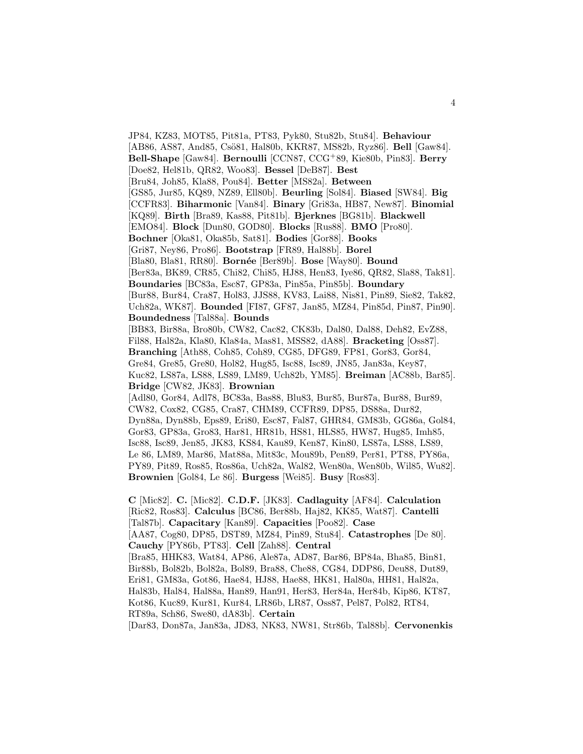JP84, KZ83, MOT85, Pit81a, PT83, Pyk80, Stu82b, Stu84]. **Behaviour** [AB86, AS87, And85, Csö81, Hal80b, KKR87, MS82b, Ryz86]. **Bell** [Gaw84]. **Bell-Shape** [Gaw84]. **Bernoulli** [CCN87, CCG<sup>+</sup>89, Kie80b, Pin83]. **Berry** [Doe82, Hel81b, QR82, Woo83]. **Bessel** [DeB87]. **Best** [Bru84, Joh85, Kla88, Pou84]. **Better** [MS82a]. **Between** [GS85, Jur85, KQ89, NZ89, Ell80b]. **Beurling** [Sol84]. **Biased** [SW84]. **Big** [CCFR83]. **Biharmonic** [Van84]. **Binary** [Gri83a, HB87, New87]. **Binomial** [KQ89]. **Birth** [Bra89, Kas88, Pit81b]. **Bjerknes** [BG81b]. **Blackwell** [EMO84]. **Block** [Dun80, GOD80]. **Blocks** [Rus88]. **BMO** [Pro80]. **Bochner** [Oka81, Oka85b, Sat81]. **Bodies** [Gor88]. **Books** [Gri87, Ney86, Pro86]. **Bootstrap** [FR89, Hal88b]. **Borel** [Bla80, Bla81, RR80]. **Born´ee** [Ber89b]. **Bose** [Way80]. **Bound** [Ber83a, BK89, CR85, Chi82, Chi85, HJ88, Hen83, Iye86, QR82, Sla88, Tak81]. **Boundaries** [BC83a, Esc87, GP83a, Pin85a, Pin85b]. **Boundary** [Bur88, Bur84, Cra87, Hol83, JJS88, KV83, Lai88, Nis81, Pin89, Sie82, Tak82, Uch82a, WK87]. **Bounded** [FI87, GF87, Jan85, MZ84, Pin85d, Pin87, Pin90]. **Boundedness** [Tal88a]. **Bounds** [BB83, Bir88a, Bro80b, CW82, Cac82, CK83b, Dal80, Dal88, Deh82, EvZ88, Fil88, Hal82a, Kla80, Kla84a, Mas81, MSS82, dA88]. **Bracketing** [Oss87]. **Branching** [Ath88, Coh85, Coh89, CG85, DFG89, FP81, Gor83, Gor84, Gre84, Gre85, Gre80, Hol82, Hug85, Isc88, Isc89, JN85, Jan83a, Key87, Kuc82, LS87a, LS88, LS89, LM89, Uch82b, YM85]. **Breiman** [AC88b, Bar85]. **Bridge** [CW82, JK83]. **Brownian** [Adl80, Gor84, Adl78, BC83a, Bas88, Blu83, Bur85, Bur87a, Bur88, Bur89, CW82, Cox82, CG85, Cra87, CHM89, CCFR89, DP85, DS88a, Dur82, Dyn88a, Dyn88b, Eps89, Eri80, Esc87, Fal87, GHR84, GM83b, GG86a, Gol84, Gor83, GP83a, Gro83, Har81, HR81b, HS81, HLS85, HW87, Hug85, Imh85, Isc88, Isc89, Jen85, JK83, KS84, Kau89, Ken87, Kin80, LS87a, LS88, LS89, Le 86, LM89, Mar86, Mat88a, Mit83c, Mou89b, Pen89, Per81, PT88, PY86a, PY89, Pit89, Ros85, Ros86a, Uch82a, Wal82, Wen80a, Wen80b, Wil85, Wu82]. **Brownien** [Gol84, Le 86]. **Burgess** [Wei85]. **Busy** [Ros83]. **C** [Mic82]. **C.** [Mic82]. **C.D.F.** [JK83]. **Cadlaguity** [AF84]. **Calculation** [Ric82, Ros83]. **Calculus** [BC86, Ber88b, Haj82, KK85, Wat87]. **Cantelli** [Tal87b]. **Capacitary** [Kan89]. **Capacities** [Poo82]. **Case** [AA87, Cog80, DP85, DST89, MZ84, Pin89, Stu84]. **Catastrophes** [De 80].

**Cauchy** [PY86b, PT83]. **Cell** [Zah88]. **Central** [Bra85, HHK83, Wat84, AP86, Ale87a, AD87, Bar86, BP84a, Bha85, Bin81, Bir88b, Bol82b, Bol82a, Bol89, Bra88, Che88, CG84, DDP86, Deu88, Dut89, Eri81, GM83a, Got86, Hae84, HJ88, Hae88, HK81, Hal80a, HH81, Hal82a, Hal83b, Hal84, Hal88a, Han89, Han91, Her83, Her84a, Her84b, Kip86, KT87,

Kot86, Kuc89, Kur81, Kur84, LR86b, LR87, Oss87, Pel87, Pol82, RT84, RT89a, Sch86, Swe80, dA83b]. **Certain**

[Dar83, Don87a, Jan83a, JD83, NK83, NW81, Str86b, Tal88b]. **Cervonenkis**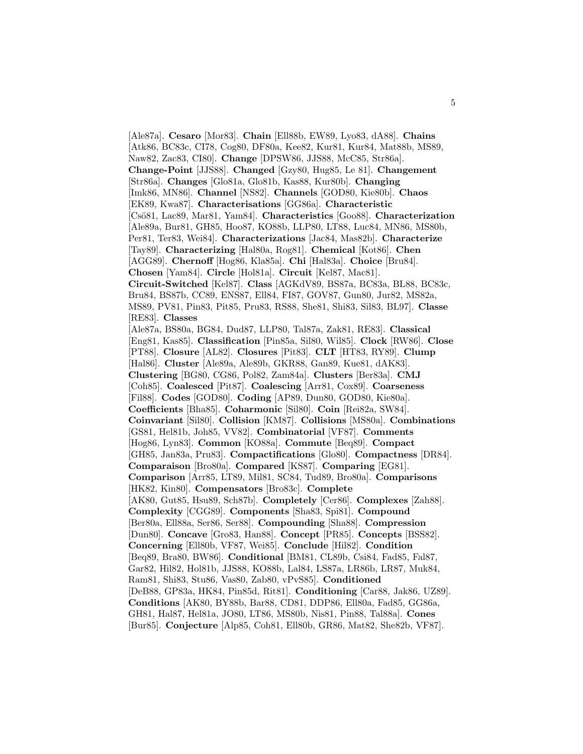[Ale87a]. **Cesaro** [Mor83]. **Chain** [Ell88b, EW89, Lyo83, dA88]. **Chains** [Atk86, BC83c, CI78, Cog80, DF80a, Kee82, Kur81, Kur84, Mat88b, MS89, Naw82, Zac83, CI80]. **Change** [DPSW86, JJS88, McC85, Str86a]. **Change-Point** [JJS88]. **Changed** [Gzy80, Hug85, Le 81]. **Changement** [Str86a]. **Changes** [Glo81a, Glo81b, Kas88, Kur80b]. **Changing** [Imk86, MN86]. **Channel** [NS82]. **Channels** [GOD80, Kie80b]. **Chaos** [EK89, Kwa87]. **Characterisations** [GG86a]. **Characteristic** [Cs¨o81, Lac89, Mar81, Yam84]. **Characteristics** [Goo88]. **Characterization** [Ale89a, Bur81, GH85, Hoo87, KO88b, LLP80, LT88, Luc84, MN86, MS80b, Per81, Ter83, Wei84]. **Characterizations** [Jac84, Mas82b]. **Characterize** [Tay89]. **Characterizing** [Hal80a, Rog81]. **Chemical** [Kot86]. **Chen** [AGG89]. **Chernoff** [Hog86, Kla85a]. **Chi** [Hal83a]. **Choice** [Bru84]. **Chosen** [Yam84]. **Circle** [Hol81a]. **Circuit** [Kel87, Mac81]. **Circuit-Switched** [Kel87]. **Class** [AGKdV89, BS87a, BC83a, BL88, BC83c, Bru84, BS87b, CC89, ENS87, Ell84, FI87, GOV87, Gun80, Jur82, MS82a, MS89, PV81, Pin83, Pit85, Pru83, RS88, She81, Shi83, Sil83, BL97]. **Classe** [RE83]. **Classes** [Ale87a, BS80a, BG84, Dud87, LLP80, Tal87a, Zak81, RE83]. **Classical** [Eng81, Kas85]. **Classification** [Pin85a, Sil80, Wil85]. **Clock** [RW86]. **Close** [PT88]. **Closure** [AL82]. **Closures** [Pit83]. **CLT** [HT83, RY89]. **Clump** [Hal86]. **Cluster** [Ale89a, Ale89b, GKR88, Gan89, Kue81, dAK83]. **Clustering** [BG80, CG86, Pol82, Zam84a]. **Clusters** [Ber83a]. **CMJ** [Coh85]. **Coalesced** [Pit87]. **Coalescing** [Arr81, Cox89]. **Coarseness** [Fil88]. **Codes** [GOD80]. **Coding** [AP89, Dun80, GOD80, Kie80a]. **Coefficients** [Bha85]. **Coharmonic** [Sil80]. **Coin** [Rei82a, SW84]. **Coinvariant** [Sil80]. **Collision** [KM87]. **Collisions** [MS80a]. **Combinations** [GS81, Hel81b, Joh85, VV82]. **Combinatorial** [VF87]. **Comments** [Hog86, Lyn83]. **Common** [KO88a]. **Commute** [Beq89]. **Compact** [GH85, Jan83a, Pru83]. **Compactifications** [Glo80]. **Compactness** [DR84]. **Comparaison** [Bro80a]. **Compared** [KS87]. **Comparing** [EG81]. **Comparison** [Arr85, LT89, Mil81, SC84, Tud89, Bro80a]. **Comparisons** [HK82, Kin80]. **Compensators** [Bro83c]. **Complete** [AK80, Gut85, Hsu89, Sch87b]. **Completely** [Cer86]. **Complexes** [Zah88]. **Complexity** [CGG89]. **Components** [Sha83, Spi81]. **Compound** [Ber80a, Ell88a, Ser86, Ser88]. **Compounding** [Sha88]. **Compression** [Dun80]. **Concave** [Gro83, Han88]. **Concept** [PR85]. **Concepts** [BSS82]. **Concerning** [Ell80b, VF87, Wei85]. **Conclude** [Hil82]. **Condition** [Beq89, Bra80, BW86]. **Conditional** [BM81, CL89b, Csi84, Fad85, Fal87, Gar82, Hil82, Hol81b, JJS88, KO88b, Lal84, LS87a, LR86b, LR87, Muk84, Ram81, Shi83, Stu86, Vas80, Zab80, vPvS85]. **Conditioned** [DeB88, GP83a, HK84, Pin85d, Rit81]. **Conditioning** [Car88, Jak86, UZ89]. **Conditions** [AK80, BY88b, Bar88, CD81, DDP86, Ell80a, Fad85, GG86a, GH81, Hal87, Hel81a, JO80, LT86, MS80b, Nis81, Pin88, Tal88a]. **Cones** [Bur85]. **Conjecture** [Alp85, Coh81, Ell80b, GR86, Mat82, She82b, VF87].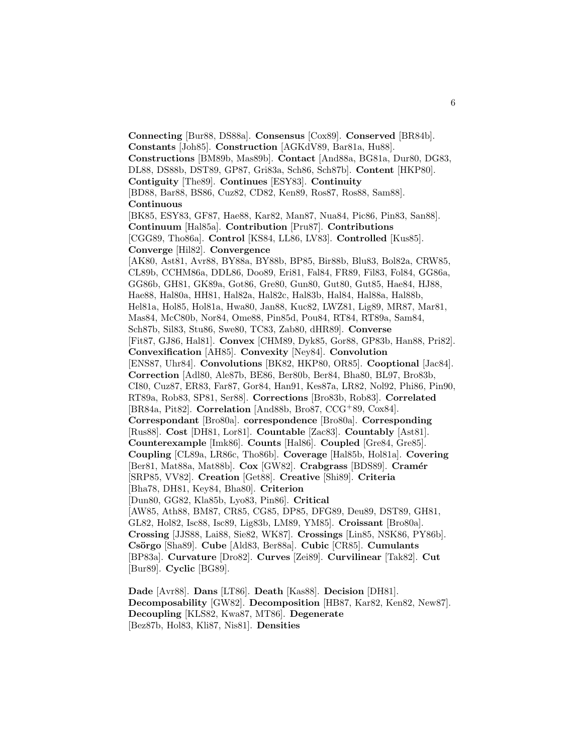**Connecting** [Bur88, DS88a]. **Consensus** [Cox89]. **Conserved** [BR84b]. **Constants** [Joh85]. **Construction** [AGKdV89, Bar81a, Hu88]. **Constructions** [BM89b, Mas89b]. **Contact** [And88a, BG81a, Dur80, DG83, DL88, DS88b, DST89, GP87, Gri83a, Sch86, Sch87b]. **Content** [HKP80]. **Contiguity** [The89]. **Continues** [ESY83]. **Continuity** [BD88, Bar88, BS86, Cuz82, CD82, Ken89, Ros87, Ros88, Sam88]. **Continuous** [BK85, ESY83, GF87, Hae88, Kar82, Man87, Nua84, Pic86, Pin83, San88]. **Continuum** [Hal85a]. **Contribution** [Pru87]. **Contributions** [CGG89, Tho86a]. **Control** [KS84, LL86, LV83]. **Controlled** [Kus85]. **Converge** [Hil82]. **Convergence** [AK80, Ast81, Avr88, BY88a, BY88b, BP85, Bir88b, Blu83, Bol82a, CRW85, CL89b, CCHM86a, DDL86, Doo89, Eri81, Fal84, FR89, Fil83, Fol84, GG86a, GG86b, GH81, GK89a, Got86, Gre80, Gun80, Gut80, Gut85, Hae84, HJ88, Hae88, Hal80a, HH81, Hal82a, Hal82c, Hal83b, Hal84, Hal88a, Hal88b, Hel81a, Hol85, Hol81a, Hwa80, Jan88, Kuc82, LWZ81, Lig89, MR87, Mar81, Mas84, McC80b, Nor84, Ome88, Pin85d, Pou84, RT84, RT89a, Sam84, Sch87b, Sil83, Stu86, Swe80, TC83, Zab80, dHR89]. **Converse** [Fit87, GJ86, Hal81]. **Convex** [CHM89, Dyk85, Gor88, GP83b, Han88, Pri82]. **Convexification** [AH85]. **Convexity** [Ney84]. **Convolution** [ENS87, Uhr84]. **Convolutions** [BK82, HKP80, OR85]. **Cooptional** [Jac84]. **Correction** [Adl80, Ale87b, BE86, Ber80b, Ber84, Bha80, BL97, Bro83b, CI80, Cuz87, ER83, Far87, Gor84, Han91, Kes87a, LR82, Nol92, Phi86, Pin90, RT89a, Rob83, SP81, Ser88]. **Corrections** [Bro83b, Rob83]. **Correlated** [BR84a, Pit82]. **Correlation** [And88b, Bro87, CCG<sup>+</sup>89, Cox84]. **Correspondant** [Bro80a]. **correspondence** [Bro80a]. **Corresponding** [Rus88]. **Cost** [DH81, Lor81]. **Countable** [Zac83]. **Countably** [Ast81]. **Counterexample** [Imk86]. **Counts** [Hal86]. **Coupled** [Gre84, Gre85]. **Coupling** [CL89a, LR86c, Tho86b]. **Coverage** [Hal85b, Hol81a]. **Covering** [Ber81, Mat88a, Mat88b]. **Cox** [GW82]. **Crabgrass** [BDS89]. **Cramér** [SRP85, VV82]. **Creation** [Get88]. **Creative** [Shi89]. **Criteria** [Bha78, DH81, Key84, Bha80]. **Criterion** [Dun80, GG82, Kla85b, Lyo83, Pin86]. **Critical** [AW85, Ath88, BM87, CR85, CG85, DP85, DFG89, Deu89, DST89, GH81, GL82, Hol82, Isc88, Isc89, Lig83b, LM89, YM85]. **Croissant** [Bro80a]. **Crossing** [JJS88, Lai88, Sie82, WK87]. **Crossings** [Lin85, NSK86, PY86b]. **Cs¨orgo** [Sha89]. **Cube** [Ald83, Ber88a]. **Cubic** [CR85]. **Cumulants** [BP83a]. **Curvature** [Dro82]. **Curves** [Zei89]. **Curvilinear** [Tak82]. **Cut** [Bur89]. **Cyclic** [BG89].

**Dade** [Avr88]. **Dans** [LT86]. **Death** [Kas88]. **Decision** [DH81]. **Decomposability** [GW82]. **Decomposition** [HB87, Kar82, Ken82, New87]. **Decoupling** [KLS82, Kwa87, MT86]. **Degenerate** [Bez87b, Hol83, Kli87, Nis81]. **Densities**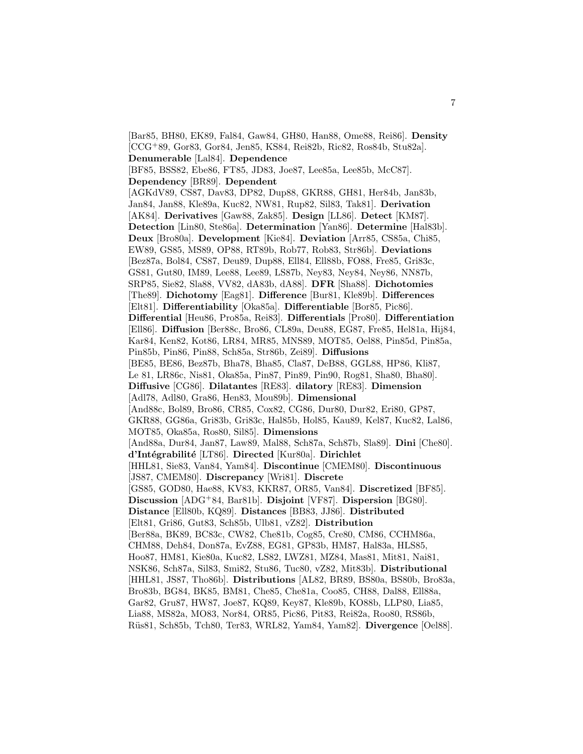[Bar85, BH80, EK89, Fal84, Gaw84, GH80, Han88, Ome88, Rei86]. **Density** [CCG<sup>+</sup>89, Gor83, Gor84, Jen85, KS84, Rei82b, Ric82, Ros84b, Stu82a]. **Denumerable** [Lal84]. **Dependence** [BF85, BSS82, Ebe86, FT85, JD83, Joe87, Lee85a, Lee85b, McC87]. **Dependency** [BR89]. **Dependent** [AGKdV89, CS87, Dav83, DP82, Dup88, GKR88, GH81, Her84b, Jan83b, Jan84, Jan88, Kle89a, Kuc82, NW81, Rup82, Sil83, Tak81]. **Derivation** [AK84]. **Derivatives** [Gaw88, Zak85]. **Design** [LL86]. **Detect** [KM87]. **Detection** [Lin80, Ste86a]. **Determination** [Yan86]. **Determine** [Hal83b]. **Deux** [Bro80a]. **Development** [Kie84]. **Deviation** [Arr85, CS85a, Chi85, EW89, GS85, MS89, OP88, RT89b, Rob77, Rob83, Str86b]. **Deviations** [Bez87a, Bol84, CS87, Deu89, Dup88, Ell84, Ell88b, FO88, Fre85, Gri83c, GS81, Gut80, IM89, Lee88, Lee89, LS87b, Ney83, Ney84, Ney86, NN87b, SRP85, Sie82, Sla88, VV82, dA83b, dA88]. **DFR** [Sha88]. **Dichotomies** [The89]. **Dichotomy** [Eag81]. **Difference** [Bur81, Kle89b]. **Differences** [Elt81]. **Differentiability** [Oka85a]. **Differentiable** [Bor85, Pic86]. **Differential** [Heu86, Pro85a, Rei83]. **Differentials** [Pro80]. **Differentiation** [Ell86]. **Diffusion** [Ber88c, Bro86, CL89a, Deu88, EG87, Fre85, Hel81a, Hij84, Kar84, Ken82, Kot86, LR84, MR85, MNS89, MOT85, Oel88, Pin85d, Pin85a, Pin85b, Pin86, Pin88, Sch85a, Str86b, Zei89]. **Diffusions** [BE85, BE86, Bez87b, Bha78, Bha85, Cla87, DeB88, GGL88, HP86, Kli87, Le 81, LR86c, Nis81, Oka85a, Pin87, Pin89, Pin90, Rog81, Sha80, Bha80]. **Diffusive** [CG86]. **Dilatantes** [RE83]. **dilatory** [RE83]. **Dimension** [Adl78, Adl80, Gra86, Hen83, Mou89b]. **Dimensional** [And88c, Bol89, Bro86, CR85, Cox82, CG86, Dur80, Dur82, Eri80, GP87, GKR88, GG86a, Gri83b, Gri83c, Hal85b, Hol85, Kau89, Kel87, Kuc82, Lal86, MOT85, Oka85a, Ros80, Sil85]. **Dimensions** [And88a, Dur84, Jan87, Law89, Mal88, Sch87a, Sch87b, Sla89]. **Dini** [Che80]. **d'Int´egrabilit´e** [LT86]. **Directed** [Kur80a]. **Dirichlet** [HHL81, Sie83, Van84, Yam84]. **Discontinue** [CMEM80]. **Discontinuous** [JS87, CMEM80]. **Discrepancy** [Wri81]. **Discrete** [GS85, GOD80, Hae88, KV83, KKR87, OR85, Van84]. **Discretized** [BF85]. **Discussion** [ADG<sup>+</sup>84, Bar81b]. **Disjoint** [VF87]. **Dispersion** [BG80]. **Distance** [Ell80b, KQ89]. **Distances** [BB83, JJ86]. **Distributed** [Elt81, Gri86, Gut83, Sch85b, Ulb81, vZ82]. **Distribution** [Ber88a, BK89, BC83c, CW82, Che81b, Cog85, Cre80, CM86, CCHM86a, CHM88, Deh84, Don87a, EvZ88, EG81, GP83b, HM87, Hal83a, HLS85, Hoo87, HM81, Kie80a, Kuc82, LS82, LWZ81, MZ84, Mas81, Mit81, Nai81, NSK86, Sch87a, Sil83, Smi82, Stu86, Tuc80, vZ82, Mit83b]. **Distributional** [HHL81, JS87, Tho86b]. **Distributions** [AL82, BR89, BS80a, BS80b, Bro83a, Bro83b, BG84, BK85, BM81, Che85, Che81a, Coo85, CH88, Dal88, Ell88a, Gar82, Gru87, HW87, Joe87, KQ89, Key87, Kle89b, KO88b, LLP80, Lia85, Lia88, MS82a, MO83, Nor84, OR85, Pic86, Pit83, Rei82a, Roo80, RS86b, R¨us81, Sch85b, Tch80, Ter83, WRL82, Yam84, Yam82]. **Divergence** [Oel88].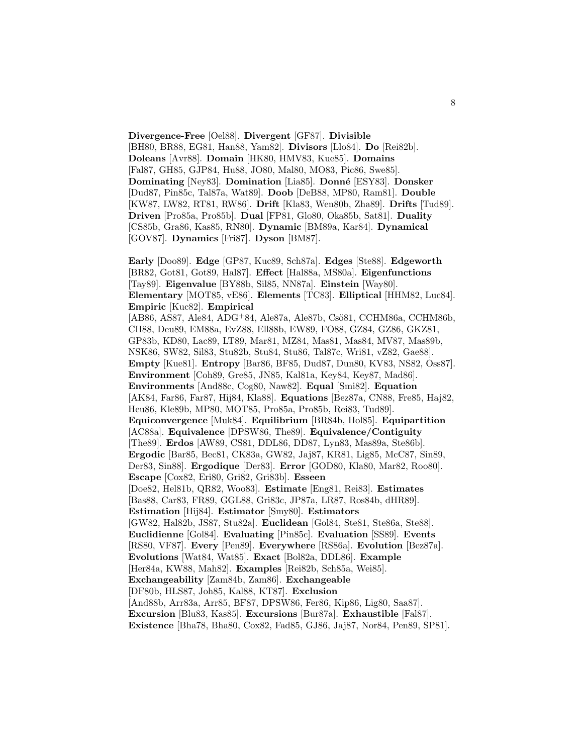**Divergence-Free** [Oel88]. **Divergent** [GF87]. **Divisible** [BH80, BR88, EG81, Han88, Yam82]. **Divisors** [Llo84]. **Do** [Rei82b]. **Doleans** [Avr88]. **Domain** [HK80, HMV83, Kue85]. **Domains** [Fal87, GH85, GJP84, Hu88, JO80, Mal80, MO83, Pic86, Swe85]. **Dominating** [Ney83]. **Domination** [Lia85]. **Donn´e** [ESY83]. **Donsker** [Dud87, Pin85c, Tal87a, Wat89]. **Doob** [DeB88, MP80, Ram81]. **Double** [KW87, LW82, RT81, RW86]. **Drift** [Kla83, Wen80b, Zha89]. **Drifts** [Tud89]. **Driven** [Pro85a, Pro85b]. **Dual** [FP81, Glo80, Oka85b, Sat81]. **Duality** [CS85b, Gra86, Kas85, RN80]. **Dynamic** [BM89a, Kar84]. **Dynamical** [GOV87]. **Dynamics** [Fri87]. **Dyson** [BM87].

**Early** [Doo89]. **Edge** [GP87, Kuc89, Sch87a]. **Edges** [Ste88]. **Edgeworth** [BR82, Got81, Got89, Hal87]. **Effect** [Hal88a, MS80a]. **Eigenfunctions** [Tay89]. **Eigenvalue** [BY88b, Sil85, NN87a]. **Einstein** [Way80]. **Elementary** [MOT85, vE86]. **Elements** [TC83]. **Elliptical** [HHM82, Luc84]. **Empiric** [Kuc82]. **Empirical** [AB86, AS87, Ale84, ADG<sup>+</sup>84, Ale87a, Ale87b, Csö81, CCHM86a, CCHM86b, CH88, Deu89, EM88a, EvZ88, Ell88b, EW89, FO88, GZ84, GZ86, GKZ81, GP83b, KD80, Lac89, LT89, Mar81, MZ84, Mas81, Mas84, MV87, Mas89b, NSK86, SW82, Sil83, Stu82b, Stu84, Stu86, Tal87c, Wri81, vZ82, Gae88]. **Empty** [Kue81]. **Entropy** [Bar86, BF85, Dud87, Dun80, KV83, NS82, Oss87]. **Environment** [Coh89, Gre85, JN85, Kal81a, Key84, Key87, Mad86]. **Environments** [And88c, Cog80, Naw82]. **Equal** [Smi82]. **Equation** [AK84, Far86, Far87, Hij84, Kla88]. **Equations** [Bez87a, CN88, Fre85, Haj82, Heu86, Kle89b, MP80, MOT85, Pro85a, Pro85b, Rei83, Tud89]. **Equiconvergence** [Muk84]. **Equilibrium** [BR84b, Hol85]. **Equipartition** [AC88a]. **Equivalence** [DPSW86, The89]. **Equivalence/Contiguity** [The89]. **Erdos** [AW89, CS81, DDL86, DD87, Lyn83, Mas89a, Ste86b]. **Ergodic** [Bar85, Bec81, CK83a, GW82, Jaj87, KR81, Lig85, McC87, Sin89, Der83, Sin88]. **Ergodique** [Der83]. **Error** [GOD80, Kla80, Mar82, Roo80]. **Escape** [Cox82, Eri80, Gri82, Gri83b]. **Esseen** [Doe82, Hel81b, QR82, Woo83]. **Estimate** [Eng81, Rei83]. **Estimates** [Bas88, Car83, FR89, GGL88, Gri83c, JP87a, LR87, Ros84b, dHR89]. **Estimation** [Hij84]. **Estimator** [Smy80]. **Estimators** [GW82, Hal82b, JS87, Stu82a]. **Euclidean** [Gol84, Ste81, Ste86a, Ste88]. **Euclidienne** [Gol84]. **Evaluating** [Pin85c]. **Evaluation** [SS89]. **Events** [RS80, VF87]. **Every** [Pen89]. **Everywhere** [RS86a]. **Evolution** [Bez87a]. **Evolutions** [Wat84, Wat85]. **Exact** [Bol82a, DDL86]. **Example** [Her84a, KW88, Mah82]. **Examples** [Rei82b, Sch85a, Wei85]. **Exchangeability** [Zam84b, Zam86]. **Exchangeable** [DF80b, HLS87, Joh85, Kal88, KT87]. **Exclusion** [And88b, Arr83a, Arr85, BF87, DPSW86, Fer86, Kip86, Lig80, Saa87]. **Excursion** [Blu83, Kas85]. **Excursions** [Bur87a]. **Exhaustible** [Fal87]. **Existence** [Bha78, Bha80, Cox82, Fad85, GJ86, Jaj87, Nor84, Pen89, SP81].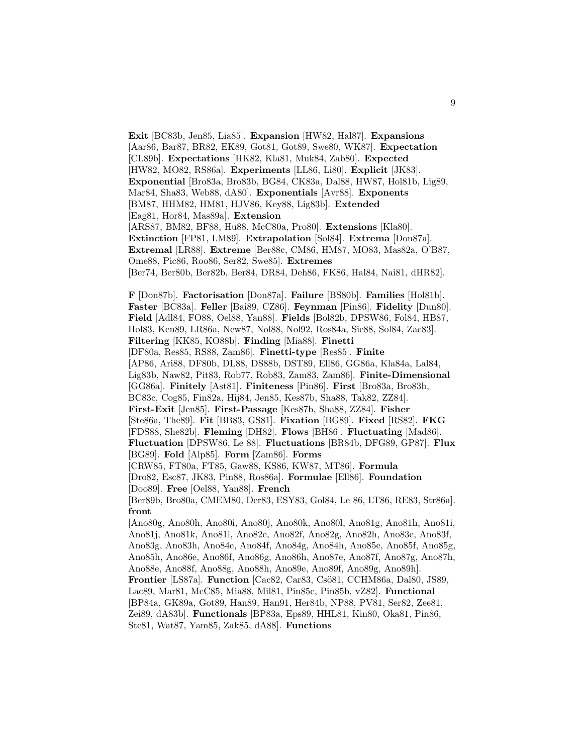**Exit** [BC83b, Jen85, Lia85]. **Expansion** [HW82, Hal87]. **Expansions** [Aar86, Bar87, BR82, EK89, Got81, Got89, Swe80, WK87]. **Expectation** [CL89b]. **Expectations** [HK82, Kla81, Muk84, Zab80]. **Expected** [HW82, MO82, RS86a]. **Experiments** [LL86, Li80]. **Explicit** [JK83]. **Exponential** [Bro83a, Bro83b, BG84, CK83a, Dal88, HW87, Hol81b, Lig89, Mar84, Sha83, Web88, dA80]. **Exponentials** [Avr88]. **Exponents** [BM87, HHM82, HM81, HJV86, Key88, Lig83b]. **Extended** [Eag81, Hor84, Mas89a]. **Extension** [ARS87, BM82, BF88, Hu88, McC80a, Pro80]. **Extensions** [Kla80]. **Extinction** [FP81, LM89]. **Extrapolation** [Sol84]. **Extrema** [Don87a]. **Extremal** [LR88]. **Extreme** [Ber88c, CM86, HM87, MO83, Mas82a, O'B87, Ome88, Pic86, Roo86, Ser82, Swe85]. **Extremes** [Ber74, Ber80b, Ber82b, Ber84, DR84, Deh86, FK86, Hal84, Nai81, dHR82]. **F** [Don87b]. **Factorisation** [Don87a]. **Failure** [BS80b]. **Families** [Hol81b]. **Faster** [BC83a]. **Feller** [Bai89, CZ86]. **Feynman** [Pin86]. **Fidelity** [Dun80]. **Field** [Adl84, FO88, Oel88, Yan88]. **Fields** [Bol82b, DPSW86, Fol84, HB87, Hol83, Ken89, LR86a, New87, Nol88, Nol92, Ros84a, Sie88, Sol84, Zac83]. **Filtering** [KK85, KO88b]. **Finding** [Mia88]. **Finetti** [DF80a, Res85, RS88, Zam86]. **Finetti-type** [Res85]. **Finite** [AP86, Ari88, DF80b, DL88, DS88b, DST89, Ell86, GG86a, Kla84a, Lal84, Lig83b, Naw82, Pit83, Rob77, Rob83, Zam83, Zam86]. **Finite-Dimensional** [GG86a]. **Finitely** [Ast81]. **Finiteness** [Pin86]. **First** [Bro83a, Bro83b, BC83c, Cog85, Fin82a, Hij84, Jen85, Kes87b, Sha88, Tak82, ZZ84]. **First-Exit** [Jen85]. **First-Passage** [Kes87b, Sha88, ZZ84]. **Fisher** [Ste86a, The89]. **Fit** [BB83, GS81]. **Fixation** [BG89]. **Fixed** [RS82]. **FKG** [FDS88, She82b]. **Fleming** [DH82]. **Flows** [BH86]. **Fluctuating** [Mad86]. **Fluctuation** [DPSW86, Le 88]. **Fluctuations** [BR84b, DFG89, GP87]. **Flux** [BG89]. **Fold** [Alp85]. **Form** [Zam86]. **Forms** [CRW85, FT80a, FT85, Gaw88, KS86, KW87, MT86]. **Formula** [Dro82, Esc87, JK83, Pin88, Ros86a]. **Formulae** [Ell86]. **Foundation** [Doo89]. **Free** [Oel88, Yan88]. **French** [Ber89b, Bro80a, CMEM80, Der83, ESY83, Gol84, Le 86, LT86, RE83, Str86a]. **front** [Ano80g, Ano80h, Ano80i, Ano80j, Ano80k, Ano80l, Ano81g, Ano81h, Ano81i, Ano81j, Ano81k, Ano81l, Ano82e, Ano82f, Ano82g, Ano82h, Ano83e, Ano83f, Ano83g, Ano83h, Ano84e, Ano84f, Ano84g, Ano84h, Ano85e, Ano85f, Ano85g, Ano85h, Ano86e, Ano86f, Ano86g, Ano86h, Ano87e, Ano87f, Ano87g, Ano87h, Ano88e, Ano88f, Ano88g, Ano88h, Ano89e, Ano89f, Ano89g, Ano89h]. **Frontier** [LS87a]. **Function** [Cac82, Car83, Csö81, CCHM86a, Dal80, JS89, Lac89, Mar81, McC85, Mia88, Mil81, Pin85c, Pin85b, vZ82]. **Functional** [BP84a, GK89a, Got89, Han89, Han91, Her84b, NP88, PV81, Ser82, Zee81, Zei89, dA83b]. **Functionals** [BP83a, Eps89, HHL81, Kin80, Oka81, Pin86, Ste81, Wat87, Yam85, Zak85, dA88]. **Functions**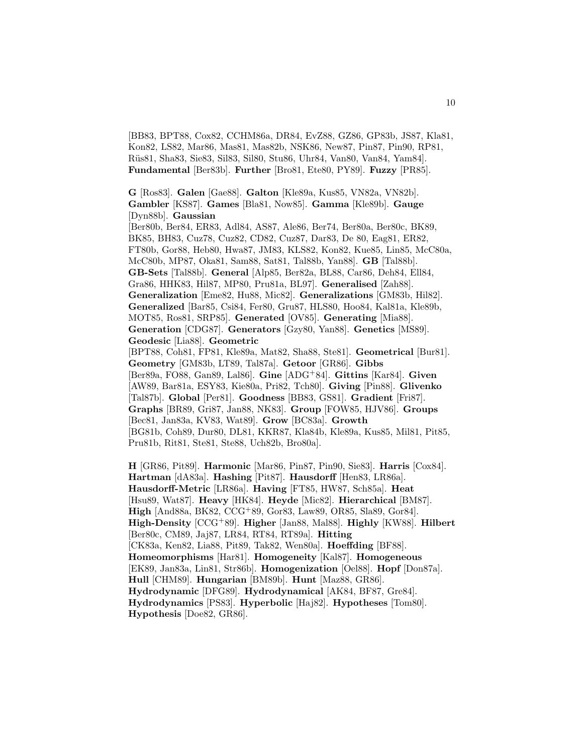[BB83, BPT88, Cox82, CCHM86a, DR84, EvZ88, GZ86, GP83b, JS87, Kla81, Kon82, LS82, Mar86, Mas81, Mas82b, NSK86, New87, Pin87, Pin90, RP81, R¨us81, Sha83, Sie83, Sil83, Sil80, Stu86, Uhr84, Van80, Van84, Yam84]. **Fundamental** [Ber83b]. **Further** [Bro81, Ete80, PY89]. **Fuzzy** [PR85].

**G** [Ros83]. **Galen** [Gae88]. **Galton** [Kle89a, Kus85, VN82a, VN82b]. **Gambler** [KS87]. **Games** [Bla81, Now85]. **Gamma** [Kle89b]. **Gauge** [Dyn88b]. **Gaussian** [Ber80b, Ber84, ER83, Adl84, AS87, Ale86, Ber74, Ber80a, Ber80c, BK89, BK85, BH83, Cuz78, Cuz82, CD82, Cuz87, Dar83, De 80, Eag81, ER82, FT80b, Gor88, Heb80, Hwa87, JM83, KLS82, Kon82, Kue85, Lin85, McC80a, McC80b, MP87, Oka81, Sam88, Sat81, Tal88b, Yan88]. **GB** [Tal88b]. **GB-Sets** [Tal88b]. **General** [Alp85, Ber82a, BL88, Car86, Deh84, Ell84, Gra86, HHK83, Hil87, MP80, Pru81a, BL97]. **Generalised** [Zah88]. **Generalization** [Eme82, Hu88, Mic82]. **Generalizations** [GM83b, Hil82]. **Generalized** [Bar85, Csi84, Fer80, Gru87, HLS80, Hoo84, Kal81a, Kle89b, MOT85, Ros81, SRP85]. **Generated** [OV85]. **Generating** [Mia88]. **Generation** [CDG87]. **Generators** [Gzy80, Yan88]. **Genetics** [MS89]. **Geodesic** [Lia88]. **Geometric** [BPT88, Coh81, FP81, Kle89a, Mat82, Sha88, Ste81]. **Geometrical** [Bur81]. **Geometry** [GM83b, LT89, Tal87a]. **Getoor** [GR86]. **Gibbs**

[Ber89a, FO88, Gan89, Lal86]. **Gine** [ADG<sup>+</sup>84]. **Gittins** [Kar84]. **Given** [AW89, Bar81a, ESY83, Kie80a, Pri82, Tch80]. **Giving** [Pin88]. **Glivenko** [Tal87b]. **Global** [Per81]. **Goodness** [BB83, GS81]. **Gradient** [Fri87]. **Graphs** [BR89, Gri87, Jan88, NK83]. **Group** [FOW85, HJV86]. **Groups** [Bec81, Jan83a, KV83, Wat89]. **Grow** [BC83a]. **Growth** [BG81b, Coh89, Dur80, DL81, KKR87, Kla84b, Kle89a, Kus85, Mil81, Pit85, Pru81b, Rit81, Ste81, Ste88, Uch82b, Bro80a].

**H** [GR86, Pit89]. **Harmonic** [Mar86, Pin87, Pin90, Sie83]. **Harris** [Cox84]. **Hartman** [dA83a]. **Hashing** [Pit87]. **Hausdorff** [Hen83, LR86a]. **Hausdorff-Metric** [LR86a]. **Having** [FT85, HW87, Sch85a]. **Heat** [Hsu89, Wat87]. **Heavy** [HK84]. **Heyde** [Mic82]. **Hierarchical** [BM87]. **High** [And88a, BK82, CCG<sup>+</sup>89, Gor83, Law89, OR85, Sla89, Gor84]. **High-Density** [CCG<sup>+</sup>89]. **Higher** [Jan88, Mal88]. **Highly** [KW88]. **Hilbert** [Ber80c, CM89, Jaj87, LR84, RT84, RT89a]. **Hitting** [CK83a, Ken82, Lia88, Pit89, Tak82, Wen80a]. **Hoeffding** [BF88]. **Homeomorphisms** [Har81]. **Homogeneity** [Kal87]. **Homogeneous** [EK89, Jan83a, Lin81, Str86b]. **Homogenization** [Oel88]. **Hopf** [Don87a]. **Hull** [CHM89]. **Hungarian** [BM89b]. **Hunt** [Maz88, GR86]. **Hydrodynamic** [DFG89]. **Hydrodynamical** [AK84, BF87, Gre84]. **Hydrodynamics** [PS83]. **Hyperbolic** [Haj82]. **Hypotheses** [Tom80]. **Hypothesis** [Doe82, GR86].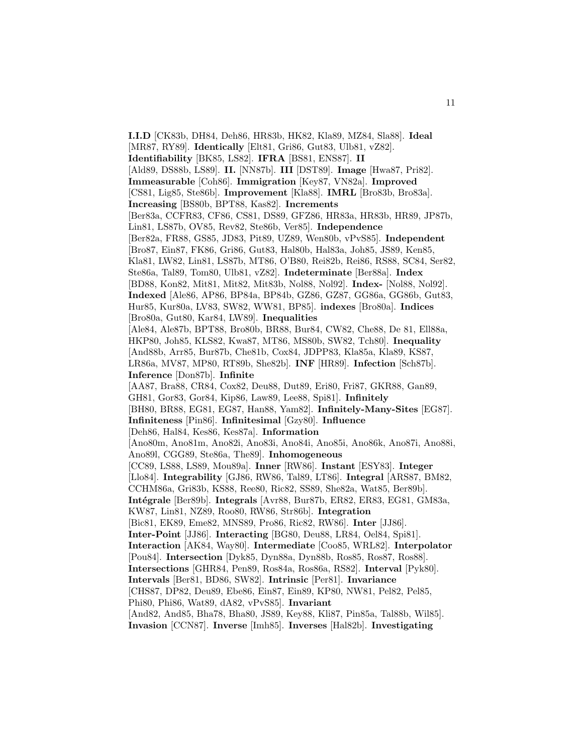**I.I.D** [CK83b, DH84, Deh86, HR83b, HK82, Kla89, MZ84, Sla88]. **Ideal** [MR87, RY89]. **Identically** [Elt81, Gri86, Gut83, Ulb81, vZ82]. **Identifiability** [BK85, LS82]. **IFRA** [BS81, ENS87]. **II** [Ald89, DS88b, LS89]. **II.** [NN87b]. **III** [DST89]. **Image** [Hwa87, Pri82]. **Immeasurable** [Coh86]. **Immigration** [Key87, VN82a]. **Improved** [CS81, Lig85, Ste86b]. **Improvement** [Kla88]. **IMRL** [Bro83b, Bro83a]. **Increasing** [BS80b, BPT88, Kas82]. **Increments** [Ber83a, CCFR83, CF86, CS81, DS89, GFZ86, HR83a, HR83b, HR89, JP87b, Lin81, LS87b, OV85, Rev82, Ste86b, Ver85]. **Independence** [Ber82a, FR88, GS85, JD83, Pit89, UZ89, Wen80b, vPvS85]. **Independent** [Bro87, Ein87, FK86, Gri86, Gut83, Hal80b, Hal83a, Joh85, JS89, Ken85, Kla81, LW82, Lin81, LS87b, MT86, O'B80, Rei82b, Rei86, RS88, SC84, Ser82, Ste86a, Tal89, Tom80, Ulb81, vZ82]. **Indeterminate** [Ber88a]. **Index** [BD88, Kon82, Mit81, Mit82, Mit83b, Nol88, Nol92]. **Index-** [Nol88, Nol92]. **Indexed** [Ale86, AP86, BP84a, BP84b, GZ86, GZ87, GG86a, GG86b, Gut83, Hur85, Kur80a, LV83, SW82, WW81, BP85]. **indexes** [Bro80a]. **Indices** [Bro80a, Gut80, Kar84, LW89]. **Inequalities** [Ale84, Ale87b, BPT88, Bro80b, BR88, Bur84, CW82, Che88, De 81, Ell88a, HKP80, Joh85, KLS82, Kwa87, MT86, MS80b, SW82, Tch80]. **Inequality** [And88b, Arr85, Bur87b, Che81b, Cox84, JDPP83, Kla85a, Kla89, KS87, LR86a, MV87, MP80, RT89b, She82b]. **INF** [HR89]. **Infection** [Sch87b]. **Inference** [Don87b]. **Infinite** [AA87, Bra88, CR84, Cox82, Deu88, Dut89, Eri80, Fri87, GKR88, Gan89, GH81, Gor83, Gor84, Kip86, Law89, Lee88, Spi81]. **Infinitely** [BH80, BR88, EG81, EG87, Han88, Yam82]. **Infinitely-Many-Sites** [EG87]. **Infiniteness** [Pin86]. **Infinitesimal** [Gzy80]. **Influence** [Deh86, Hal84, Kes86, Kes87a]. **Information** [Ano80m, Ano81m, Ano82i, Ano83i, Ano84i, Ano85i, Ano86k, Ano87i, Ano88i, Ano89l, CGG89, Ste86a, The89]. **Inhomogeneous** [CC89, LS88, LS89, Mou89a]. **Inner** [RW86]. **Instant** [ESY83]. **Integer** [Llo84]. **Integrability** [GJ86, RW86, Tal89, LT86]. **Integral** [ARS87, BM82, CCHM86a, Gri83b, KS88, Ree80, Ric82, SS89, She82a, Wat85, Ber89b]. **Int´egrale** [Ber89b]. **Integrals** [Avr88, Bur87b, ER82, ER83, EG81, GM83a, KW87, Lin81, NZ89, Roo80, RW86, Str86b]. **Integration** [Bic81, EK89, Eme82, MNS89, Pro86, Ric82, RW86]. **Inter** [JJ86]. **Inter-Point** [JJ86]. **Interacting** [BG80, Deu88, LR84, Oel84, Spi81]. **Interaction** [AK84, Way80]. **Intermediate** [Coo85, WRL82]. **Interpolator** [Pou84]. **Intersection** [Dyk85, Dyn88a, Dyn88b, Ros85, Ros87, Ros88]. **Intersections** [GHR84, Pen89, Ros84a, Ros86a, RS82]. **Interval** [Pyk80]. **Intervals** [Ber81, BD86, SW82]. **Intrinsic** [Per81]. **Invariance** [CHS87, DP82, Deu89, Ebe86, Ein87, Ein89, KP80, NW81, Pel82, Pel85, Phi80, Phi86, Wat89, dA82, vPvS85]. **Invariant** [And82, And85, Bha78, Bha80, JS89, Key88, Kli87, Pin85a, Tal88b, Wil85]. **Invasion** [CCN87]. **Inverse** [Imh85]. **Inverses** [Hal82b]. **Investigating**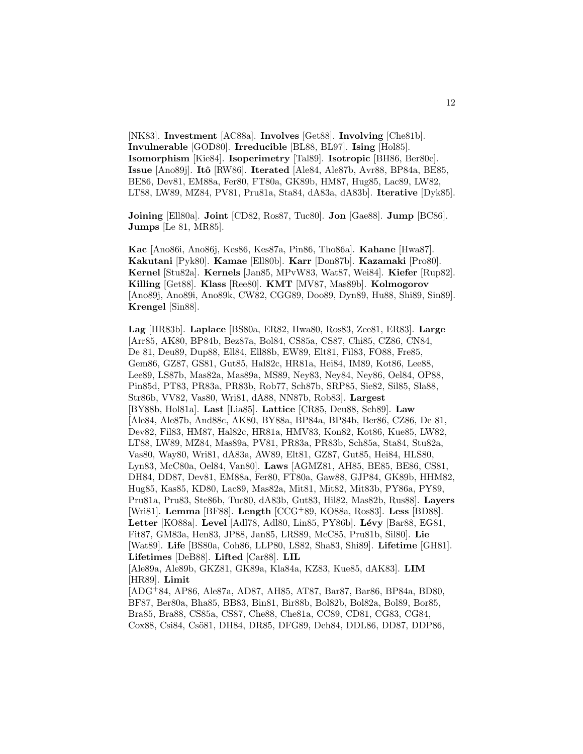[NK83]. **Investment** [AC88a]. **Involves** [Get88]. **Involving** [Che81b]. **Invulnerable** [GOD80]. **Irreducible** [BL88, BL97]. **Ising** [Hol85]. **Isomorphism** [Kie84]. **Isoperimetry** [Tal89]. **Isotropic** [BH86, Ber80c]. **Issue** [Ano89j]. **Itˆo** [RW86]. **Iterated** [Ale84, Ale87b, Avr88, BP84a, BE85, BE86, Dev81, EM88a, Fer80, FT80a, GK89b, HM87, Hug85, Lac89, LW82, LT88, LW89, MZ84, PV81, Pru81a, Sta84, dA83a, dA83b]. **Iterative** [Dyk85].

**Joining** [Ell80a]. **Joint** [CD82, Ros87, Tuc80]. **Jon** [Gae88]. **Jump** [BC86]. **Jumps** [Le 81, MR85].

**Kac** [Ano86i, Ano86j, Kes86, Kes87a, Pin86, Tho86a]. **Kahane** [Hwa87]. **Kakutani** [Pyk80]. **Kamae** [Ell80b]. **Karr** [Don87b]. **Kazamaki** [Pro80]. **Kernel** [Stu82a]. **Kernels** [Jan85, MPvW83, Wat87, Wei84]. **Kiefer** [Rup82]. **Killing** [Get88]. **Klass** [Ree80]. **KMT** [MV87, Mas89b]. **Kolmogorov** [Ano89j, Ano89i, Ano89k, CW82, CGG89, Doo89, Dyn89, Hu88, Shi89, Sin89]. **Krengel** [Sin88].

**Lag** [HR83b]. **Laplace** [BS80a, ER82, Hwa80, Ros83, Zee81, ER83]. **Large** [Arr85, AK80, BP84b, Bez87a, Bol84, CS85a, CS87, Chi85, CZ86, CN84, De 81, Deu89, Dup88, Ell84, Ell88b, EW89, Elt81, Fil83, FO88, Fre85, Gem86, GZ87, GS81, Gut85, Hal82c, HR81a, Hei84, IM89, Kot86, Lee88, Lee89, LS87b, Mas82a, Mas89a, MS89, Ney83, Ney84, Ney86, Oel84, OP88, Pin85d, PT83, PR83a, PR83b, Rob77, Sch87b, SRP85, Sie82, Sil85, Sla88, Str86b, VV82, Vas80, Wri81, dA88, NN87b, Rob83]. **Largest** [BY88b, Hol81a]. **Last** [Lia85]. **Lattice** [CR85, Deu88, Sch89]. **Law** [Ale84, Ale87b, And88c, AK80, BY88a, BP84a, BP84b, Ber86, CZ86, De 81, Dev82, Fil83, HM87, Hal82c, HR81a, HMV83, Kon82, Kot86, Kue85, LW82, LT88, LW89, MZ84, Mas89a, PV81, PR83a, PR83b, Sch85a, Sta84, Stu82a, Vas80, Way80, Wri81, dA83a, AW89, Elt81, GZ87, Gut85, Hei84, HLS80, Lyn83, McC80a, Oel84, Van80]. **Laws** [AGMZ81, AH85, BE85, BE86, CS81, DH84, DD87, Dev81, EM88a, Fer80, FT80a, Gaw88, GJP84, GK89b, HHM82, Hug85, Kas85, KD80, Lac89, Mas82a, Mit81, Mit82, Mit83b, PY86a, PY89, Pru81a, Pru83, Ste86b, Tuc80, dA83b, Gut83, Hil82, Mas82b, Rus88]. **Layers** [Wri81]. **Lemma** [BF88]. **Length** [CCG<sup>+</sup>89, KO88a, Ros83]. **Less** [BD88]. **Letter** [KO88a]. **Level** [Adl78, Adl80, Lin85, PY86b]. **L´evy** [Bar88, EG81, Fit87, GM83a, Hen83, JP88, Jan85, LRS89, McC85, Pru81b, Sil80]. **Lie** [Wat89]. **Life** [BS80a, Coh86, LLP80, LS82, Sha83, Shi89]. **Lifetime** [GH81]. **Lifetimes** [DeB88]. **Lifted** [Car88]. **LIL** [Ale89a, Ale89b, GKZ81, GK89a, Kla84a, KZ83, Kue85, dAK83]. **LIM** [HR89]. **Limit** [ADG<sup>+</sup>84, AP86, Ale87a, AD87, AH85, AT87, Bar87, Bar86, BP84a, BD80,

BF87, Ber80a, Bha85, BB83, Bin81, Bir88b, Bol82b, Bol82a, Bol89, Bor85, Bra85, Bra88, CS85a, CS87, Che88, Che81a, CC89, CD81, CG83, CG84, Cox88, Csi84, Csö81, DH84, DR85, DFG89, Deh84, DDL86, DD87, DDP86,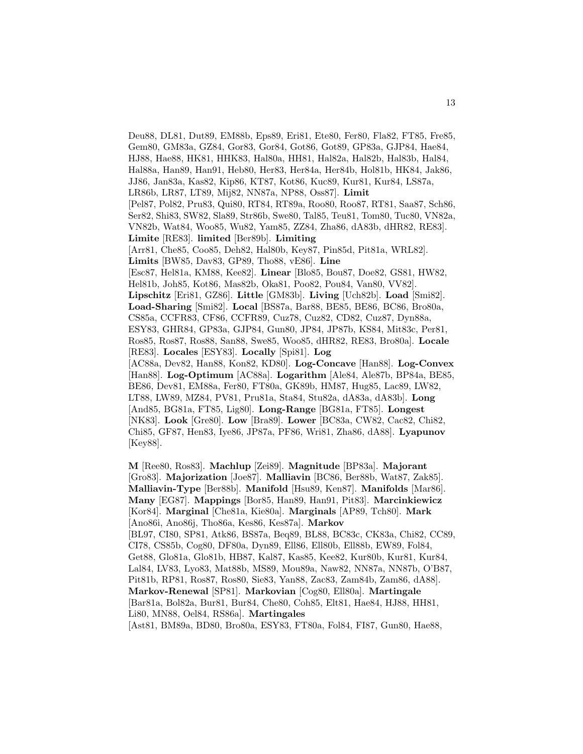Deu88, DL81, Dut89, EM88b, Eps89, Eri81, Ete80, Fer80, Fla82, FT85, Fre85, Gem80, GM83a, GZ84, Gor83, Gor84, Got86, Got89, GP83a, GJP84, Hae84, HJ88, Hae88, HK81, HHK83, Hal80a, HH81, Hal82a, Hal82b, Hal83b, Hal84, Hal88a, Han89, Han91, Heb80, Her83, Her84a, Her84b, Hol81b, HK84, Jak86, JJ86, Jan83a, Kas82, Kip86, KT87, Kot86, Kuc89, Kur81, Kur84, LS87a, LR86b, LR87, LT89, Mij82, NN87a, NP88, Oss87]. **Limit** [Pel87, Pol82, Pru83, Qui80, RT84, RT89a, Roo80, Roo87, RT81, Saa87, Sch86, Ser82, Shi83, SW82, Sla89, Str86b, Swe80, Tal85, Teu81, Tom80, Tuc80, VN82a, VN82b, Wat84, Woo85, Wu82, Yam85, ZZ84, Zha86, dA83b, dHR82, RE83]. **Limite** [RE83]. **limited** [Ber89b]. **Limiting** [Arr81, Che85, Coo85, Deh82, Hal80b, Key87, Pin85d, Pit81a, WRL82]. **Limits** [BW85, Dav83, GP89, Tho88, vE86]. **Line** [Esc87, Hel81a, KM88, Kee82]. **Linear** [Blo85, Bou87, Doe82, GS81, HW82, Hel81b, Joh85, Kot86, Mas82b, Oka81, Poo82, Pou84, Van80, VV82]. **Lipschitz** [Eri81, GZ86]. **Little** [GM83b]. **Living** [Uch82b]. **Load** [Smi82]. **Load-Sharing** [Smi82]. **Local** [BS87a, Bar88, BE85, BE86, BC86, Bro80a, CS85a, CCFR83, CF86, CCFR89, Cuz78, Cuz82, CD82, Cuz87, Dyn88a, ESY83, GHR84, GP83a, GJP84, Gun80, JP84, JP87b, KS84, Mit83c, Per81, Ros85, Ros87, Ros88, San88, Swe85, Woo85, dHR82, RE83, Bro80a]. **Locale** [RE83]. **Locales** [ESY83]. **Locally** [Spi81]. **Log** [AC88a, Dev82, Han88, Kon82, KD80]. **Log-Concave** [Han88]. **Log-Convex** [Han88]. **Log-Optimum** [AC88a]. **Logarithm** [Ale84, Ale87b, BP84a, BE85, BE86, Dev81, EM88a, Fer80, FT80a, GK89b, HM87, Hug85, Lac89, LW82, LT88, LW89, MZ84, PV81, Pru81a, Sta84, Stu82a, dA83a, dA83b]. **Long** [And85, BG81a, FT85, Lig80]. **Long-Range** [BG81a, FT85]. **Longest** [NK83]. **Look** [Gre80]. **Low** [Bra89]. **Lower** [BC83a, CW82, Cac82, Chi82, Chi85, GF87, Hen83, Iye86, JP87a, PF86, Wri81, Zha86, dA88]. **Lyapunov** [Key88]. **M** [Ree80, Ros83]. **Machlup** [Zei89]. **Magnitude** [BP83a]. **Majorant**

[Gro83]. **Majorization** [Joe87]. **Malliavin** [BC86, Ber88b, Wat87, Zak85]. **Malliavin-Type** [Ber88b]. **Manifold** [Hsu89, Ken87]. **Manifolds** [Mar86]. **Many** [EG87]. **Mappings** [Bor85, Han89, Han91, Pit83]. **Marcinkiewicz** [Kor84]. **Marginal** [Che81a, Kie80a]. **Marginals** [AP89, Tch80]. **Mark** [Ano86i, Ano86j, Tho86a, Kes86, Kes87a]. **Markov** [BL97, CI80, SP81, Atk86, BS87a, Beq89, BL88, BC83c, CK83a, Chi82, CC89, CI78, CS85b, Cog80, DF80a, Dyn89, Ell86, Ell80b, Ell88b, EW89, Fol84, Get88, Glo81a, Glo81b, HB87, Kal87, Kas85, Kee82, Kur80b, Kur81, Kur84, Lal84, LV83, Lyo83, Mat88b, MS89, Mou89a, Naw82, NN87a, NN87b, O'B87, Pit81b, RP81, Ros87, Ros80, Sie83, Yan88, Zac83, Zam84b, Zam86, dA88]. **Markov-Renewal** [SP81]. **Markovian** [Cog80, Ell80a]. **Martingale** [Bar81a, Bol82a, Bur81, Bur84, Che80, Coh85, Elt81, Hae84, HJ88, HH81, Li80, MN88, Oel84, RS86a]. **Martingales**

[Ast81, BM89a, BD80, Bro80a, ESY83, FT80a, Fol84, FI87, Gun80, Hae88,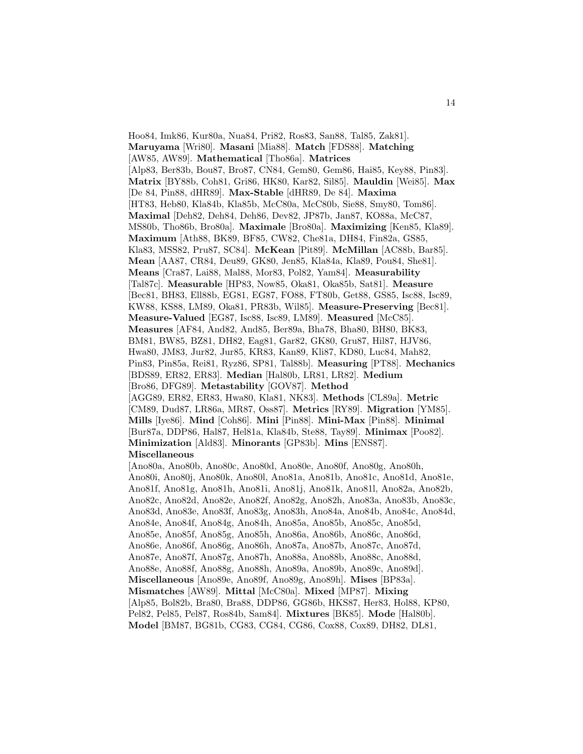Hoo84, Imk86, Kur80a, Nua84, Pri82, Ros83, San88, Tal85, Zak81]. **Maruyama** [Wri80]. **Masani** [Mia88]. **Match** [FDS88]. **Matching** [AW85, AW89]. **Mathematical** [Tho86a]. **Matrices** [Alp83, Ber83b, Bou87, Bro87, CN84, Gem80, Gem86, Hai85, Key88, Pin83]. **Matrix** [BY88b, Coh81, Gri86, HK80, Kar82, Sil85]. **Mauldin** [Wei85]. **Max** [De 84, Pin88, dHR89]. **Max-Stable** [dHR89, De 84]. **Maxima** [HT83, Heb80, Kla84b, Kla85b, McC80a, McC80b, Sie88, Smy80, Tom86]. **Maximal** [Deh82, Deh84, Deh86, Dev82, JP87b, Jan87, KO88a, McC87, MS80b, Tho86b, Bro80a]. **Maximale** [Bro80a]. **Maximizing** [Ken85, Kla89]. **Maximum** [Ath88, BK89, BF85, CW82, Che81a, DH84, Fin82a, GS85, Kla83, MSS82, Pru87, SC84]. **McKean** [Pit89]. **McMillan** [AC88b, Bar85]. **Mean** [AA87, CR84, Deu89, GK80, Jen85, Kla84a, Kla89, Pou84, She81]. **Means** [Cra87, Lai88, Mal88, Mor83, Pol82, Yam84]. **Measurability** [Tal87c]. **Measurable** [HP83, Now85, Oka81, Oka85b, Sat81]. **Measure** [Bec81, BH83, Ell88b, EG81, EG87, FO88, FT80b, Get88, GS85, Isc88, Isc89, KW88, KS88, LM89, Oka81, PR83b, Wil85]. **Measure-Preserving** [Bec81]. **Measure-Valued** [EG87, Isc88, Isc89, LM89]. **Measured** [McC85]. **Measures** [AF84, And82, And85, Ber89a, Bha78, Bha80, BH80, BK83, BM81, BW85, BZ81, DH82, Eag81, Gar82, GK80, Gru87, Hil87, HJV86, Hwa80, JM83, Jur82, Jur85, KR83, Kan89, Kli87, KD80, Luc84, Mah82, Pin83, Pin85a, Rei81, Ryz86, SP81, Tal88b]. **Measuring** [PT88]. **Mechanics** [BDS89, ER82, ER83]. **Median** [Hal80b, LR81, LR82]. **Medium** [Bro86, DFG89]. **Metastability** [GOV87]. **Method** [AGG89, ER82, ER83, Hwa80, Kla81, NK83]. **Methods** [CL89a]. **Metric** [CM89, Dud87, LR86a, MR87, Oss87]. **Metrics** [RY89]. **Migration** [YM85]. **Mills** [Iye86]. **Mind** [Coh86]. **Mini** [Pin88]. **Mini-Max** [Pin88]. **Minimal** [Bur87a, DDP86, Hal87, Hel81a, Kla84b, Ste88, Tay89]. **Minimax** [Poo82]. **Minimization** [Ald83]. **Minorants** [GP83b]. **Mins** [ENS87]. **Miscellaneous** [Ano80a, Ano80b, Ano80c, Ano80d, Ano80e, Ano80f, Ano80g, Ano80h, Ano80i, Ano80j, Ano80k, Ano80l, Ano81a, Ano81b, Ano81c, Ano81d, Ano81e, Ano81f, Ano81g, Ano81h, Ano81i, Ano81j, Ano81k, Ano81l, Ano82a, Ano82b, Ano82c, Ano82d, Ano82e, Ano82f, Ano82g, Ano82h, Ano83a, Ano83b, Ano83c, Ano83d, Ano83e, Ano83f, Ano83g, Ano83h, Ano84a, Ano84b, Ano84c, Ano84d, Ano84e, Ano84f, Ano84g, Ano84h, Ano85a, Ano85b, Ano85c, Ano85d, Ano85e, Ano85f, Ano85g, Ano85h, Ano86a, Ano86b, Ano86c, Ano86d, Ano86e, Ano86f, Ano86g, Ano86h, Ano87a, Ano87b, Ano87c, Ano87d, Ano87e, Ano87f, Ano87g, Ano87h, Ano88a, Ano88b, Ano88c, Ano88d, Ano88e, Ano88f, Ano88g, Ano88h, Ano89a, Ano89b, Ano89c, Ano89d]. **Miscellaneous** [Ano89e, Ano89f, Ano89g, Ano89h]. **Mises** [BP83a]. **Mismatches** [AW89]. **Mittal** [McC80a]. **Mixed** [MP87]. **Mixing** [Alp85, Bol82b, Bra80, Bra88, DDP86, GG86b, HKS87, Her83, Hol88, KP80, Pel82, Pel85, Pel87, Ros84b, Sam84]. **Mixtures** [BK85]. **Mode** [Hal80b]. **Model** [BM87, BG81b, CG83, CG84, CG86, Cox88, Cox89, DH82, DL81,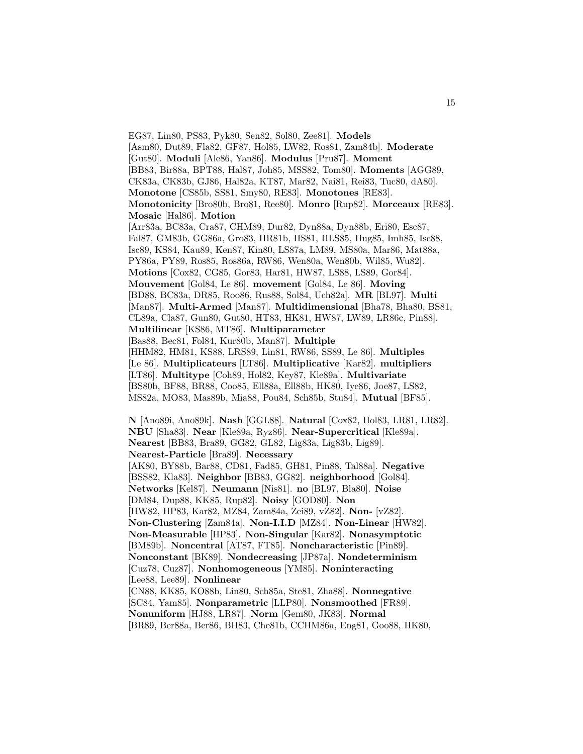EG87, Lin80, PS83, Pyk80, Sen82, Sol80, Zee81]. **Models** [Asm80, Dut89, Fla82, GF87, Hol85, LW82, Ros81, Zam84b]. **Moderate** [Gut80]. **Moduli** [Ale86, Yan86]. **Modulus** [Pru87]. **Moment** [BB83, Bir88a, BPT88, Hal87, Joh85, MSS82, Tom80]. **Moments** [AGG89, CK83a, CK83b, GJ86, Hal82a, KT87, Mar82, Nai81, Rei83, Tuc80, dA80]. **Monotone** [CS85b, SS81, Smy80, RE83]. **Monotones** [RE83]. **Monotonicity** [Bro80b, Bro81, Ree80]. **Monro** [Rup82]. **Morceaux** [RE83]. **Mosaic** [Hal86]. **Motion** [Arr83a, BC83a, Cra87, CHM89, Dur82, Dyn88a, Dyn88b, Eri80, Esc87, Fal87, GM83b, GG86a, Gro83, HR81b, HS81, HLS85, Hug85, Imh85, Isc88, Isc89, KS84, Kau89, Ken87, Kin80, LS87a, LM89, MS80a, Mar86, Mat88a, PY86a, PY89, Ros85, Ros86a, RW86, Wen80a, Wen80b, Wil85, Wu82]. **Motions** [Cox82, CG85, Gor83, Har81, HW87, LS88, LS89, Gor84]. **Mouvement** [Gol84, Le 86]. **movement** [Gol84, Le 86]. **Moving** [BD88, BC83a, DR85, Roo86, Rus88, Sol84, Uch82a]. **MR** [BL97]. **Multi** [Man87]. **Multi-Armed** [Man87]. **Multidimensional** [Bha78, Bha80, BS81, CL89a, Cla87, Gun80, Gut80, HT83, HK81, HW87, LW89, LR86c, Pin88]. **Multilinear** [KS86, MT86]. **Multiparameter** [Bas88, Bec81, Fol84, Kur80b, Man87]. **Multiple** [HHM82, HM81, KS88, LRS89, Lin81, RW86, SS89, Le 86]. **Multiples** [Le 86]. **Multiplicateurs** [LT86]. **Multiplicative** [Kar82]. **multipliers** [LT86]. **Multitype** [Coh89, Hol82, Key87, Kle89a]. **Multivariate** [BS80b, BF88, BR88, Coo85, Ell88a, Ell88b, HK80, Iye86, Joe87, LS82, MS82a, MO83, Mas89b, Mia88, Pou84, Sch85b, Stu84]. **Mutual** [BF85].

15

**N** [Ano89i, Ano89k]. **Nash** [GGL88]. **Natural** [Cox82, Hol83, LR81, LR82]. **NBU** [Sha83]. **Near** [Kle89a, Ryz86]. **Near-Supercritical** [Kle89a]. **Nearest** [BB83, Bra89, GG82, GL82, Lig83a, Lig83b, Lig89]. **Nearest-Particle** [Bra89]. **Necessary** [AK80, BY88b, Bar88, CD81, Fad85, GH81, Pin88, Tal88a]. **Negative** [BSS82, Kla83]. **Neighbor** [BB83, GG82]. **neighborhood** [Gol84]. **Networks** [Kel87]. **Neumann** [Nis81]. **no** [BL97, Bla80]. **Noise** [DM84, Dup88, KK85, Rup82]. **Noisy** [GOD80]. **Non** [HW82, HP83, Kar82, MZ84, Zam84a, Zei89, vZ82]. **Non-** [vZ82]. **Non-Clustering** [Zam84a]. **Non-I.I.D** [MZ84]. **Non-Linear** [HW82]. **Non-Measurable** [HP83]. **Non-Singular** [Kar82]. **Nonasymptotic** [BM89b]. **Noncentral** [AT87, FT85]. **Noncharacteristic** [Pin89]. **Nonconstant** [BK89]. **Nondecreasing** [JP87a]. **Nondeterminism** [Cuz78, Cuz87]. **Nonhomogeneous** [YM85]. **Noninteracting** [Lee88, Lee89]. **Nonlinear** [CN88, KK85, KO88b, Lin80, Sch85a, Ste81, Zha88]. **Nonnegative** [SC84, Yam85]. **Nonparametric** [LLP80]. **Nonsmoothed** [FR89]. **Nonuniform** [HJ88, LR87]. **Norm** [Gem80, JK83]. **Normal** [BR89, Ber88a, Ber86, BH83, Che81b, CCHM86a, Eng81, Goo88, HK80,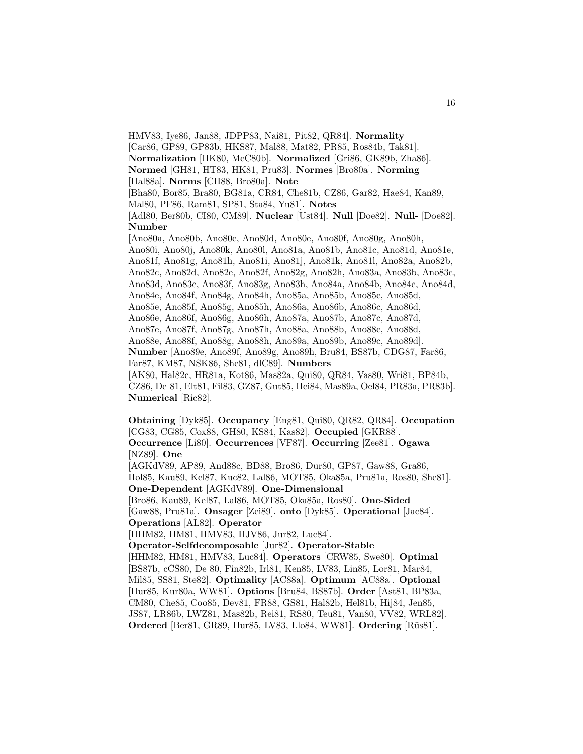HMV83, Iye86, Jan88, JDPP83, Nai81, Pit82, QR84]. **Normality** [Car86, GP89, GP83b, HKS87, Mal88, Mat82, PR85, Ros84b, Tak81]. **Normalization** [HK80, McC80b]. **Normalized** [Gri86, GK89b, Zha86]. **Normed** [GH81, HT83, HK81, Pru83]. **Normes** [Bro80a]. **Norming** [Hal88a]. **Norms** [CH88, Bro80a]. **Note** [Bha80, Bor85, Bra80, BG81a, CR84, Che81b, CZ86, Gar82, Hae84, Kan89, Mal80, PF86, Ram81, SP81, Sta84, Yu81]. **Notes** [Adl80, Ber80b, CI80, CM89]. **Nuclear** [Ust84]. **Null** [Doe82]. **Null-** [Doe82]. **Number** [Ano80a, Ano80b, Ano80c, Ano80d, Ano80e, Ano80f, Ano80g, Ano80h, Ano80i, Ano80j, Ano80k, Ano80l, Ano81a, Ano81b, Ano81c, Ano81d, Ano81e, Ano81f, Ano81g, Ano81h, Ano81i, Ano81j, Ano81k, Ano81l, Ano82a, Ano82b, Ano82c, Ano82d, Ano82e, Ano82f, Ano82g, Ano82h, Ano83a, Ano83b, Ano83c, Ano83d, Ano83e, Ano83f, Ano83g, Ano83h, Ano84a, Ano84b, Ano84c, Ano84d, Ano84e, Ano84f, Ano84g, Ano84h, Ano85a, Ano85b, Ano85c, Ano85d, Ano85e, Ano85f, Ano85g, Ano85h, Ano86a, Ano86b, Ano86c, Ano86d, Ano86e, Ano86f, Ano86g, Ano86h, Ano87a, Ano87b, Ano87c, Ano87d, Ano87e, Ano87f, Ano87g, Ano87h, Ano88a, Ano88b, Ano88c, Ano88d, Ano88e, Ano88f, Ano88g, Ano88h, Ano89a, Ano89b, Ano89c, Ano89d]. **Number** [Ano89e, Ano89f, Ano89g, Ano89h, Bru84, BS87b, CDG87, Far86, Far87, KM87, NSK86, She81, dlC89]. **Numbers** [AK80, Hal82c, HR81a, Kot86, Mas82a, Qui80, QR84, Vas80, Wri81, BP84b, CZ86, De 81, Elt81, Fil83, GZ87, Gut85, Hei84, Mas89a, Oel84, PR83a, PR83b]. **Numerical** [Ric82].

**Obtaining** [Dyk85]. **Occupancy** [Eng81, Qui80, QR82, QR84]. **Occupation** [CG83, CG85, Cox88, GH80, KS84, Kas82]. **Occupied** [GKR88]. **Occurrence** [Li80]. **Occurrences** [VF87]. **Occurring** [Zee81]. **Ogawa** [NZ89]. **One** [AGKdV89, AP89, And88c, BD88, Bro86, Dur80, GP87, Gaw88, Gra86, Hol85, Kau89, Kel87, Kuc82, Lal86, MOT85, Oka85a, Pru81a, Ros80, She81]. **One-Dependent** [AGKdV89]. **One-Dimensional** [Bro86, Kau89, Kel87, Lal86, MOT85, Oka85a, Ros80]. **One-Sided** [Gaw88, Pru81a]. **Onsager** [Zei89]. **onto** [Dyk85]. **Operational** [Jac84]. **Operations** [AL82]. **Operator** [HHM82, HM81, HMV83, HJV86, Jur82, Luc84]. **Operator-Selfdecomposable** [Jur82]. **Operator-Stable** [HHM82, HM81, HMV83, Luc84]. **Operators** [CRW85, Swe80]. **Optimal** [BS87b, cCS80, De 80, Fin82b, Irl81, Ken85, LV83, Lin85, Lor81, Mar84, Mil85, SS81, Ste82]. **Optimality** [AC88a]. **Optimum** [AC88a]. **Optional** [Hur85, Kur80a, WW81]. **Options** [Bru84, BS87b]. **Order** [Ast81, BP83a, CM80, Che85, Coo85, Dev81, FR88, GS81, Hal82b, Hel81b, Hij84, Jen85, JS87, LR86b, LWZ81, Mas82b, Rei81, RS80, Teu81, Van80, VV82, WRL82]. **Ordered** [Ber81, GR89, Hur85, LV83, Llo84, WW81]. **Ordering** [Rüs81].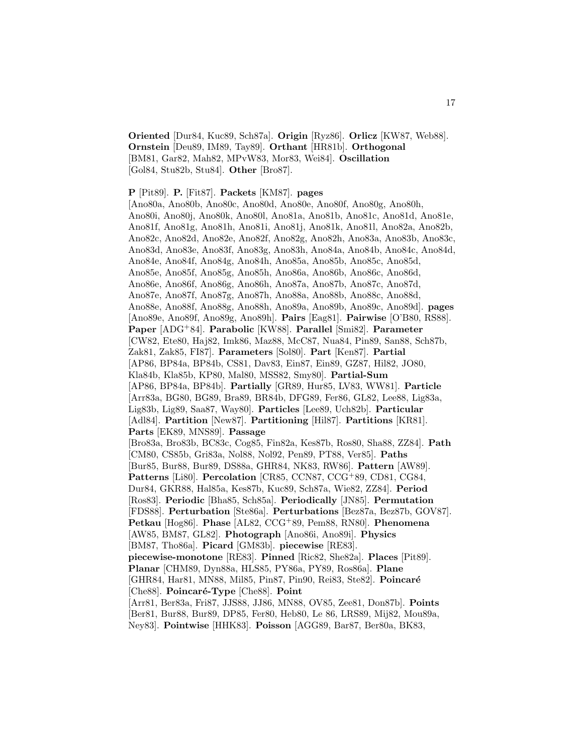**Oriented** [Dur84, Kuc89, Sch87a]. **Origin** [Ryz86]. **Orlicz** [KW87, Web88]. **Ornstein** [Deu89, IM89, Tay89]. **Orthant** [HR81b]. **Orthogonal** [BM81, Gar82, Mah82, MPvW83, Mor83, Wei84]. **Oscillation** [Gol84, Stu82b, Stu84]. **Other** [Bro87].

**P** [Pit89]. **P.** [Fit87]. **Packets** [KM87]. **pages**

[Ano80a, Ano80b, Ano80c, Ano80d, Ano80e, Ano80f, Ano80g, Ano80h, Ano80i, Ano80j, Ano80k, Ano80l, Ano81a, Ano81b, Ano81c, Ano81d, Ano81e, Ano81f, Ano81g, Ano81h, Ano81i, Ano81j, Ano81k, Ano81l, Ano82a, Ano82b, Ano82c, Ano82d, Ano82e, Ano82f, Ano82g, Ano82h, Ano83a, Ano83b, Ano83c, Ano83d, Ano83e, Ano83f, Ano83g, Ano83h, Ano84a, Ano84b, Ano84c, Ano84d, Ano84e, Ano84f, Ano84g, Ano84h, Ano85a, Ano85b, Ano85c, Ano85d, Ano85e, Ano85f, Ano85g, Ano85h, Ano86a, Ano86b, Ano86c, Ano86d, Ano86e, Ano86f, Ano86g, Ano86h, Ano87a, Ano87b, Ano87c, Ano87d, Ano87e, Ano87f, Ano87g, Ano87h, Ano88a, Ano88b, Ano88c, Ano88d, Ano88e, Ano88f, Ano88g, Ano88h, Ano89a, Ano89b, Ano89c, Ano89d]. **pages** [Ano89e, Ano89f, Ano89g, Ano89h]. **Pairs** [Eag81]. **Pairwise** [O'B80, RS88]. **Paper** [ADG<sup>+</sup>84]. **Parabolic** [KW88]. **Parallel** [Smi82]. **Parameter** [CW82, Ete80, Haj82, Imk86, Maz88, McC87, Nua84, Pin89, San88, Sch87b, Zak81, Zak85, FI87]. **Parameters** [Sol80]. **Part** [Ken87]. **Partial** [AP86, BP84a, BP84b, CS81, Dav83, Ein87, Ein89, GZ87, Hil82, JO80, Kla84b, Kla85b, KP80, Mal80, MSS82, Smy80]. **Partial-Sum** [AP86, BP84a, BP84b]. **Partially** [GR89, Hur85, LV83, WW81]. **Particle** [Arr83a, BG80, BG89, Bra89, BR84b, DFG89, Fer86, GL82, Lee88, Lig83a, Lig83b, Lig89, Saa87, Way80]. **Particles** [Lee89, Uch82b]. **Particular** [Adl84]. **Partition** [New87]. **Partitioning** [Hil87]. **Partitions** [KR81]. **Parts** [EK89, MNS89]. **Passage** [Bro83a, Bro83b, BC83c, Cog85, Fin82a, Kes87b, Ros80, Sha88, ZZ84]. **Path** [CM80, CS85b, Gri83a, Nol88, Nol92, Pen89, PT88, Ver85]. **Paths** [Bur85, Bur88, Bur89, DS88a, GHR84, NK83, RW86]. **Pattern** [AW89]. **Patterns** [Li80]. **Percolation** [CR85, CCN87, CCG<sup>+</sup>89, CD81, CG84, Dur84, GKR88, Hal85a, Kes87b, Kuc89, Sch87a, Wie82, ZZ84]. **Period** [Ros83]. **Periodic** [Bha85, Sch85a]. **Periodically** [JN85]. **Permutation** [FDS88]. **Perturbation** [Ste86a]. **Perturbations** [Bez87a, Bez87b, GOV87]. **Petkau** [Hog86]. **Phase** [AL82, CCG<sup>+</sup>89, Pem88, RN80]. **Phenomena** [AW85, BM87, GL82]. **Photograph** [Ano86i, Ano89i]. **Physics** [BM87, Tho86a]. **Picard** [GM83b]. **piecewise** [RE83]. **piecewise-monotone** [RE83]. **Pinned** [Ric82, She82a]. **Places** [Pit89]. **Planar** [CHM89, Dyn88a, HLS85, PY86a, PY89, Ros86a]. **Plane** [GHR84, Har81, MN88, Mil85, Pin87, Pin90, Rei83, Ste82]. Poincaré [Che88]. **Poincaré-Type** [Che88]. **Point** [Arr81, Ber83a, Fri87, JJS88, JJ86, MN88, OV85, Zee81, Don87b]. **Points** [Ber81, Bur88, Bur89, DP85, Fer80, Heb80, Le 86, LRS89, Mij82, Mou89a, Ney83]. **Pointwise** [HHK83]. **Poisson** [AGG89, Bar87, Ber80a, BK83,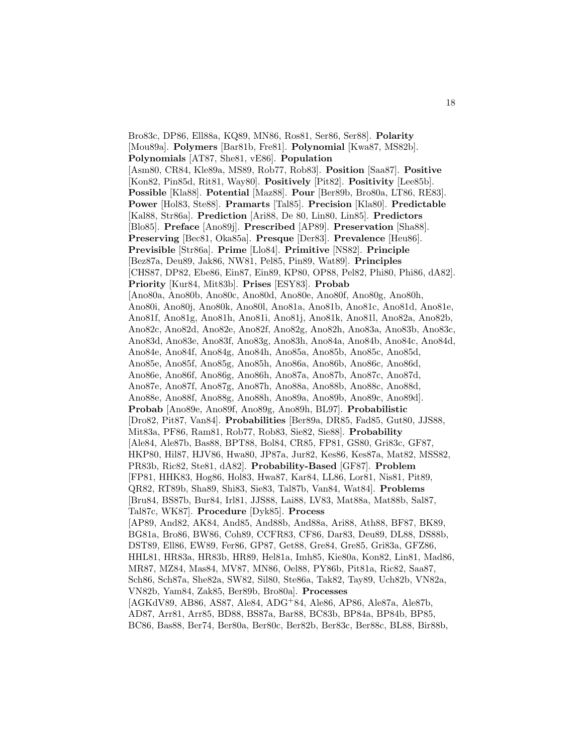Bro83c, DP86, Ell88a, KQ89, MN86, Ros81, Ser86, Ser88]. **Polarity** [Mou89a]. **Polymers** [Bar81b, Fre81]. **Polynomial** [Kwa87, MS82b]. **Polynomials** [AT87, She81, vE86]. **Population** [Asm80, CR84, Kle89a, MS89, Rob77, Rob83]. **Position** [Saa87]. **Positive** [Kon82, Pin85d, Rit81, Way80]. **Positively** [Pit82]. **Positivity** [Lee85b]. **Possible** [Kla88]. **Potential** [Maz88]. **Pour** [Ber89b, Bro80a, LT86, RE83]. **Power** [Hol83, Ste88]. **Pramarts** [Tal85]. **Precision** [Kla80]. **Predictable** [Kal88, Str86a]. **Prediction** [Ari88, De 80, Lin80, Lin85]. **Predictors** [Blo85]. **Preface** [Ano89j]. **Prescribed** [AP89]. **Preservation** [Sha88]. **Preserving** [Bec81, Oka85a]. **Presque** [Der83]. **Prevalence** [Heu86]. **Previsible** [Str86a]. **Prime** [Llo84]. **Primitive** [NS82]. **Principle** [Bez87a, Deu89, Jak86, NW81, Pel85, Pin89, Wat89]. **Principles** [CHS87, DP82, Ebe86, Ein87, Ein89, KP80, OP88, Pel82, Phi80, Phi86, dA82]. **Priority** [Kur84, Mit83b]. **Prises** [ESY83]. **Probab** [Ano80a, Ano80b, Ano80c, Ano80d, Ano80e, Ano80f, Ano80g, Ano80h, Ano80i, Ano80j, Ano80k, Ano80l, Ano81a, Ano81b, Ano81c, Ano81d, Ano81e, Ano81f, Ano81g, Ano81h, Ano81i, Ano81j, Ano81k, Ano81l, Ano82a, Ano82b, Ano82c, Ano82d, Ano82e, Ano82f, Ano82g, Ano82h, Ano83a, Ano83b, Ano83c, Ano83d, Ano83e, Ano83f, Ano83g, Ano83h, Ano84a, Ano84b, Ano84c, Ano84d, Ano84e, Ano84f, Ano84g, Ano84h, Ano85a, Ano85b, Ano85c, Ano85d, Ano85e, Ano85f, Ano85g, Ano85h, Ano86a, Ano86b, Ano86c, Ano86d, Ano86e, Ano86f, Ano86g, Ano86h, Ano87a, Ano87b, Ano87c, Ano87d, Ano87e, Ano87f, Ano87g, Ano87h, Ano88a, Ano88b, Ano88c, Ano88d, Ano88e, Ano88f, Ano88g, Ano88h, Ano89a, Ano89b, Ano89c, Ano89d]. **Probab** [Ano89e, Ano89f, Ano89g, Ano89h, BL97]. **Probabilistic** [Dro82, Pit87, Van84]. **Probabilities** [Ber89a, DR85, Fad85, Gut80, JJS88, Mit83a, PF86, Ram81, Rob77, Rob83, Sie82, Sie88]. **Probability** [Ale84, Ale87b, Bas88, BPT88, Bol84, CR85, FP81, GS80, Gri83c, GF87, HKP80, Hil87, HJV86, Hwa80, JP87a, Jur82, Kes86, Kes87a, Mat82, MSS82, PR83b, Ric82, Ste81, dA82]. **Probability-Based** [GF87]. **Problem** [FP81, HHK83, Hog86, Hol83, Hwa87, Kar84, LL86, Lor81, Nis81, Pit89, QR82, RT89b, Sha89, Shi83, Sie83, Tal87b, Van84, Wat84]. **Problems** [Bru84, BS87b, Bur84, Irl81, JJS88, Lai88, LV83, Mat88a, Mat88b, Sal87, Tal87c, WK87]. **Procedure** [Dyk85]. **Process** [AP89, And82, AK84, And85, And88b, And88a, Ari88, Ath88, BF87, BK89, BG81a, Bro86, BW86, Coh89, CCFR83, CF86, Dar83, Deu89, DL88, DS88b, DST89, Ell86, EW89, Fer86, GP87, Get88, Gre84, Gre85, Gri83a, GFZ86, HHL81, HR83a, HR83b, HR89, Hel81a, Imh85, Kie80a, Kon82, Lin81, Mad86, MR87, MZ84, Mas84, MV87, MN86, Oel88, PY86b, Pit81a, Ric82, Saa87, Sch86, Sch87a, She82a, SW82, Sil80, Ste86a, Tak82, Tay89, Uch82b, VN82a, VN82b, Yam84, Zak85, Ber89b, Bro80a]. **Processes** [AGKdV89, AB86, AS87, Ale84, ADG<sup>+</sup>84, Ale86, AP86, Ale87a, Ale87b, AD87, Arr81, Arr85, BD88, BS87a, Bar88, BC83b, BP84a, BP84b, BP85, BC86, Bas88, Ber74, Ber80a, Ber80c, Ber82b, Ber83c, Ber88c, BL88, Bir88b,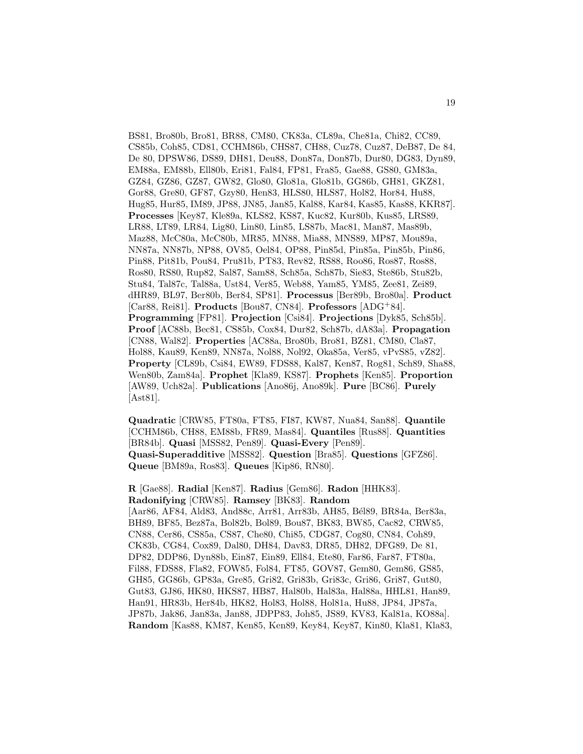BS81, Bro80b, Bro81, BR88, CM80, CK83a, CL89a, Che81a, Chi82, CC89, CS85b, Coh85, CD81, CCHM86b, CHS87, CH88, Cuz78, Cuz87, DeB87, De 84, De 80, DPSW86, DS89, DH81, Deu88, Don87a, Don87b, Dur80, DG83, Dyn89, EM88a, EM88b, Ell80b, Eri81, Fal84, FP81, Fra85, Gae88, GS80, GM83a, GZ84, GZ86, GZ87, GW82, Glo80, Glo81a, Glo81b, GG86b, GH81, GKZ81, Gor88, Gre80, GF87, Gzy80, Hen83, HLS80, HLS87, Hol82, Hor84, Hu88, Hug85, Hur85, IM89, JP88, JN85, Jan85, Kal88, Kar84, Kas85, Kas88, KKR87]. **Processes** [Key87, Kle89a, KLS82, KS87, Kuc82, Kur80b, Kus85, LRS89, LR88, LT89, LR84, Lig80, Lin80, Lin85, LS87b, Mac81, Man87, Mas89b, Maz88, McC80a, McC80b, MR85, MN88, Mia88, MNS89, MP87, Mou89a, NN87a, NN87b, NP88, OV85, Oel84, OP88, Pin85d, Pin85a, Pin85b, Pin86, Pin88, Pit81b, Pou84, Pru81b, PT83, Rev82, RS88, Roo86, Ros87, Ros88, Ros80, RS80, Rup82, Sal87, Sam88, Sch85a, Sch87b, Sie83, Ste86b, Stu82b, Stu84, Tal87c, Tal88a, Ust84, Ver85, Web88, Yam85, YM85, Zee81, Zei89, dHR89, BL97, Ber80b, Ber84, SP81]. **Processus** [Ber89b, Bro80a]. **Product** [Car88, Rei81]. **Products** [Bou87, CN84]. **Professors** [ADG<sup>+</sup>84]. **Programming** [FP81]. **Projection** [Csi84]. **Projections** [Dyk85, Sch85b]. **Proof** [AC88b, Bec81, CS85b, Cox84, Dur82, Sch87b, dA83a]. **Propagation** [CN88, Wal82]. **Properties** [AC88a, Bro80b, Bro81, BZ81, CM80, Cla87, Hol88, Kau89, Ken89, NN87a, Nol88, Nol92, Oka85a, Ver85, vPvS85, vZ82]. **Property** [CL89b, Csi84, EW89, FDS88, Kal87, Ken87, Rog81, Sch89, Sha88, Wen80b, Zam84a]. **Prophet** [Kla89, KS87]. **Prophets** [Ken85]. **Proportion** [AW89, Uch82a]. **Publications** [Ano86j, Ano89k]. **Pure** [BC86]. **Purely** [Ast81].

**Quadratic** [CRW85, FT80a, FT85, FI87, KW87, Nua84, San88]. **Quantile** [CCHM86b, CH88, EM88b, FR89, Mas84]. **Quantiles** [Rus88]. **Quantities** [BR84b]. **Quasi** [MSS82, Pen89]. **Quasi-Every** [Pen89]. **Quasi-Superadditive** [MSS82]. **Question** [Bra85]. **Questions** [GFZ86]. **Queue** [BM89a, Ros83]. **Queues** [Kip86, RN80].

**R** [Gae88]. **Radial** [Ken87]. **Radius** [Gem86]. **Radon** [HHK83]. **Radonifying** [CRW85]. **Ramsey** [BK83]. **Random** [Aar86, AF84, Ald83, And88c, Arr81, Arr83b, AH85, Bél89, BR84a, Ber83a, BH89, BF85, Bez87a, Bol82b, Bol89, Bou87, BK83, BW85, Cac82, CRW85, CN88, Cer86, CS85a, CS87, Che80, Chi85, CDG87, Cog80, CN84, Coh89, CK83b, CG84, Cox89, Dal80, DH84, Dav83, DR85, DH82, DFG89, De 81, DP82, DDP86, Dyn88b, Ein87, Ein89, Ell84, Ete80, Far86, Far87, FT80a, Fil88, FDS88, Fla82, FOW85, Fol84, FT85, GOV87, Gem80, Gem86, GS85, GH85, GG86b, GP83a, Gre85, Gri82, Gri83b, Gri83c, Gri86, Gri87, Gut80, Gut83, GJ86, HK80, HKS87, HB87, Hal80b, Hal83a, Hal88a, HHL81, Han89, Han91, HR83b, Her84b, HK82, Hol83, Hol88, Hol81a, Hu88, JP84, JP87a, JP87b, Jak86, Jan83a, Jan88, JDPP83, Joh85, JS89, KV83, Kal81a, KO88a]. **Random** [Kas88, KM87, Ken85, Ken89, Key84, Key87, Kin80, Kla81, Kla83,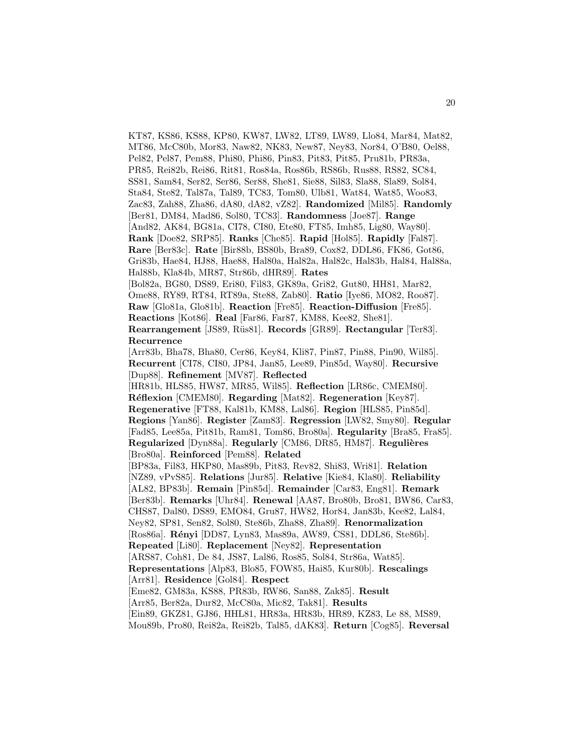KT87, KS86, KS88, KP80, KW87, LW82, LT89, LW89, Llo84, Mar84, Mat82, MT86, McC80b, Mor83, Naw82, NK83, New87, Ney83, Nor84, O'B80, Oel88, Pel82, Pel87, Pem88, Phi80, Phi86, Pin83, Pit83, Pit85, Pru81b, PR83a, PR85, Rei82b, Rei86, Rit81, Ros84a, Ros86b, RS86b, Rus88, RS82, SC84, SS81, Sam84, Ser82, Ser86, Ser88, She81, Sie88, Sil83, Sla88, Sla89, Sol84, Sta84, Ste82, Tal87a, Tal89, TC83, Tom80, Ulb81, Wat84, Wat85, Woo83, Zac83, Zah88, Zha86, dA80, dA82, vZ82]. **Randomized** [Mil85]. **Randomly** [Ber81, DM84, Mad86, Sol80, TC83]. **Randomness** [Joe87]. **Range** [And82, AK84, BG81a, CI78, CI80, Ete80, FT85, Imh85, Lig80, Way80]. **Rank** [Doe82, SRP85]. **Ranks** [Che85]. **Rapid** [Hol85]. **Rapidly** [Fal87]. **Rare** [Ber83c]. **Rate** [Bir88b, BS80b, Bra89, Cox82, DDL86, FK86, Got86, Gri83b, Hae84, HJ88, Hae88, Hal80a, Hal82a, Hal82c, Hal83b, Hal84, Hal88a, Hal88b, Kla84b, MR87, Str86b, dHR89]. **Rates** [Bol82a, BG80, DS89, Eri80, Fil83, GK89a, Gri82, Gut80, HH81, Mar82, Ome88, RY89, RT84, RT89a, Ste88, Zab80]. **Ratio** [Iye86, MO82, Roo87]. **Raw** [Glo81a, Glo81b]. **Reaction** [Fre85]. **Reaction-Diffusion** [Fre85]. **Reactions** [Kot86]. **Real** [Far86, Far87, KM88, Kee82, She81]. **Rearrangement** [JS89, Rüs81]. **Records** [GR89]. **Rectangular** [Ter83]. **Recurrence** [Arr83b, Bha78, Bha80, Cer86, Key84, Kli87, Pin87, Pin88, Pin90, Wil85]. **Recurrent** [CI78, CI80, JP84, Jan85, Lee89, Pin85d, Way80]. **Recursive** [Dup88]. **Refinement** [MV87]. **Reflected** [HR81b, HLS85, HW87, MR85, Wil85]. **Reflection** [LR86c, CMEM80]. **R´eflexion** [CMEM80]. **Regarding** [Mat82]. **Regeneration** [Key87]. **Regenerative** [FT88, Kal81b, KM88, Lal86]. **Region** [HLS85, Pin85d]. **Regions** [Yan86]. **Register** [Zam83]. **Regression** [LW82, Smy80]. **Regular** [Fad85, Lee85a, Pit81b, Ram81, Tom86, Bro80a]. **Regularity** [Bra85, Fra85]. **Regularized** [Dyn88a]. **Regularly** [CM86, DR85, HM87]. **Regulières** [Bro80a]. **Reinforced** [Pem88]. **Related** [BP83a, Fil83, HKP80, Mas89b, Pit83, Rev82, Shi83, Wri81]. **Relation** [NZ89, vPvS85]. **Relations** [Jur85]. **Relative** [Kie84, Kla80]. **Reliability** [AL82, BP83b]. **Remain** [Pin85d]. **Remainder** [Car83, Eng81]. **Remark** [Ber83b]. **Remarks** [Uhr84]. **Renewal** [AA87, Bro80b, Bro81, BW86, Car83, CHS87, Dal80, DS89, EMO84, Gru87, HW82, Hor84, Jan83b, Kee82, Lal84, Ney82, SP81, Sen82, Sol80, Ste86b, Zha88, Zha89]. **Renormalization** [Ros86a]. **Rényi** [DD87, Lyn83, Mas89a, AW89, CS81, DDL86, Ste86b]. **Repeated** [Li80]. **Replacement** [Ney82]. **Representation** [ARS87, Coh81, De 84, JS87, Lal86, Ros85, Sol84, Str86a, Wat85]. **Representations** [Alp83, Blo85, FOW85, Hai85, Kur80b]. **Rescalings** [Arr81]. **Residence** [Gol84]. **Respect** [Eme82, GM83a, KS88, PR83b, RW86, San88, Zak85]. **Result** [Arr85, Ber82a, Dur82, McC80a, Mic82, Tak81]. **Results** [Ein89, GKZ81, GJ86, HHL81, HR83a, HR83b, HR89, KZ83, Le 88, MS89, Mou89b, Pro80, Rei82a, Rei82b, Tal85, dAK83]. **Return** [Cog85]. **Reversal**

20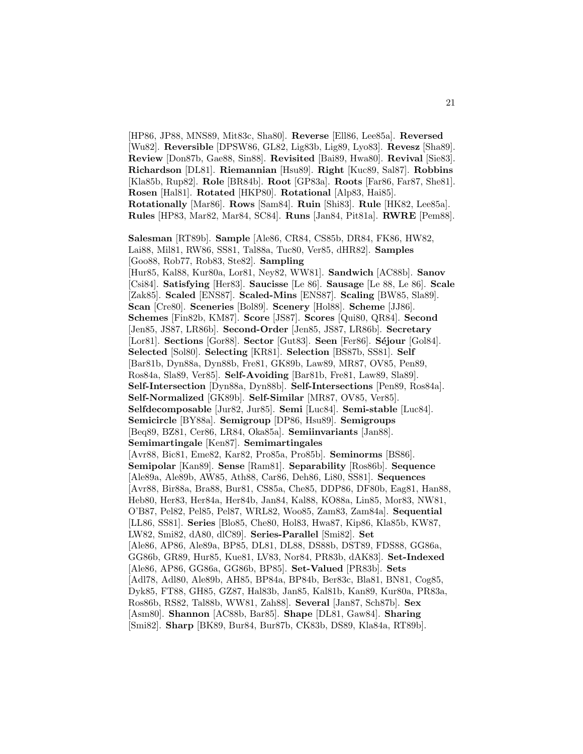[HP86, JP88, MNS89, Mit83c, Sha80]. **Reverse** [Ell86, Lee85a]. **Reversed** [Wu82]. **Reversible** [DPSW86, GL82, Lig83b, Lig89, Lyo83]. **Revesz** [Sha89]. **Review** [Don87b, Gae88, Sin88]. **Revisited** [Bai89, Hwa80]. **Revival** [Sie83]. **Richardson** [DL81]. **Riemannian** [Hsu89]. **Right** [Kuc89, Sal87]. **Robbins** [Kla85b, Rup82]. **Role** [BR84b]. **Root** [GP83a]. **Roots** [Far86, Far87, She81]. **Rosen** [Hal81]. **Rotated** [HKP80]. **Rotational** [Alp83, Hai85]. **Rotationally** [Mar86]. **Rows** [Sam84]. **Ruin** [Shi83]. **Rule** [HK82, Lee85a]. **Rules** [HP83, Mar82, Mar84, SC84]. **Runs** [Jan84, Pit81a]. **RWRE** [Pem88]. **Salesman** [RT89b]. **Sample** [Ale86, CR84, CS85b, DR84, FK86, HW82, Lai88, Mil81, RW86, SS81, Tal88a, Tuc80, Ver85, dHR82]. **Samples** [Goo88, Rob77, Rob83, Ste82]. **Sampling** [Hur85, Kal88, Kur80a, Lor81, Ney82, WW81]. **Sandwich** [AC88b]. **Sanov** [Csi84]. **Satisfying** [Her83]. **Saucisse** [Le 86]. **Sausage** [Le 88, Le 86]. **Scale** [Zak85]. **Scaled** [ENS87]. **Scaled-Mins** [ENS87]. **Scaling** [BW85, Sla89]. **Scan** [Cre80]. **Sceneries** [Bol89]. **Scenery** [Hol88]. **Scheme** [JJ86]. **Schemes** [Fin82b, KM87]. **Score** [JS87]. **Scores** [Qui80, QR84]. **Second** [Jen85, JS87, LR86b]. **Second-Order** [Jen85, JS87, LR86b]. **Secretary** [Lor81]. **Sections** [Gor88]. **Sector** [Gut83]. **Seen** [Fer86]. **S´ejour** [Gol84]. **Selected** [Sol80]. **Selecting** [KR81]. **Selection** [BS87b, SS81]. **Self** [Bar81b, Dyn88a, Dyn88b, Fre81, GK89b, Law89, MR87, OV85, Pen89, Ros84a, Sla89, Ver85]. **Self-Avoiding** [Bar81b, Fre81, Law89, Sla89]. **Self-Intersection** [Dyn88a, Dyn88b]. **Self-Intersections** [Pen89, Ros84a]. **Self-Normalized** [GK89b]. **Self-Similar** [MR87, OV85, Ver85]. **Selfdecomposable** [Jur82, Jur85]. **Semi** [Luc84]. **Semi-stable** [Luc84]. **Semicircle** [BY88a]. **Semigroup** [DP86, Hsu89]. **Semigroups** [Beq89, BZ81, Cer86, LR84, Oka85a]. **Semiinvariants** [Jan88]. **Semimartingale** [Ken87]. **Semimartingales** [Avr88, Bic81, Eme82, Kar82, Pro85a, Pro85b]. **Seminorms** [BS86]. **Semipolar** [Kan89]. **Sense** [Ram81]. **Separability** [Ros86b]. **Sequence** [Ale89a, Ale89b, AW85, Ath88, Car86, Deh86, Li80, SS81]. **Sequences** [Avr88, Bir88a, Bra88, Bur81, CS85a, Che85, DDP86, DF80b, Eag81, Han88, Heb80, Her83, Her84a, Her84b, Jan84, Kal88, KO88a, Lin85, Mor83, NW81, O'B87, Pel82, Pel85, Pel87, WRL82, Woo85, Zam83, Zam84a]. **Sequential** [LL86, SS81]. **Series** [Blo85, Che80, Hol83, Hwa87, Kip86, Kla85b, KW87, LW82, Smi82, dA80, dlC89]. **Series-Parallel** [Smi82]. **Set** [Ale86, AP86, Ale89a, BP85, DL81, DL88, DS88b, DST89, FDS88, GG86a, GG86b, GR89, Hur85, Kue81, LV83, Nor84, PR83b, dAK83]. **Set-Indexed** [Ale86, AP86, GG86a, GG86b, BP85]. **Set-Valued** [PR83b]. **Sets** [Adl78, Adl80, Ale89b, AH85, BP84a, BP84b, Ber83c, Bla81, BN81, Cog85, Dyk85, FT88, GH85, GZ87, Hal83b, Jan85, Kal81b, Kan89, Kur80a, PR83a, Ros86b, RS82, Tal88b, WW81, Zah88]. **Several** [Jan87, Sch87b]. **Sex** [Asm80]. **Shannon** [AC88b, Bar85]. **Shape** [DL81, Gaw84]. **Sharing** [Smi82]. **Sharp** [BK89, Bur84, Bur87b, CK83b, DS89, Kla84a, RT89b].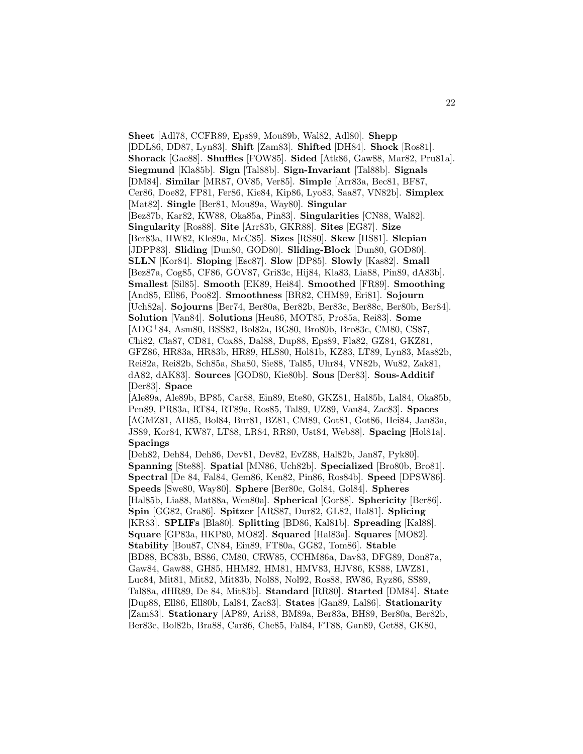**Sheet** [Adl78, CCFR89, Eps89, Mou89b, Wal82, Adl80]. **Shepp** [DDL86, DD87, Lyn83]. **Shift** [Zam83]. **Shifted** [DH84]. **Shock** [Ros81]. **Shorack** [Gae88]. **Shuffles** [FOW85]. **Sided** [Atk86, Gaw88, Mar82, Pru81a]. **Siegmund** [Kla85b]. **Sign** [Tal88b]. **Sign-Invariant** [Tal88b]. **Signals** [DM84]. **Similar** [MR87, OV85, Ver85]. **Simple** [Arr83a, Bec81, BF87, Cer86, Doe82, FP81, Fer86, Kie84, Kip86, Lyo83, Saa87, VN82b]. **Simplex** [Mat82]. **Single** [Ber81, Mou89a, Way80]. **Singular** [Bez87b, Kar82, KW88, Oka85a, Pin83]. **Singularities** [CN88, Wal82]. **Singularity** [Ros88]. **Site** [Arr83b, GKR88]. **Sites** [EG87]. **Size** [Ber83a, HW82, Kle89a, McC85]. **Sizes** [RS80]. **Skew** [HS81]. **Slepian** [JDPP83]. **Sliding** [Dun80, GOD80]. **Sliding-Block** [Dun80, GOD80]. **SLLN** [Kor84]. **Sloping** [Esc87]. **Slow** [DP85]. **Slowly** [Kas82]. **Small** [Bez87a, Cog85, CF86, GOV87, Gri83c, Hij84, Kla83, Lia88, Pin89, dA83b]. **Smallest** [Sil85]. **Smooth** [EK89, Hei84]. **Smoothed** [FR89]. **Smoothing** [And85, Ell86, Poo82]. **Smoothness** [BR82, CHM89, Eri81]. **Sojourn** [Uch82a]. **Sojourns** [Ber74, Ber80a, Ber82b, Ber83c, Ber88c, Ber80b, Ber84]. **Solution** [Van84]. **Solutions** [Heu86, MOT85, Pro85a, Rei83]. **Some** [ADG<sup>+</sup>84, Asm80, BSS82, Bol82a, BG80, Bro80b, Bro83c, CM80, CS87, Chi82, Cla87, CD81, Cox88, Dal88, Dup88, Eps89, Fla82, GZ84, GKZ81, GFZ86, HR83a, HR83b, HR89, HLS80, Hol81b, KZ83, LT89, Lyn83, Mas82b, Rei82a, Rei82b, Sch85a, Sha80, Sie88, Tal85, Uhr84, VN82b, Wu82, Zak81, dA82, dAK83]. **Sources** [GOD80, Kie80b]. **Sous** [Der83]. **Sous-Additif** [Der83]. **Space** [Ale89a, Ale89b, BP85, Car88, Ein89, Ete80, GKZ81, Hal85b, Lal84, Oka85b, Pen89, PR83a, RT84, RT89a, Ros85, Tal89, UZ89, Van84, Zac83]. **Spaces** [AGMZ81, AH85, Bol84, Bur81, BZ81, CM89, Got81, Got86, Hei84, Jan83a, JS89, Kor84, KW87, LT88, LR84, RR80, Ust84, Web88]. **Spacing** [Hol81a]. **Spacings** [Deh82, Deh84, Deh86, Dev81, Dev82, EvZ88, Hal82b, Jan87, Pyk80]. **Spanning** [Ste88]. **Spatial** [MN86, Uch82b]. **Specialized** [Bro80b, Bro81]. **Spectral** [De 84, Fal84, Gem86, Ken82, Pin86, Ros84b]. **Speed** [DPSW86]. **Speeds** [Swe80, Way80]. **Sphere** [Ber80c, Gol84, Gol84]. **Spheres** [Hal85b, Lia88, Mat88a, Wen80a]. **Spherical** [Gor88]. **Sphericity** [Ber86]. **Spin** [GG82, Gra86]. **Spitzer** [ARS87, Dur82, GL82, Hal81]. **Splicing** [KR83]. **SPLIFs** [Bla80]. **Splitting** [BD86, Kal81b]. **Spreading** [Kal88]. **Square** [GP83a, HKP80, MO82]. **Squared** [Hal83a]. **Squares** [MO82]. **Stability** [Bou87, CN84, Ein89, FT80a, GG82, Tom86]. **Stable** [BD88, BC83b, BS86, CM80, CRW85, CCHM86a, Dav83, DFG89, Don87a, Gaw84, Gaw88, GH85, HHM82, HM81, HMV83, HJV86, KS88, LWZ81, Luc84, Mit81, Mit82, Mit83b, Nol88, Nol92, Ros88, RW86, Ryz86, SS89, Tal88a, dHR89, De 84, Mit83b]. **Standard** [RR80]. **Started** [DM84]. **State** [Dup88, Ell86, Ell80b, Lal84, Zac83]. **States** [Gan89, Lal86]. **Stationarity** [Zam83]. **Stationary** [AP89, Ari88, BM89a, Ber83a, BH89, Ber80a, Ber82b,

Ber83c, Bol82b, Bra88, Car86, Che85, Fal84, FT88, Gan89, Get88, GK80,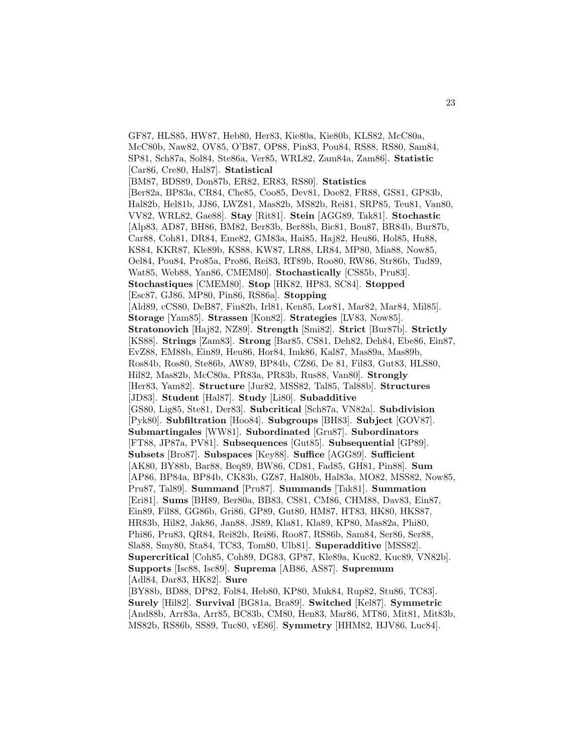GF87, HLS85, HW87, Heb80, Her83, Kie80a, Kie80b, KLS82, McC80a, McC80b, Naw82, OV85, O'B87, OP88, Pin83, Pou84, RS88, RS80, Sam84, SP81, Sch87a, Sol84, Ste86a, Ver85, WRL82, Zam84a, Zam86]. **Statistic** [Car86, Cre80, Hal87]. **Statistical** [BM87, BDS89, Don87b, ER82, ER83, RS80]. **Statistics** [Ber82a, BP83a, CR84, Che85, Coo85, Dev81, Doe82, FR88, GS81, GP83b, Hal82b, Hel81b, JJ86, LWZ81, Mas82b, MS82b, Rei81, SRP85, Teu81, Van80, VV82, WRL82, Gae88]. **Stay** [Rit81]. **Stein** [AGG89, Tak81]. **Stochastic** [Alp83, AD87, BH86, BM82, Ber83b, Ber88b, Bic81, Bou87, BR84b, Bur87b, Car88, Coh81, DR84, Eme82, GM83a, Hai85, Haj82, Heu86, Hol85, Hu88, KS84, KKR87, Kle89b, KS88, KW87, LR88, LR84, MP80, Mia88, Now85, Oel84, Pou84, Pro85a, Pro86, Rei83, RT89b, Roo80, RW86, Str86b, Tud89, Wat85, Web88, Yan86, CMEM80]. **Stochastically** [CS85b, Pru83]. **Stochastiques** [CMEM80]. **Stop** [HK82, HP83, SC84]. **Stopped** [Esc87, GJ86, MP80, Pin86, RS86a]. **Stopping** [Ald89, cCS80, DeB87, Fin82b, Irl81, Ken85, Lor81, Mar82, Mar84, Mil85]. **Storage** [Yam85]. **Strassen** [Kon82]. **Strategies** [LV83, Now85]. **Stratonovich** [Haj82, NZ89]. **Strength** [Smi82]. **Strict** [Bur87b]. **Strictly** [KS88]. **Strings** [Zam83]. **Strong** [Bar85, CS81, Deh82, Deh84, Ebe86, Ein87, EvZ88, EM88b, Ein89, Heu86, Hor84, Imk86, Kal87, Mas89a, Mas89b, Ros84b, Ros80, Ste86b, AW89, BP84b, CZ86, De 81, Fil83, Gut83, HLS80, Hil82, Mas82b, McC80a, PR83a, PR83b, Rus88, Van80]. **Strongly** [Her83, Yam82]. **Structure** [Jur82, MSS82, Tal85, Tal88b]. **Structures** [JD83]. **Student** [Hal87]. **Study** [Li80]. **Subadditive** [GS80, Lig85, Ste81, Der83]. **Subcritical** [Sch87a, VN82a]. **Subdivision** [Pyk80]. **Subfiltration** [Hoo84]. **Subgroups** [BH83]. **Subject** [GOV87]. **Submartingales** [WW81]. **Subordinated** [Gru87]. **Subordinators** [FT88, JP87a, PV81]. **Subsequences** [Gut85]. **Subsequential** [GP89]. **Subsets** [Bro87]. **Subspaces** [Key88]. **Suffice** [AGG89]. **Sufficient** [AK80, BY88b, Bar88, Beq89, BW86, CD81, Fad85, GH81, Pin88]. **Sum** [AP86, BP84a, BP84b, CK83b, GZ87, Hal80b, Hal83a, MO82, MSS82, Now85, Pru87, Tal89]. **Summand** [Pru87]. **Summands** [Tak81]. **Summation** [Eri81]. **Sums** [BH89, Ber80a, BB83, CS81, CM86, CHM88, Dav83, Ein87, Ein89, Fil88, GG86b, Gri86, GP89, Gut80, HM87, HT83, HK80, HKS87, HR83b, Hil82, Jak86, Jan88, JS89, Kla81, Kla89, KP80, Mas82a, Phi80, Phi86, Pru83, QR84, Rei82b, Rei86, Roo87, RS86b, Sam84, Ser86, Ser88, Sla88, Smy80, Sta84, TC83, Tom80, Ulb81]. **Superadditive** [MSS82]. **Supercritical** [Coh85, Coh89, DG83, GP87, Kle89a, Kuc82, Kuc89, VN82b]. **Supports** [Isc88, Isc89]. **Suprema** [AB86, AS87]. **Supremum** [Adl84, Dar83, HK82]. **Sure** [BY88b, BD88, DP82, Fol84, Heb80, KP80, Muk84, Rup82, Stu86, TC83]. **Surely** [Hil82]. **Survival** [BG81a, Bra89]. **Switched** [Kel87]. **Symmetric** [And88b, Arr83a, Arr85, BC83b, CM80, Hen83, Mar86, MT86, Mit81, Mit83b,

MS82b, RS86b, SS89, Tuc80, vE86]. **Symmetry** [HHM82, HJV86, Luc84].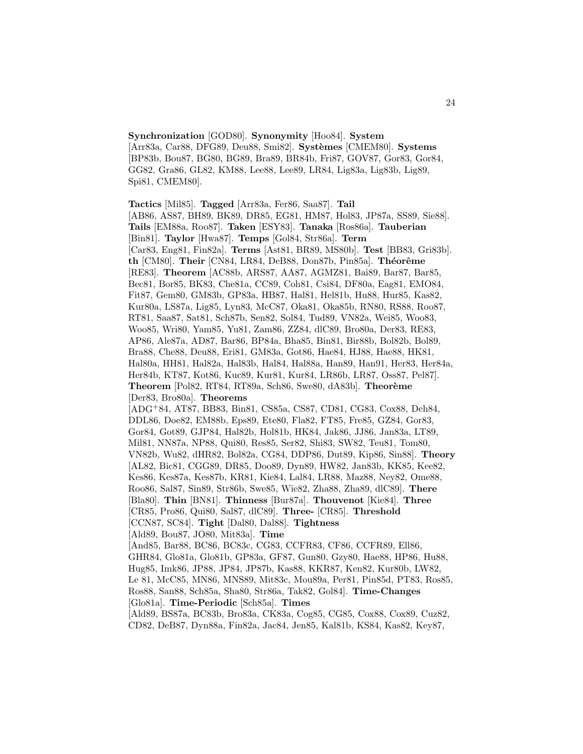**Synchronization** [GOD80]. **Synonymity** [Hoo84]. **System** [Arr83a, Car88, DFG89, Deu88, Smi82]. **Systèmes** [CMEM80]. **Systems** [BP83b, Bou87, BG80, BG89, Bra89, BR84b, Fri87, GOV87, Gor83, Gor84, GG82, Gra86, GL82, KM88, Lee88, Lee89, LR84, Lig83a, Lig83b, Lig89, Spi81, CMEM80].

**Tactics** [Mil85]. **Tagged** [Arr83a, Fer86, Saa87]. **Tail** [AB86, AS87, BH89, BK89, DR85, EG81, HM87, Hol83, JP87a, SS89, Sie88]. **Tails** [EM88a, Roo87]. **Taken** [ESY83]. **Tanaka** [Ros86a]. **Tauberian** [Bin81]. **Taylor** [Hwa87]. **Temps** [Gol84, Str86a]. **Term** [Car83, Eng81, Fin82a]. **Terms** [Ast81, BR89, MS80b]. **Test** [BB83, Gri83b]. **th** [CM80]. **Their** [CN84, LR84, DeB88, Don87b, Pin85a]. **Théorême** [RE83]. **Theorem** [AC88b, ARS87, AA87, AGMZ81, Bai89, Bar87, Bar85, Bec81, Bor85, BK83, Che81a, CC89, Coh81, Csi84, DF80a, Eag81, EMO84, Fit87, Gem80, GM83b, GP83a, HB87, Hal81, Hel81b, Hu88, Hur85, Kas82, Kur80a, LS87a, Lig85, Lyn83, McC87, Oka81, Oka85b, RN80, RS88, Roo87, RT81, Saa87, Sat81, Sch87b, Sen82, Sol84, Tud89, VN82a, Wei85, Woo83, Woo85, Wri80, Yam85, Yu81, Zam86, ZZ84, dlC89, Bro80a, Der83, RE83, AP86, Ale87a, AD87, Bar86, BP84a, Bha85, Bin81, Bir88b, Bol82b, Bol89, Bra88, Che88, Deu88, Eri81, GM83a, Got86, Hae84, HJ88, Hae88, HK81, Hal80a, HH81, Hal82a, Hal83b, Hal84, Hal88a, Han89, Han91, Her83, Her84a, Her84b, KT87, Kot86, Kuc89, Kur81, Kur84, LR86b, LR87, Oss87, Pel87]. **Theorem** [Pol82, RT84, RT89a, Sch86, Swe80, dA83b]. **Theorème** [Der83, Bro80a]. **Theorems** [ADG<sup>+</sup>84, AT87, BB83, Bin81, CS85a, CS87, CD81, CG83, Cox88, Deh84, DDL86, Doe82, EM88b, Eps89, Ete80, Fla82, FT85, Fre85, GZ84, Gor83, Gor84, Got89, GJP84, Hal82b, Hol81b, HK84, Jak86, JJ86, Jan83a, LT89, Mil81, NN87a, NP88, Qui80, Res85, Ser82, Shi83, SW82, Teu81, Tom80, VN82b, Wu82, dHR82, Bol82a, CG84, DDP86, Dut89, Kip86, Sin88]. **Theory** [AL82, Bic81, CGG89, DR85, Doo89, Dyn89, HW82, Jan83b, KK85, Kee82, Kes86, Kes87a, Kes87b, KR81, Kie84, Lal84, LR88, Maz88, Ney82, Ome88, Roo86, Sal87, Sin89, Str86b, Swe85, Wie82, Zha88, Zha89, dlC89]. **There** [Bla80]. **Thin** [BN81]. **Thinness** [Bur87a]. **Thouvenot** [Kie84]. **Three** [CR85, Pro86, Qui80, Sal87, dlC89]. **Three-** [CR85]. **Threshold** [CCN87, SC84]. **Tight** [Dal80, Dal88]. **Tightness** [Ald89, Bou87, JO80, Mit83a]. **Time** [And85, Bar88, BC86, BC83c, CG83, CCFR83, CF86, CCFR89, Ell86, GHR84, Glo81a, Glo81b, GP83a, GF87, Gun80, Gzy80, Hae88, HP86, Hu88, Hug85, Imk86, JP88, JP84, JP87b, Kas88, KKR87, Ken82, Kur80b, LW82, Le 81, McC85, MN86, MNS89, Mit83c, Mou89a, Per81, Pin85d, PT83, Ros85, Ros88, San88, Sch85a, Sha80, Str86a, Tak82, Gol84]. **Time-Changes** [Glo81a]. **Time-Periodic** [Sch85a]. **Times** [Ald89, BS87a, BC83b, Bro83a, CK83a, Cog85, CG85, Cox88, Cox89, Cuz82, CD82, DeB87, Dyn88a, Fin82a, Jac84, Jen85, Kal81b, KS84, Kas82, Key87,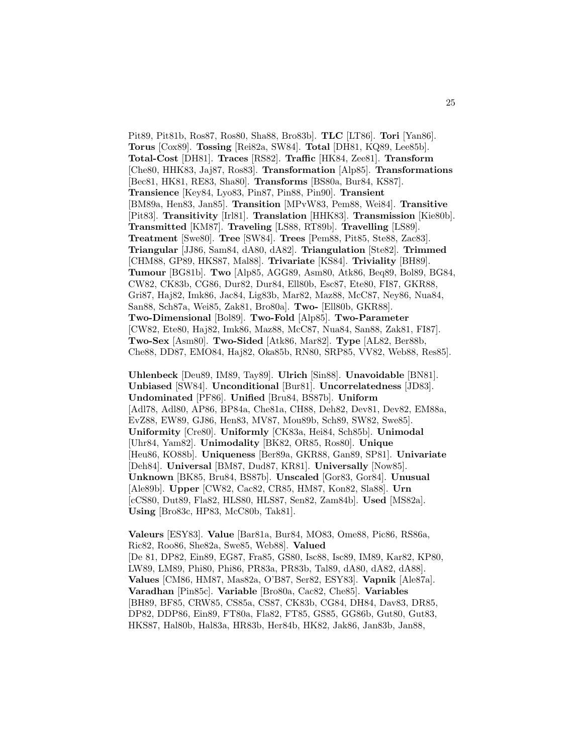Pit89, Pit81b, Ros87, Ros80, Sha88, Bro83b]. **TLC** [LT86]. **Tori** [Yan86]. **Torus** [Cox89]. **Tossing** [Rei82a, SW84]. **Total** [DH81, KQ89, Lee85b]. **Total-Cost** [DH81]. **Traces** [RS82]. **Traffic** [HK84, Zee81]. **Transform** [Che80, HHK83, Jaj87, Ros83]. **Transformation** [Alp85]. **Transformations** [Bec81, HK81, RE83, Sha80]. **Transforms** [BS80a, Bur84, KS87]. **Transience** [Key84, Lyo83, Pin87, Pin88, Pin90]. **Transient** [BM89a, Hen83, Jan85]. **Transition** [MPvW83, Pem88, Wei84]. **Transitive** [Pit83]. **Transitivity** [Irl81]. **Translation** [HHK83]. **Transmission** [Kie80b]. **Transmitted** [KM87]. **Traveling** [LS88, RT89b]. **Travelling** [LS89]. **Treatment** [Swe80]. **Tree** [SW84]. **Trees** [Pem88, Pit85, Ste88, Zac83]. **Triangular** [JJ86, Sam84, dA80, dA82]. **Triangulation** [Ste82]. **Trimmed** [CHM88, GP89, HKS87, Mal88]. **Trivariate** [KS84]. **Triviality** [BH89]. **Tumour** [BG81b]. **Two** [Alp85, AGG89, Asm80, Atk86, Beq89, Bol89, BG84, CW82, CK83b, CG86, Dur82, Dur84, Ell80b, Esc87, Ete80, FI87, GKR88, Gri87, Haj82, Imk86, Jac84, Lig83b, Mar82, Maz88, McC87, Ney86, Nua84, San88, Sch87a, Wei85, Zak81, Bro80a]. **Two-** [Ell80b, GKR88]. **Two-Dimensional** [Bol89]. **Two-Fold** [Alp85]. **Two-Parameter** [CW82, Ete80, Haj82, Imk86, Maz88, McC87, Nua84, San88, Zak81, FI87]. **Two-Sex** [Asm80]. **Two-Sided** [Atk86, Mar82]. **Type** [AL82, Ber88b, Che88, DD87, EMO84, Haj82, Oka85b, RN80, SRP85, VV82, Web88, Res85].

**Uhlenbeck** [Deu89, IM89, Tay89]. **Ulrich** [Sin88]. **Unavoidable** [BN81]. **Unbiased** [SW84]. **Unconditional** [Bur81]. **Uncorrelatedness** [JD83]. **Undominated** [PF86]. **Unified** [Bru84, BS87b]. **Uniform** [Adl78, Adl80, AP86, BP84a, Che81a, CH88, Deh82, Dev81, Dev82, EM88a, EvZ88, EW89, GJ86, Hen83, MV87, Mou89b, Sch89, SW82, Swe85]. **Uniformity** [Cre80]. **Uniformly** [CK83a, Hei84, Sch85b]. **Unimodal** [Uhr84, Yam82]. **Unimodality** [BK82, OR85, Ros80]. **Unique** [Heu86, KO88b]. **Uniqueness** [Ber89a, GKR88, Gan89, SP81]. **Univariate** [Deh84]. **Universal** [BM87, Dud87, KR81]. **Universally** [Now85]. **Unknown** [BK85, Bru84, BS87b]. **Unscaled** [Gor83, Gor84]. **Unusual** [Ale89b]. **Upper** [CW82, Cac82, CR85, HM87, Kon82, Sla88]. **Urn** [cCS80, Dut89, Fla82, HLS80, HLS87, Sen82, Zam84b]. **Used** [MS82a]. **Using** [Bro83c, HP83, McC80b, Tak81].

**Valeurs** [ESY83]. **Value** [Bar81a, Bur84, MO83, Ome88, Pic86, RS86a, Ric82, Roo86, She82a, Swe85, Web88]. **Valued** [De 81, DP82, Ein89, EG87, Fra85, GS80, Isc88, Isc89, IM89, Kar82, KP80, LW89, LM89, Phi80, Phi86, PR83a, PR83b, Tal89, dA80, dA82, dA88]. **Values** [CM86, HM87, Mas82a, O'B87, Ser82, ESY83]. **Vapnik** [Ale87a]. **Varadhan** [Pin85c]. **Variable** [Bro80a, Cac82, Che85]. **Variables** [BH89, BF85, CRW85, CS85a, CS87, CK83b, CG84, DH84, Dav83, DR85, DP82, DDP86, Ein89, FT80a, Fla82, FT85, GS85, GG86b, Gut80, Gut83, HKS87, Hal80b, Hal83a, HR83b, Her84b, HK82, Jak86, Jan83b, Jan88,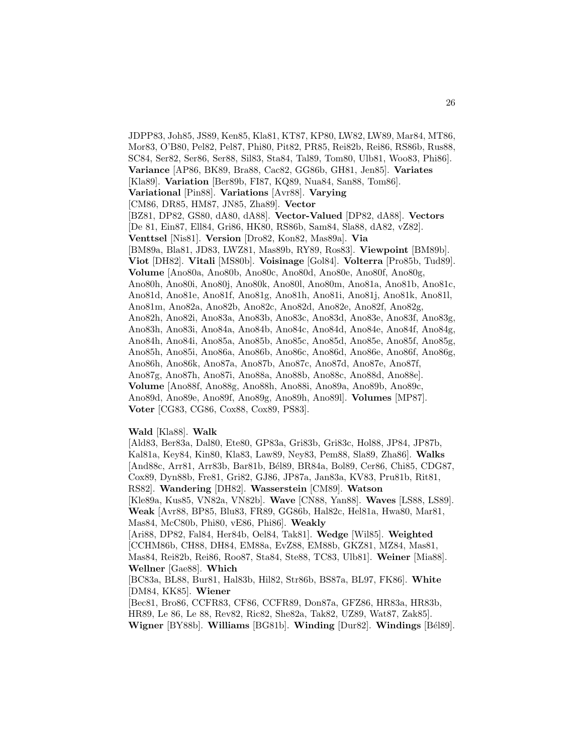JDPP83, Joh85, JS89, Ken85, Kla81, KT87, KP80, LW82, LW89, Mar84, MT86, Mor83, O'B80, Pel82, Pel87, Phi80, Pit82, PR85, Rei82b, Rei86, RS86b, Rus88, SC84, Ser82, Ser86, Ser88, Sil83, Sta84, Tal89, Tom80, Ulb81, Woo83, Phi86]. **Variance** [AP86, BK89, Bra88, Cac82, GG86b, GH81, Jen85]. **Variates** [Kla89]. **Variation** [Ber89b, FI87, KQ89, Nua84, San88, Tom86]. **Variational** [Pin88]. **Variations** [Avr88]. **Varying** [CM86, DR85, HM87, JN85, Zha89]. **Vector** [BZ81, DP82, GS80, dA80, dA88]. **Vector-Valued** [DP82, dA88]. **Vectors** [De 81, Ein87, Ell84, Gri86, HK80, RS86b, Sam84, Sla88, dA82, vZ82]. **Venttsel** [Nis81]. **Version** [Dro82, Kon82, Mas89a]. **Via** [BM89a, Bla81, JD83, LWZ81, Mas89b, RY89, Ros83]. **Viewpoint** [BM89b]. **Viot** [DH82]. **Vitali** [MS80b]. **Voisinage** [Gol84]. **Volterra** [Pro85b, Tud89]. **Volume** [Ano80a, Ano80b, Ano80c, Ano80d, Ano80e, Ano80f, Ano80g, Ano80h, Ano80i, Ano80j, Ano80k, Ano80l, Ano80m, Ano81a, Ano81b, Ano81c, Ano81d, Ano81e, Ano81f, Ano81g, Ano81h, Ano81i, Ano81j, Ano81k, Ano81l, Ano81m, Ano82a, Ano82b, Ano82c, Ano82d, Ano82e, Ano82f, Ano82g, Ano82h, Ano82i, Ano83a, Ano83b, Ano83c, Ano83d, Ano83e, Ano83f, Ano83g, Ano83h, Ano83i, Ano84a, Ano84b, Ano84c, Ano84d, Ano84e, Ano84f, Ano84g, Ano84h, Ano84i, Ano85a, Ano85b, Ano85c, Ano85d, Ano85e, Ano85f, Ano85g, Ano85h, Ano85i, Ano86a, Ano86b, Ano86c, Ano86d, Ano86e, Ano86f, Ano86g, Ano86h, Ano86k, Ano87a, Ano87b, Ano87c, Ano87d, Ano87e, Ano87f, Ano87g, Ano87h, Ano87i, Ano88a, Ano88b, Ano88c, Ano88d, Ano88e]. **Volume** [Ano88f, Ano88g, Ano88h, Ano88i, Ano89a, Ano89b, Ano89c, Ano89d, Ano89e, Ano89f, Ano89g, Ano89h, Ano89l]. **Volumes** [MP87]. **Voter** [CG83, CG86, Cox88, Cox89, PS83].

#### **Wald** [Kla88]. **Walk**

[Ald83, Ber83a, Dal80, Ete80, GP83a, Gri83b, Gri83c, Hol88, JP84, JP87b, Kal81a, Key84, Kin80, Kla83, Law89, Ney83, Pem88, Sla89, Zha86]. **Walks** [And88c, Arr81, Arr83b, Bar81b, Bél89, BR84a, Bol89, Cer86, Chi85, CDG87, Cox89, Dyn88b, Fre81, Gri82, GJ86, JP87a, Jan83a, KV83, Pru81b, Rit81, RS82]. **Wandering** [DH82]. **Wasserstein** [CM89]. **Watson** [Kle89a, Kus85, VN82a, VN82b]. **Wave** [CN88, Yan88]. **Waves** [LS88, LS89]. **Weak** [Avr88, BP85, Blu83, FR89, GG86b, Hal82c, Hel81a, Hwa80, Mar81, Mas84, McC80b, Phi80, vE86, Phi86]. **Weakly** [Ari88, DP82, Fal84, Her84b, Oel84, Tak81]. **Wedge** [Wil85]. **Weighted** [CCHM86b, CH88, DH84, EM88a, EvZ88, EM88b, GKZ81, MZ84, Mas81, Mas84, Rei82b, Rei86, Roo87, Sta84, Ste88, TC83, Ulb81]. **Weiner** [Mia88]. **Wellner** [Gae88]. **Which** [BC83a, BL88, Bur81, Hal83b, Hil82, Str86b, BS87a, BL97, FK86]. **White** [DM84, KK85]. **Wiener** [Bec81, Bro86, CCFR83, CF86, CCFR89, Don87a, GFZ86, HR83a, HR83b, HR89, Le 86, Le 88, Rev82, Ric82, She82a, Tak82, UZ89, Wat87, Zak85]. **Wigner** [BY88b]. **Williams** [BG81b]. **Winding** [Dur82]. **Windings** [B´el89].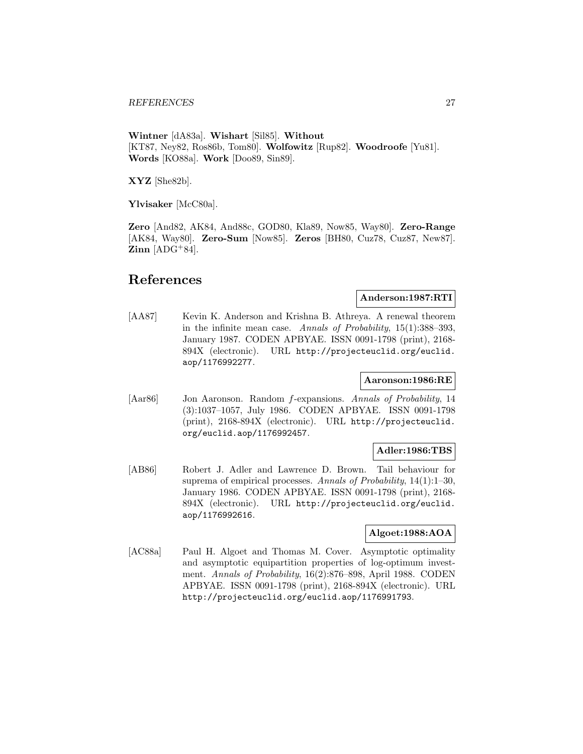**Wintner** [dA83a]. **Wishart** [Sil85]. **Without** [KT87, Ney82, Ros86b, Tom80]. **Wolfowitz** [Rup82]. **Woodroofe** [Yu81]. **Words** [KO88a]. **Work** [Doo89, Sin89].

**XYZ** [She82b].

**Ylvisaker** [McC80a].

**Zero** [And82, AK84, And88c, GOD80, Kla89, Now85, Way80]. **Zero-Range** [AK84, Way80]. **Zero-Sum** [Now85]. **Zeros** [BH80, Cuz78, Cuz87, New87].  $\text{Zinn}$  [ADG<sup>+</sup>84].

# **References**

## **Anderson:1987:RTI**

[AA87] Kevin K. Anderson and Krishna B. Athreya. A renewal theorem in the infinite mean case. Annals of Probability,  $15(1)$ :388-393, January 1987. CODEN APBYAE. ISSN 0091-1798 (print), 2168- 894X (electronic). URL http://projecteuclid.org/euclid. aop/1176992277.

## **Aaronson:1986:RE**

[Aar86] Jon Aaronson. Random f-expansions. Annals of Probability, 14 (3):1037–1057, July 1986. CODEN APBYAE. ISSN 0091-1798 (print), 2168-894X (electronic). URL http://projecteuclid. org/euclid.aop/1176992457.

## **Adler:1986:TBS**

[AB86] Robert J. Adler and Lawrence D. Brown. Tail behaviour for suprema of empirical processes. Annals of Probability, 14(1):1–30, January 1986. CODEN APBYAE. ISSN 0091-1798 (print), 2168- 894X (electronic). URL http://projecteuclid.org/euclid. aop/1176992616.

## **Algoet:1988:AOA**

[AC88a] Paul H. Algoet and Thomas M. Cover. Asymptotic optimality and asymptotic equipartition properties of log-optimum investment. Annals of Probability, 16(2):876–898, April 1988. CODEN APBYAE. ISSN 0091-1798 (print), 2168-894X (electronic). URL http://projecteuclid.org/euclid.aop/1176991793.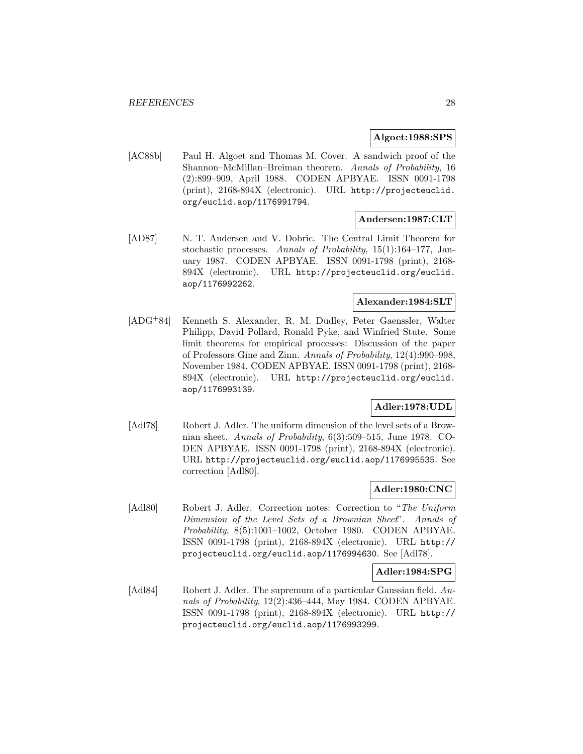## **Algoet:1988:SPS**

[AC88b] Paul H. Algoet and Thomas M. Cover. A sandwich proof of the Shannon–McMillan–Breiman theorem. Annals of Probability, 16 (2):899–909, April 1988. CODEN APBYAE. ISSN 0091-1798 (print), 2168-894X (electronic). URL http://projecteuclid. org/euclid.aop/1176991794.

## **Andersen:1987:CLT**

[AD87] N. T. Andersen and V. Dobric. The Central Limit Theorem for stochastic processes. Annals of Probability, 15(1):164–177, January 1987. CODEN APBYAE. ISSN 0091-1798 (print), 2168- 894X (electronic). URL http://projecteuclid.org/euclid. aop/1176992262.

# **Alexander:1984:SLT**

[ADG<sup>+</sup>84] Kenneth S. Alexander, R. M. Dudley, Peter Gaenssler, Walter Philipp, David Pollard, Ronald Pyke, and Winfried Stute. Some limit theorems for empirical processes: Discussion of the paper of Professors Gine and Zinn. Annals of Probability, 12(4):990–998, November 1984. CODEN APBYAE. ISSN 0091-1798 (print), 2168- 894X (electronic). URL http://projecteuclid.org/euclid. aop/1176993139.

## **Adler:1978:UDL**

[Adl78] Robert J. Adler. The uniform dimension of the level sets of a Brownian sheet. Annals of Probability, 6(3):509–515, June 1978. CO-DEN APBYAE. ISSN 0091-1798 (print), 2168-894X (electronic). URL http://projecteuclid.org/euclid.aop/1176995535. See correction [Adl80].

## **Adler:1980:CNC**

[Adl80] Robert J. Adler. Correction notes: Correction to "The Uniform Dimension of the Level Sets of a Brownian Sheet". Annals of Probability, 8(5):1001–1002, October 1980. CODEN APBYAE. ISSN 0091-1798 (print), 2168-894X (electronic). URL http:// projecteuclid.org/euclid.aop/1176994630. See [Adl78].

## **Adler:1984:SPG**

[Adl84] Robert J. Adler. The supremum of a particular Gaussian field. Annals of Probability, 12(2):436–444, May 1984. CODEN APBYAE. ISSN 0091-1798 (print), 2168-894X (electronic). URL http:// projecteuclid.org/euclid.aop/1176993299.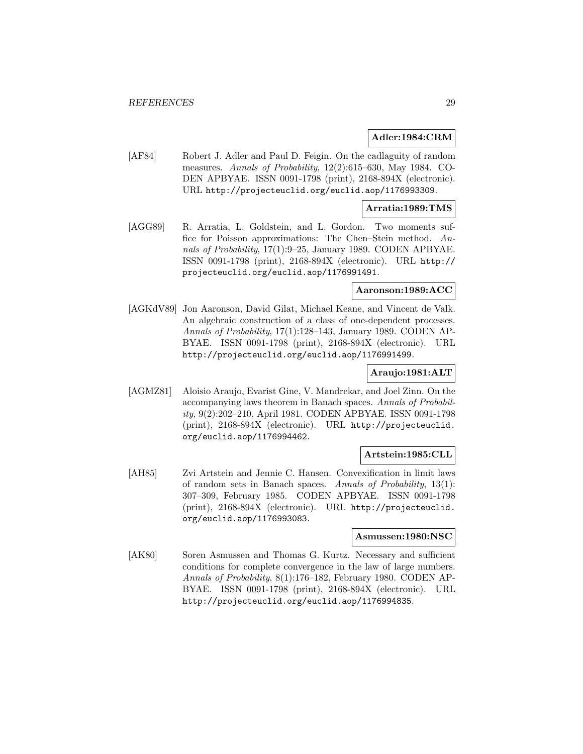#### **Adler:1984:CRM**

[AF84] Robert J. Adler and Paul D. Feigin. On the cadlaguity of random measures. Annals of Probability, 12(2):615–630, May 1984. CO-DEN APBYAE. ISSN 0091-1798 (print), 2168-894X (electronic). URL http://projecteuclid.org/euclid.aop/1176993309.

#### **Arratia:1989:TMS**

[AGG89] R. Arratia, L. Goldstein, and L. Gordon. Two moments suffice for Poisson approximations: The Chen–Stein method. Annals of Probability, 17(1):9–25, January 1989. CODEN APBYAE. ISSN 0091-1798 (print), 2168-894X (electronic). URL http:// projecteuclid.org/euclid.aop/1176991491.

#### **Aaronson:1989:ACC**

[AGKdV89] Jon Aaronson, David Gilat, Michael Keane, and Vincent de Valk. An algebraic construction of a class of one-dependent processes. Annals of Probability, 17(1):128–143, January 1989. CODEN AP-BYAE. ISSN 0091-1798 (print), 2168-894X (electronic). URL http://projecteuclid.org/euclid.aop/1176991499.

## **Araujo:1981:ALT**

[AGMZ81] Aloisio Araujo, Evarist Gine, V. Mandrekar, and Joel Zinn. On the accompanying laws theorem in Banach spaces. Annals of Probability, 9(2):202–210, April 1981. CODEN APBYAE. ISSN 0091-1798 (print), 2168-894X (electronic). URL http://projecteuclid. org/euclid.aop/1176994462.

## **Artstein:1985:CLL**

[AH85] Zvi Artstein and Jennie C. Hansen. Convexification in limit laws of random sets in Banach spaces. Annals of Probability, 13(1): 307–309, February 1985. CODEN APBYAE. ISSN 0091-1798 (print), 2168-894X (electronic). URL http://projecteuclid. org/euclid.aop/1176993083.

#### **Asmussen:1980:NSC**

[AK80] Soren Asmussen and Thomas G. Kurtz. Necessary and sufficient conditions for complete convergence in the law of large numbers. Annals of Probability, 8(1):176–182, February 1980. CODEN AP-BYAE. ISSN 0091-1798 (print), 2168-894X (electronic). URL http://projecteuclid.org/euclid.aop/1176994835.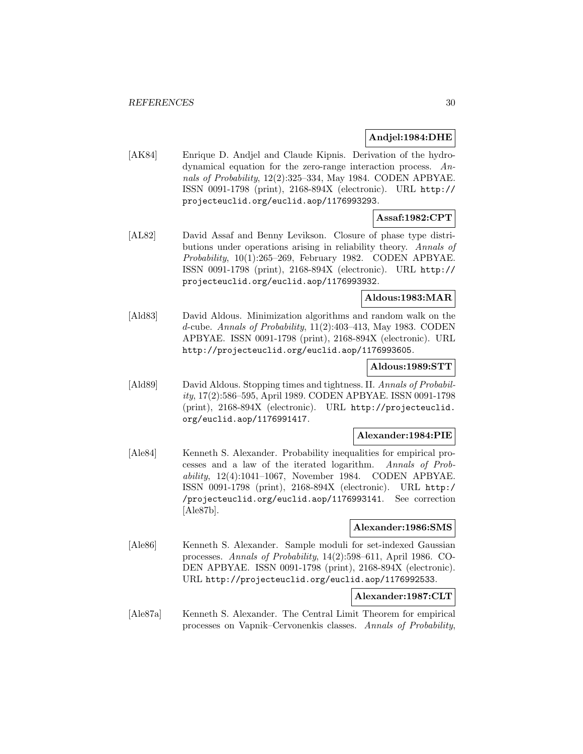## **Andjel:1984:DHE**

[AK84] Enrique D. Andjel and Claude Kipnis. Derivation of the hydrodynamical equation for the zero-range interaction process. Annals of Probability, 12(2):325–334, May 1984. CODEN APBYAE. ISSN 0091-1798 (print), 2168-894X (electronic). URL http:// projecteuclid.org/euclid.aop/1176993293.

# **Assaf:1982:CPT**

[AL82] David Assaf and Benny Levikson. Closure of phase type distributions under operations arising in reliability theory. Annals of Probability, 10(1):265–269, February 1982. CODEN APBYAE. ISSN 0091-1798 (print), 2168-894X (electronic). URL http:// projecteuclid.org/euclid.aop/1176993932.

## **Aldous:1983:MAR**

[Ald83] David Aldous. Minimization algorithms and random walk on the d-cube. Annals of Probability, 11(2):403–413, May 1983. CODEN APBYAE. ISSN 0091-1798 (print), 2168-894X (electronic). URL http://projecteuclid.org/euclid.aop/1176993605.

## **Aldous:1989:STT**

[Ald89] David Aldous. Stopping times and tightness. II. Annals of Probability, 17(2):586–595, April 1989. CODEN APBYAE. ISSN 0091-1798 (print), 2168-894X (electronic). URL http://projecteuclid. org/euclid.aop/1176991417.

## **Alexander:1984:PIE**

[Ale84] Kenneth S. Alexander. Probability inequalities for empirical processes and a law of the iterated logarithm. Annals of Probability, 12(4):1041–1067, November 1984. CODEN APBYAE. ISSN 0091-1798 (print), 2168-894X (electronic). URL http:/ /projecteuclid.org/euclid.aop/1176993141. See correction [Ale87b].

## **Alexander:1986:SMS**

[Ale86] Kenneth S. Alexander. Sample moduli for set-indexed Gaussian processes. Annals of Probability, 14(2):598–611, April 1986. CO-DEN APBYAE. ISSN 0091-1798 (print), 2168-894X (electronic). URL http://projecteuclid.org/euclid.aop/1176992533.

## **Alexander:1987:CLT**

[Ale87a] Kenneth S. Alexander. The Central Limit Theorem for empirical processes on Vapnik–Cervonenkis classes. Annals of Probability,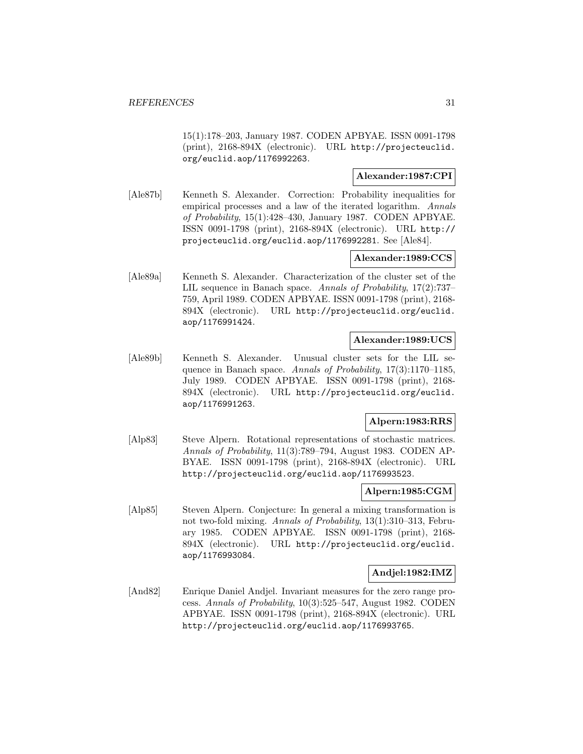15(1):178–203, January 1987. CODEN APBYAE. ISSN 0091-1798 (print), 2168-894X (electronic). URL http://projecteuclid. org/euclid.aop/1176992263.

## **Alexander:1987:CPI**

[Ale87b] Kenneth S. Alexander. Correction: Probability inequalities for empirical processes and a law of the iterated logarithm. Annals of Probability, 15(1):428–430, January 1987. CODEN APBYAE. ISSN 0091-1798 (print), 2168-894X (electronic). URL http:// projecteuclid.org/euclid.aop/1176992281. See [Ale84].

## **Alexander:1989:CCS**

[Ale89a] Kenneth S. Alexander. Characterization of the cluster set of the LIL sequence in Banach space. Annals of Probability, 17(2):737– 759, April 1989. CODEN APBYAE. ISSN 0091-1798 (print), 2168- 894X (electronic). URL http://projecteuclid.org/euclid. aop/1176991424.

## **Alexander:1989:UCS**

[Ale89b] Kenneth S. Alexander. Unusual cluster sets for the LIL sequence in Banach space. Annals of Probability, 17(3):1170–1185, July 1989. CODEN APBYAE. ISSN 0091-1798 (print), 2168- 894X (electronic). URL http://projecteuclid.org/euclid. aop/1176991263.

## **Alpern:1983:RRS**

[Alp83] Steve Alpern. Rotational representations of stochastic matrices. Annals of Probability, 11(3):789–794, August 1983. CODEN AP-BYAE. ISSN 0091-1798 (print), 2168-894X (electronic). URL http://projecteuclid.org/euclid.aop/1176993523.

#### **Alpern:1985:CGM**

[Alp85] Steven Alpern. Conjecture: In general a mixing transformation is not two-fold mixing. Annals of Probability, 13(1):310–313, February 1985. CODEN APBYAE. ISSN 0091-1798 (print), 2168- 894X (electronic). URL http://projecteuclid.org/euclid. aop/1176993084.

## **Andjel:1982:IMZ**

[And82] Enrique Daniel Andjel. Invariant measures for the zero range process. Annals of Probability, 10(3):525–547, August 1982. CODEN APBYAE. ISSN 0091-1798 (print), 2168-894X (electronic). URL http://projecteuclid.org/euclid.aop/1176993765.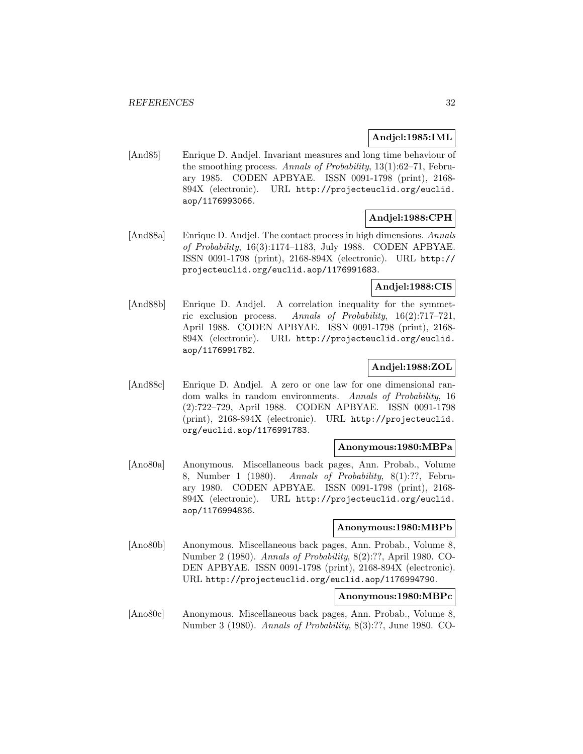## **Andjel:1985:IML**

[And85] Enrique D. Andjel. Invariant measures and long time behaviour of the smoothing process. Annals of Probability, 13(1):62–71, February 1985. CODEN APBYAE. ISSN 0091-1798 (print), 2168- 894X (electronic). URL http://projecteuclid.org/euclid. aop/1176993066.

## **Andjel:1988:CPH**

[And88a] Enrique D. Andjel. The contact process in high dimensions. Annals of Probability, 16(3):1174–1183, July 1988. CODEN APBYAE. ISSN 0091-1798 (print), 2168-894X (electronic). URL http:// projecteuclid.org/euclid.aop/1176991683.

## **Andjel:1988:CIS**

[And88b] Enrique D. Andjel. A correlation inequality for the symmetric exclusion process. Annals of Probability, 16(2):717–721, April 1988. CODEN APBYAE. ISSN 0091-1798 (print), 2168- 894X (electronic). URL http://projecteuclid.org/euclid. aop/1176991782.

## **Andjel:1988:ZOL**

[And88c] Enrique D. Andjel. A zero or one law for one dimensional random walks in random environments. Annals of Probability, 16 (2):722–729, April 1988. CODEN APBYAE. ISSN 0091-1798 (print), 2168-894X (electronic). URL http://projecteuclid. org/euclid.aop/1176991783.

## **Anonymous:1980:MBPa**

[Ano80a] Anonymous. Miscellaneous back pages, Ann. Probab., Volume 8, Number 1 (1980). Annals of Probability, 8(1):??, February 1980. CODEN APBYAE. ISSN 0091-1798 (print), 2168- 894X (electronic). URL http://projecteuclid.org/euclid. aop/1176994836.

## **Anonymous:1980:MBPb**

[Ano80b] Anonymous. Miscellaneous back pages, Ann. Probab., Volume 8, Number 2 (1980). Annals of Probability, 8(2):??, April 1980. CO-DEN APBYAE. ISSN 0091-1798 (print), 2168-894X (electronic). URL http://projecteuclid.org/euclid.aop/1176994790.

## **Anonymous:1980:MBPc**

[Ano80c] Anonymous. Miscellaneous back pages, Ann. Probab., Volume 8, Number 3 (1980). Annals of Probability, 8(3):??, June 1980. CO-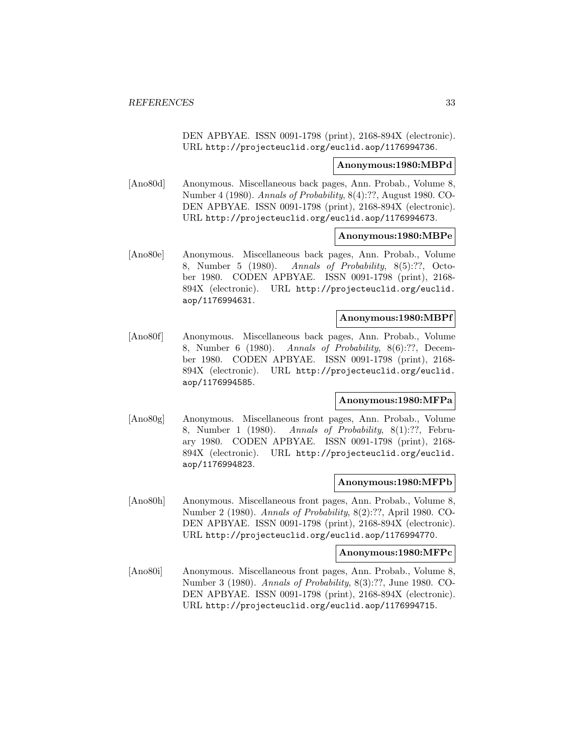DEN APBYAE. ISSN 0091-1798 (print), 2168-894X (electronic). URL http://projecteuclid.org/euclid.aop/1176994736.

#### **Anonymous:1980:MBPd**

[Ano80d] Anonymous. Miscellaneous back pages, Ann. Probab., Volume 8, Number 4 (1980). Annals of Probability, 8(4):??, August 1980. CO-DEN APBYAE. ISSN 0091-1798 (print), 2168-894X (electronic). URL http://projecteuclid.org/euclid.aop/1176994673.

#### **Anonymous:1980:MBPe**

[Ano80e] Anonymous. Miscellaneous back pages, Ann. Probab., Volume 8, Number 5 (1980). Annals of Probability, 8(5):??, October 1980. CODEN APBYAE. ISSN 0091-1798 (print), 2168- 894X (electronic). URL http://projecteuclid.org/euclid. aop/1176994631.

#### **Anonymous:1980:MBPf**

[Ano80f] Anonymous. Miscellaneous back pages, Ann. Probab., Volume 8, Number 6 (1980). Annals of Probability, 8(6):??, December 1980. CODEN APBYAE. ISSN 0091-1798 (print), 2168- 894X (electronic). URL http://projecteuclid.org/euclid. aop/1176994585.

## **Anonymous:1980:MFPa**

[Ano80g] Anonymous. Miscellaneous front pages, Ann. Probab., Volume 8, Number 1 (1980). Annals of Probability, 8(1):??, February 1980. CODEN APBYAE. ISSN 0091-1798 (print), 2168- 894X (electronic). URL http://projecteuclid.org/euclid. aop/1176994823.

#### **Anonymous:1980:MFPb**

[Ano80h] Anonymous. Miscellaneous front pages, Ann. Probab., Volume 8, Number 2 (1980). Annals of Probability, 8(2):??, April 1980. CO-DEN APBYAE. ISSN 0091-1798 (print), 2168-894X (electronic). URL http://projecteuclid.org/euclid.aop/1176994770.

#### **Anonymous:1980:MFPc**

[Ano80i] Anonymous. Miscellaneous front pages, Ann. Probab., Volume 8, Number 3 (1980). Annals of Probability, 8(3):??, June 1980. CO-DEN APBYAE. ISSN 0091-1798 (print), 2168-894X (electronic). URL http://projecteuclid.org/euclid.aop/1176994715.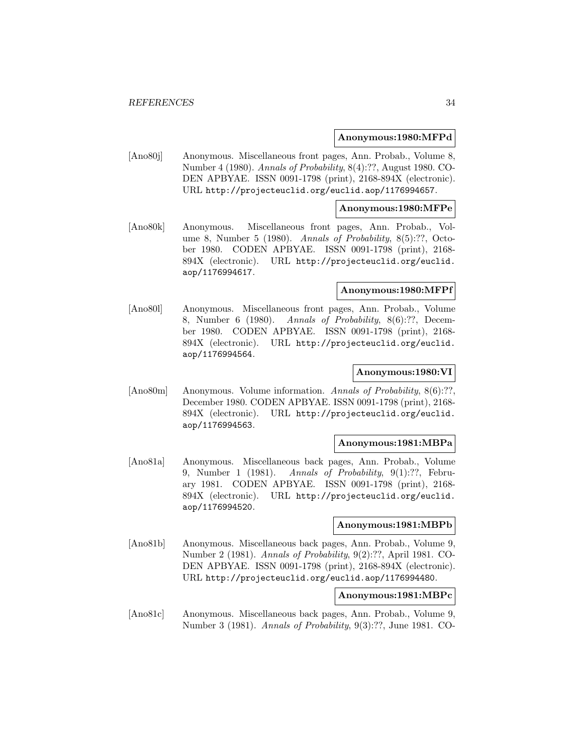#### **Anonymous:1980:MFPd**

[Ano80j] Anonymous. Miscellaneous front pages, Ann. Probab., Volume 8, Number 4 (1980). Annals of Probability, 8(4):??, August 1980. CO-DEN APBYAE. ISSN 0091-1798 (print), 2168-894X (electronic). URL http://projecteuclid.org/euclid.aop/1176994657.

#### **Anonymous:1980:MFPe**

[Ano80k] Anonymous. Miscellaneous front pages, Ann. Probab., Volume 8, Number 5 (1980). Annals of Probability, 8(5):??, October 1980. CODEN APBYAE. ISSN 0091-1798 (print), 2168- 894X (electronic). URL http://projecteuclid.org/euclid. aop/1176994617.

#### **Anonymous:1980:MFPf**

[Ano80l] Anonymous. Miscellaneous front pages, Ann. Probab., Volume 8, Number 6 (1980). Annals of Probability, 8(6):??, December 1980. CODEN APBYAE. ISSN 0091-1798 (print), 2168- 894X (electronic). URL http://projecteuclid.org/euclid. aop/1176994564.

## **Anonymous:1980:VI**

[Ano80m] Anonymous. Volume information. Annals of Probability, 8(6):??, December 1980. CODEN APBYAE. ISSN 0091-1798 (print), 2168- 894X (electronic). URL http://projecteuclid.org/euclid. aop/1176994563.

## **Anonymous:1981:MBPa**

[Ano81a] Anonymous. Miscellaneous back pages, Ann. Probab., Volume 9, Number 1 (1981). Annals of Probability, 9(1):??, February 1981. CODEN APBYAE. ISSN 0091-1798 (print), 2168- 894X (electronic). URL http://projecteuclid.org/euclid. aop/1176994520.

#### **Anonymous:1981:MBPb**

[Ano81b] Anonymous. Miscellaneous back pages, Ann. Probab., Volume 9, Number 2 (1981). Annals of Probability, 9(2):??, April 1981. CO-DEN APBYAE. ISSN 0091-1798 (print), 2168-894X (electronic). URL http://projecteuclid.org/euclid.aop/1176994480.

## **Anonymous:1981:MBPc**

[Ano81c] Anonymous. Miscellaneous back pages, Ann. Probab., Volume 9, Number 3 (1981). Annals of Probability, 9(3):??, June 1981. CO-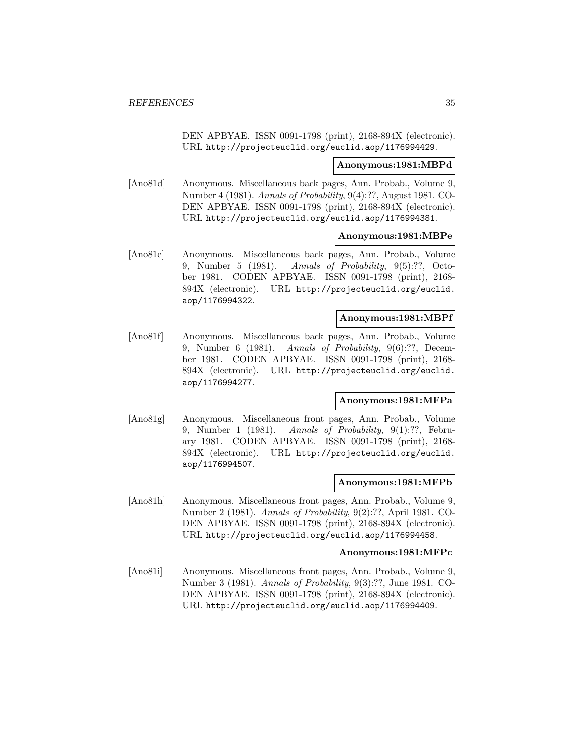DEN APBYAE. ISSN 0091-1798 (print), 2168-894X (electronic). URL http://projecteuclid.org/euclid.aop/1176994429.

#### **Anonymous:1981:MBPd**

[Ano81d] Anonymous. Miscellaneous back pages, Ann. Probab., Volume 9, Number 4 (1981). Annals of Probability, 9(4):??, August 1981. CO-DEN APBYAE. ISSN 0091-1798 (print), 2168-894X (electronic). URL http://projecteuclid.org/euclid.aop/1176994381.

#### **Anonymous:1981:MBPe**

[Ano81e] Anonymous. Miscellaneous back pages, Ann. Probab., Volume 9, Number 5 (1981). Annals of Probability, 9(5):??, October 1981. CODEN APBYAE. ISSN 0091-1798 (print), 2168- 894X (electronic). URL http://projecteuclid.org/euclid. aop/1176994322.

#### **Anonymous:1981:MBPf**

[Ano81f] Anonymous. Miscellaneous back pages, Ann. Probab., Volume 9, Number 6 (1981). Annals of Probability, 9(6):??, December 1981. CODEN APBYAE. ISSN 0091-1798 (print), 2168- 894X (electronic). URL http://projecteuclid.org/euclid. aop/1176994277.

## **Anonymous:1981:MFPa**

[Ano81g] Anonymous. Miscellaneous front pages, Ann. Probab., Volume 9, Number 1 (1981). Annals of Probability, 9(1):??, February 1981. CODEN APBYAE. ISSN 0091-1798 (print), 2168- 894X (electronic). URL http://projecteuclid.org/euclid. aop/1176994507.

#### **Anonymous:1981:MFPb**

[Ano81h] Anonymous. Miscellaneous front pages, Ann. Probab., Volume 9, Number 2 (1981). Annals of Probability, 9(2):??, April 1981. CO-DEN APBYAE. ISSN 0091-1798 (print), 2168-894X (electronic). URL http://projecteuclid.org/euclid.aop/1176994458.

#### **Anonymous:1981:MFPc**

[Ano81i] Anonymous. Miscellaneous front pages, Ann. Probab., Volume 9, Number 3 (1981). Annals of Probability, 9(3):??, June 1981. CO-DEN APBYAE. ISSN 0091-1798 (print), 2168-894X (electronic). URL http://projecteuclid.org/euclid.aop/1176994409.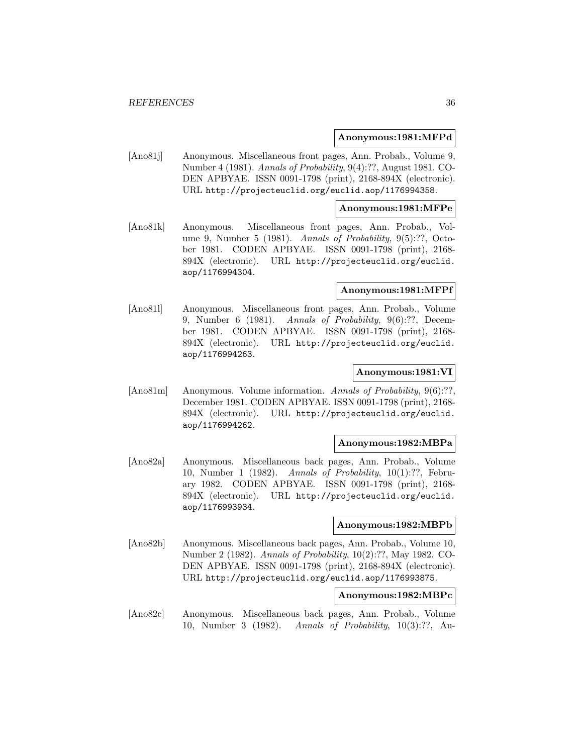#### **Anonymous:1981:MFPd**

[Ano81j] Anonymous. Miscellaneous front pages, Ann. Probab., Volume 9, Number 4 (1981). Annals of Probability, 9(4):??, August 1981. CO-DEN APBYAE. ISSN 0091-1798 (print), 2168-894X (electronic). URL http://projecteuclid.org/euclid.aop/1176994358.

#### **Anonymous:1981:MFPe**

[Ano81k] Anonymous. Miscellaneous front pages, Ann. Probab., Volume 9, Number 5 (1981). Annals of Probability, 9(5):??, October 1981. CODEN APBYAE. ISSN 0091-1798 (print), 2168- 894X (electronic). URL http://projecteuclid.org/euclid. aop/1176994304.

#### **Anonymous:1981:MFPf**

[Ano81l] Anonymous. Miscellaneous front pages, Ann. Probab., Volume 9, Number 6 (1981). Annals of Probability,  $9(6)$ :??, December 1981. CODEN APBYAE. ISSN 0091-1798 (print), 2168- 894X (electronic). URL http://projecteuclid.org/euclid. aop/1176994263.

#### **Anonymous:1981:VI**

[Ano81m] Anonymous. Volume information. Annals of Probability, 9(6):??, December 1981. CODEN APBYAE. ISSN 0091-1798 (print), 2168- 894X (electronic). URL http://projecteuclid.org/euclid. aop/1176994262.

#### **Anonymous:1982:MBPa**

[Ano82a] Anonymous. Miscellaneous back pages, Ann. Probab., Volume 10, Number 1 (1982). Annals of Probability, 10(1):??, February 1982. CODEN APBYAE. ISSN 0091-1798 (print), 2168- 894X (electronic). URL http://projecteuclid.org/euclid. aop/1176993934.

#### **Anonymous:1982:MBPb**

[Ano82b] Anonymous. Miscellaneous back pages, Ann. Probab., Volume 10, Number 2 (1982). Annals of Probability, 10(2):??, May 1982. CO-DEN APBYAE. ISSN 0091-1798 (print), 2168-894X (electronic). URL http://projecteuclid.org/euclid.aop/1176993875.

## **Anonymous:1982:MBPc**

[Ano82c] Anonymous. Miscellaneous back pages, Ann. Probab., Volume 10, Number 3 (1982). Annals of Probability, 10(3):??, Au-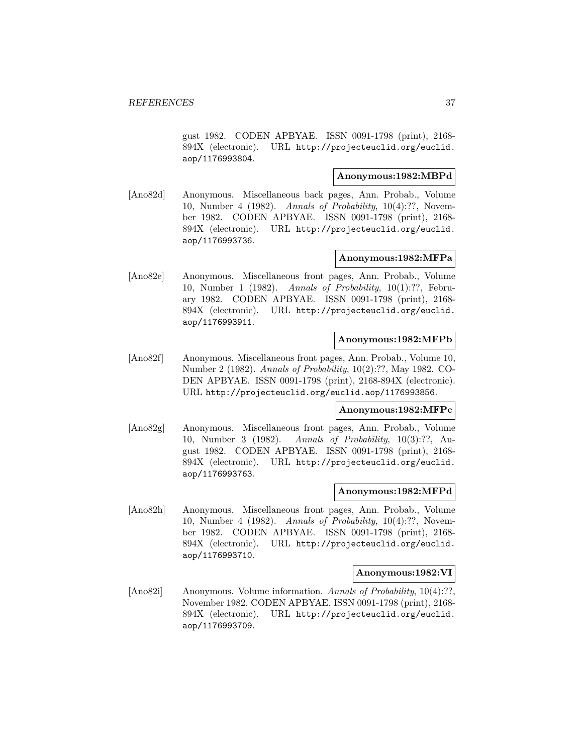gust 1982. CODEN APBYAE. ISSN 0091-1798 (print), 2168- 894X (electronic). URL http://projecteuclid.org/euclid. aop/1176993804.

## **Anonymous:1982:MBPd**

[Ano82d] Anonymous. Miscellaneous back pages, Ann. Probab., Volume 10, Number 4 (1982). Annals of Probability, 10(4):??, November 1982. CODEN APBYAE. ISSN 0091-1798 (print), 2168- 894X (electronic). URL http://projecteuclid.org/euclid. aop/1176993736.

## **Anonymous:1982:MFPa**

[Ano82e] Anonymous. Miscellaneous front pages, Ann. Probab., Volume 10, Number 1 (1982). Annals of Probability, 10(1):??, February 1982. CODEN APBYAE. ISSN 0091-1798 (print), 2168- 894X (electronic). URL http://projecteuclid.org/euclid. aop/1176993911.

## **Anonymous:1982:MFPb**

[Ano82f] Anonymous. Miscellaneous front pages, Ann. Probab., Volume 10, Number 2 (1982). Annals of Probability, 10(2):??, May 1982. CO-DEN APBYAE. ISSN 0091-1798 (print), 2168-894X (electronic). URL http://projecteuclid.org/euclid.aop/1176993856.

## **Anonymous:1982:MFPc**

[Ano82g] Anonymous. Miscellaneous front pages, Ann. Probab., Volume 10, Number 3 (1982). Annals of Probability, 10(3):??, August 1982. CODEN APBYAE. ISSN 0091-1798 (print), 2168- 894X (electronic). URL http://projecteuclid.org/euclid. aop/1176993763.

## **Anonymous:1982:MFPd**

[Ano82h] Anonymous. Miscellaneous front pages, Ann. Probab., Volume 10, Number 4 (1982). Annals of Probability, 10(4):??, November 1982. CODEN APBYAE. ISSN 0091-1798 (print), 2168- 894X (electronic). URL http://projecteuclid.org/euclid. aop/1176993710.

#### **Anonymous:1982:VI**

[Ano82i] Anonymous. Volume information. Annals of Probability, 10(4):??, November 1982. CODEN APBYAE. ISSN 0091-1798 (print), 2168- 894X (electronic). URL http://projecteuclid.org/euclid. aop/1176993709.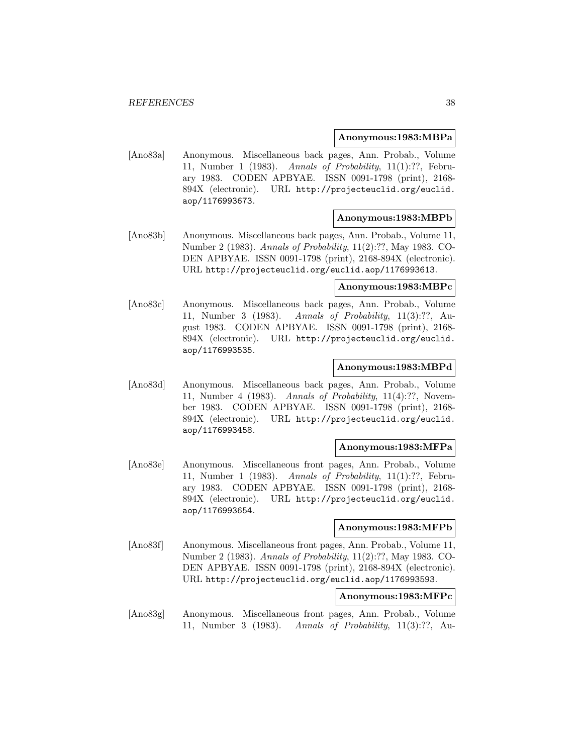### **Anonymous:1983:MBPa**

[Ano83a] Anonymous. Miscellaneous back pages, Ann. Probab., Volume 11, Number 1 (1983). Annals of Probability, 11(1):??, February 1983. CODEN APBYAE. ISSN 0091-1798 (print), 2168- 894X (electronic). URL http://projecteuclid.org/euclid. aop/1176993673.

### **Anonymous:1983:MBPb**

[Ano83b] Anonymous. Miscellaneous back pages, Ann. Probab., Volume 11, Number 2 (1983). Annals of Probability, 11(2):??, May 1983. CO-DEN APBYAE. ISSN 0091-1798 (print), 2168-894X (electronic). URL http://projecteuclid.org/euclid.aop/1176993613.

## **Anonymous:1983:MBPc**

[Ano83c] Anonymous. Miscellaneous back pages, Ann. Probab., Volume 11, Number 3 (1983). Annals of Probability, 11(3):??, August 1983. CODEN APBYAE. ISSN 0091-1798 (print), 2168- 894X (electronic). URL http://projecteuclid.org/euclid. aop/1176993535.

## **Anonymous:1983:MBPd**

[Ano83d] Anonymous. Miscellaneous back pages, Ann. Probab., Volume 11, Number 4 (1983). Annals of Probability, 11(4):??, November 1983. CODEN APBYAE. ISSN 0091-1798 (print), 2168- 894X (electronic). URL http://projecteuclid.org/euclid. aop/1176993458.

#### **Anonymous:1983:MFPa**

[Ano83e] Anonymous. Miscellaneous front pages, Ann. Probab., Volume 11, Number 1 (1983). Annals of Probability, 11(1):??, February 1983. CODEN APBYAE. ISSN 0091-1798 (print), 2168- 894X (electronic). URL http://projecteuclid.org/euclid. aop/1176993654.

#### **Anonymous:1983:MFPb**

[Ano83f] Anonymous. Miscellaneous front pages, Ann. Probab., Volume 11, Number 2 (1983). Annals of Probability, 11(2):??, May 1983. CO-DEN APBYAE. ISSN 0091-1798 (print), 2168-894X (electronic). URL http://projecteuclid.org/euclid.aop/1176993593.

## **Anonymous:1983:MFPc**

[Ano83g] Anonymous. Miscellaneous front pages, Ann. Probab., Volume 11, Number 3 (1983). Annals of Probability, 11(3):??, Au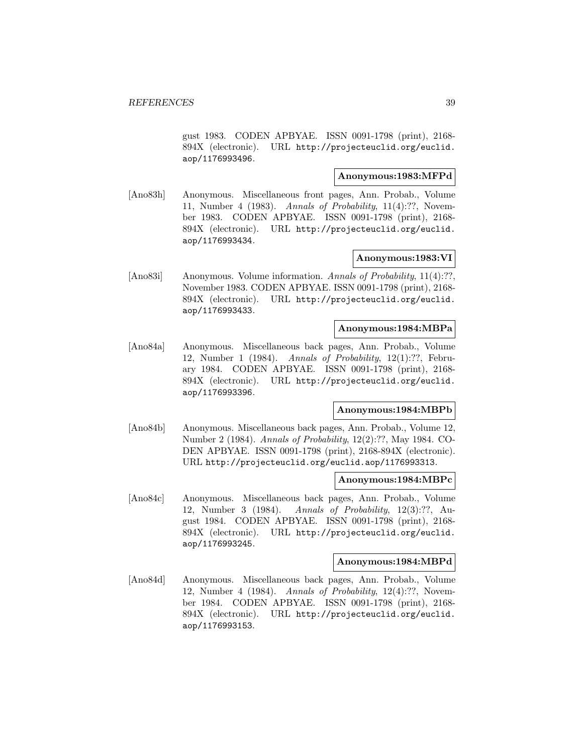gust 1983. CODEN APBYAE. ISSN 0091-1798 (print), 2168- 894X (electronic). URL http://projecteuclid.org/euclid. aop/1176993496.

## **Anonymous:1983:MFPd**

[Ano83h] Anonymous. Miscellaneous front pages, Ann. Probab., Volume 11, Number 4 (1983). Annals of Probability, 11(4):??, November 1983. CODEN APBYAE. ISSN 0091-1798 (print), 2168- 894X (electronic). URL http://projecteuclid.org/euclid. aop/1176993434.

## **Anonymous:1983:VI**

[Ano83i] Anonymous. Volume information. Annals of Probability, 11(4):??, November 1983. CODEN APBYAE. ISSN 0091-1798 (print), 2168- 894X (electronic). URL http://projecteuclid.org/euclid. aop/1176993433.

## **Anonymous:1984:MBPa**

[Ano84a] Anonymous. Miscellaneous back pages, Ann. Probab., Volume 12, Number 1 (1984). Annals of Probability, 12(1):??, February 1984. CODEN APBYAE. ISSN 0091-1798 (print), 2168- 894X (electronic). URL http://projecteuclid.org/euclid. aop/1176993396.

# **Anonymous:1984:MBPb**

[Ano84b] Anonymous. Miscellaneous back pages, Ann. Probab., Volume 12, Number 2 (1984). Annals of Probability, 12(2):??, May 1984. CO-DEN APBYAE. ISSN 0091-1798 (print), 2168-894X (electronic). URL http://projecteuclid.org/euclid.aop/1176993313.

### **Anonymous:1984:MBPc**

[Ano84c] Anonymous. Miscellaneous back pages, Ann. Probab., Volume 12, Number 3 (1984). Annals of Probability, 12(3):??, August 1984. CODEN APBYAE. ISSN 0091-1798 (print), 2168- 894X (electronic). URL http://projecteuclid.org/euclid. aop/1176993245.

#### **Anonymous:1984:MBPd**

[Ano84d] Anonymous. Miscellaneous back pages, Ann. Probab., Volume 12, Number 4 (1984). Annals of Probability, 12(4):??, November 1984. CODEN APBYAE. ISSN 0091-1798 (print), 2168- 894X (electronic). URL http://projecteuclid.org/euclid. aop/1176993153.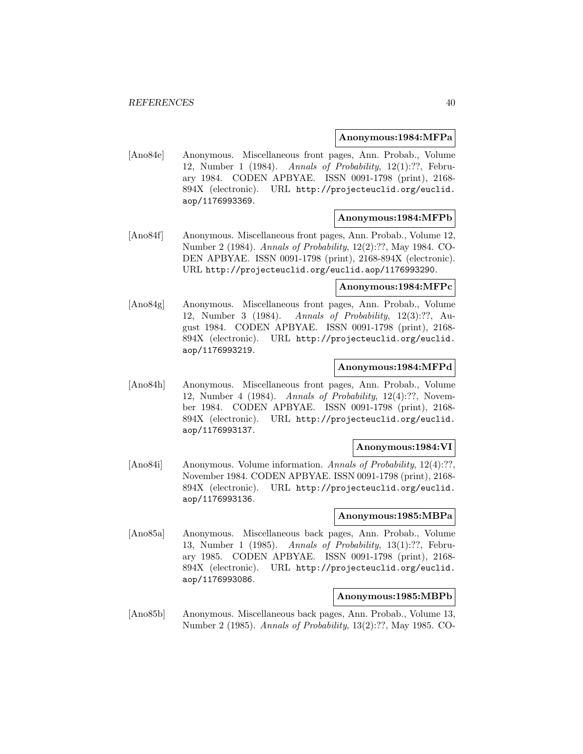### **Anonymous:1984:MFPa**

[Ano84e] Anonymous. Miscellaneous front pages, Ann. Probab., Volume 12, Number 1 (1984). Annals of Probability, 12(1):??, February 1984. CODEN APBYAE. ISSN 0091-1798 (print), 2168- 894X (electronic). URL http://projecteuclid.org/euclid. aop/1176993369.

### **Anonymous:1984:MFPb**

[Ano84f] Anonymous. Miscellaneous front pages, Ann. Probab., Volume 12, Number 2 (1984). Annals of Probability, 12(2):??, May 1984. CO-DEN APBYAE. ISSN 0091-1798 (print), 2168-894X (electronic). URL http://projecteuclid.org/euclid.aop/1176993290.

## **Anonymous:1984:MFPc**

[Ano84g] Anonymous. Miscellaneous front pages, Ann. Probab., Volume 12, Number 3 (1984). Annals of Probability, 12(3):??, August 1984. CODEN APBYAE. ISSN 0091-1798 (print), 2168- 894X (electronic). URL http://projecteuclid.org/euclid. aop/1176993219.

# **Anonymous:1984:MFPd**

[Ano84h] Anonymous. Miscellaneous front pages, Ann. Probab., Volume 12, Number 4 (1984). Annals of Probability, 12(4):??, November 1984. CODEN APBYAE. ISSN 0091-1798 (print), 2168- 894X (electronic). URL http://projecteuclid.org/euclid. aop/1176993137.

#### **Anonymous:1984:VI**

[Ano84i] Anonymous. Volume information. Annals of Probability, 12(4):??, November 1984. CODEN APBYAE. ISSN 0091-1798 (print), 2168- 894X (electronic). URL http://projecteuclid.org/euclid. aop/1176993136.

#### **Anonymous:1985:MBPa**

[Ano85a] Anonymous. Miscellaneous back pages, Ann. Probab., Volume 13, Number 1 (1985). Annals of Probability, 13(1):??, February 1985. CODEN APBYAE. ISSN 0091-1798 (print), 2168- 894X (electronic). URL http://projecteuclid.org/euclid. aop/1176993086.

## **Anonymous:1985:MBPb**

[Ano85b] Anonymous. Miscellaneous back pages, Ann. Probab., Volume 13, Number 2 (1985). Annals of Probability, 13(2):??, May 1985. CO-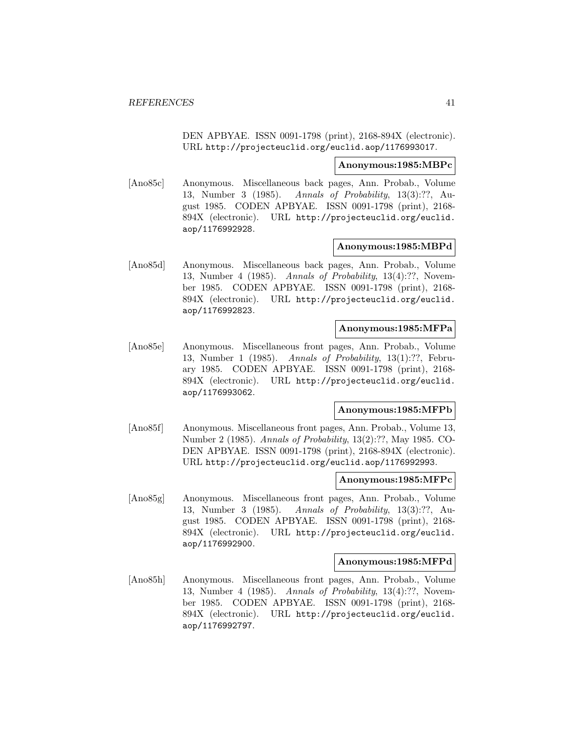DEN APBYAE. ISSN 0091-1798 (print), 2168-894X (electronic). URL http://projecteuclid.org/euclid.aop/1176993017.

#### **Anonymous:1985:MBPc**

[Ano85c] Anonymous. Miscellaneous back pages, Ann. Probab., Volume 13, Number 3 (1985). Annals of Probability, 13(3):??, August 1985. CODEN APBYAE. ISSN 0091-1798 (print), 2168- 894X (electronic). URL http://projecteuclid.org/euclid. aop/1176992928.

#### **Anonymous:1985:MBPd**

[Ano85d] Anonymous. Miscellaneous back pages, Ann. Probab., Volume 13, Number 4 (1985). Annals of Probability, 13(4):??, November 1985. CODEN APBYAE. ISSN 0091-1798 (print), 2168- 894X (electronic). URL http://projecteuclid.org/euclid. aop/1176992823.

## **Anonymous:1985:MFPa**

[Ano85e] Anonymous. Miscellaneous front pages, Ann. Probab., Volume 13, Number 1 (1985). Annals of Probability, 13(1):??, February 1985. CODEN APBYAE. ISSN 0091-1798 (print), 2168- 894X (electronic). URL http://projecteuclid.org/euclid. aop/1176993062.

# **Anonymous:1985:MFPb**

[Ano85f] Anonymous. Miscellaneous front pages, Ann. Probab., Volume 13, Number 2 (1985). Annals of Probability, 13(2):??, May 1985. CO-DEN APBYAE. ISSN 0091-1798 (print), 2168-894X (electronic). URL http://projecteuclid.org/euclid.aop/1176992993.

#### **Anonymous:1985:MFPc**

[Ano85g] Anonymous. Miscellaneous front pages, Ann. Probab., Volume 13, Number 3 (1985). Annals of Probability, 13(3):??, August 1985. CODEN APBYAE. ISSN 0091-1798 (print), 2168- 894X (electronic). URL http://projecteuclid.org/euclid. aop/1176992900.

#### **Anonymous:1985:MFPd**

[Ano85h] Anonymous. Miscellaneous front pages, Ann. Probab., Volume 13, Number 4 (1985). Annals of Probability, 13(4):??, November 1985. CODEN APBYAE. ISSN 0091-1798 (print), 2168- 894X (electronic). URL http://projecteuclid.org/euclid. aop/1176992797.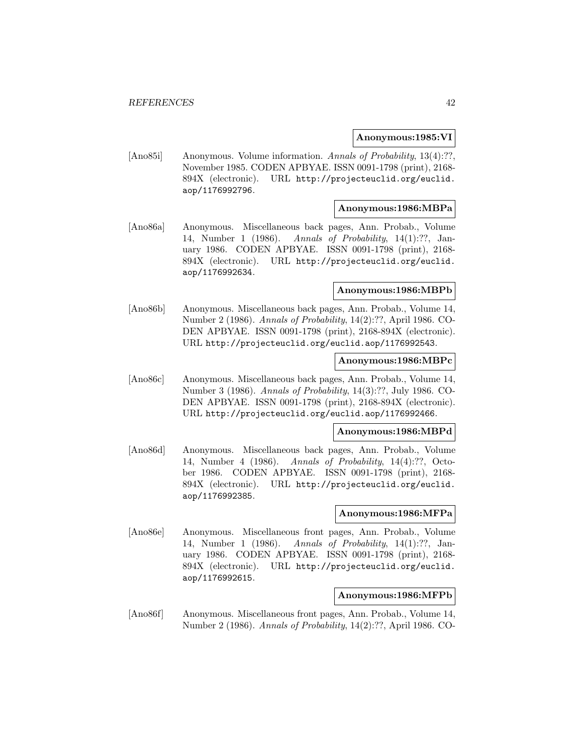### **Anonymous:1985:VI**

[Ano85i] Anonymous. Volume information. Annals of Probability, 13(4):??, November 1985. CODEN APBYAE. ISSN 0091-1798 (print), 2168- 894X (electronic). URL http://projecteuclid.org/euclid. aop/1176992796.

## **Anonymous:1986:MBPa**

[Ano86a] Anonymous. Miscellaneous back pages, Ann. Probab., Volume 14, Number 1 (1986). Annals of Probability, 14(1):??, January 1986. CODEN APBYAE. ISSN 0091-1798 (print), 2168- 894X (electronic). URL http://projecteuclid.org/euclid. aop/1176992634.

#### **Anonymous:1986:MBPb**

[Ano86b] Anonymous. Miscellaneous back pages, Ann. Probab., Volume 14, Number 2 (1986). Annals of Probability, 14(2):??, April 1986. CO-DEN APBYAE. ISSN 0091-1798 (print), 2168-894X (electronic). URL http://projecteuclid.org/euclid.aop/1176992543.

### **Anonymous:1986:MBPc**

[Ano86c] Anonymous. Miscellaneous back pages, Ann. Probab., Volume 14, Number 3 (1986). Annals of Probability, 14(3):??, July 1986. CO-DEN APBYAE. ISSN 0091-1798 (print), 2168-894X (electronic). URL http://projecteuclid.org/euclid.aop/1176992466.

#### **Anonymous:1986:MBPd**

[Ano86d] Anonymous. Miscellaneous back pages, Ann. Probab., Volume 14, Number 4 (1986). Annals of Probability, 14(4):??, October 1986. CODEN APBYAE. ISSN 0091-1798 (print), 2168- 894X (electronic). URL http://projecteuclid.org/euclid. aop/1176992385.

### **Anonymous:1986:MFPa**

[Ano86e] Anonymous. Miscellaneous front pages, Ann. Probab., Volume 14, Number 1 (1986). Annals of Probability, 14(1):??, January 1986. CODEN APBYAE. ISSN 0091-1798 (print), 2168- 894X (electronic). URL http://projecteuclid.org/euclid. aop/1176992615.

### **Anonymous:1986:MFPb**

[Ano86f] Anonymous. Miscellaneous front pages, Ann. Probab., Volume 14, Number 2 (1986). Annals of Probability, 14(2):??, April 1986. CO-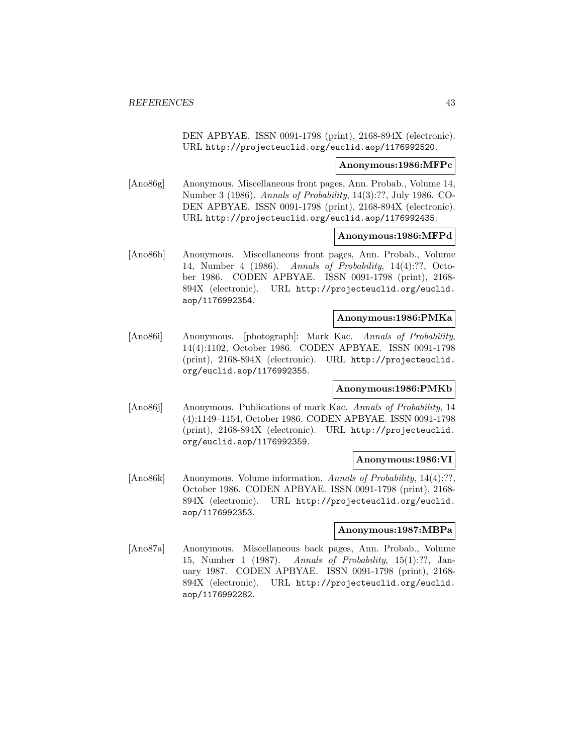DEN APBYAE. ISSN 0091-1798 (print), 2168-894X (electronic). URL http://projecteuclid.org/euclid.aop/1176992520.

#### **Anonymous:1986:MFPc**

[Ano86g] Anonymous. Miscellaneous front pages, Ann. Probab., Volume 14, Number 3 (1986). Annals of Probability, 14(3):??, July 1986. CO-DEN APBYAE. ISSN 0091-1798 (print), 2168-894X (electronic). URL http://projecteuclid.org/euclid.aop/1176992435.

### **Anonymous:1986:MFPd**

[Ano86h] Anonymous. Miscellaneous front pages, Ann. Probab., Volume 14, Number 4 (1986). Annals of Probability, 14(4):??, October 1986. CODEN APBYAE. ISSN 0091-1798 (print), 2168- 894X (electronic). URL http://projecteuclid.org/euclid. aop/1176992354.

## **Anonymous:1986:PMKa**

[Ano86i] Anonymous. [photograph]: Mark Kac. Annals of Probability, 14(4):1102, October 1986. CODEN APBYAE. ISSN 0091-1798 (print), 2168-894X (electronic). URL http://projecteuclid. org/euclid.aop/1176992355.

#### **Anonymous:1986:PMKb**

[Ano86j] Anonymous. Publications of mark Kac. Annals of Probability, 14 (4):1149–1154, October 1986. CODEN APBYAE. ISSN 0091-1798 (print), 2168-894X (electronic). URL http://projecteuclid. org/euclid.aop/1176992359.

### **Anonymous:1986:VI**

[Ano86k] Anonymous. Volume information. Annals of Probability, 14(4):??, October 1986. CODEN APBYAE. ISSN 0091-1798 (print), 2168- 894X (electronic). URL http://projecteuclid.org/euclid. aop/1176992353.

#### **Anonymous:1987:MBPa**

[Ano87a] Anonymous. Miscellaneous back pages, Ann. Probab., Volume 15, Number 1 (1987). Annals of Probability, 15(1):??, January 1987. CODEN APBYAE. ISSN 0091-1798 (print), 2168- 894X (electronic). URL http://projecteuclid.org/euclid. aop/1176992282.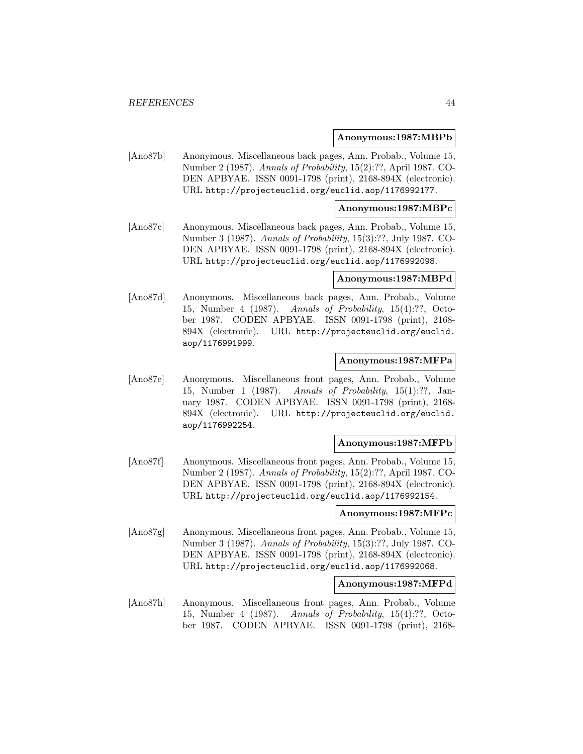**Anonymous:1987:MBPb**

[Ano87b] Anonymous. Miscellaneous back pages, Ann. Probab., Volume 15, Number 2 (1987). Annals of Probability, 15(2):??, April 1987. CO-DEN APBYAE. ISSN 0091-1798 (print), 2168-894X (electronic). URL http://projecteuclid.org/euclid.aop/1176992177.

### **Anonymous:1987:MBPc**

[Ano87c] Anonymous. Miscellaneous back pages, Ann. Probab., Volume 15, Number 3 (1987). Annals of Probability, 15(3):??, July 1987. CO-DEN APBYAE. ISSN 0091-1798 (print), 2168-894X (electronic). URL http://projecteuclid.org/euclid.aop/1176992098.

#### **Anonymous:1987:MBPd**

[Ano87d] Anonymous. Miscellaneous back pages, Ann. Probab., Volume 15, Number 4 (1987). Annals of Probability, 15(4):??, October 1987. CODEN APBYAE. ISSN 0091-1798 (print), 2168- 894X (electronic). URL http://projecteuclid.org/euclid. aop/1176991999.

### **Anonymous:1987:MFPa**

[Ano87e] Anonymous. Miscellaneous front pages, Ann. Probab., Volume 15, Number 1 (1987). Annals of Probability, 15(1):??, January 1987. CODEN APBYAE. ISSN 0091-1798 (print), 2168- 894X (electronic). URL http://projecteuclid.org/euclid. aop/1176992254.

## **Anonymous:1987:MFPb**

[Ano87f] Anonymous. Miscellaneous front pages, Ann. Probab., Volume 15, Number 2 (1987). Annals of Probability, 15(2):??, April 1987. CO-DEN APBYAE. ISSN 0091-1798 (print), 2168-894X (electronic). URL http://projecteuclid.org/euclid.aop/1176992154.

#### **Anonymous:1987:MFPc**

[Ano87g] Anonymous. Miscellaneous front pages, Ann. Probab., Volume 15, Number 3 (1987). Annals of Probability, 15(3):??, July 1987. CO-DEN APBYAE. ISSN 0091-1798 (print), 2168-894X (electronic). URL http://projecteuclid.org/euclid.aop/1176992068.

#### **Anonymous:1987:MFPd**

[Ano87h] Anonymous. Miscellaneous front pages, Ann. Probab., Volume 15, Number 4 (1987). Annals of Probability, 15(4):??, October 1987. CODEN APBYAE. ISSN 0091-1798 (print), 2168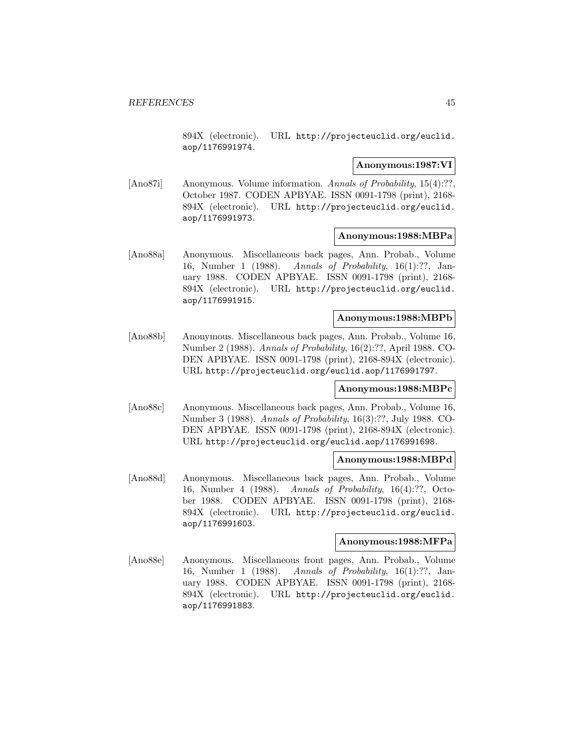894X (electronic). URL http://projecteuclid.org/euclid. aop/1176991974.

### **Anonymous:1987:VI**

[Ano87i] Anonymous. Volume information. Annals of Probability, 15(4):??, October 1987. CODEN APBYAE. ISSN 0091-1798 (print), 2168- 894X (electronic). URL http://projecteuclid.org/euclid. aop/1176991973.

## **Anonymous:1988:MBPa**

[Ano88a] Anonymous. Miscellaneous back pages, Ann. Probab., Volume 16, Number 1 (1988). Annals of Probability, 16(1):??, January 1988. CODEN APBYAE. ISSN 0091-1798 (print), 2168- 894X (electronic). URL http://projecteuclid.org/euclid. aop/1176991915.

## **Anonymous:1988:MBPb**

[Ano88b] Anonymous. Miscellaneous back pages, Ann. Probab., Volume 16, Number 2 (1988). Annals of Probability, 16(2):??, April 1988. CO-DEN APBYAE. ISSN 0091-1798 (print), 2168-894X (electronic). URL http://projecteuclid.org/euclid.aop/1176991797.

#### **Anonymous:1988:MBPc**

[Ano88c] Anonymous. Miscellaneous back pages, Ann. Probab., Volume 16, Number 3 (1988). Annals of Probability, 16(3):??, July 1988. CO-DEN APBYAE. ISSN 0091-1798 (print), 2168-894X (electronic). URL http://projecteuclid.org/euclid.aop/1176991698.

#### **Anonymous:1988:MBPd**

[Ano88d] Anonymous. Miscellaneous back pages, Ann. Probab., Volume 16, Number 4 (1988). Annals of Probability, 16(4):??, October 1988. CODEN APBYAE. ISSN 0091-1798 (print), 2168- 894X (electronic). URL http://projecteuclid.org/euclid. aop/1176991603.

#### **Anonymous:1988:MFPa**

[Ano88e] Anonymous. Miscellaneous front pages, Ann. Probab., Volume 16, Number 1 (1988). Annals of Probability, 16(1):??, January 1988. CODEN APBYAE. ISSN 0091-1798 (print), 2168- 894X (electronic). URL http://projecteuclid.org/euclid. aop/1176991883.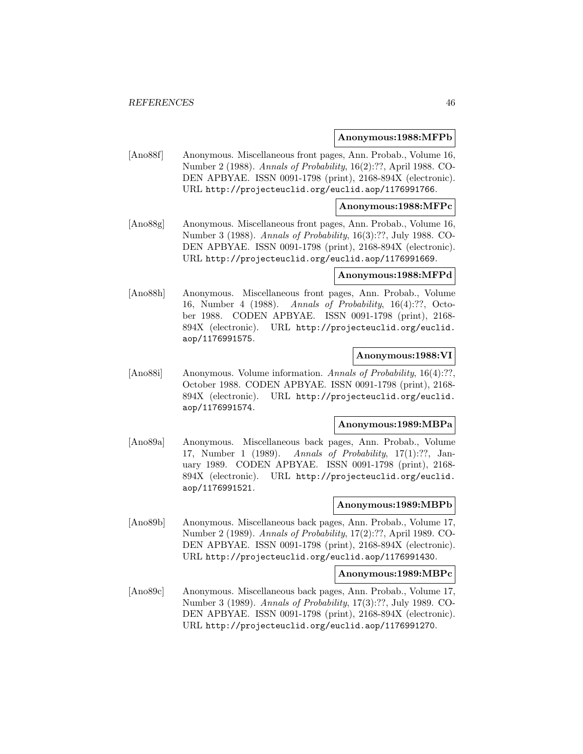#### **Anonymous:1988:MFPb**

[Ano88f] Anonymous. Miscellaneous front pages, Ann. Probab., Volume 16, Number 2 (1988). Annals of Probability, 16(2):??, April 1988. CO-DEN APBYAE. ISSN 0091-1798 (print), 2168-894X (electronic). URL http://projecteuclid.org/euclid.aop/1176991766.

### **Anonymous:1988:MFPc**

[Ano88g] Anonymous. Miscellaneous front pages, Ann. Probab., Volume 16, Number 3 (1988). Annals of Probability, 16(3):??, July 1988. CO-DEN APBYAE. ISSN 0091-1798 (print), 2168-894X (electronic). URL http://projecteuclid.org/euclid.aop/1176991669.

#### **Anonymous:1988:MFPd**

[Ano88h] Anonymous. Miscellaneous front pages, Ann. Probab., Volume 16, Number 4 (1988). Annals of Probability, 16(4):??, October 1988. CODEN APBYAE. ISSN 0091-1798 (print), 2168- 894X (electronic). URL http://projecteuclid.org/euclid. aop/1176991575.

### **Anonymous:1988:VI**

[Ano88i] Anonymous. Volume information. Annals of Probability, 16(4):??, October 1988. CODEN APBYAE. ISSN 0091-1798 (print), 2168- 894X (electronic). URL http://projecteuclid.org/euclid. aop/1176991574.

### **Anonymous:1989:MBPa**

[Ano89a] Anonymous. Miscellaneous back pages, Ann. Probab., Volume 17, Number 1 (1989). Annals of Probability, 17(1):??, January 1989. CODEN APBYAE. ISSN 0091-1798 (print), 2168- 894X (electronic). URL http://projecteuclid.org/euclid. aop/1176991521.

#### **Anonymous:1989:MBPb**

[Ano89b] Anonymous. Miscellaneous back pages, Ann. Probab., Volume 17, Number 2 (1989). Annals of Probability, 17(2):??, April 1989. CO-DEN APBYAE. ISSN 0091-1798 (print), 2168-894X (electronic). URL http://projecteuclid.org/euclid.aop/1176991430.

#### **Anonymous:1989:MBPc**

[Ano89c] Anonymous. Miscellaneous back pages, Ann. Probab., Volume 17, Number 3 (1989). Annals of Probability, 17(3):??, July 1989. CO-DEN APBYAE. ISSN 0091-1798 (print), 2168-894X (electronic). URL http://projecteuclid.org/euclid.aop/1176991270.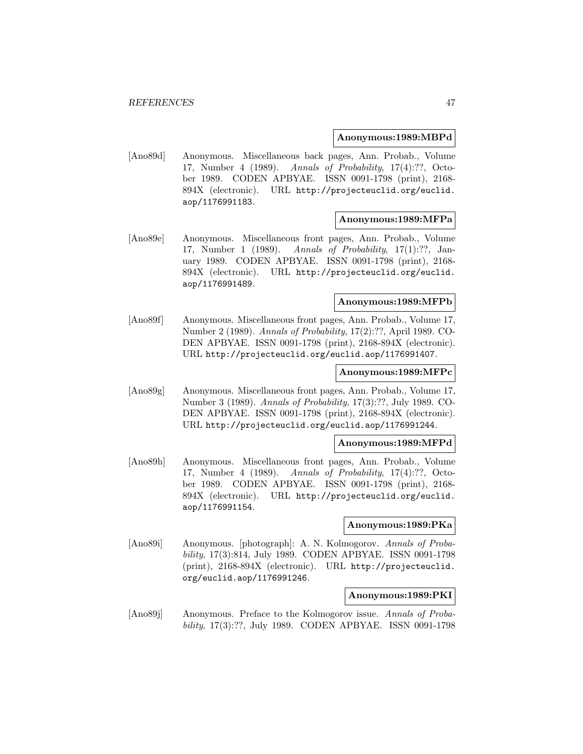### **Anonymous:1989:MBPd**

[Ano89d] Anonymous. Miscellaneous back pages, Ann. Probab., Volume 17, Number 4 (1989). Annals of Probability, 17(4):??, October 1989. CODEN APBYAE. ISSN 0091-1798 (print), 2168- 894X (electronic). URL http://projecteuclid.org/euclid. aop/1176991183.

## **Anonymous:1989:MFPa**

[Ano89e] Anonymous. Miscellaneous front pages, Ann. Probab., Volume 17, Number 1 (1989). Annals of Probability, 17(1):??, January 1989. CODEN APBYAE. ISSN 0091-1798 (print), 2168- 894X (electronic). URL http://projecteuclid.org/euclid. aop/1176991489.

### **Anonymous:1989:MFPb**

[Ano89f] Anonymous. Miscellaneous front pages, Ann. Probab., Volume 17, Number 2 (1989). Annals of Probability, 17(2):??, April 1989. CO-DEN APBYAE. ISSN 0091-1798 (print), 2168-894X (electronic). URL http://projecteuclid.org/euclid.aop/1176991407.

## **Anonymous:1989:MFPc**

[Ano89g] Anonymous. Miscellaneous front pages, Ann. Probab., Volume 17, Number 3 (1989). Annals of Probability, 17(3):??, July 1989. CO-DEN APBYAE. ISSN 0091-1798 (print), 2168-894X (electronic). URL http://projecteuclid.org/euclid.aop/1176991244.

## **Anonymous:1989:MFPd**

[Ano89h] Anonymous. Miscellaneous front pages, Ann. Probab., Volume 17, Number 4 (1989). Annals of Probability, 17(4):??, October 1989. CODEN APBYAE. ISSN 0091-1798 (print), 2168- 894X (electronic). URL http://projecteuclid.org/euclid. aop/1176991154.

#### **Anonymous:1989:PKa**

[Ano89i] Anonymous. [photograph]: A. N. Kolmogorov. Annals of Probability, 17(3):814, July 1989. CODEN APBYAE. ISSN 0091-1798 (print), 2168-894X (electronic). URL http://projecteuclid. org/euclid.aop/1176991246.

## **Anonymous:1989:PKI**

[Ano89j] Anonymous. Preface to the Kolmogorov issue. Annals of Probability, 17(3):??, July 1989. CODEN APBYAE. ISSN 0091-1798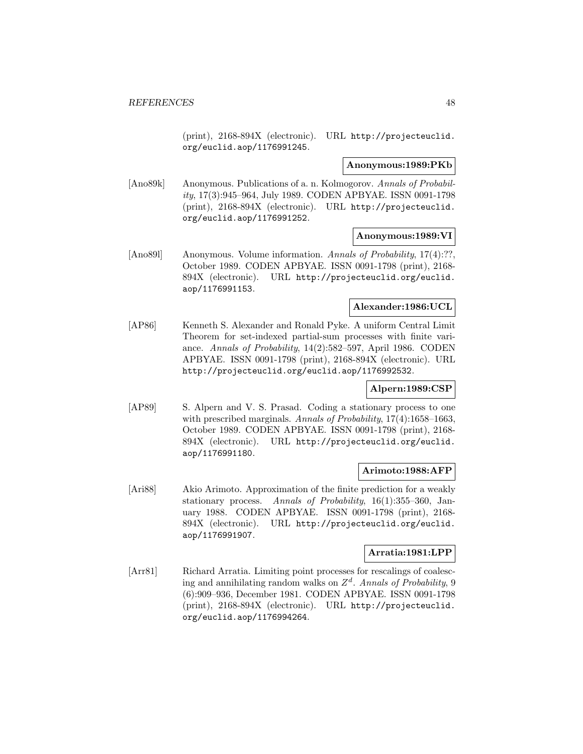(print), 2168-894X (electronic). URL http://projecteuclid. org/euclid.aop/1176991245.

#### **Anonymous:1989:PKb**

[Ano89k] Anonymous. Publications of a. n. Kolmogorov. Annals of Probability, 17(3):945–964, July 1989. CODEN APBYAE. ISSN 0091-1798 (print), 2168-894X (electronic). URL http://projecteuclid. org/euclid.aop/1176991252.

## **Anonymous:1989:VI**

[Ano891] Anonymous. Volume information. Annals of Probability, 17(4):??, October 1989. CODEN APBYAE. ISSN 0091-1798 (print), 2168- 894X (electronic). URL http://projecteuclid.org/euclid. aop/1176991153.

### **Alexander:1986:UCL**

[AP86] Kenneth S. Alexander and Ronald Pyke. A uniform Central Limit Theorem for set-indexed partial-sum processes with finite variance. Annals of Probability, 14(2):582–597, April 1986. CODEN APBYAE. ISSN 0091-1798 (print), 2168-894X (electronic). URL http://projecteuclid.org/euclid.aop/1176992532.

## **Alpern:1989:CSP**

[AP89] S. Alpern and V. S. Prasad. Coding a stationary process to one with prescribed marginals. Annals of Probability, 17(4):1658-1663, October 1989. CODEN APBYAE. ISSN 0091-1798 (print), 2168- 894X (electronic). URL http://projecteuclid.org/euclid. aop/1176991180.

## **Arimoto:1988:AFP**

[Ari88] Akio Arimoto. Approximation of the finite prediction for a weakly stationary process. Annals of Probability, 16(1):355–360, January 1988. CODEN APBYAE. ISSN 0091-1798 (print), 2168- 894X (electronic). URL http://projecteuclid.org/euclid. aop/1176991907.

## **Arratia:1981:LPP**

[Arr81] Richard Arratia. Limiting point processes for rescalings of coalescing and annihilating random walks on  $Z<sup>d</sup>$ . Annals of Probability, 9 (6):909–936, December 1981. CODEN APBYAE. ISSN 0091-1798 (print), 2168-894X (electronic). URL http://projecteuclid. org/euclid.aop/1176994264.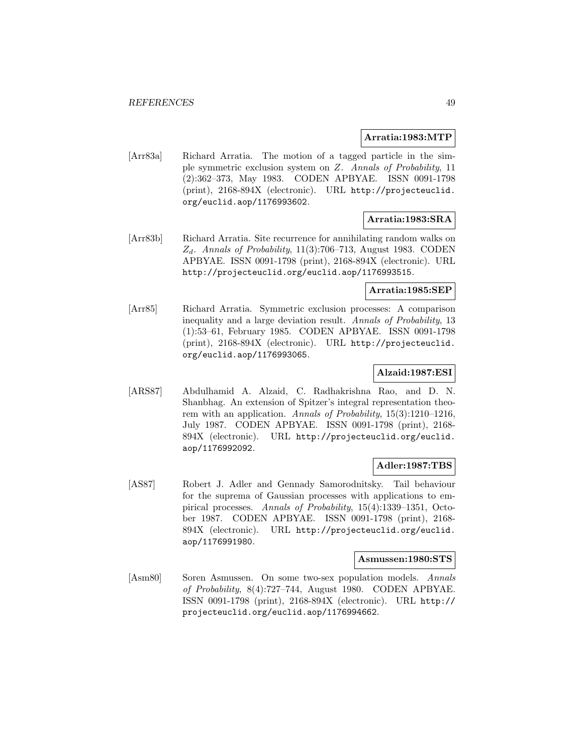### **Arratia:1983:MTP**

[Arr83a] Richard Arratia. The motion of a tagged particle in the simple symmetric exclusion system on Z. Annals of Probability, 11 (2):362–373, May 1983. CODEN APBYAE. ISSN 0091-1798 (print), 2168-894X (electronic). URL http://projecteuclid. org/euclid.aop/1176993602.

## **Arratia:1983:SRA**

[Arr83b] Richard Arratia. Site recurrence for annihilating random walks on  $Z_d$ . Annals of Probability, 11(3):706–713, August 1983. CODEN APBYAE. ISSN 0091-1798 (print), 2168-894X (electronic). URL http://projecteuclid.org/euclid.aop/1176993515.

## **Arratia:1985:SEP**

[Arr85] Richard Arratia. Symmetric exclusion processes: A comparison inequality and a large deviation result. Annals of Probability, 13 (1):53–61, February 1985. CODEN APBYAE. ISSN 0091-1798 (print), 2168-894X (electronic). URL http://projecteuclid. org/euclid.aop/1176993065.

## **Alzaid:1987:ESI**

[ARS87] Abdulhamid A. Alzaid, C. Radhakrishna Rao, and D. N. Shanbhag. An extension of Spitzer's integral representation theorem with an application. Annals of Probability,  $15(3):1210-1216$ , July 1987. CODEN APBYAE. ISSN 0091-1798 (print), 2168- 894X (electronic). URL http://projecteuclid.org/euclid. aop/1176992092.

## **Adler:1987:TBS**

[AS87] Robert J. Adler and Gennady Samorodnitsky. Tail behaviour for the suprema of Gaussian processes with applications to empirical processes. Annals of Probability, 15(4):1339–1351, October 1987. CODEN APBYAE. ISSN 0091-1798 (print), 2168- 894X (electronic). URL http://projecteuclid.org/euclid. aop/1176991980.

#### **Asmussen:1980:STS**

[Asm80] Soren Asmussen. On some two-sex population models. Annals of Probability, 8(4):727–744, August 1980. CODEN APBYAE. ISSN 0091-1798 (print), 2168-894X (electronic). URL http:// projecteuclid.org/euclid.aop/1176994662.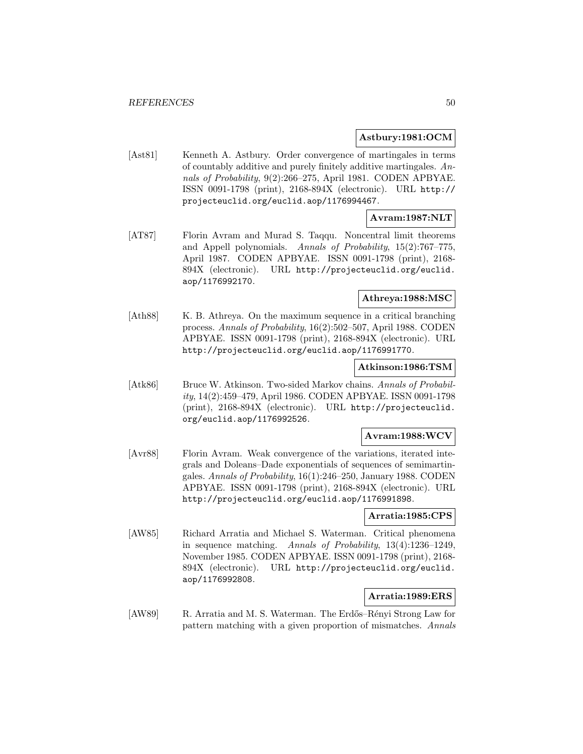## **Astbury:1981:OCM**

[Ast81] Kenneth A. Astbury. Order convergence of martingales in terms of countably additive and purely finitely additive martingales. Annals of Probability, 9(2):266–275, April 1981. CODEN APBYAE. ISSN 0091-1798 (print), 2168-894X (electronic). URL http:// projecteuclid.org/euclid.aop/1176994467.

# **Avram:1987:NLT**

[AT87] Florin Avram and Murad S. Taqqu. Noncentral limit theorems and Appell polynomials. Annals of Probability, 15(2):767–775, April 1987. CODEN APBYAE. ISSN 0091-1798 (print), 2168- 894X (electronic). URL http://projecteuclid.org/euclid. aop/1176992170.

## **Athreya:1988:MSC**

[Ath88] K. B. Athreya. On the maximum sequence in a critical branching process. Annals of Probability, 16(2):502–507, April 1988. CODEN APBYAE. ISSN 0091-1798 (print), 2168-894X (electronic). URL http://projecteuclid.org/euclid.aop/1176991770.

### **Atkinson:1986:TSM**

[Atk86] Bruce W. Atkinson. Two-sided Markov chains. Annals of Probability, 14(2):459–479, April 1986. CODEN APBYAE. ISSN 0091-1798 (print), 2168-894X (electronic). URL http://projecteuclid. org/euclid.aop/1176992526.

## **Avram:1988:WCV**

[Avr88] Florin Avram. Weak convergence of the variations, iterated integrals and Doleans–Dade exponentials of sequences of semimartingales. Annals of Probability, 16(1):246–250, January 1988. CODEN APBYAE. ISSN 0091-1798 (print), 2168-894X (electronic). URL http://projecteuclid.org/euclid.aop/1176991898.

## **Arratia:1985:CPS**

[AW85] Richard Arratia and Michael S. Waterman. Critical phenomena in sequence matching. Annals of Probability, 13(4):1236–1249, November 1985. CODEN APBYAE. ISSN 0091-1798 (print), 2168- 894X (electronic). URL http://projecteuclid.org/euclid. aop/1176992808.

## **Arratia:1989:ERS**

[AW89] R. Arratia and M. S. Waterman. The Erdős–Rényi Strong Law for pattern matching with a given proportion of mismatches. Annals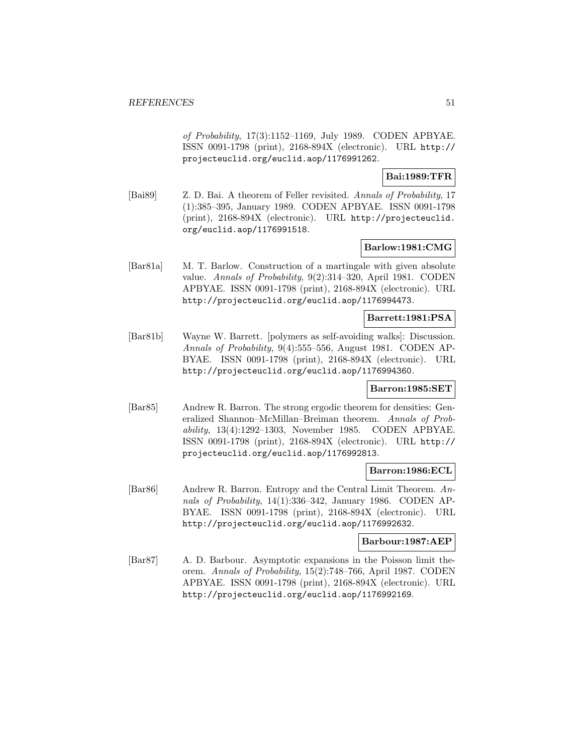of Probability, 17(3):1152–1169, July 1989. CODEN APBYAE. ISSN 0091-1798 (print), 2168-894X (electronic). URL http:// projecteuclid.org/euclid.aop/1176991262.

**Bai:1989:TFR**

[Bai89] Z. D. Bai. A theorem of Feller revisited. Annals of Probability, 17 (1):385–395, January 1989. CODEN APBYAE. ISSN 0091-1798 (print), 2168-894X (electronic). URL http://projecteuclid. org/euclid.aop/1176991518.

## **Barlow:1981:CMG**

[Bar81a] M. T. Barlow. Construction of a martingale with given absolute value. Annals of Probability, 9(2):314–320, April 1981. CODEN APBYAE. ISSN 0091-1798 (print), 2168-894X (electronic). URL http://projecteuclid.org/euclid.aop/1176994473.

### **Barrett:1981:PSA**

[Bar81b] Wayne W. Barrett. [polymers as self-avoiding walks]: Discussion. Annals of Probability, 9(4):555-556, August 1981. CODEN AP-BYAE. ISSN 0091-1798 (print), 2168-894X (electronic). URL http://projecteuclid.org/euclid.aop/1176994360.

## **Barron:1985:SET**

[Bar85] Andrew R. Barron. The strong ergodic theorem for densities: Generalized Shannon–McMillan–Breiman theorem. Annals of Probability, 13(4):1292–1303, November 1985. CODEN APBYAE. ISSN 0091-1798 (print), 2168-894X (electronic). URL http:// projecteuclid.org/euclid.aop/1176992813.

## **Barron:1986:ECL**

[Bar86] Andrew R. Barron. Entropy and the Central Limit Theorem. Annals of Probability, 14(1):336–342, January 1986. CODEN AP-BYAE. ISSN 0091-1798 (print), 2168-894X (electronic). URL http://projecteuclid.org/euclid.aop/1176992632.

## **Barbour:1987:AEP**

[Bar87] A. D. Barbour. Asymptotic expansions in the Poisson limit theorem. Annals of Probability, 15(2):748–766, April 1987. CODEN APBYAE. ISSN 0091-1798 (print), 2168-894X (electronic). URL http://projecteuclid.org/euclid.aop/1176992169.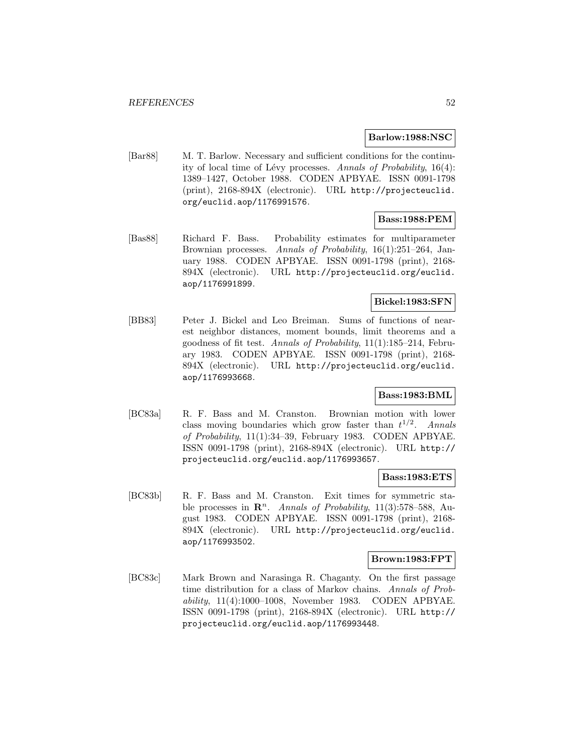### **Barlow:1988:NSC**

[Bar88] M. T. Barlow. Necessary and sufficient conditions for the continuity of local time of Lévy processes. Annals of Probability,  $16(4)$ : 1389–1427, October 1988. CODEN APBYAE. ISSN 0091-1798 (print), 2168-894X (electronic). URL http://projecteuclid. org/euclid.aop/1176991576.

## **Bass:1988:PEM**

[Bas88] Richard F. Bass. Probability estimates for multiparameter Brownian processes. Annals of Probability, 16(1):251–264, January 1988. CODEN APBYAE. ISSN 0091-1798 (print), 2168- 894X (electronic). URL http://projecteuclid.org/euclid. aop/1176991899.

## **Bickel:1983:SFN**

[BB83] Peter J. Bickel and Leo Breiman. Sums of functions of nearest neighbor distances, moment bounds, limit theorems and a goodness of fit test. Annals of Probability, 11(1):185–214, February 1983. CODEN APBYAE. ISSN 0091-1798 (print), 2168- 894X (electronic). URL http://projecteuclid.org/euclid. aop/1176993668.

## **Bass:1983:BML**

[BC83a] R. F. Bass and M. Cranston. Brownian motion with lower class moving boundaries which grow faster than  $t^{1/2}$ . Annals of Probability, 11(1):34–39, February 1983. CODEN APBYAE. ISSN 0091-1798 (print), 2168-894X (electronic). URL http:// projecteuclid.org/euclid.aop/1176993657.

#### **Bass:1983:ETS**

[BC83b] R. F. Bass and M. Cranston. Exit times for symmetric stable processes in  $\mathbb{R}^n$ . Annals of Probability, 11(3):578–588, August 1983. CODEN APBYAE. ISSN 0091-1798 (print), 2168- 894X (electronic). URL http://projecteuclid.org/euclid. aop/1176993502.

#### **Brown:1983:FPT**

[BC83c] Mark Brown and Narasinga R. Chaganty. On the first passage time distribution for a class of Markov chains. Annals of Probability, 11(4):1000–1008, November 1983. CODEN APBYAE. ISSN 0091-1798 (print), 2168-894X (electronic). URL http:// projecteuclid.org/euclid.aop/1176993448.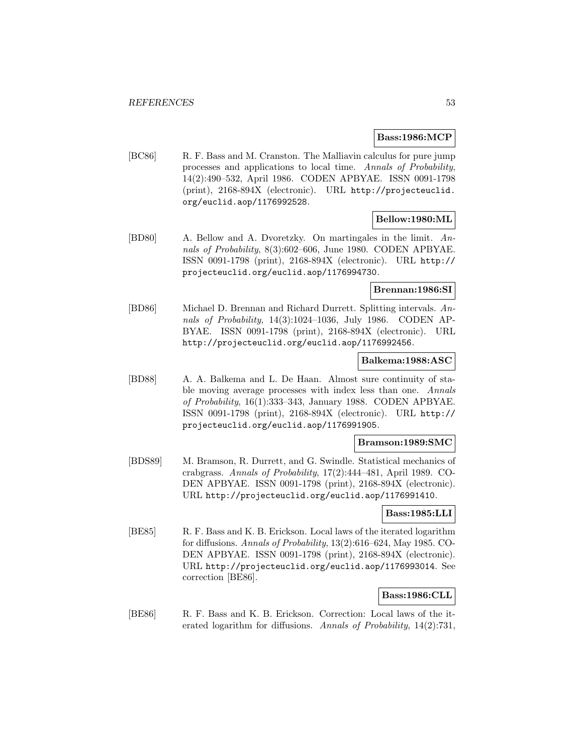### **Bass:1986:MCP**

[BC86] R. F. Bass and M. Cranston. The Malliavin calculus for pure jump processes and applications to local time. Annals of Probability, 14(2):490–532, April 1986. CODEN APBYAE. ISSN 0091-1798 (print), 2168-894X (electronic). URL http://projecteuclid. org/euclid.aop/1176992528.

# **Bellow:1980:ML**

[BD80] A. Bellow and A. Dvoretzky. On martingales in the limit. Annals of Probability, 8(3):602–606, June 1980. CODEN APBYAE. ISSN 0091-1798 (print), 2168-894X (electronic). URL http:// projecteuclid.org/euclid.aop/1176994730.

## **Brennan:1986:SI**

[BD86] Michael D. Brennan and Richard Durrett. Splitting intervals. Annals of Probability, 14(3):1024–1036, July 1986. CODEN AP-BYAE. ISSN 0091-1798 (print), 2168-894X (electronic). URL http://projecteuclid.org/euclid.aop/1176992456.

## **Balkema:1988:ASC**

[BD88] A. A. Balkema and L. De Haan. Almost sure continuity of stable moving average processes with index less than one. Annals of Probability, 16(1):333–343, January 1988. CODEN APBYAE. ISSN 0091-1798 (print), 2168-894X (electronic). URL http:// projecteuclid.org/euclid.aop/1176991905.

### **Bramson:1989:SMC**

[BDS89] M. Bramson, R. Durrett, and G. Swindle. Statistical mechanics of crabgrass. Annals of Probability, 17(2):444–481, April 1989. CO-DEN APBYAE. ISSN 0091-1798 (print), 2168-894X (electronic). URL http://projecteuclid.org/euclid.aop/1176991410.

## **Bass:1985:LLI**

[BE85] R. F. Bass and K. B. Erickson. Local laws of the iterated logarithm for diffusions. Annals of Probability, 13(2):616–624, May 1985. CO-DEN APBYAE. ISSN 0091-1798 (print), 2168-894X (electronic). URL http://projecteuclid.org/euclid.aop/1176993014. See correction [BE86].

## **Bass:1986:CLL**

[BE86] R. F. Bass and K. B. Erickson. Correction: Local laws of the iterated logarithm for diffusions. Annals of Probability,  $14(2)$ :731,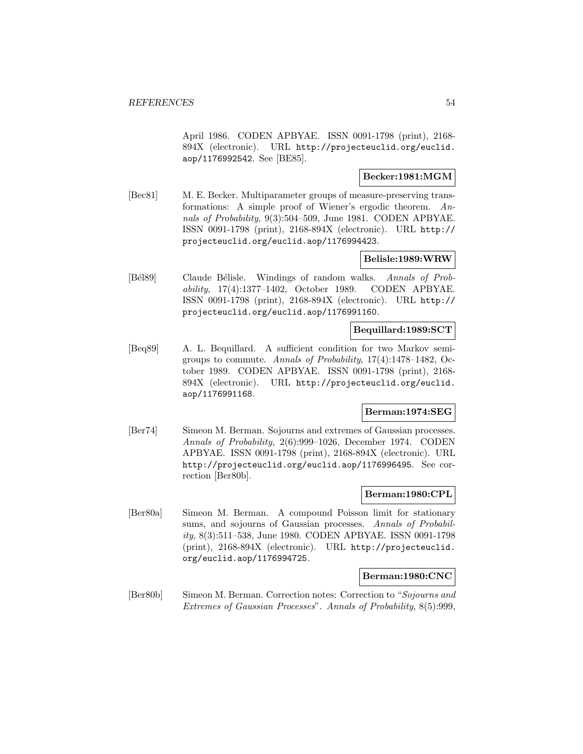April 1986. CODEN APBYAE. ISSN 0091-1798 (print), 2168- 894X (electronic). URL http://projecteuclid.org/euclid. aop/1176992542. See [BE85].

# **Becker:1981:MGM**

[Bec81] M. E. Becker. Multiparameter groups of measure-preserving transformations: A simple proof of Wiener's ergodic theorem. Annals of Probability, 9(3):504–509, June 1981. CODEN APBYAE. ISSN 0091-1798 (print), 2168-894X (electronic). URL http:// projecteuclid.org/euclid.aop/1176994423.

## **Belisle:1989:WRW**

[Bél89] Claude Bélisle. Windings of random walks. Annals of Probability, 17(4):1377–1402, October 1989. CODEN APBYAE. ISSN 0091-1798 (print), 2168-894X (electronic). URL http:// projecteuclid.org/euclid.aop/1176991160.

# **Bequillard:1989:SCT**

[Beq89] A. L. Bequillard. A sufficient condition for two Markov semigroups to commute. Annals of Probability, 17(4):1478–1482, October 1989. CODEN APBYAE. ISSN 0091-1798 (print), 2168- 894X (electronic). URL http://projecteuclid.org/euclid. aop/1176991168.

## **Berman:1974:SEG**

[Ber74] Simeon M. Berman. Sojourns and extremes of Gaussian processes. Annals of Probability, 2(6):999–1026, December 1974. CODEN APBYAE. ISSN 0091-1798 (print), 2168-894X (electronic). URL http://projecteuclid.org/euclid.aop/1176996495. See correction [Ber80b].

## **Berman:1980:CPL**

[Ber80a] Simeon M. Berman. A compound Poisson limit for stationary sums, and sojourns of Gaussian processes. Annals of Probability, 8(3):511–538, June 1980. CODEN APBYAE. ISSN 0091-1798 (print), 2168-894X (electronic). URL http://projecteuclid. org/euclid.aop/1176994725.

## **Berman:1980:CNC**

[Ber80b] Simeon M. Berman. Correction notes: Correction to "Sojourns and Extremes of Gaussian Processes". Annals of Probability, 8(5):999,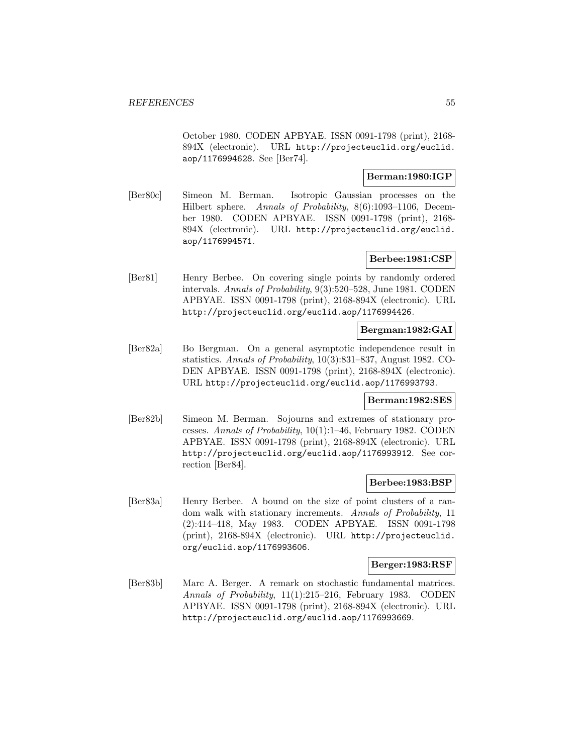October 1980. CODEN APBYAE. ISSN 0091-1798 (print), 2168- 894X (electronic). URL http://projecteuclid.org/euclid. aop/1176994628. See [Ber74].

## **Berman:1980:IGP**

[Ber80c] Simeon M. Berman. Isotropic Gaussian processes on the Hilbert sphere. Annals of Probability, 8(6):1093–1106, December 1980. CODEN APBYAE. ISSN 0091-1798 (print), 2168- 894X (electronic). URL http://projecteuclid.org/euclid. aop/1176994571.

## **Berbee:1981:CSP**

[Ber81] Henry Berbee. On covering single points by randomly ordered intervals. Annals of Probability, 9(3):520–528, June 1981. CODEN APBYAE. ISSN 0091-1798 (print), 2168-894X (electronic). URL http://projecteuclid.org/euclid.aop/1176994426.

# **Bergman:1982:GAI**

[Ber82a] Bo Bergman. On a general asymptotic independence result in statistics. Annals of Probability, 10(3):831–837, August 1982. CO-DEN APBYAE. ISSN 0091-1798 (print), 2168-894X (electronic). URL http://projecteuclid.org/euclid.aop/1176993793.

## **Berman:1982:SES**

[Ber82b] Simeon M. Berman. Sojourns and extremes of stationary processes. Annals of Probability, 10(1):1–46, February 1982. CODEN APBYAE. ISSN 0091-1798 (print), 2168-894X (electronic). URL http://projecteuclid.org/euclid.aop/1176993912. See correction [Ber84].

## **Berbee:1983:BSP**

[Ber83a] Henry Berbee. A bound on the size of point clusters of a random walk with stationary increments. Annals of Probability, 11 (2):414–418, May 1983. CODEN APBYAE. ISSN 0091-1798 (print), 2168-894X (electronic). URL http://projecteuclid. org/euclid.aop/1176993606.

#### **Berger:1983:RSF**

[Ber83b] Marc A. Berger. A remark on stochastic fundamental matrices. Annals of Probability, 11(1):215–216, February 1983. CODEN APBYAE. ISSN 0091-1798 (print), 2168-894X (electronic). URL http://projecteuclid.org/euclid.aop/1176993669.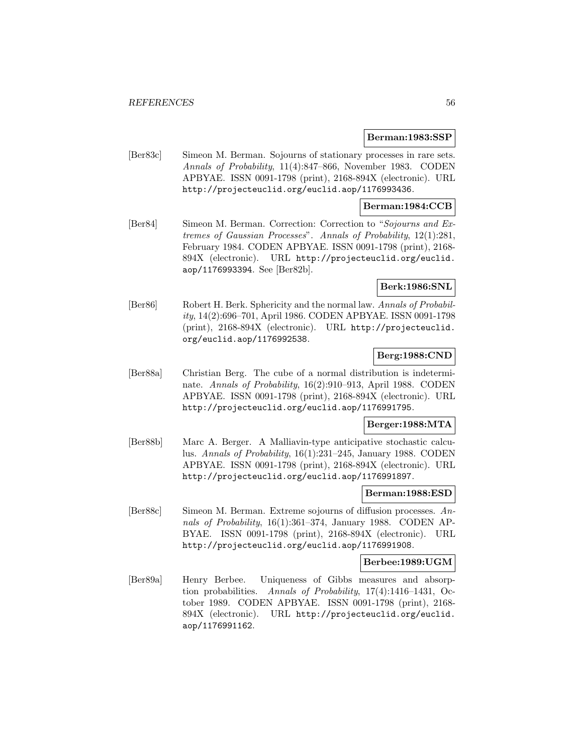### **Berman:1983:SSP**

[Ber83c] Simeon M. Berman. Sojourns of stationary processes in rare sets. Annals of Probability, 11(4):847–866, November 1983. CODEN APBYAE. ISSN 0091-1798 (print), 2168-894X (electronic). URL http://projecteuclid.org/euclid.aop/1176993436.

## **Berman:1984:CCB**

[Ber84] Simeon M. Berman. Correction: Correction to "Sojourns and Extremes of Gaussian Processes". Annals of Probability, 12(1):281, February 1984. CODEN APBYAE. ISSN 0091-1798 (print), 2168- 894X (electronic). URL http://projecteuclid.org/euclid. aop/1176993394. See [Ber82b].

## **Berk:1986:SNL**

[Ber86] Robert H. Berk. Sphericity and the normal law. Annals of Probability, 14(2):696–701, April 1986. CODEN APBYAE. ISSN 0091-1798 (print), 2168-894X (electronic). URL http://projecteuclid. org/euclid.aop/1176992538.

## **Berg:1988:CND**

[Ber88a] Christian Berg. The cube of a normal distribution is indeterminate. Annals of Probability, 16(2):910–913, April 1988. CODEN APBYAE. ISSN 0091-1798 (print), 2168-894X (electronic). URL http://projecteuclid.org/euclid.aop/1176991795.

## **Berger:1988:MTA**

[Ber88b] Marc A. Berger. A Malliavin-type anticipative stochastic calculus. Annals of Probability, 16(1):231–245, January 1988. CODEN APBYAE. ISSN 0091-1798 (print), 2168-894X (electronic). URL http://projecteuclid.org/euclid.aop/1176991897.

### **Berman:1988:ESD**

[Ber88c] Simeon M. Berman. Extreme sojourns of diffusion processes. Annals of Probability, 16(1):361-374, January 1988. CODEN AP-BYAE. ISSN 0091-1798 (print), 2168-894X (electronic). URL http://projecteuclid.org/euclid.aop/1176991908.

#### **Berbee:1989:UGM**

[Ber89a] Henry Berbee. Uniqueness of Gibbs measures and absorption probabilities. Annals of Probability, 17(4):1416–1431, October 1989. CODEN APBYAE. ISSN 0091-1798 (print), 2168- 894X (electronic). URL http://projecteuclid.org/euclid. aop/1176991162.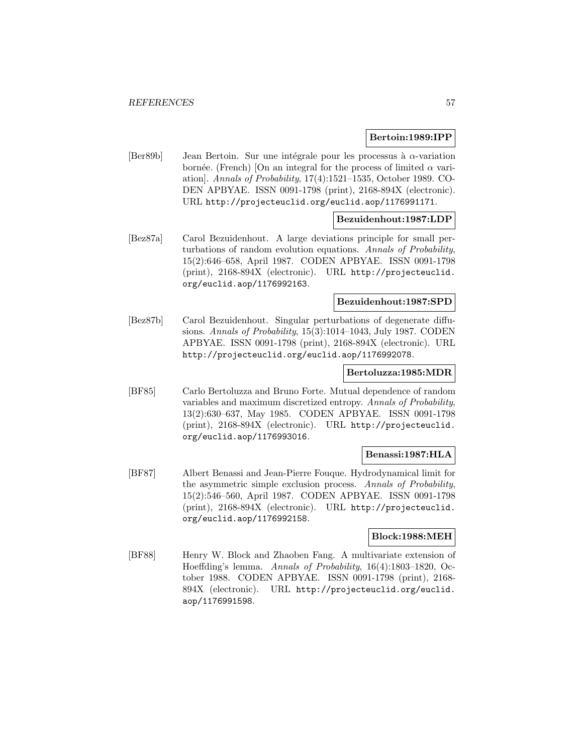### **Bertoin:1989:IPP**

[Ber89b] Jean Bertoin. Sur une intégrale pour les processus à  $\alpha$ -variation bornée. (French) [On an integral for the process of limited  $\alpha$  variation]. Annals of Probability, 17(4):1521–1535, October 1989. CO-DEN APBYAE. ISSN 0091-1798 (print), 2168-894X (electronic). URL http://projecteuclid.org/euclid.aop/1176991171.

# **Bezuidenhout:1987:LDP**

[Bez87a] Carol Bezuidenhout. A large deviations principle for small perturbations of random evolution equations. Annals of Probability, 15(2):646–658, April 1987. CODEN APBYAE. ISSN 0091-1798 (print), 2168-894X (electronic). URL http://projecteuclid. org/euclid.aop/1176992163.

## **Bezuidenhout:1987:SPD**

[Bez87b] Carol Bezuidenhout. Singular perturbations of degenerate diffusions. Annals of Probability, 15(3):1014–1043, July 1987. CODEN APBYAE. ISSN 0091-1798 (print), 2168-894X (electronic). URL http://projecteuclid.org/euclid.aop/1176992078.

### **Bertoluzza:1985:MDR**

[BF85] Carlo Bertoluzza and Bruno Forte. Mutual dependence of random variables and maximum discretized entropy. Annals of Probability, 13(2):630–637, May 1985. CODEN APBYAE. ISSN 0091-1798 (print), 2168-894X (electronic). URL http://projecteuclid. org/euclid.aop/1176993016.

### **Benassi:1987:HLA**

[BF87] Albert Benassi and Jean-Pierre Fouque. Hydrodynamical limit for the asymmetric simple exclusion process. Annals of Probability, 15(2):546–560, April 1987. CODEN APBYAE. ISSN 0091-1798 (print), 2168-894X (electronic). URL http://projecteuclid. org/euclid.aop/1176992158.

#### **Block:1988:MEH**

[BF88] Henry W. Block and Zhaoben Fang. A multivariate extension of Hoeffding's lemma. Annals of Probability, 16(4):1803–1820, October 1988. CODEN APBYAE. ISSN 0091-1798 (print), 2168- 894X (electronic). URL http://projecteuclid.org/euclid. aop/1176991598.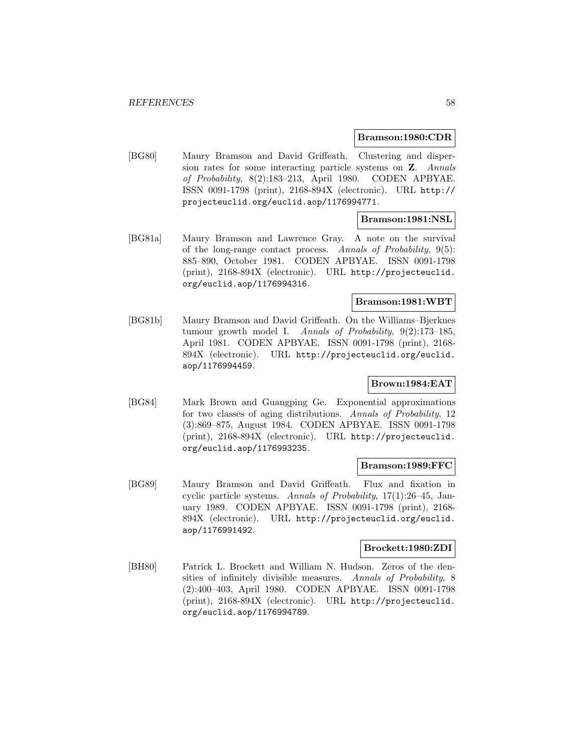#### **Bramson:1980:CDR**

[BG80] Maury Bramson and David Griffeath. Clustering and dispersion rates for some interacting particle systems on **Z**. Annals of Probability, 8(2):183–213, April 1980. CODEN APBYAE. ISSN 0091-1798 (print), 2168-894X (electronic). URL http:// projecteuclid.org/euclid.aop/1176994771.

## **Bramson:1981:NSL**

[BG81a] Maury Bramson and Lawrence Gray. A note on the survival of the long-range contact process. Annals of Probability, 9(5): 885–890, October 1981. CODEN APBYAE. ISSN 0091-1798 (print), 2168-894X (electronic). URL http://projecteuclid. org/euclid.aop/1176994316.

## **Bramson:1981:WBT**

[BG81b] Maury Bramson and David Griffeath. On the Williams–Bjerknes tumour growth model I. Annals of Probability, 9(2):173–185, April 1981. CODEN APBYAE. ISSN 0091-1798 (print), 2168- 894X (electronic). URL http://projecteuclid.org/euclid. aop/1176994459.

## **Brown:1984:EAT**

[BG84] Mark Brown and Guangping Ge. Exponential approximations for two classes of aging distributions. Annals of Probability, 12 (3):869–875, August 1984. CODEN APBYAE. ISSN 0091-1798 (print), 2168-894X (electronic). URL http://projecteuclid. org/euclid.aop/1176993235.

#### **Bramson:1989:FFC**

[BG89] Maury Bramson and David Griffeath. Flux and fixation in cyclic particle systems. Annals of Probability, 17(1):26–45, January 1989. CODEN APBYAE. ISSN 0091-1798 (print), 2168- 894X (electronic). URL http://projecteuclid.org/euclid. aop/1176991492.

## **Brockett:1980:ZDI**

[BH80] Patrick L. Brockett and William N. Hudson. Zeros of the densities of infinitely divisible measures. Annals of Probability, 8 (2):400–403, April 1980. CODEN APBYAE. ISSN 0091-1798 (print), 2168-894X (electronic). URL http://projecteuclid. org/euclid.aop/1176994789.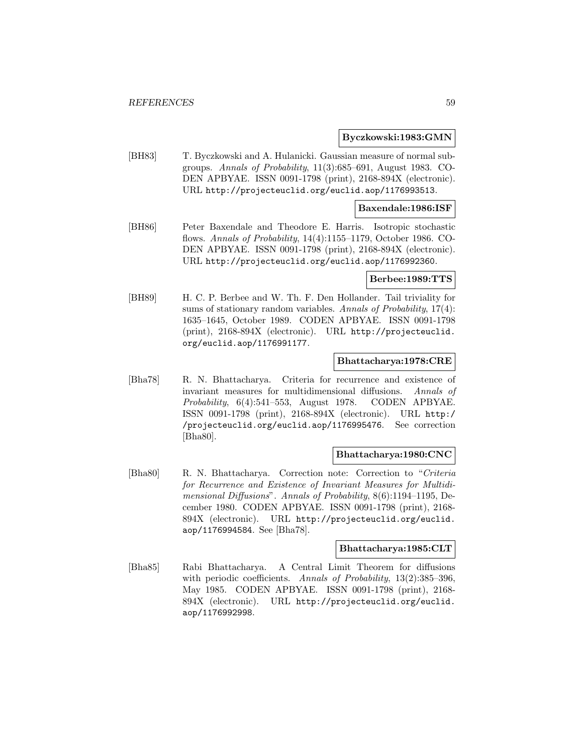#### **Byczkowski:1983:GMN**

[BH83] T. Byczkowski and A. Hulanicki. Gaussian measure of normal subgroups. Annals of Probability, 11(3):685–691, August 1983. CO-DEN APBYAE. ISSN 0091-1798 (print), 2168-894X (electronic). URL http://projecteuclid.org/euclid.aop/1176993513.

### **Baxendale:1986:ISF**

[BH86] Peter Baxendale and Theodore E. Harris. Isotropic stochastic flows. Annals of Probability, 14(4):1155–1179, October 1986. CO-DEN APBYAE. ISSN 0091-1798 (print), 2168-894X (electronic). URL http://projecteuclid.org/euclid.aop/1176992360.

#### **Berbee:1989:TTS**

[BH89] H. C. P. Berbee and W. Th. F. Den Hollander. Tail triviality for sums of stationary random variables. Annals of Probability,  $17(4)$ : 1635–1645, October 1989. CODEN APBYAE. ISSN 0091-1798 (print), 2168-894X (electronic). URL http://projecteuclid. org/euclid.aop/1176991177.

## **Bhattacharya:1978:CRE**

[Bha78] R. N. Bhattacharya. Criteria for recurrence and existence of invariant measures for multidimensional diffusions. Annals of Probability, 6(4):541–553, August 1978. CODEN APBYAE. ISSN 0091-1798 (print), 2168-894X (electronic). URL http:/ /projecteuclid.org/euclid.aop/1176995476. See correction [Bha80].

#### **Bhattacharya:1980:CNC**

[Bha80] R. N. Bhattacharya. Correction note: Correction to "Criteria for Recurrence and Existence of Invariant Measures for Multidimensional Diffusions". Annals of Probability, 8(6):1194–1195, December 1980. CODEN APBYAE. ISSN 0091-1798 (print), 2168- 894X (electronic). URL http://projecteuclid.org/euclid. aop/1176994584. See [Bha78].

## **Bhattacharya:1985:CLT**

[Bha85] Rabi Bhattacharya. A Central Limit Theorem for diffusions with periodic coefficients. Annals of Probability, 13(2):385-396, May 1985. CODEN APBYAE. ISSN 0091-1798 (print), 2168- 894X (electronic). URL http://projecteuclid.org/euclid. aop/1176992998.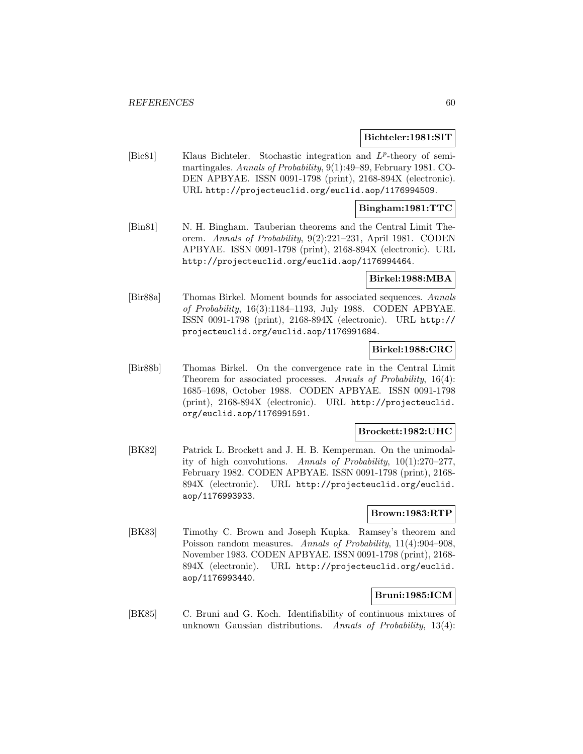#### **Bichteler:1981:SIT**

[Bic81] Klaus Bichteler. Stochastic integration and  $L^p$ -theory of semimartingales. Annals of Probability, 9(1):49–89, February 1981. CO-DEN APBYAE. ISSN 0091-1798 (print), 2168-894X (electronic). URL http://projecteuclid.org/euclid.aop/1176994509.

## **Bingham:1981:TTC**

[Bin81] N. H. Bingham. Tauberian theorems and the Central Limit Theorem. Annals of Probability, 9(2):221–231, April 1981. CODEN APBYAE. ISSN 0091-1798 (print), 2168-894X (electronic). URL http://projecteuclid.org/euclid.aop/1176994464.

### **Birkel:1988:MBA**

[Bir88a] Thomas Birkel. Moment bounds for associated sequences. Annals of Probability, 16(3):1184–1193, July 1988. CODEN APBYAE. ISSN 0091-1798 (print), 2168-894X (electronic). URL http:// projecteuclid.org/euclid.aop/1176991684.

## **Birkel:1988:CRC**

[Bir88b] Thomas Birkel. On the convergence rate in the Central Limit Theorem for associated processes. Annals of Probability, 16(4): 1685–1698, October 1988. CODEN APBYAE. ISSN 0091-1798 (print), 2168-894X (electronic). URL http://projecteuclid. org/euclid.aop/1176991591.

#### **Brockett:1982:UHC**

[BK82] Patrick L. Brockett and J. H. B. Kemperman. On the unimodality of high convolutions. Annals of Probability, 10(1):270–277, February 1982. CODEN APBYAE. ISSN 0091-1798 (print), 2168- 894X (electronic). URL http://projecteuclid.org/euclid. aop/1176993933.

## **Brown:1983:RTP**

[BK83] Timothy C. Brown and Joseph Kupka. Ramsey's theorem and Poisson random measures. Annals of Probability, 11(4):904-908, November 1983. CODEN APBYAE. ISSN 0091-1798 (print), 2168- 894X (electronic). URL http://projecteuclid.org/euclid. aop/1176993440.

## **Bruni:1985:ICM**

[BK85] C. Bruni and G. Koch. Identifiability of continuous mixtures of unknown Gaussian distributions. Annals of Probability,  $13(4)$ :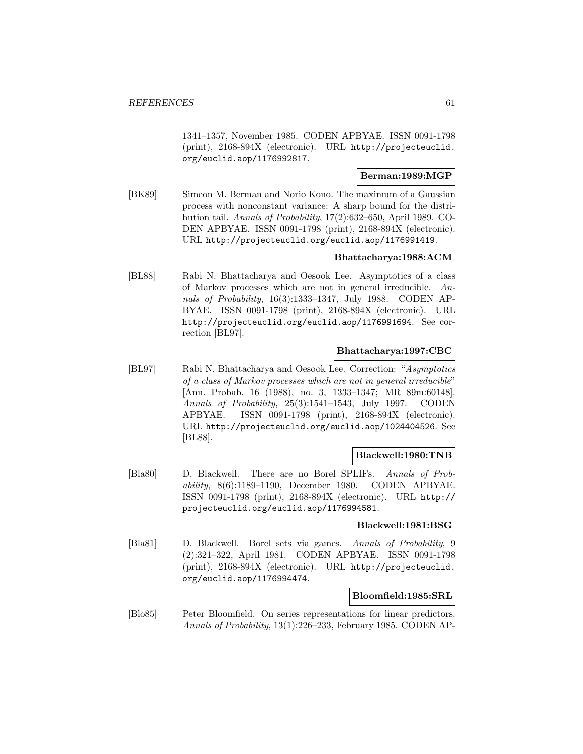1341–1357, November 1985. CODEN APBYAE. ISSN 0091-1798 (print), 2168-894X (electronic). URL http://projecteuclid. org/euclid.aop/1176992817.

# **Berman:1989:MGP**

[BK89] Simeon M. Berman and Norio Kono. The maximum of a Gaussian process with nonconstant variance: A sharp bound for the distribution tail. Annals of Probability, 17(2):632–650, April 1989. CO-DEN APBYAE. ISSN 0091-1798 (print), 2168-894X (electronic). URL http://projecteuclid.org/euclid.aop/1176991419.

## **Bhattacharya:1988:ACM**

[BL88] Rabi N. Bhattacharya and Oesook Lee. Asymptotics of a class of Markov processes which are not in general irreducible. Annals of Probability, 16(3):1333–1347, July 1988. CODEN AP-BYAE. ISSN 0091-1798 (print), 2168-894X (electronic). URL http://projecteuclid.org/euclid.aop/1176991694. See correction [BL97].

## **Bhattacharya:1997:CBC**

[BL97] Rabi N. Bhattacharya and Oesook Lee. Correction: "Asymptotics of a class of Markov processes which are not in general irreducible" [Ann. Probab. 16 (1988), no. 3, 1333–1347; MR 89m:60148]. Annals of Probability, 25(3):1541–1543, July 1997. CODEN APBYAE. ISSN 0091-1798 (print), 2168-894X (electronic). URL http://projecteuclid.org/euclid.aop/1024404526. See [BL88].

# **Blackwell:1980:TNB**

[Bla80] D. Blackwell. There are no Borel SPLIFs. Annals of Probability, 8(6):1189–1190, December 1980. CODEN APBYAE. ISSN 0091-1798 (print), 2168-894X (electronic). URL http:// projecteuclid.org/euclid.aop/1176994581.

## **Blackwell:1981:BSG**

[Bla81] D. Blackwell. Borel sets via games. Annals of Probability, 9 (2):321–322, April 1981. CODEN APBYAE. ISSN 0091-1798 (print), 2168-894X (electronic). URL http://projecteuclid. org/euclid.aop/1176994474.

## **Bloomfield:1985:SRL**

[Blo85] Peter Bloomfield. On series representations for linear predictors. Annals of Probability, 13(1):226–233, February 1985. CODEN AP-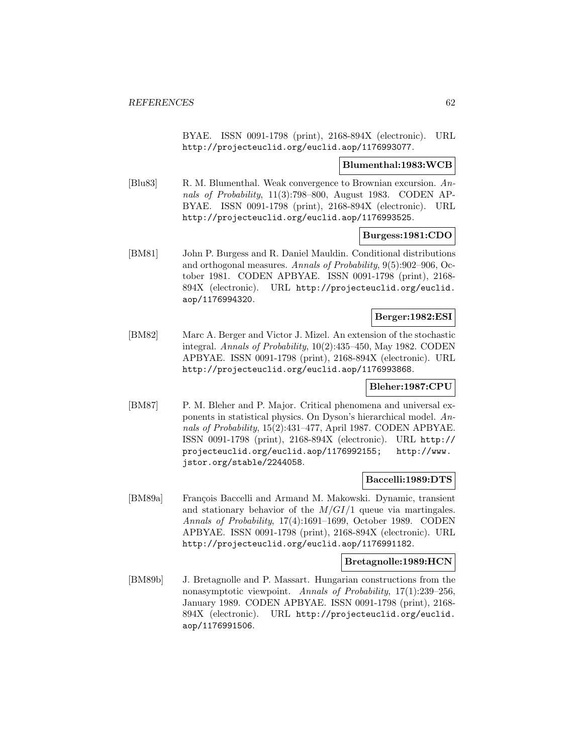BYAE. ISSN 0091-1798 (print), 2168-894X (electronic). URL http://projecteuclid.org/euclid.aop/1176993077.

### **Blumenthal:1983:WCB**

[Blu83] R. M. Blumenthal. Weak convergence to Brownian excursion. Annals of Probability, 11(3):798–800, August 1983. CODEN AP-BYAE. ISSN 0091-1798 (print), 2168-894X (electronic). URL http://projecteuclid.org/euclid.aop/1176993525.

## **Burgess:1981:CDO**

[BM81] John P. Burgess and R. Daniel Mauldin. Conditional distributions and orthogonal measures. Annals of Probability, 9(5):902–906, October 1981. CODEN APBYAE. ISSN 0091-1798 (print), 2168- 894X (electronic). URL http://projecteuclid.org/euclid. aop/1176994320.

## **Berger:1982:ESI**

[BM82] Marc A. Berger and Victor J. Mizel. An extension of the stochastic integral. Annals of Probability, 10(2):435–450, May 1982. CODEN APBYAE. ISSN 0091-1798 (print), 2168-894X (electronic). URL http://projecteuclid.org/euclid.aop/1176993868.

## **Bleher:1987:CPU**

[BM87] P. M. Bleher and P. Major. Critical phenomena and universal exponents in statistical physics. On Dyson's hierarchical model. Annals of Probability, 15(2):431–477, April 1987. CODEN APBYAE. ISSN 0091-1798 (print), 2168-894X (electronic). URL http:// projecteuclid.org/euclid.aop/1176992155; http://www. jstor.org/stable/2244058.

#### **Baccelli:1989:DTS**

[BM89a] François Baccelli and Armand M. Makowski. Dynamic, transient and stationary behavior of the  $M/GI/1$  queue via martingales. Annals of Probability, 17(4):1691–1699, October 1989. CODEN APBYAE. ISSN 0091-1798 (print), 2168-894X (electronic). URL http://projecteuclid.org/euclid.aop/1176991182.

## **Bretagnolle:1989:HCN**

[BM89b] J. Bretagnolle and P. Massart. Hungarian constructions from the nonasymptotic viewpoint. Annals of Probability, 17(1):239–256, January 1989. CODEN APBYAE. ISSN 0091-1798 (print), 2168- 894X (electronic). URL http://projecteuclid.org/euclid. aop/1176991506.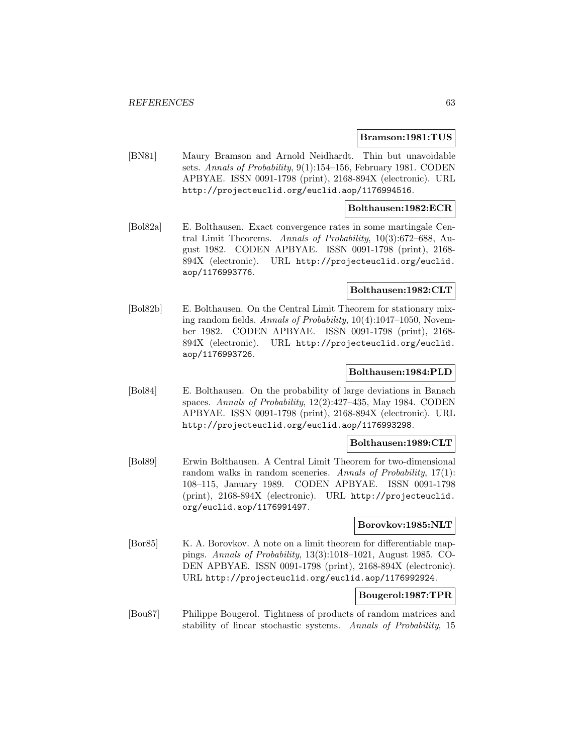#### **Bramson:1981:TUS**

[BN81] Maury Bramson and Arnold Neidhardt. Thin but unavoidable sets. Annals of Probability, 9(1):154–156, February 1981. CODEN APBYAE. ISSN 0091-1798 (print), 2168-894X (electronic). URL http://projecteuclid.org/euclid.aop/1176994516.

### **Bolthausen:1982:ECR**

[Bol82a] E. Bolthausen. Exact convergence rates in some martingale Central Limit Theorems. Annals of Probability, 10(3):672–688, August 1982. CODEN APBYAE. ISSN 0091-1798 (print), 2168- 894X (electronic). URL http://projecteuclid.org/euclid. aop/1176993776.

#### **Bolthausen:1982:CLT**

[Bol82b] E. Bolthausen. On the Central Limit Theorem for stationary mixing random fields. Annals of Probability, 10(4):1047–1050, November 1982. CODEN APBYAE. ISSN 0091-1798 (print), 2168- 894X (electronic). URL http://projecteuclid.org/euclid. aop/1176993726.

### **Bolthausen:1984:PLD**

[Bol84] E. Bolthausen. On the probability of large deviations in Banach spaces. Annals of Probability, 12(2):427–435, May 1984. CODEN APBYAE. ISSN 0091-1798 (print), 2168-894X (electronic). URL http://projecteuclid.org/euclid.aop/1176993298.

### **Bolthausen:1989:CLT**

[Bol89] Erwin Bolthausen. A Central Limit Theorem for two-dimensional random walks in random sceneries. Annals of Probability, 17(1): 108–115, January 1989. CODEN APBYAE. ISSN 0091-1798 (print), 2168-894X (electronic). URL http://projecteuclid. org/euclid.aop/1176991497.

## **Borovkov:1985:NLT**

[Bor85] K. A. Borovkov. A note on a limit theorem for differentiable mappings. Annals of Probability, 13(3):1018–1021, August 1985. CO-DEN APBYAE. ISSN 0091-1798 (print), 2168-894X (electronic). URL http://projecteuclid.org/euclid.aop/1176992924.

## **Bougerol:1987:TPR**

[Bou87] Philippe Bougerol. Tightness of products of random matrices and stability of linear stochastic systems. Annals of Probability, 15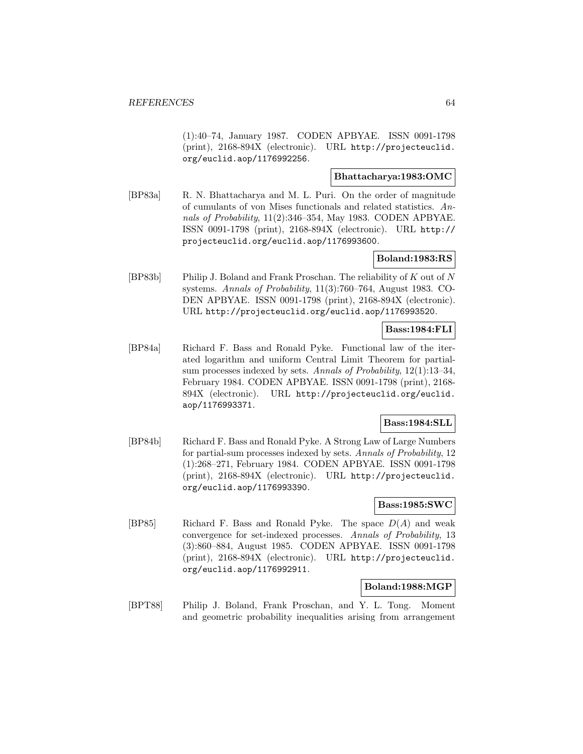(1):40–74, January 1987. CODEN APBYAE. ISSN 0091-1798 (print), 2168-894X (electronic). URL http://projecteuclid. org/euclid.aop/1176992256.

## **Bhattacharya:1983:OMC**

[BP83a] R. N. Bhattacharya and M. L. Puri. On the order of magnitude of cumulants of von Mises functionals and related statistics. Annals of Probability, 11(2):346–354, May 1983. CODEN APBYAE. ISSN 0091-1798 (print), 2168-894X (electronic). URL http:// projecteuclid.org/euclid.aop/1176993600.

## **Boland:1983:RS**

[BP83b] Philip J. Boland and Frank Proschan. The reliability of K out of N systems. Annals of Probability, 11(3):760–764, August 1983. CO-DEN APBYAE. ISSN 0091-1798 (print), 2168-894X (electronic). URL http://projecteuclid.org/euclid.aop/1176993520.

# **Bass:1984:FLI**

[BP84a] Richard F. Bass and Ronald Pyke. Functional law of the iterated logarithm and uniform Central Limit Theorem for partialsum processes indexed by sets. Annals of Probability,  $12(1):13-34$ , February 1984. CODEN APBYAE. ISSN 0091-1798 (print), 2168- 894X (electronic). URL http://projecteuclid.org/euclid. aop/1176993371.

# **Bass:1984:SLL**

[BP84b] Richard F. Bass and Ronald Pyke. A Strong Law of Large Numbers for partial-sum processes indexed by sets. Annals of Probability, 12 (1):268–271, February 1984. CODEN APBYAE. ISSN 0091-1798 (print), 2168-894X (electronic). URL http://projecteuclid. org/euclid.aop/1176993390.

## **Bass:1985:SWC**

[BP85] Richard F. Bass and Ronald Pyke. The space  $D(A)$  and weak convergence for set-indexed processes. Annals of Probability, 13 (3):860–884, August 1985. CODEN APBYAE. ISSN 0091-1798 (print), 2168-894X (electronic). URL http://projecteuclid. org/euclid.aop/1176992911.

## **Boland:1988:MGP**

[BPT88] Philip J. Boland, Frank Proschan, and Y. L. Tong. Moment and geometric probability inequalities arising from arrangement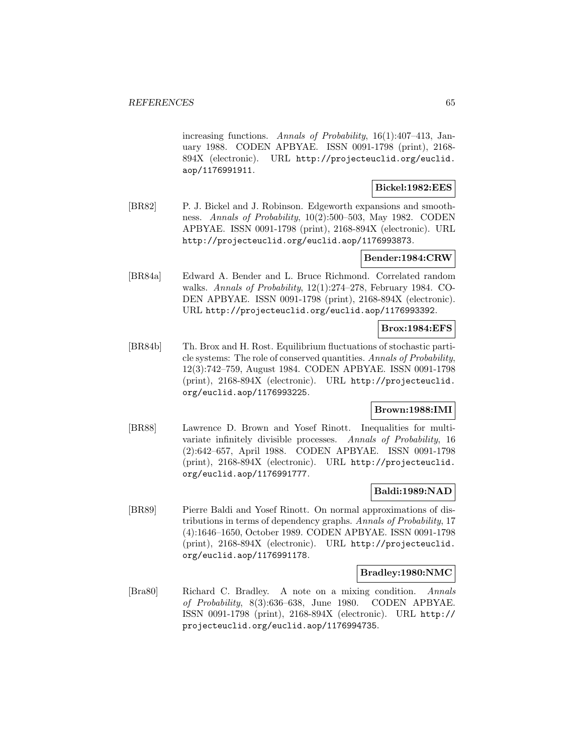increasing functions. Annals of Probability, 16(1):407–413, January 1988. CODEN APBYAE. ISSN 0091-1798 (print), 2168- 894X (electronic). URL http://projecteuclid.org/euclid. aop/1176991911.

## **Bickel:1982:EES**

[BR82] P. J. Bickel and J. Robinson. Edgeworth expansions and smoothness. Annals of Probability, 10(2):500–503, May 1982. CODEN APBYAE. ISSN 0091-1798 (print), 2168-894X (electronic). URL http://projecteuclid.org/euclid.aop/1176993873.

## **Bender:1984:CRW**

[BR84a] Edward A. Bender and L. Bruce Richmond. Correlated random walks. Annals of Probability, 12(1):274–278, February 1984. CO-DEN APBYAE. ISSN 0091-1798 (print), 2168-894X (electronic). URL http://projecteuclid.org/euclid.aop/1176993392.

## **Brox:1984:EFS**

[BR84b] Th. Brox and H. Rost. Equilibrium fluctuations of stochastic particle systems: The role of conserved quantities. Annals of Probability, 12(3):742–759, August 1984. CODEN APBYAE. ISSN 0091-1798 (print), 2168-894X (electronic). URL http://projecteuclid. org/euclid.aop/1176993225.

## **Brown:1988:IMI**

[BR88] Lawrence D. Brown and Yosef Rinott. Inequalities for multivariate infinitely divisible processes. Annals of Probability, 16 (2):642–657, April 1988. CODEN APBYAE. ISSN 0091-1798 (print), 2168-894X (electronic). URL http://projecteuclid. org/euclid.aop/1176991777.

## **Baldi:1989:NAD**

[BR89] Pierre Baldi and Yosef Rinott. On normal approximations of distributions in terms of dependency graphs. Annals of Probability, 17 (4):1646–1650, October 1989. CODEN APBYAE. ISSN 0091-1798 (print), 2168-894X (electronic). URL http://projecteuclid. org/euclid.aop/1176991178.

#### **Bradley:1980:NMC**

[Bra80] Richard C. Bradley. A note on a mixing condition. Annals of Probability, 8(3):636–638, June 1980. CODEN APBYAE. ISSN 0091-1798 (print), 2168-894X (electronic). URL http:// projecteuclid.org/euclid.aop/1176994735.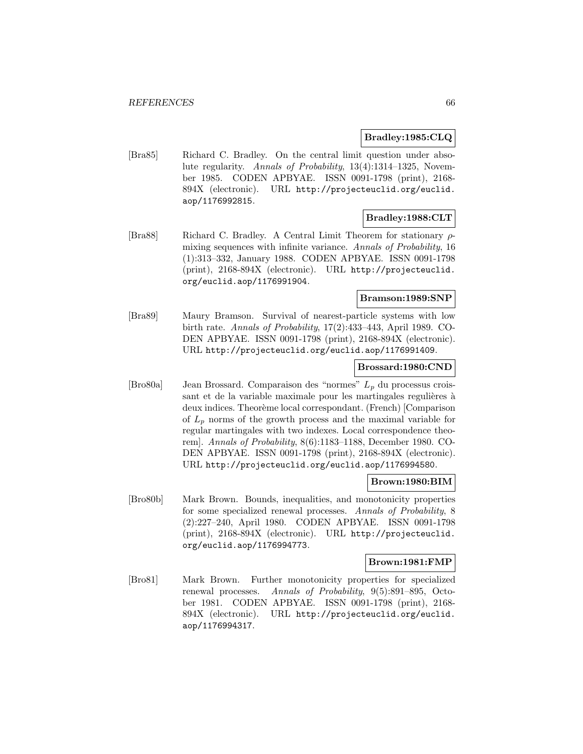## **Bradley:1985:CLQ**

[Bra85] Richard C. Bradley. On the central limit question under absolute regularity. Annals of Probability, 13(4):1314–1325, November 1985. CODEN APBYAE. ISSN 0091-1798 (print), 2168- 894X (electronic). URL http://projecteuclid.org/euclid. aop/1176992815.

## **Bradley:1988:CLT**

[Bra88] Richard C. Bradley. A Central Limit Theorem for stationary ρmixing sequences with infinite variance. Annals of Probability, 16 (1):313–332, January 1988. CODEN APBYAE. ISSN 0091-1798 (print), 2168-894X (electronic). URL http://projecteuclid. org/euclid.aop/1176991904.

## **Bramson:1989:SNP**

[Bra89] Maury Bramson. Survival of nearest-particle systems with low birth rate. Annals of Probability, 17(2):433–443, April 1989. CO-DEN APBYAE. ISSN 0091-1798 (print), 2168-894X (electronic). URL http://projecteuclid.org/euclid.aop/1176991409.

#### **Brossard:1980:CND**

[Bro80a] Jean Brossard. Comparaison des "normes"  $L_p$  du processus croissant et de la variable maximale pour les martingales regulières à deux indices. Theorème local correspondant. (French) [Comparison of  $L_p$  norms of the growth process and the maximal variable for regular martingales with two indexes. Local correspondence theorem]. Annals of Probability, 8(6):1183–1188, December 1980. CO-DEN APBYAE. ISSN 0091-1798 (print), 2168-894X (electronic). URL http://projecteuclid.org/euclid.aop/1176994580.

## **Brown:1980:BIM**

[Bro80b] Mark Brown. Bounds, inequalities, and monotonicity properties for some specialized renewal processes. Annals of Probability, 8 (2):227–240, April 1980. CODEN APBYAE. ISSN 0091-1798 (print), 2168-894X (electronic). URL http://projecteuclid. org/euclid.aop/1176994773.

#### **Brown:1981:FMP**

[Bro81] Mark Brown. Further monotonicity properties for specialized renewal processes. Annals of Probability, 9(5):891–895, October 1981. CODEN APBYAE. ISSN 0091-1798 (print), 2168- 894X (electronic). URL http://projecteuclid.org/euclid. aop/1176994317.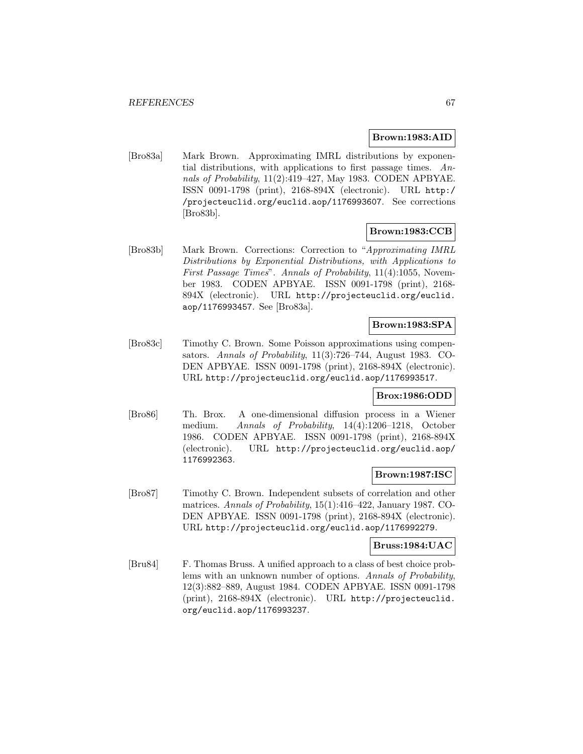### **Brown:1983:AID**

[Bro83a] Mark Brown. Approximating IMRL distributions by exponential distributions, with applications to first passage times. Annals of Probability, 11(2):419–427, May 1983. CODEN APBYAE. ISSN 0091-1798 (print), 2168-894X (electronic). URL http:/ /projecteuclid.org/euclid.aop/1176993607. See corrections [Bro83b].

## **Brown:1983:CCB**

[Bro83b] Mark Brown. Corrections: Correction to "Approximating IMRL Distributions by Exponential Distributions, with Applications to First Passage Times". Annals of Probability, 11(4):1055, November 1983. CODEN APBYAE. ISSN 0091-1798 (print), 2168- 894X (electronic). URL http://projecteuclid.org/euclid. aop/1176993457. See [Bro83a].

# **Brown:1983:SPA**

[Bro83c] Timothy C. Brown. Some Poisson approximations using compensators. Annals of Probability, 11(3):726–744, August 1983. CO-DEN APBYAE. ISSN 0091-1798 (print), 2168-894X (electronic). URL http://projecteuclid.org/euclid.aop/1176993517.

## **Brox:1986:ODD**

[Bro86] Th. Brox. A one-dimensional diffusion process in a Wiener medium. Annals of Probability, 14(4):1206-1218, October 1986. CODEN APBYAE. ISSN 0091-1798 (print), 2168-894X (electronic). URL http://projecteuclid.org/euclid.aop/ 1176992363.

## **Brown:1987:ISC**

[Bro87] Timothy C. Brown. Independent subsets of correlation and other matrices. Annals of Probability, 15(1):416–422, January 1987. CO-DEN APBYAE. ISSN 0091-1798 (print), 2168-894X (electronic). URL http://projecteuclid.org/euclid.aop/1176992279.

### **Bruss:1984:UAC**

[Bru84] F. Thomas Bruss. A unified approach to a class of best choice problems with an unknown number of options. Annals of Probability, 12(3):882–889, August 1984. CODEN APBYAE. ISSN 0091-1798 (print), 2168-894X (electronic). URL http://projecteuclid. org/euclid.aop/1176993237.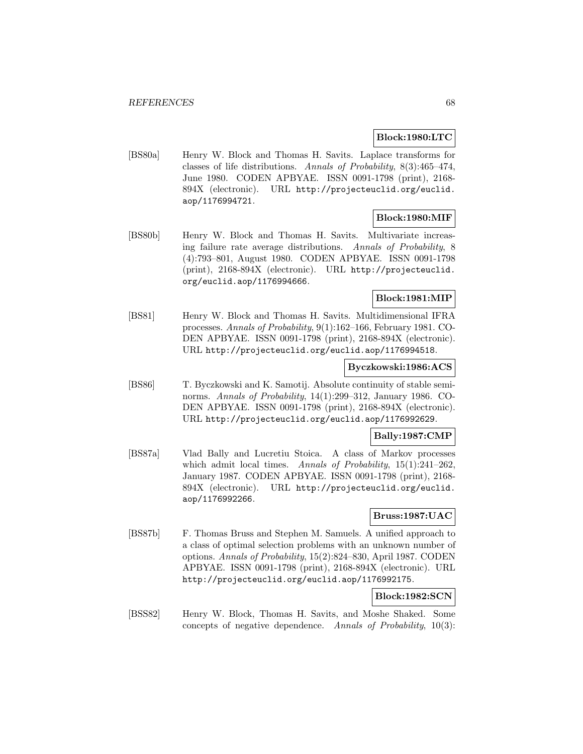## **Block:1980:LTC**

[BS80a] Henry W. Block and Thomas H. Savits. Laplace transforms for classes of life distributions. Annals of Probability, 8(3):465–474, June 1980. CODEN APBYAE. ISSN 0091-1798 (print), 2168- 894X (electronic). URL http://projecteuclid.org/euclid. aop/1176994721.

## **Block:1980:MIF**

[BS80b] Henry W. Block and Thomas H. Savits. Multivariate increasing failure rate average distributions. Annals of Probability, 8 (4):793–801, August 1980. CODEN APBYAE. ISSN 0091-1798 (print), 2168-894X (electronic). URL http://projecteuclid. org/euclid.aop/1176994666.

## **Block:1981:MIP**

[BS81] Henry W. Block and Thomas H. Savits. Multidimensional IFRA processes. Annals of Probability, 9(1):162–166, February 1981. CO-DEN APBYAE. ISSN 0091-1798 (print), 2168-894X (electronic). URL http://projecteuclid.org/euclid.aop/1176994518.

### **Byczkowski:1986:ACS**

[BS86] T. Byczkowski and K. Samotij. Absolute continuity of stable seminorms. Annals of Probability, 14(1):299–312, January 1986. CO-DEN APBYAE. ISSN 0091-1798 (print), 2168-894X (electronic). URL http://projecteuclid.org/euclid.aop/1176992629.

## **Bally:1987:CMP**

[BS87a] Vlad Bally and Lucretiu Stoica. A class of Markov processes which admit local times. Annals of Probability, 15(1):241-262, January 1987. CODEN APBYAE. ISSN 0091-1798 (print), 2168- 894X (electronic). URL http://projecteuclid.org/euclid. aop/1176992266.

## **Bruss:1987:UAC**

[BS87b] F. Thomas Bruss and Stephen M. Samuels. A unified approach to a class of optimal selection problems with an unknown number of options. Annals of Probability, 15(2):824–830, April 1987. CODEN APBYAE. ISSN 0091-1798 (print), 2168-894X (electronic). URL http://projecteuclid.org/euclid.aop/1176992175.

# **Block:1982:SCN**

[BSS82] Henry W. Block, Thomas H. Savits, and Moshe Shaked. Some concepts of negative dependence. Annals of Probability, 10(3):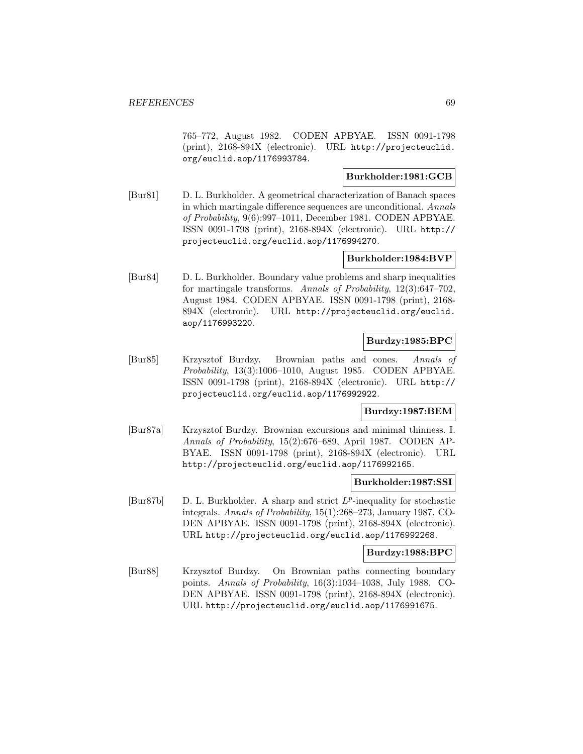765–772, August 1982. CODEN APBYAE. ISSN 0091-1798 (print), 2168-894X (electronic). URL http://projecteuclid. org/euclid.aop/1176993784.

## **Burkholder:1981:GCB**

[Bur81] D. L. Burkholder. A geometrical characterization of Banach spaces in which martingale difference sequences are unconditional. Annals of Probability, 9(6):997–1011, December 1981. CODEN APBYAE. ISSN 0091-1798 (print), 2168-894X (electronic). URL http:// projecteuclid.org/euclid.aop/1176994270.

## **Burkholder:1984:BVP**

[Bur84] D. L. Burkholder. Boundary value problems and sharp inequalities for martingale transforms. Annals of Probability, 12(3):647–702, August 1984. CODEN APBYAE. ISSN 0091-1798 (print), 2168- 894X (electronic). URL http://projecteuclid.org/euclid. aop/1176993220.

## **Burdzy:1985:BPC**

[Bur85] Krzysztof Burdzy. Brownian paths and cones. Annals of Probability, 13(3):1006–1010, August 1985. CODEN APBYAE. ISSN 0091-1798 (print), 2168-894X (electronic). URL http:// projecteuclid.org/euclid.aop/1176992922.

## **Burdzy:1987:BEM**

[Bur87a] Krzysztof Burdzy. Brownian excursions and minimal thinness. I. Annals of Probability, 15(2):676–689, April 1987. CODEN AP-BYAE. ISSN 0091-1798 (print), 2168-894X (electronic). URL http://projecteuclid.org/euclid.aop/1176992165.

## **Burkholder:1987:SSI**

[Bur87b] D. L. Burkholder. A sharp and strict  $L^p$ -inequality for stochastic integrals. Annals of Probability, 15(1):268–273, January 1987. CO-DEN APBYAE. ISSN 0091-1798 (print), 2168-894X (electronic). URL http://projecteuclid.org/euclid.aop/1176992268.

## **Burdzy:1988:BPC**

[Bur88] Krzysztof Burdzy. On Brownian paths connecting boundary points. Annals of Probability, 16(3):1034–1038, July 1988. CO-DEN APBYAE. ISSN 0091-1798 (print), 2168-894X (electronic). URL http://projecteuclid.org/euclid.aop/1176991675.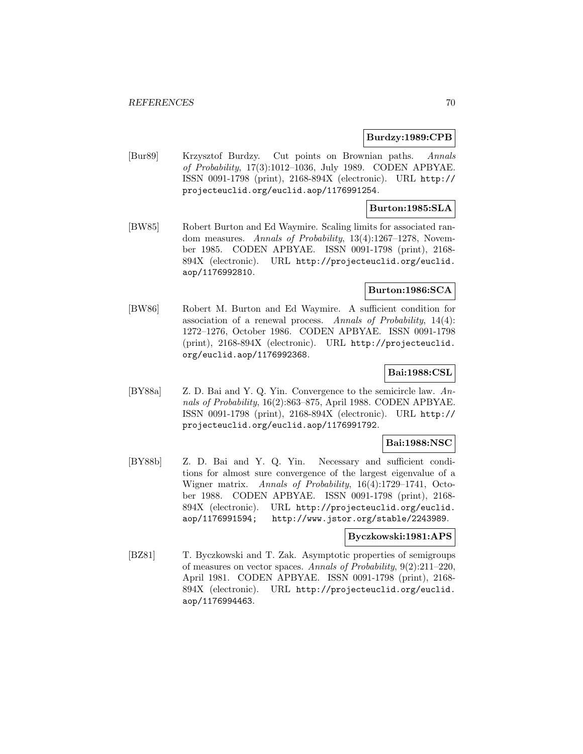### **Burdzy:1989:CPB**

[Bur89] Krzysztof Burdzy. Cut points on Brownian paths. Annals of Probability, 17(3):1012–1036, July 1989. CODEN APBYAE. ISSN 0091-1798 (print), 2168-894X (electronic). URL http:// projecteuclid.org/euclid.aop/1176991254.

## **Burton:1985:SLA**

[BW85] Robert Burton and Ed Waymire. Scaling limits for associated random measures. Annals of Probability, 13(4):1267–1278, November 1985. CODEN APBYAE. ISSN 0091-1798 (print), 2168- 894X (electronic). URL http://projecteuclid.org/euclid. aop/1176992810.

## **Burton:1986:SCA**

[BW86] Robert M. Burton and Ed Waymire. A sufficient condition for association of a renewal process. Annals of Probability, 14(4): 1272–1276, October 1986. CODEN APBYAE. ISSN 0091-1798 (print), 2168-894X (electronic). URL http://projecteuclid. org/euclid.aop/1176992368.

# **Bai:1988:CSL**

[BY88a] Z. D. Bai and Y. Q. Yin. Convergence to the semicircle law. Annals of Probability, 16(2):863–875, April 1988. CODEN APBYAE. ISSN 0091-1798 (print), 2168-894X (electronic). URL http:// projecteuclid.org/euclid.aop/1176991792.

## **Bai:1988:NSC**

[BY88b] Z. D. Bai and Y. Q. Yin. Necessary and sufficient conditions for almost sure convergence of the largest eigenvalue of a Wigner matrix. Annals of Probability, 16(4):1729–1741, October 1988. CODEN APBYAE. ISSN 0091-1798 (print), 2168- 894X (electronic). URL http://projecteuclid.org/euclid. aop/1176991594; http://www.jstor.org/stable/2243989.

## **Byczkowski:1981:APS**

[BZ81] T. Byczkowski and T. Zak. Asymptotic properties of semigroups of measures on vector spaces. Annals of Probability, 9(2):211–220, April 1981. CODEN APBYAE. ISSN 0091-1798 (print), 2168- 894X (electronic). URL http://projecteuclid.org/euclid. aop/1176994463.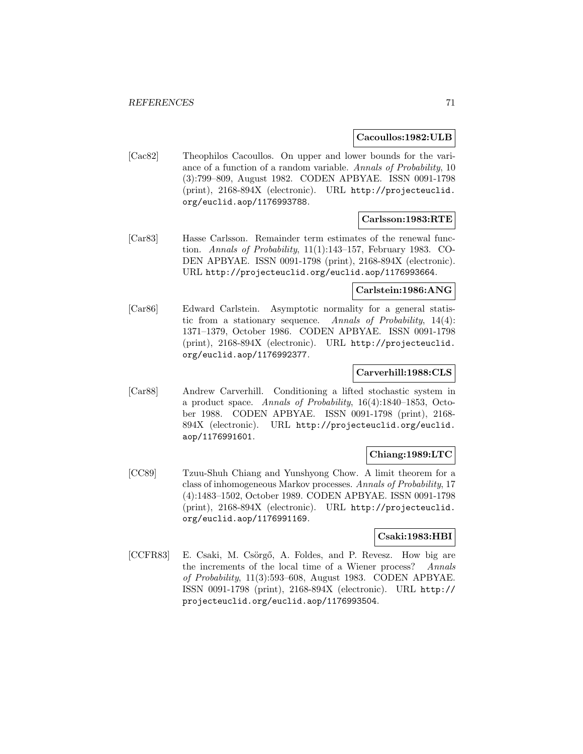#### **Cacoullos:1982:ULB**

[Cac82] Theophilos Cacoullos. On upper and lower bounds for the variance of a function of a random variable. Annals of Probability, 10 (3):799–809, August 1982. CODEN APBYAE. ISSN 0091-1798 (print), 2168-894X (electronic). URL http://projecteuclid. org/euclid.aop/1176993788.

## **Carlsson:1983:RTE**

[Car83] Hasse Carlsson. Remainder term estimates of the renewal function. Annals of Probability, 11(1):143–157, February 1983. CO-DEN APBYAE. ISSN 0091-1798 (print), 2168-894X (electronic). URL http://projecteuclid.org/euclid.aop/1176993664.

### **Carlstein:1986:ANG**

[Car86] Edward Carlstein. Asymptotic normality for a general statistic from a stationary sequence. Annals of Probability,  $14(4)$ : 1371–1379, October 1986. CODEN APBYAE. ISSN 0091-1798 (print), 2168-894X (electronic). URL http://projecteuclid. org/euclid.aop/1176992377.

## **Carverhill:1988:CLS**

[Car88] Andrew Carverhill. Conditioning a lifted stochastic system in a product space. Annals of Probability, 16(4):1840–1853, October 1988. CODEN APBYAE. ISSN 0091-1798 (print), 2168- 894X (electronic). URL http://projecteuclid.org/euclid. aop/1176991601.

## **Chiang:1989:LTC**

[CC89] Tzuu-Shuh Chiang and Yunshyong Chow. A limit theorem for a class of inhomogeneous Markov processes. Annals of Probability, 17 (4):1483–1502, October 1989. CODEN APBYAE. ISSN 0091-1798 (print), 2168-894X (electronic). URL http://projecteuclid. org/euclid.aop/1176991169.

### **Csaki:1983:HBI**

[CCFR83] E. Csaki, M. Csörgő, A. Foldes, and P. Revesz. How big are the increments of the local time of a Wiener process? Annals of Probability, 11(3):593–608, August 1983. CODEN APBYAE. ISSN 0091-1798 (print), 2168-894X (electronic). URL http:// projecteuclid.org/euclid.aop/1176993504.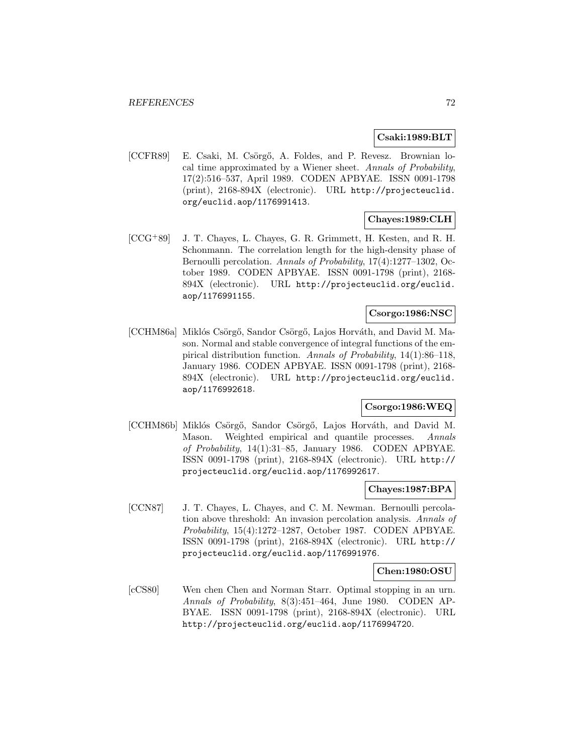### **Csaki:1989:BLT**

[CCFR89] E. Csaki, M. Csörgő, A. Foldes, and P. Revesz. Brownian local time approximated by a Wiener sheet. Annals of Probability, 17(2):516–537, April 1989. CODEN APBYAE. ISSN 0091-1798 (print), 2168-894X (electronic). URL http://projecteuclid. org/euclid.aop/1176991413.

## **Chayes:1989:CLH**

[CCG<sup>+</sup>89] J. T. Chayes, L. Chayes, G. R. Grimmett, H. Kesten, and R. H. Schonmann. The correlation length for the high-density phase of Bernoulli percolation. Annals of Probability, 17(4):1277–1302, October 1989. CODEN APBYAE. ISSN 0091-1798 (print), 2168- 894X (electronic). URL http://projecteuclid.org/euclid. aop/1176991155.

# **Csorgo:1986:NSC**

[CCHM86a] Miklós Csörgő, Sandor Csörgő, Lajos Horváth, and David M. Mason. Normal and stable convergence of integral functions of the empirical distribution function. Annals of Probability, 14(1):86–118, January 1986. CODEN APBYAE. ISSN 0091-1798 (print), 2168- 894X (electronic). URL http://projecteuclid.org/euclid. aop/1176992618.

## **Csorgo:1986:WEQ**

[CCHM86b] Miklós Csörgő, Sandor Csörgő, Lajos Horváth, and David M. Mason. Weighted empirical and quantile processes. Annals of Probability, 14(1):31–85, January 1986. CODEN APBYAE. ISSN 0091-1798 (print), 2168-894X (electronic). URL http:// projecteuclid.org/euclid.aop/1176992617.

## **Chayes:1987:BPA**

[CCN87] J. T. Chayes, L. Chayes, and C. M. Newman. Bernoulli percolation above threshold: An invasion percolation analysis. Annals of Probability, 15(4):1272–1287, October 1987. CODEN APBYAE. ISSN 0091-1798 (print), 2168-894X (electronic). URL http:// projecteuclid.org/euclid.aop/1176991976.

#### **Chen:1980:OSU**

[cCS80] Wen chen Chen and Norman Starr. Optimal stopping in an urn. Annals of Probability, 8(3):451–464, June 1980. CODEN AP-BYAE. ISSN 0091-1798 (print), 2168-894X (electronic). URL http://projecteuclid.org/euclid.aop/1176994720.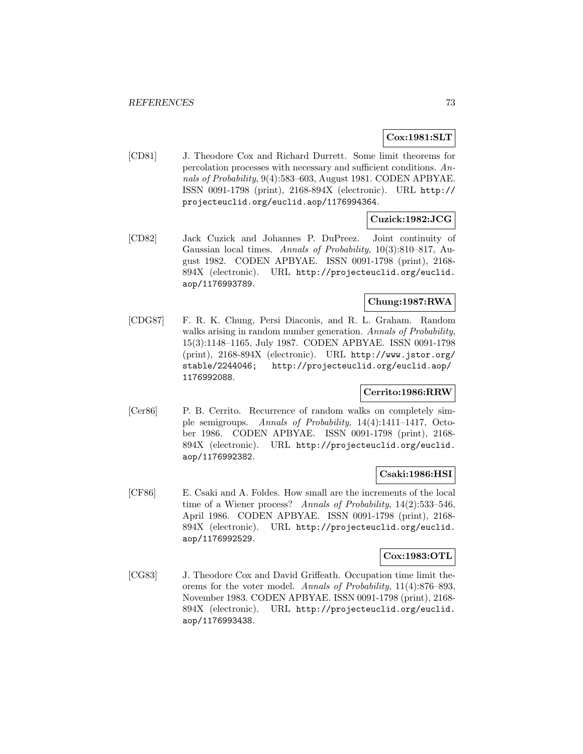## **Cox:1981:SLT**

[CD81] J. Theodore Cox and Richard Durrett. Some limit theorems for percolation processes with necessary and sufficient conditions. Annals of Probability, 9(4):583–603, August 1981. CODEN APBYAE. ISSN 0091-1798 (print), 2168-894X (electronic). URL http:// projecteuclid.org/euclid.aop/1176994364.

## **Cuzick:1982:JCG**

[CD82] Jack Cuzick and Johannes P. DuPreez. Joint continuity of Gaussian local times. Annals of Probability, 10(3):810–817, August 1982. CODEN APBYAE. ISSN 0091-1798 (print), 2168- 894X (electronic). URL http://projecteuclid.org/euclid. aop/1176993789.

## **Chung:1987:RWA**

[CDG87] F. R. K. Chung, Persi Diaconis, and R. L. Graham. Random walks arising in random number generation. Annals of Probability, 15(3):1148–1165, July 1987. CODEN APBYAE. ISSN 0091-1798 (print), 2168-894X (electronic). URL http://www.jstor.org/ stable/2244046; http://projecteuclid.org/euclid.aop/ 1176992088.

# **Cerrito:1986:RRW**

[Cer86] P. B. Cerrito. Recurrence of random walks on completely simple semigroups. Annals of Probability, 14(4):1411-1417, October 1986. CODEN APBYAE. ISSN 0091-1798 (print), 2168- 894X (electronic). URL http://projecteuclid.org/euclid. aop/1176992382.

### **Csaki:1986:HSI**

[CF86] E. Csaki and A. Foldes. How small are the increments of the local time of a Wiener process? Annals of Probability, 14(2):533–546, April 1986. CODEN APBYAE. ISSN 0091-1798 (print), 2168- 894X (electronic). URL http://projecteuclid.org/euclid. aop/1176992529.

### **Cox:1983:OTL**

[CG83] J. Theodore Cox and David Griffeath. Occupation time limit theorems for the voter model. Annals of Probability, 11(4):876–893, November 1983. CODEN APBYAE. ISSN 0091-1798 (print), 2168- 894X (electronic). URL http://projecteuclid.org/euclid. aop/1176993438.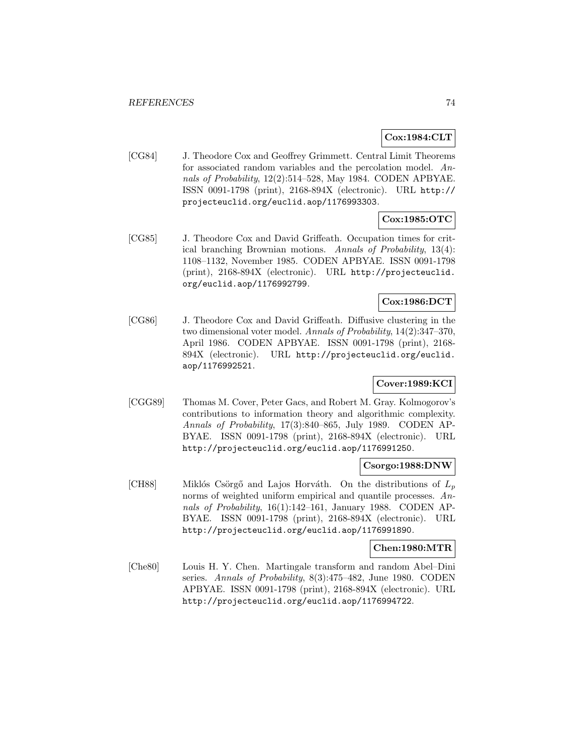## **Cox:1984:CLT**

[CG84] J. Theodore Cox and Geoffrey Grimmett. Central Limit Theorems for associated random variables and the percolation model. Annals of Probability, 12(2):514–528, May 1984. CODEN APBYAE. ISSN 0091-1798 (print), 2168-894X (electronic). URL http:// projecteuclid.org/euclid.aop/1176993303.

# **Cox:1985:OTC**

[CG85] J. Theodore Cox and David Griffeath. Occupation times for critical branching Brownian motions. Annals of Probability, 13(4): 1108–1132, November 1985. CODEN APBYAE. ISSN 0091-1798 (print), 2168-894X (electronic). URL http://projecteuclid. org/euclid.aop/1176992799.

## **Cox:1986:DCT**

[CG86] J. Theodore Cox and David Griffeath. Diffusive clustering in the two dimensional voter model. Annals of Probability, 14(2):347–370, April 1986. CODEN APBYAE. ISSN 0091-1798 (print), 2168- 894X (electronic). URL http://projecteuclid.org/euclid. aop/1176992521.

## **Cover:1989:KCI**

[CGG89] Thomas M. Cover, Peter Gacs, and Robert M. Gray. Kolmogorov's contributions to information theory and algorithmic complexity. Annals of Probability, 17(3):840–865, July 1989. CODEN AP-BYAE. ISSN 0091-1798 (print), 2168-894X (electronic). URL http://projecteuclid.org/euclid.aop/1176991250.

### **Csorgo:1988:DNW**

[CH88] Miklós Csörgő and Lajos Horváth. On the distributions of  $L_p$ norms of weighted uniform empirical and quantile processes. Annals of Probability, 16(1):142–161, January 1988. CODEN AP-BYAE. ISSN 0091-1798 (print), 2168-894X (electronic). URL http://projecteuclid.org/euclid.aop/1176991890.

## **Chen:1980:MTR**

[Che80] Louis H. Y. Chen. Martingale transform and random Abel–Dini series. Annals of Probability, 8(3):475–482, June 1980. CODEN APBYAE. ISSN 0091-1798 (print), 2168-894X (electronic). URL http://projecteuclid.org/euclid.aop/1176994722.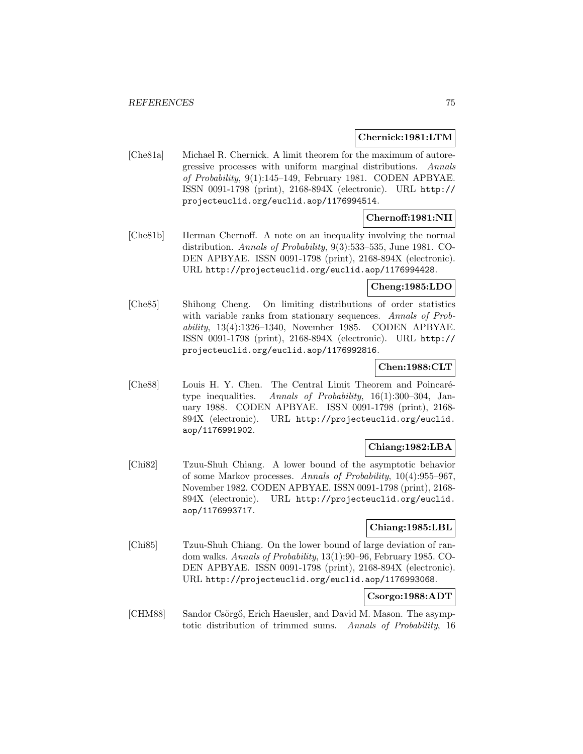### **Chernick:1981:LTM**

[Che81a] Michael R. Chernick. A limit theorem for the maximum of autoregressive processes with uniform marginal distributions. Annals of Probability, 9(1):145–149, February 1981. CODEN APBYAE. ISSN 0091-1798 (print), 2168-894X (electronic). URL http:// projecteuclid.org/euclid.aop/1176994514.

### **Chernoff:1981:NII**

[Che81b] Herman Chernoff. A note on an inequality involving the normal distribution. Annals of Probability, 9(3):533–535, June 1981. CO-DEN APBYAE. ISSN 0091-1798 (print), 2168-894X (electronic). URL http://projecteuclid.org/euclid.aop/1176994428.

## **Cheng:1985:LDO**

[Che85] Shihong Cheng. On limiting distributions of order statistics with variable ranks from stationary sequences. Annals of Probability, 13(4):1326–1340, November 1985. CODEN APBYAE. ISSN 0091-1798 (print), 2168-894X (electronic). URL http:// projecteuclid.org/euclid.aop/1176992816.

## **Chen:1988:CLT**

[Che88] Louis H. Y. Chen. The Central Limit Theorem and Poincarétype inequalities. Annals of Probability, 16(1):300–304, January 1988. CODEN APBYAE. ISSN 0091-1798 (print), 2168- 894X (electronic). URL http://projecteuclid.org/euclid. aop/1176991902.

## **Chiang:1982:LBA**

[Chi82] Tzuu-Shuh Chiang. A lower bound of the asymptotic behavior of some Markov processes. Annals of Probability, 10(4):955–967, November 1982. CODEN APBYAE. ISSN 0091-1798 (print), 2168- 894X (electronic). URL http://projecteuclid.org/euclid. aop/1176993717.

### **Chiang:1985:LBL**

[Chi85] Tzuu-Shuh Chiang. On the lower bound of large deviation of random walks. Annals of Probability, 13(1):90–96, February 1985. CO-DEN APBYAE. ISSN 0091-1798 (print), 2168-894X (electronic). URL http://projecteuclid.org/euclid.aop/1176993068.

### **Csorgo:1988:ADT**

[CHM88] Sandor Csörgő, Erich Haeusler, and David M. Mason. The asymptotic distribution of trimmed sums. Annals of Probability, 16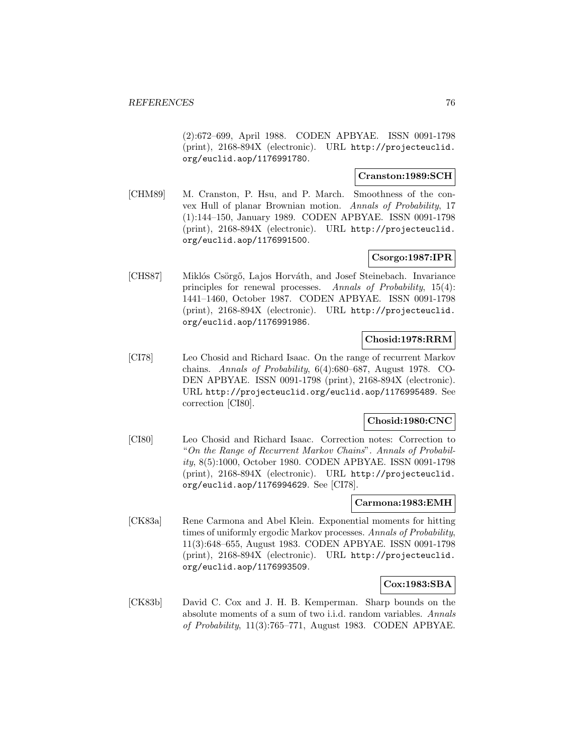(2):672–699, April 1988. CODEN APBYAE. ISSN 0091-1798 (print), 2168-894X (electronic). URL http://projecteuclid. org/euclid.aop/1176991780.

### **Cranston:1989:SCH**

[CHM89] M. Cranston, P. Hsu, and P. March. Smoothness of the convex Hull of planar Brownian motion. Annals of Probability, 17 (1):144–150, January 1989. CODEN APBYAE. ISSN 0091-1798 (print), 2168-894X (electronic). URL http://projecteuclid. org/euclid.aop/1176991500.

## **Csorgo:1987:IPR**

[CHS87] Miklós Csörgő, Lajos Horváth, and Josef Steinebach. Invariance principles for renewal processes. Annals of Probability, 15(4): 1441–1460, October 1987. CODEN APBYAE. ISSN 0091-1798 (print), 2168-894X (electronic). URL http://projecteuclid. org/euclid.aop/1176991986.

## **Chosid:1978:RRM**

[CI78] Leo Chosid and Richard Isaac. On the range of recurrent Markov chains. Annals of Probability, 6(4):680–687, August 1978. CO-DEN APBYAE. ISSN 0091-1798 (print), 2168-894X (electronic). URL http://projecteuclid.org/euclid.aop/1176995489. See correction [CI80].

## **Chosid:1980:CNC**

[CI80] Leo Chosid and Richard Isaac. Correction notes: Correction to "On the Range of Recurrent Markov Chains". Annals of Probability, 8(5):1000, October 1980. CODEN APBYAE. ISSN 0091-1798 (print), 2168-894X (electronic). URL http://projecteuclid. org/euclid.aop/1176994629. See [CI78].

### **Carmona:1983:EMH**

[CK83a] Rene Carmona and Abel Klein. Exponential moments for hitting times of uniformly ergodic Markov processes. Annals of Probability, 11(3):648–655, August 1983. CODEN APBYAE. ISSN 0091-1798 (print), 2168-894X (electronic). URL http://projecteuclid. org/euclid.aop/1176993509.

### **Cox:1983:SBA**

[CK83b] David C. Cox and J. H. B. Kemperman. Sharp bounds on the absolute moments of a sum of two i.i.d. random variables. Annals of Probability, 11(3):765–771, August 1983. CODEN APBYAE.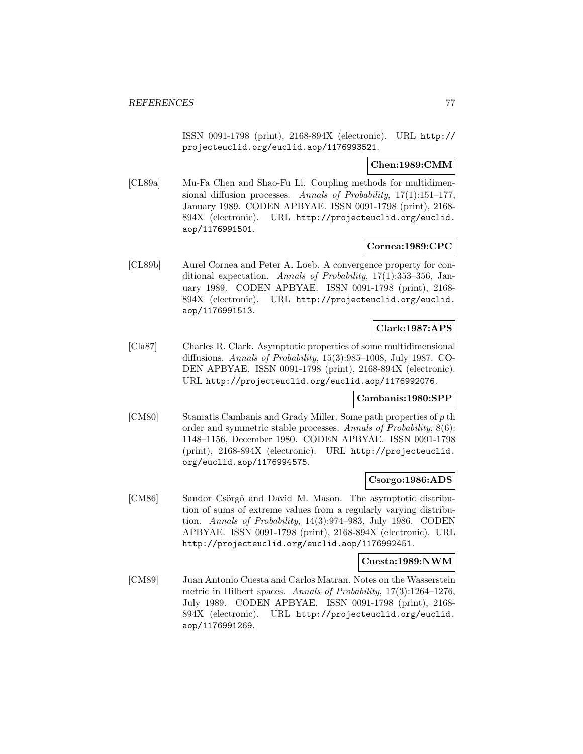ISSN 0091-1798 (print), 2168-894X (electronic). URL http:// projecteuclid.org/euclid.aop/1176993521.

## **Chen:1989:CMM**

[CL89a] Mu-Fa Chen and Shao-Fu Li. Coupling methods for multidimensional diffusion processes. Annals of Probability,  $17(1):151-177$ , January 1989. CODEN APBYAE. ISSN 0091-1798 (print), 2168- 894X (electronic). URL http://projecteuclid.org/euclid. aop/1176991501.

### **Cornea:1989:CPC**

[CL89b] Aurel Cornea and Peter A. Loeb. A convergence property for conditional expectation. Annals of Probability, 17(1):353–356, January 1989. CODEN APBYAE. ISSN 0091-1798 (print), 2168- 894X (electronic). URL http://projecteuclid.org/euclid. aop/1176991513.

## **Clark:1987:APS**

[Cla87] Charles R. Clark. Asymptotic properties of some multidimensional diffusions. Annals of Probability, 15(3):985–1008, July 1987. CO-DEN APBYAE. ISSN 0091-1798 (print), 2168-894X (electronic). URL http://projecteuclid.org/euclid.aop/1176992076.

### **Cambanis:1980:SPP**

[CM80] Stamatis Cambanis and Grady Miller. Some path properties of  $p$  th order and symmetric stable processes. Annals of Probability, 8(6): 1148–1156, December 1980. CODEN APBYAE. ISSN 0091-1798 (print), 2168-894X (electronic). URL http://projecteuclid. org/euclid.aop/1176994575.

### **Csorgo:1986:ADS**

[CM86] Sandor Csörgő and David M. Mason. The asymptotic distribution of sums of extreme values from a regularly varying distribution. Annals of Probability, 14(3):974–983, July 1986. CODEN APBYAE. ISSN 0091-1798 (print), 2168-894X (electronic). URL http://projecteuclid.org/euclid.aop/1176992451.

### **Cuesta:1989:NWM**

[CM89] Juan Antonio Cuesta and Carlos Matran. Notes on the Wasserstein metric in Hilbert spaces. Annals of Probability, 17(3):1264–1276, July 1989. CODEN APBYAE. ISSN 0091-1798 (print), 2168- 894X (electronic). URL http://projecteuclid.org/euclid. aop/1176991269.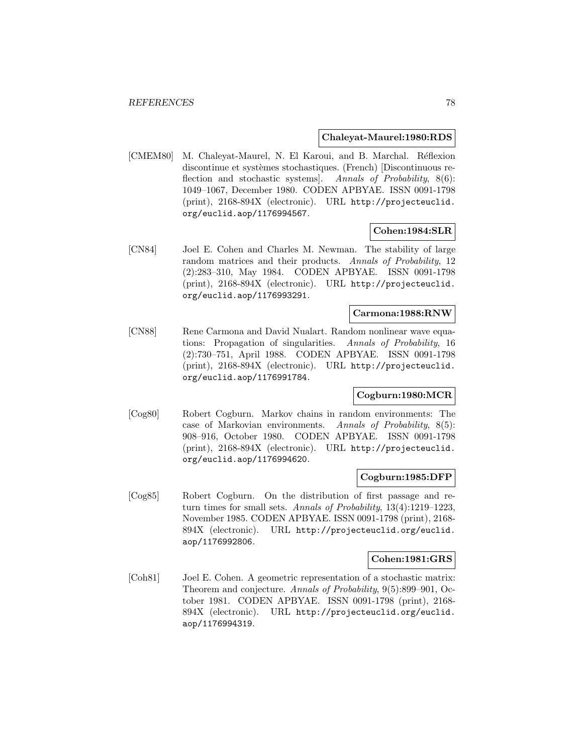#### **Chaleyat-Maurel:1980:RDS**

[CMEM80] M. Chaleyat-Maurel, N. El Karoui, and B. Marchal. Réflexion discontinue et systèmes stochastiques. (French) [Discontinuous reflection and stochastic systems. Annals of Probability, 8(6): 1049–1067, December 1980. CODEN APBYAE. ISSN 0091-1798 (print), 2168-894X (electronic). URL http://projecteuclid. org/euclid.aop/1176994567.

### **Cohen:1984:SLR**

[CN84] Joel E. Cohen and Charles M. Newman. The stability of large random matrices and their products. Annals of Probability, 12 (2):283–310, May 1984. CODEN APBYAE. ISSN 0091-1798 (print), 2168-894X (electronic). URL http://projecteuclid. org/euclid.aop/1176993291.

## **Carmona:1988:RNW**

[CN88] Rene Carmona and David Nualart. Random nonlinear wave equations: Propagation of singularities. Annals of Probability, 16 (2):730–751, April 1988. CODEN APBYAE. ISSN 0091-1798 (print), 2168-894X (electronic). URL http://projecteuclid. org/euclid.aop/1176991784.

## **Cogburn:1980:MCR**

[Cog80] Robert Cogburn. Markov chains in random environments: The case of Markovian environments. Annals of Probability, 8(5): 908–916, October 1980. CODEN APBYAE. ISSN 0091-1798 (print), 2168-894X (electronic). URL http://projecteuclid. org/euclid.aop/1176994620.

#### **Cogburn:1985:DFP**

[Cog85] Robert Cogburn. On the distribution of first passage and return times for small sets. Annals of Probability, 13(4):1219–1223, November 1985. CODEN APBYAE. ISSN 0091-1798 (print), 2168- 894X (electronic). URL http://projecteuclid.org/euclid. aop/1176992806.

#### **Cohen:1981:GRS**

[Coh81] Joel E. Cohen. A geometric representation of a stochastic matrix: Theorem and conjecture. Annals of Probability, 9(5):899–901, October 1981. CODEN APBYAE. ISSN 0091-1798 (print), 2168- 894X (electronic). URL http://projecteuclid.org/euclid. aop/1176994319.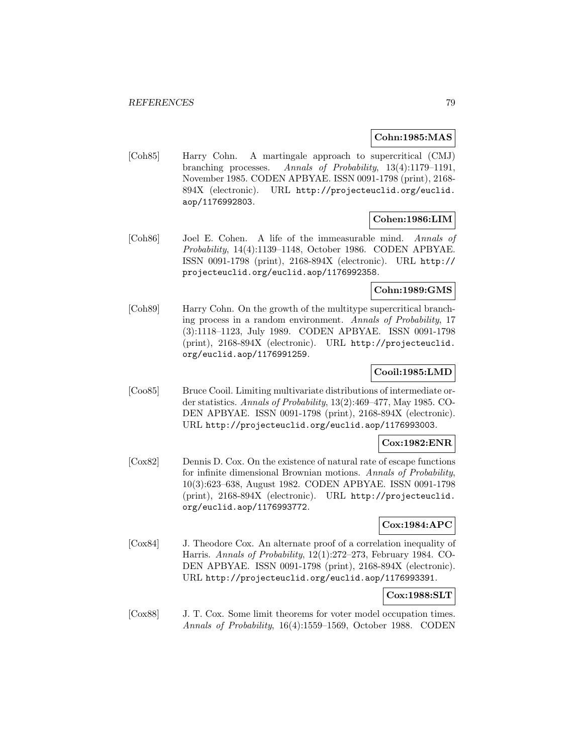### **Cohn:1985:MAS**

[Coh85] Harry Cohn. A martingale approach to supercritical (CMJ) branching processes. Annals of Probability, 13(4):1179–1191, November 1985. CODEN APBYAE. ISSN 0091-1798 (print), 2168- 894X (electronic). URL http://projecteuclid.org/euclid. aop/1176992803.

## **Cohen:1986:LIM**

[Coh86] Joel E. Cohen. A life of the immeasurable mind. Annals of Probability, 14(4):1139–1148, October 1986. CODEN APBYAE. ISSN 0091-1798 (print), 2168-894X (electronic). URL http:// projecteuclid.org/euclid.aop/1176992358.

### **Cohn:1989:GMS**

[Coh89] Harry Cohn. On the growth of the multitype supercritical branching process in a random environment. Annals of Probability, 17 (3):1118–1123, July 1989. CODEN APBYAE. ISSN 0091-1798 (print), 2168-894X (electronic). URL http://projecteuclid. org/euclid.aop/1176991259.

### **Cooil:1985:LMD**

[Coo85] Bruce Cooil. Limiting multivariate distributions of intermediate order statistics. Annals of Probability, 13(2):469–477, May 1985. CO-DEN APBYAE. ISSN 0091-1798 (print), 2168-894X (electronic). URL http://projecteuclid.org/euclid.aop/1176993003.

### **Cox:1982:ENR**

[Cox82] Dennis D. Cox. On the existence of natural rate of escape functions for infinite dimensional Brownian motions. Annals of Probability, 10(3):623–638, August 1982. CODEN APBYAE. ISSN 0091-1798 (print), 2168-894X (electronic). URL http://projecteuclid. org/euclid.aop/1176993772.

## **Cox:1984:APC**

[Cox84] J. Theodore Cox. An alternate proof of a correlation inequality of Harris. Annals of Probability, 12(1):272–273, February 1984. CO-DEN APBYAE. ISSN 0091-1798 (print), 2168-894X (electronic). URL http://projecteuclid.org/euclid.aop/1176993391.

# **Cox:1988:SLT**

[Cox88] J. T. Cox. Some limit theorems for voter model occupation times. Annals of Probability, 16(4):1559–1569, October 1988. CODEN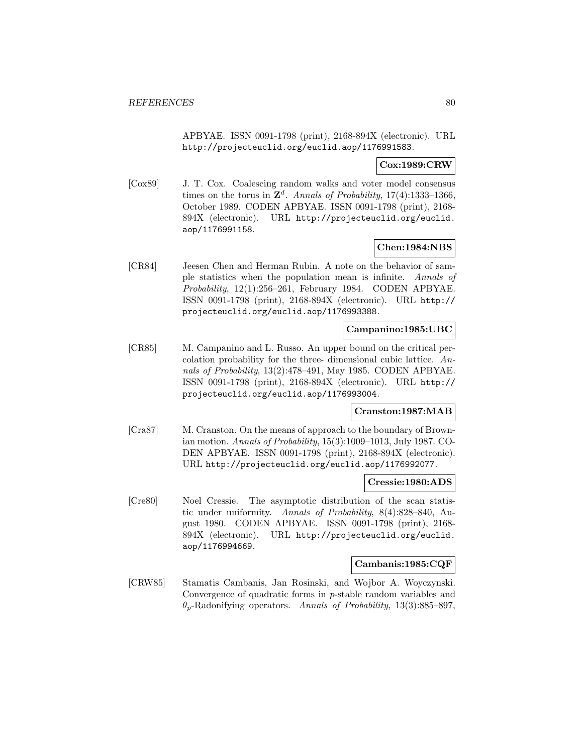APBYAE. ISSN 0091-1798 (print), 2168-894X (electronic). URL http://projecteuclid.org/euclid.aop/1176991583.

### **Cox:1989:CRW**

[Cox89] J. T. Cox. Coalescing random walks and voter model consensus times on the torus in  $\mathbb{Z}^d$ . Annals of Probability, 17(4):1333-1366, October 1989. CODEN APBYAE. ISSN 0091-1798 (print), 2168- 894X (electronic). URL http://projecteuclid.org/euclid. aop/1176991158.

## **Chen:1984:NBS**

[CR84] Jeesen Chen and Herman Rubin. A note on the behavior of sample statistics when the population mean is infinite. Annals of Probability, 12(1):256–261, February 1984. CODEN APBYAE. ISSN 0091-1798 (print), 2168-894X (electronic). URL http:// projecteuclid.org/euclid.aop/1176993388.

## **Campanino:1985:UBC**

[CR85] M. Campanino and L. Russo. An upper bound on the critical percolation probability for the three- dimensional cubic lattice. Annals of Probability, 13(2):478–491, May 1985. CODEN APBYAE. ISSN 0091-1798 (print), 2168-894X (electronic). URL http:// projecteuclid.org/euclid.aop/1176993004.

### **Cranston:1987:MAB**

[Cra87] M. Cranston. On the means of approach to the boundary of Brownian motion. Annals of Probability, 15(3):1009–1013, July 1987. CO-DEN APBYAE. ISSN 0091-1798 (print), 2168-894X (electronic). URL http://projecteuclid.org/euclid.aop/1176992077.

### **Cressie:1980:ADS**

[Cre80] Noel Cressie. The asymptotic distribution of the scan statistic under uniformity. Annals of Probability, 8(4):828–840, August 1980. CODEN APBYAE. ISSN 0091-1798 (print), 2168- 894X (electronic). URL http://projecteuclid.org/euclid. aop/1176994669.

## **Cambanis:1985:CQF**

[CRW85] Stamatis Cambanis, Jan Rosinski, and Wojbor A. Woyczynski. Convergence of quadratic forms in p-stable random variables and  $\theta_p$ -Radonifying operators. Annals of Probability, 13(3):885–897,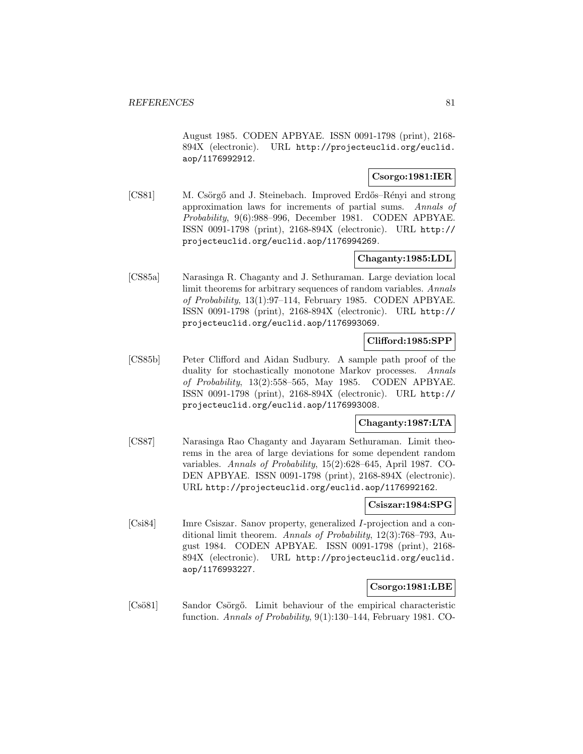August 1985. CODEN APBYAE. ISSN 0091-1798 (print), 2168- 894X (electronic). URL http://projecteuclid.org/euclid. aop/1176992912.

## **Csorgo:1981:IER**

[CS81] M. Csörgő and J. Steinebach. Improved Erdős–Rényi and strong approximation laws for increments of partial sums. Annals of Probability, 9(6):988–996, December 1981. CODEN APBYAE. ISSN 0091-1798 (print), 2168-894X (electronic). URL http:// projecteuclid.org/euclid.aop/1176994269.

## **Chaganty:1985:LDL**

[CS85a] Narasinga R. Chaganty and J. Sethuraman. Large deviation local limit theorems for arbitrary sequences of random variables. Annals of Probability, 13(1):97–114, February 1985. CODEN APBYAE. ISSN 0091-1798 (print), 2168-894X (electronic). URL http:// projecteuclid.org/euclid.aop/1176993069.

#### **Clifford:1985:SPP**

[CS85b] Peter Clifford and Aidan Sudbury. A sample path proof of the duality for stochastically monotone Markov processes. Annals of Probability, 13(2):558–565, May 1985. CODEN APBYAE. ISSN 0091-1798 (print), 2168-894X (electronic). URL http:// projecteuclid.org/euclid.aop/1176993008.

## **Chaganty:1987:LTA**

[CS87] Narasinga Rao Chaganty and Jayaram Sethuraman. Limit theorems in the area of large deviations for some dependent random variables. Annals of Probability, 15(2):628–645, April 1987. CO-DEN APBYAE. ISSN 0091-1798 (print), 2168-894X (electronic). URL http://projecteuclid.org/euclid.aop/1176992162.

### **Csiszar:1984:SPG**

[Csi84] Imre Csiszar. Sanov property, generalized I-projection and a conditional limit theorem. Annals of Probability, 12(3):768–793, August 1984. CODEN APBYAE. ISSN 0091-1798 (print), 2168- 894X (electronic). URL http://projecteuclid.org/euclid. aop/1176993227.

## **Csorgo:1981:LBE**

[Csö81] Sandor Csörgő. Limit behaviour of the empirical characteristic function. Annals of Probability, 9(1):130–144, February 1981. CO-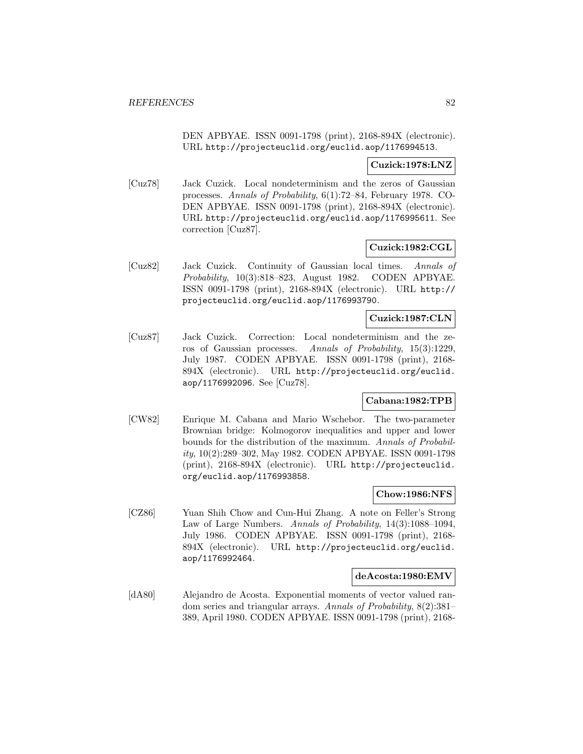DEN APBYAE. ISSN 0091-1798 (print), 2168-894X (electronic). URL http://projecteuclid.org/euclid.aop/1176994513.

### **Cuzick:1978:LNZ**

[Cuz78] Jack Cuzick. Local nondeterminism and the zeros of Gaussian processes. Annals of Probability, 6(1):72–84, February 1978. CO-DEN APBYAE. ISSN 0091-1798 (print), 2168-894X (electronic). URL http://projecteuclid.org/euclid.aop/1176995611. See correction [Cuz87].

### **Cuzick:1982:CGL**

[Cuz82] Jack Cuzick. Continuity of Gaussian local times. Annals of Probability, 10(3):818–823, August 1982. CODEN APBYAE. ISSN 0091-1798 (print), 2168-894X (electronic). URL http:// projecteuclid.org/euclid.aop/1176993790.

## **Cuzick:1987:CLN**

[Cuz87] Jack Cuzick. Correction: Local nondeterminism and the zeros of Gaussian processes. Annals of Probability, 15(3):1229, July 1987. CODEN APBYAE. ISSN 0091-1798 (print), 2168- 894X (electronic). URL http://projecteuclid.org/euclid. aop/1176992096. See [Cuz78].

### **Cabana:1982:TPB**

[CW82] Enrique M. Cabana and Mario Wschebor. The two-parameter Brownian bridge: Kolmogorov inequalities and upper and lower bounds for the distribution of the maximum. Annals of Probability, 10(2):289–302, May 1982. CODEN APBYAE. ISSN 0091-1798 (print), 2168-894X (electronic). URL http://projecteuclid. org/euclid.aop/1176993858.

#### **Chow:1986:NFS**

[CZ86] Yuan Shih Chow and Cun-Hui Zhang. A note on Feller's Strong Law of Large Numbers. Annals of Probability, 14(3):1088–1094, July 1986. CODEN APBYAE. ISSN 0091-1798 (print), 2168- 894X (electronic). URL http://projecteuclid.org/euclid. aop/1176992464.

#### **deAcosta:1980:EMV**

[dA80] Alejandro de Acosta. Exponential moments of vector valued random series and triangular arrays. Annals of Probability, 8(2):381– 389, April 1980. CODEN APBYAE. ISSN 0091-1798 (print), 2168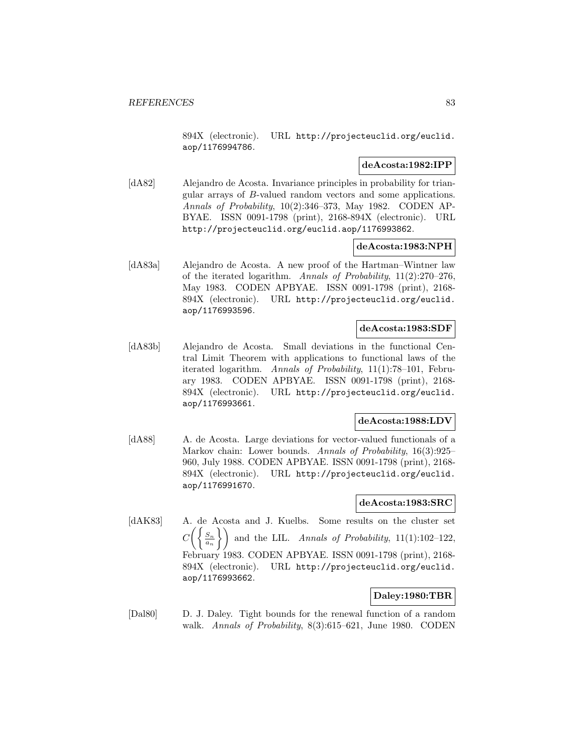894X (electronic). URL http://projecteuclid.org/euclid. aop/1176994786.

### **deAcosta:1982:IPP**

[dA82] Alejandro de Acosta. Invariance principles in probability for triangular arrays of B-valued random vectors and some applications. Annals of Probability, 10(2):346–373, May 1982. CODEN AP-BYAE. ISSN 0091-1798 (print), 2168-894X (electronic). URL http://projecteuclid.org/euclid.aop/1176993862.

### **deAcosta:1983:NPH**

[dA83a] Alejandro de Acosta. A new proof of the Hartman–Wintner law of the iterated logarithm. Annals of Probability,  $11(2):270-276$ , May 1983. CODEN APBYAE. ISSN 0091-1798 (print), 2168- 894X (electronic). URL http://projecteuclid.org/euclid. aop/1176993596.

### **deAcosta:1983:SDF**

[dA83b] Alejandro de Acosta. Small deviations in the functional Central Limit Theorem with applications to functional laws of the iterated logarithm. Annals of Probability, 11(1):78–101, February 1983. CODEN APBYAE. ISSN 0091-1798 (print), 2168- 894X (electronic). URL http://projecteuclid.org/euclid. aop/1176993661.

### **deAcosta:1988:LDV**

[dA88] A. de Acosta. Large deviations for vector-valued functionals of a Markov chain: Lower bounds. Annals of Probability, 16(3):925– 960, July 1988. CODEN APBYAE. ISSN 0091-1798 (print), 2168- 894X (electronic). URL http://projecteuclid.org/euclid. aop/1176991670.

## **deAcosta:1983:SRC**

[dAK83] A. de Acosta and J. Kuelbs. Some results on the cluster set  $C\bigg(\bigg\{\frac{S_n}{a_n}$  and the LIL. Annals of Probability, 11(1):102–122, February 1983. CODEN APBYAE. ISSN 0091-1798 (print), 2168- 894X (electronic). URL http://projecteuclid.org/euclid. aop/1176993662.

## **Daley:1980:TBR**

[Dal80] D. J. Daley. Tight bounds for the renewal function of a random walk. Annals of Probability, 8(3):615–621, June 1980. CODEN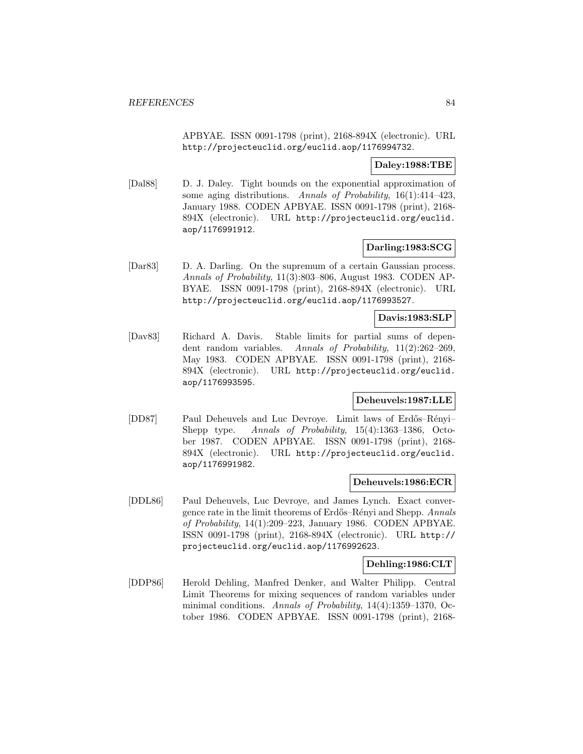APBYAE. ISSN 0091-1798 (print), 2168-894X (electronic). URL http://projecteuclid.org/euclid.aop/1176994732.

## **Daley:1988:TBE**

[Dal88] D. J. Daley. Tight bounds on the exponential approximation of some aging distributions. Annals of Probability,  $16(1):414-423$ , January 1988. CODEN APBYAE. ISSN 0091-1798 (print), 2168- 894X (electronic). URL http://projecteuclid.org/euclid. aop/1176991912.

## **Darling:1983:SCG**

[Dar83] D. A. Darling. On the supremum of a certain Gaussian process. Annals of Probability, 11(3):803–806, August 1983. CODEN AP-BYAE. ISSN 0091-1798 (print), 2168-894X (electronic). URL http://projecteuclid.org/euclid.aop/1176993527.

#### **Davis:1983:SLP**

[Dav83] Richard A. Davis. Stable limits for partial sums of dependent random variables. Annals of Probability, 11(2):262–269, May 1983. CODEN APBYAE. ISSN 0091-1798 (print), 2168- 894X (electronic). URL http://projecteuclid.org/euclid. aop/1176993595.

## **Deheuvels:1987:LLE**

[DD87] Paul Deheuvels and Luc Devroye. Limit laws of Erdős–Rényi– Shepp type. Annals of Probability, 15(4):1363-1386, October 1987. CODEN APBYAE. ISSN 0091-1798 (print), 2168- 894X (electronic). URL http://projecteuclid.org/euclid. aop/1176991982.

### **Deheuvels:1986:ECR**

[DDL86] Paul Deheuvels, Luc Devroye, and James Lynch. Exact convergence rate in the limit theorems of Erdős–Rényi and Shepp. Annals of Probability, 14(1):209–223, January 1986. CODEN APBYAE. ISSN 0091-1798 (print), 2168-894X (electronic). URL http:// projecteuclid.org/euclid.aop/1176992623.

### **Dehling:1986:CLT**

[DDP86] Herold Dehling, Manfred Denker, and Walter Philipp. Central Limit Theorems for mixing sequences of random variables under minimal conditions. Annals of Probability, 14(4):1359–1370, October 1986. CODEN APBYAE. ISSN 0091-1798 (print), 2168-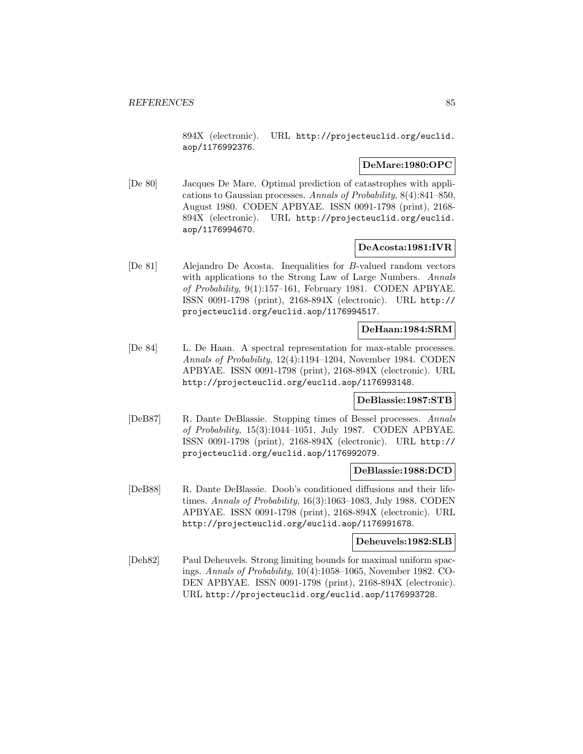894X (electronic). URL http://projecteuclid.org/euclid. aop/1176992376.

## **DeMare:1980:OPC**

[De 80] Jacques De Mare. Optimal prediction of catastrophes with applications to Gaussian processes. Annals of Probability, 8(4):841–850, August 1980. CODEN APBYAE. ISSN 0091-1798 (print), 2168- 894X (electronic). URL http://projecteuclid.org/euclid. aop/1176994670.

## **DeAcosta:1981:IVR**

[De 81] Alejandro De Acosta. Inequalities for B-valued random vectors with applications to the Strong Law of Large Numbers. Annals of Probability, 9(1):157–161, February 1981. CODEN APBYAE. ISSN 0091-1798 (print), 2168-894X (electronic). URL http:// projecteuclid.org/euclid.aop/1176994517.

### **DeHaan:1984:SRM**

[De 84] L. De Haan. A spectral representation for max-stable processes. Annals of Probability, 12(4):1194–1204, November 1984. CODEN APBYAE. ISSN 0091-1798 (print), 2168-894X (electronic). URL http://projecteuclid.org/euclid.aop/1176993148.

### **DeBlassie:1987:STB**

[DeB87] R. Dante DeBlassie. Stopping times of Bessel processes. Annals of Probability, 15(3):1044–1051, July 1987. CODEN APBYAE. ISSN 0091-1798 (print), 2168-894X (electronic). URL http:// projecteuclid.org/euclid.aop/1176992079.

### **DeBlassie:1988:DCD**

[DeB88] R. Dante DeBlassie. Doob's conditioned diffusions and their lifetimes. Annals of Probability, 16(3):1063–1083, July 1988. CODEN APBYAE. ISSN 0091-1798 (print), 2168-894X (electronic). URL http://projecteuclid.org/euclid.aop/1176991678.

#### **Deheuvels:1982:SLB**

[Deh82] Paul Deheuvels. Strong limiting bounds for maximal uniform spacings. Annals of Probability, 10(4):1058–1065, November 1982. CO-DEN APBYAE. ISSN 0091-1798 (print), 2168-894X (electronic). URL http://projecteuclid.org/euclid.aop/1176993728.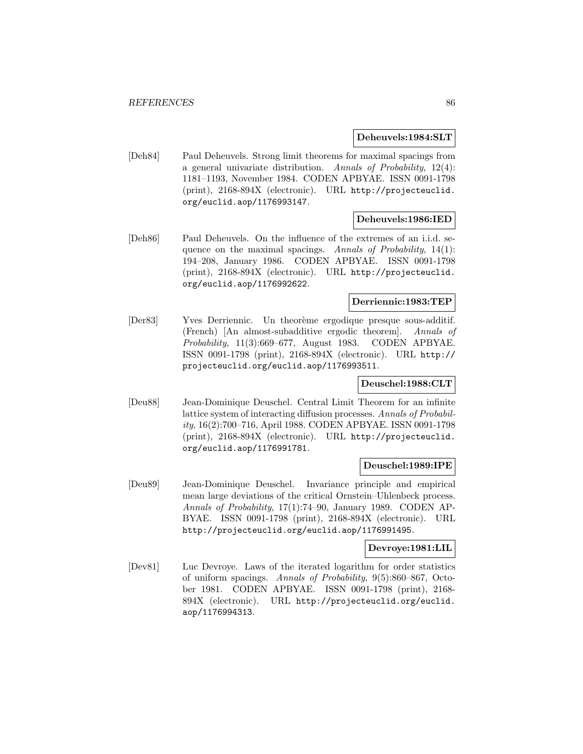**Deheuvels:1984:SLT**

[Deh84] Paul Deheuvels. Strong limit theorems for maximal spacings from a general univariate distribution. Annals of Probability, 12(4): 1181–1193, November 1984. CODEN APBYAE. ISSN 0091-1798 (print), 2168-894X (electronic). URL http://projecteuclid. org/euclid.aop/1176993147.

### **Deheuvels:1986:IED**

[Deh86] Paul Deheuvels. On the influence of the extremes of an i.i.d. sequence on the maximal spacings. Annals of Probability,  $14(1)$ : 194–208, January 1986. CODEN APBYAE. ISSN 0091-1798 (print), 2168-894X (electronic). URL http://projecteuclid. org/euclid.aop/1176992622.

## **Derriennic:1983:TEP**

[Der83] Yves Derriennic. Un theorème ergodique presque sous-additif. (French) [An almost-subadditive ergodic theorem]. Annals of Probability, 11(3):669–677, August 1983. CODEN APBYAE. ISSN 0091-1798 (print), 2168-894X (electronic). URL http:// projecteuclid.org/euclid.aop/1176993511.

### **Deuschel:1988:CLT**

[Deu88] Jean-Dominique Deuschel. Central Limit Theorem for an infinite lattice system of interacting diffusion processes. Annals of Probability, 16(2):700–716, April 1988. CODEN APBYAE. ISSN 0091-1798 (print), 2168-894X (electronic). URL http://projecteuclid. org/euclid.aop/1176991781.

#### **Deuschel:1989:IPE**

[Deu89] Jean-Dominique Deuschel. Invariance principle and empirical mean large deviations of the critical Ornstein–Uhlenbeck process. Annals of Probability, 17(1):74–90, January 1989. CODEN AP-BYAE. ISSN 0091-1798 (print), 2168-894X (electronic). URL http://projecteuclid.org/euclid.aop/1176991495.

#### **Devroye:1981:LIL**

[Dev81] Luc Devroye. Laws of the iterated logarithm for order statistics of uniform spacings. Annals of Probability, 9(5):860–867, October 1981. CODEN APBYAE. ISSN 0091-1798 (print), 2168- 894X (electronic). URL http://projecteuclid.org/euclid. aop/1176994313.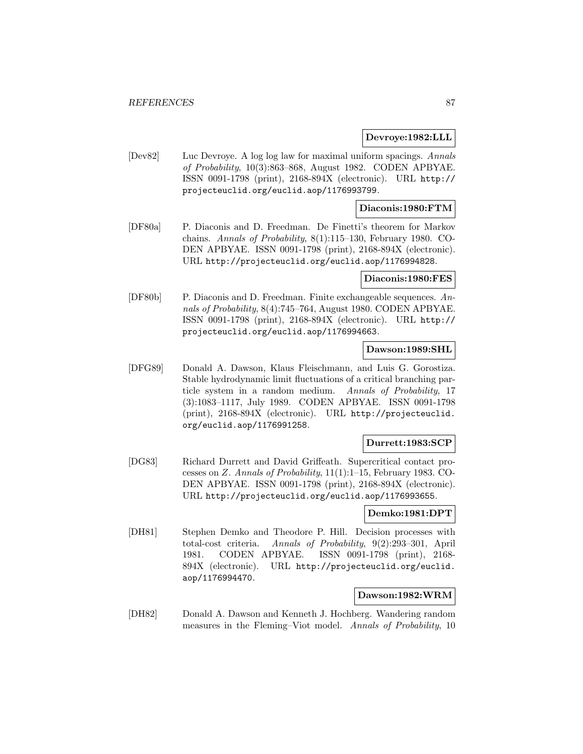### **Devroye:1982:LLL**

[Dev82] Luc Devroye. A log log law for maximal uniform spacings. Annals of Probability, 10(3):863–868, August 1982. CODEN APBYAE. ISSN 0091-1798 (print), 2168-894X (electronic). URL http:// projecteuclid.org/euclid.aop/1176993799.

## **Diaconis:1980:FTM**

[DF80a] P. Diaconis and D. Freedman. De Finetti's theorem for Markov chains. Annals of Probability, 8(1):115–130, February 1980. CO-DEN APBYAE. ISSN 0091-1798 (print), 2168-894X (electronic). URL http://projecteuclid.org/euclid.aop/1176994828.

#### **Diaconis:1980:FES**

[DF80b] P. Diaconis and D. Freedman. Finite exchangeable sequences. Annals of Probability, 8(4):745–764, August 1980. CODEN APBYAE. ISSN 0091-1798 (print), 2168-894X (electronic). URL http:// projecteuclid.org/euclid.aop/1176994663.

### **Dawson:1989:SHL**

[DFG89] Donald A. Dawson, Klaus Fleischmann, and Luis G. Gorostiza. Stable hydrodynamic limit fluctuations of a critical branching particle system in a random medium. Annals of Probability, 17 (3):1083–1117, July 1989. CODEN APBYAE. ISSN 0091-1798 (print), 2168-894X (electronic). URL http://projecteuclid. org/euclid.aop/1176991258.

### **Durrett:1983:SCP**

[DG83] Richard Durrett and David Griffeath. Supercritical contact processes on Z. Annals of Probability, 11(1):1–15, February 1983. CO-DEN APBYAE. ISSN 0091-1798 (print), 2168-894X (electronic). URL http://projecteuclid.org/euclid.aop/1176993655.

#### **Demko:1981:DPT**

[DH81] Stephen Demko and Theodore P. Hill. Decision processes with total-cost criteria. Annals of Probability, 9(2):293–301, April 1981. CODEN APBYAE. ISSN 0091-1798 (print), 2168- 894X (electronic). URL http://projecteuclid.org/euclid. aop/1176994470.

### **Dawson:1982:WRM**

[DH82] Donald A. Dawson and Kenneth J. Hochberg. Wandering random measures in the Fleming–Viot model. Annals of Probability, 10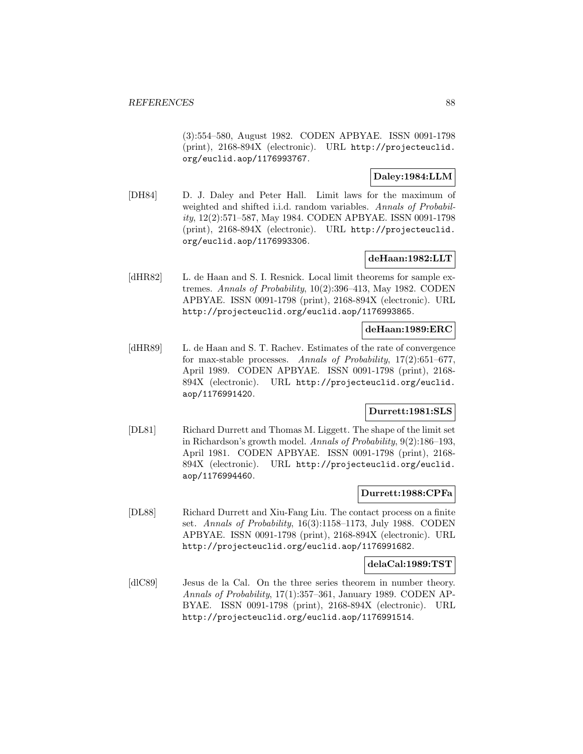(3):554–580, August 1982. CODEN APBYAE. ISSN 0091-1798 (print), 2168-894X (electronic). URL http://projecteuclid. org/euclid.aop/1176993767.

## **Daley:1984:LLM**

[DH84] D. J. Daley and Peter Hall. Limit laws for the maximum of weighted and shifted i.i.d. random variables. Annals of Probability, 12(2):571–587, May 1984. CODEN APBYAE. ISSN 0091-1798 (print), 2168-894X (electronic). URL http://projecteuclid. org/euclid.aop/1176993306.

## **deHaan:1982:LLT**

[dHR82] L. de Haan and S. I. Resnick. Local limit theorems for sample extremes. Annals of Probability, 10(2):396–413, May 1982. CODEN APBYAE. ISSN 0091-1798 (print), 2168-894X (electronic). URL http://projecteuclid.org/euclid.aop/1176993865.

## **deHaan:1989:ERC**

[dHR89] L. de Haan and S. T. Rachev. Estimates of the rate of convergence for max-stable processes. Annals of Probability, 17(2):651–677, April 1989. CODEN APBYAE. ISSN 0091-1798 (print), 2168- 894X (electronic). URL http://projecteuclid.org/euclid. aop/1176991420.

## **Durrett:1981:SLS**

[DL81] Richard Durrett and Thomas M. Liggett. The shape of the limit set in Richardson's growth model. Annals of Probability, 9(2):186–193, April 1981. CODEN APBYAE. ISSN 0091-1798 (print), 2168- 894X (electronic). URL http://projecteuclid.org/euclid. aop/1176994460.

### **Durrett:1988:CPFa**

[DL88] Richard Durrett and Xiu-Fang Liu. The contact process on a finite set. Annals of Probability, 16(3):1158–1173, July 1988. CODEN APBYAE. ISSN 0091-1798 (print), 2168-894X (electronic). URL http://projecteuclid.org/euclid.aop/1176991682.

## **delaCal:1989:TST**

[dlC89] Jesus de la Cal. On the three series theorem in number theory. Annals of Probability, 17(1):357–361, January 1989. CODEN AP-BYAE. ISSN 0091-1798 (print), 2168-894X (electronic). URL http://projecteuclid.org/euclid.aop/1176991514.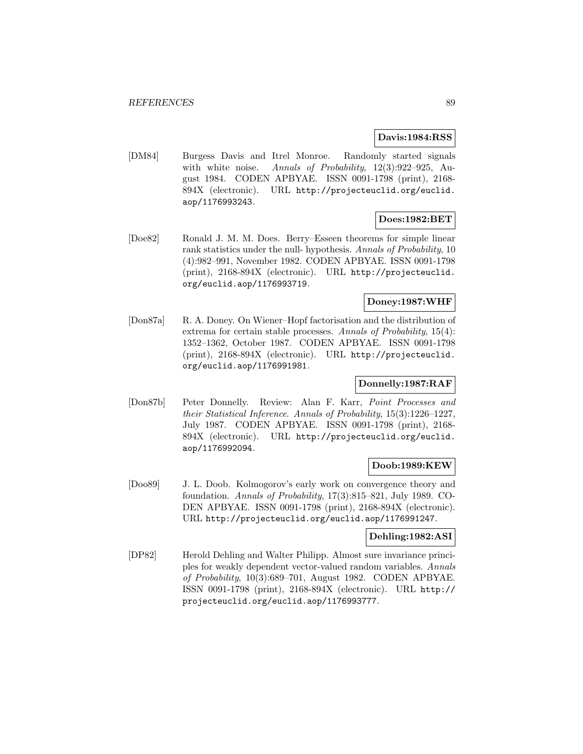### **Davis:1984:RSS**

[DM84] Burgess Davis and Itrel Monroe. Randomly started signals with white noise. Annals of Probability, 12(3):922-925, August 1984. CODEN APBYAE. ISSN 0091-1798 (print), 2168- 894X (electronic). URL http://projecteuclid.org/euclid. aop/1176993243.

## **Does:1982:BET**

[Doe82] Ronald J. M. M. Does. Berry–Esseen theorems for simple linear rank statistics under the null- hypothesis. Annals of Probability, 10 (4):982–991, November 1982. CODEN APBYAE. ISSN 0091-1798 (print), 2168-894X (electronic). URL http://projecteuclid. org/euclid.aop/1176993719.

## **Doney:1987:WHF**

[Don87a] R. A. Doney. On Wiener–Hopf factorisation and the distribution of extrema for certain stable processes. Annals of Probability, 15(4): 1352–1362, October 1987. CODEN APBYAE. ISSN 0091-1798 (print), 2168-894X (electronic). URL http://projecteuclid. org/euclid.aop/1176991981.

### **Donnelly:1987:RAF**

[Don87b] Peter Donnelly. Review: Alan F. Karr, Point Processes and their Statistical Inference. Annals of Probability, 15(3):1226–1227, July 1987. CODEN APBYAE. ISSN 0091-1798 (print), 2168- 894X (electronic). URL http://projecteuclid.org/euclid. aop/1176992094.

## **Doob:1989:KEW**

[Doo89] J. L. Doob. Kolmogorov's early work on convergence theory and foundation. Annals of Probability, 17(3):815–821, July 1989. CO-DEN APBYAE. ISSN 0091-1798 (print), 2168-894X (electronic). URL http://projecteuclid.org/euclid.aop/1176991247.

### **Dehling:1982:ASI**

[DP82] Herold Dehling and Walter Philipp. Almost sure invariance principles for weakly dependent vector-valued random variables. Annals of Probability, 10(3):689–701, August 1982. CODEN APBYAE. ISSN 0091-1798 (print), 2168-894X (electronic). URL http:// projecteuclid.org/euclid.aop/1176993777.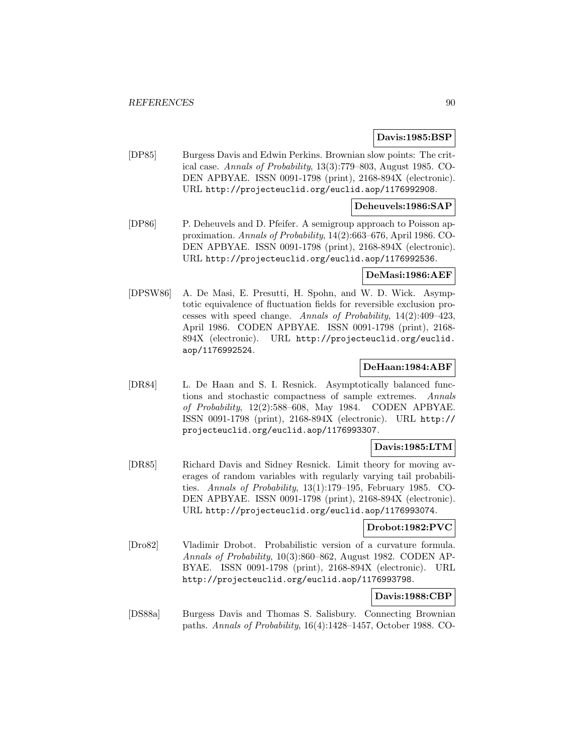### **Davis:1985:BSP**

[DP85] Burgess Davis and Edwin Perkins. Brownian slow points: The critical case. Annals of Probability, 13(3):779–803, August 1985. CO-DEN APBYAE. ISSN 0091-1798 (print), 2168-894X (electronic). URL http://projecteuclid.org/euclid.aop/1176992908.

### **Deheuvels:1986:SAP**

[DP86] P. Deheuvels and D. Pfeifer. A semigroup approach to Poisson approximation. Annals of Probability, 14(2):663–676, April 1986. CO-DEN APBYAE. ISSN 0091-1798 (print), 2168-894X (electronic). URL http://projecteuclid.org/euclid.aop/1176992536.

#### **DeMasi:1986:AEF**

[DPSW86] A. De Masi, E. Presutti, H. Spohn, and W. D. Wick. Asymptotic equivalence of fluctuation fields for reversible exclusion processes with speed change. Annals of Probability, 14(2):409–423, April 1986. CODEN APBYAE. ISSN 0091-1798 (print), 2168- 894X (electronic). URL http://projecteuclid.org/euclid. aop/1176992524.

## **DeHaan:1984:ABF**

[DR84] L. De Haan and S. I. Resnick. Asymptotically balanced functions and stochastic compactness of sample extremes. Annals of Probability, 12(2):588–608, May 1984. CODEN APBYAE. ISSN 0091-1798 (print), 2168-894X (electronic). URL http:// projecteuclid.org/euclid.aop/1176993307.

## **Davis:1985:LTM**

[DR85] Richard Davis and Sidney Resnick. Limit theory for moving averages of random variables with regularly varying tail probabilities. Annals of Probability, 13(1):179–195, February 1985. CO-DEN APBYAE. ISSN 0091-1798 (print), 2168-894X (electronic). URL http://projecteuclid.org/euclid.aop/1176993074.

### **Drobot:1982:PVC**

[Dro82] Vladimir Drobot. Probabilistic version of a curvature formula. Annals of Probability, 10(3):860–862, August 1982. CODEN AP-BYAE. ISSN 0091-1798 (print), 2168-894X (electronic). URL http://projecteuclid.org/euclid.aop/1176993798.

## **Davis:1988:CBP**

[DS88a] Burgess Davis and Thomas S. Salisbury. Connecting Brownian paths. Annals of Probability, 16(4):1428–1457, October 1988. CO-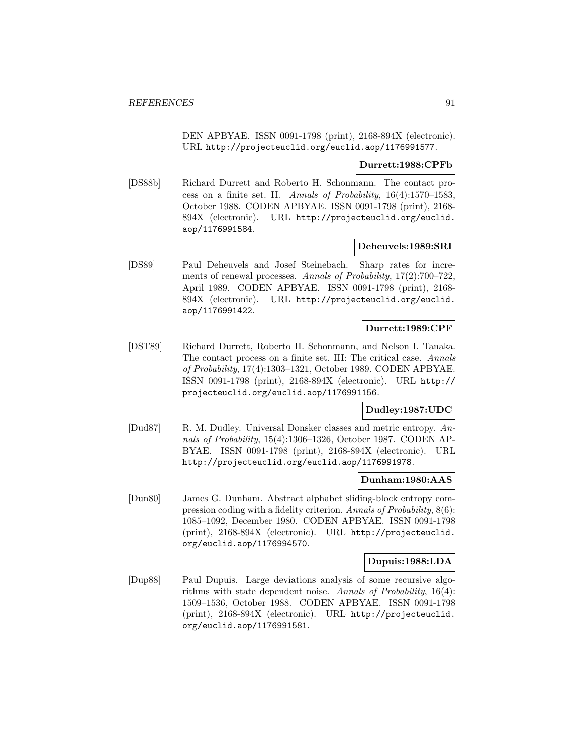DEN APBYAE. ISSN 0091-1798 (print), 2168-894X (electronic). URL http://projecteuclid.org/euclid.aop/1176991577.

#### **Durrett:1988:CPFb**

[DS88b] Richard Durrett and Roberto H. Schonmann. The contact process on a finite set. II. Annals of Probability, 16(4):1570–1583, October 1988. CODEN APBYAE. ISSN 0091-1798 (print), 2168- 894X (electronic). URL http://projecteuclid.org/euclid. aop/1176991584.

### **Deheuvels:1989:SRI**

[DS89] Paul Deheuvels and Josef Steinebach. Sharp rates for increments of renewal processes. Annals of Probability, 17(2):700–722, April 1989. CODEN APBYAE. ISSN 0091-1798 (print), 2168- 894X (electronic). URL http://projecteuclid.org/euclid. aop/1176991422.

## **Durrett:1989:CPF**

[DST89] Richard Durrett, Roberto H. Schonmann, and Nelson I. Tanaka. The contact process on a finite set. III: The critical case. Annals of Probability, 17(4):1303–1321, October 1989. CODEN APBYAE. ISSN 0091-1798 (print), 2168-894X (electronic). URL http:// projecteuclid.org/euclid.aop/1176991156.

## **Dudley:1987:UDC**

[Dud87] R. M. Dudley. Universal Donsker classes and metric entropy. Annals of Probability, 15(4):1306–1326, October 1987. CODEN AP-BYAE. ISSN 0091-1798 (print), 2168-894X (electronic). URL http://projecteuclid.org/euclid.aop/1176991978.

### **Dunham:1980:AAS**

[Dun80] James G. Dunham. Abstract alphabet sliding-block entropy compression coding with a fidelity criterion. Annals of Probability, 8(6): 1085–1092, December 1980. CODEN APBYAE. ISSN 0091-1798 (print), 2168-894X (electronic). URL http://projecteuclid. org/euclid.aop/1176994570.

### **Dupuis:1988:LDA**

[Dup88] Paul Dupuis. Large deviations analysis of some recursive algorithms with state dependent noise. Annals of Probability,  $16(4)$ : 1509–1536, October 1988. CODEN APBYAE. ISSN 0091-1798 (print), 2168-894X (electronic). URL http://projecteuclid. org/euclid.aop/1176991581.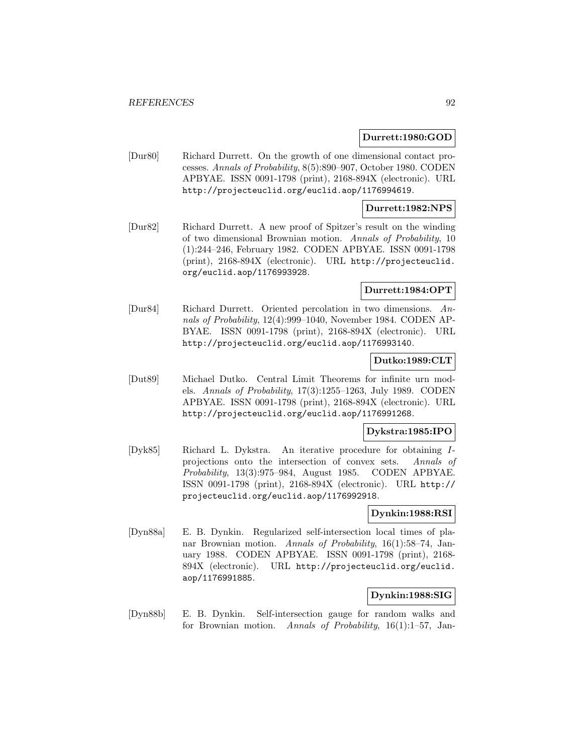### **Durrett:1980:GOD**

[Dur80] Richard Durrett. On the growth of one dimensional contact processes. Annals of Probability, 8(5):890–907, October 1980. CODEN APBYAE. ISSN 0091-1798 (print), 2168-894X (electronic). URL http://projecteuclid.org/euclid.aop/1176994619.

## **Durrett:1982:NPS**

[Dur82] Richard Durrett. A new proof of Spitzer's result on the winding of two dimensional Brownian motion. Annals of Probability, 10 (1):244–246, February 1982. CODEN APBYAE. ISSN 0091-1798 (print), 2168-894X (electronic). URL http://projecteuclid. org/euclid.aop/1176993928.

### **Durrett:1984:OPT**

[Dur84] Richard Durrett. Oriented percolation in two dimensions. Annals of Probability, 12(4):999–1040, November 1984. CODEN AP-BYAE. ISSN 0091-1798 (print), 2168-894X (electronic). URL http://projecteuclid.org/euclid.aop/1176993140.

## **Dutko:1989:CLT**

[Dut89] Michael Dutko. Central Limit Theorems for infinite urn models. Annals of Probability, 17(3):1255–1263, July 1989. CODEN APBYAE. ISSN 0091-1798 (print), 2168-894X (electronic). URL http://projecteuclid.org/euclid.aop/1176991268.

#### **Dykstra:1985:IPO**

[Dyk85] Richard L. Dykstra. An iterative procedure for obtaining Iprojections onto the intersection of convex sets. Annals of Probability, 13(3):975–984, August 1985. CODEN APBYAE. ISSN 0091-1798 (print), 2168-894X (electronic). URL http:// projecteuclid.org/euclid.aop/1176992918.

### **Dynkin:1988:RSI**

[Dyn88a] E. B. Dynkin. Regularized self-intersection local times of planar Brownian motion. Annals of Probability, 16(1):58–74, January 1988. CODEN APBYAE. ISSN 0091-1798 (print), 2168- 894X (electronic). URL http://projecteuclid.org/euclid. aop/1176991885.

### **Dynkin:1988:SIG**

[Dyn88b] E. B. Dynkin. Self-intersection gauge for random walks and for Brownian motion. Annals of Probability, 16(1):1–57, Jan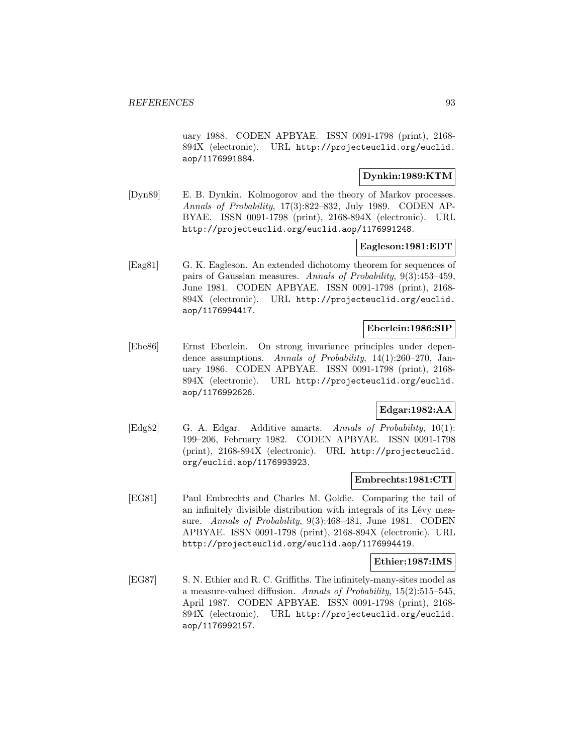uary 1988. CODEN APBYAE. ISSN 0091-1798 (print), 2168- 894X (electronic). URL http://projecteuclid.org/euclid. aop/1176991884.

## **Dynkin:1989:KTM**

[Dyn89] E. B. Dynkin. Kolmogorov and the theory of Markov processes. Annals of Probability, 17(3):822–832, July 1989. CODEN AP-BYAE. ISSN 0091-1798 (print), 2168-894X (electronic). URL http://projecteuclid.org/euclid.aop/1176991248.

## **Eagleson:1981:EDT**

[Eag81] G. K. Eagleson. An extended dichotomy theorem for sequences of pairs of Gaussian measures. Annals of Probability, 9(3):453–459, June 1981. CODEN APBYAE. ISSN 0091-1798 (print), 2168- 894X (electronic). URL http://projecteuclid.org/euclid. aop/1176994417.

### **Eberlein:1986:SIP**

[Ebe86] Ernst Eberlein. On strong invariance principles under dependence assumptions. Annals of Probability, 14(1):260–270, January 1986. CODEN APBYAE. ISSN 0091-1798 (print), 2168- 894X (electronic). URL http://projecteuclid.org/euclid. aop/1176992626.

# **Edgar:1982:AA**

[Edg82] G. A. Edgar. Additive amarts. Annals of Probability, 10(1): 199–206, February 1982. CODEN APBYAE. ISSN 0091-1798 (print), 2168-894X (electronic). URL http://projecteuclid. org/euclid.aop/1176993923.

### **Embrechts:1981:CTI**

[EG81] Paul Embrechts and Charles M. Goldie. Comparing the tail of an infinitely divisible distribution with integrals of its Lévy measure. Annals of Probability, 9(3):468-481, June 1981. CODEN APBYAE. ISSN 0091-1798 (print), 2168-894X (electronic). URL http://projecteuclid.org/euclid.aop/1176994419.

### **Ethier:1987:IMS**

[EG87] S. N. Ethier and R. C. Griffiths. The infinitely-many-sites model as a measure-valued diffusion. Annals of Probability,  $15(2):515-545$ , April 1987. CODEN APBYAE. ISSN 0091-1798 (print), 2168- 894X (electronic). URL http://projecteuclid.org/euclid. aop/1176992157.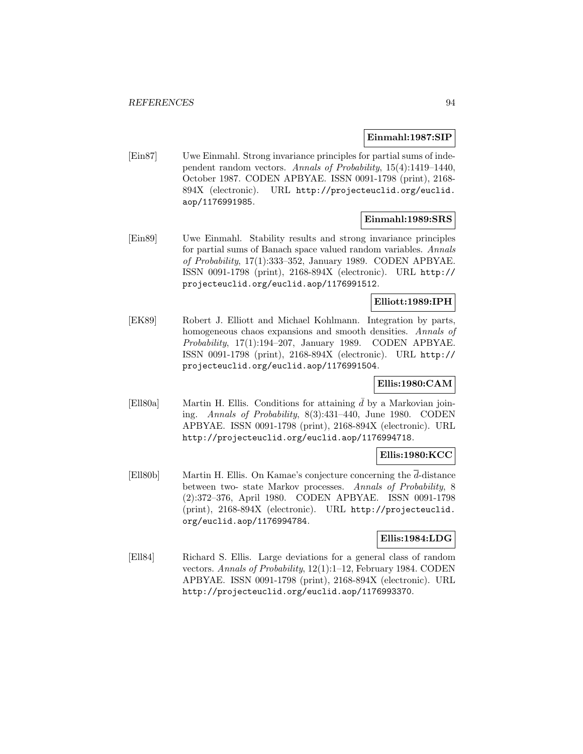#### **Einmahl:1987:SIP**

[Ein87] Uwe Einmahl. Strong invariance principles for partial sums of independent random vectors. Annals of Probability, 15(4):1419–1440, October 1987. CODEN APBYAE. ISSN 0091-1798 (print), 2168- 894X (electronic). URL http://projecteuclid.org/euclid. aop/1176991985.

## **Einmahl:1989:SRS**

[Ein89] Uwe Einmahl. Stability results and strong invariance principles for partial sums of Banach space valued random variables. Annals of Probability, 17(1):333–352, January 1989. CODEN APBYAE. ISSN 0091-1798 (print), 2168-894X (electronic). URL http:// projecteuclid.org/euclid.aop/1176991512.

## **Elliott:1989:IPH**

[EK89] Robert J. Elliott and Michael Kohlmann. Integration by parts, homogeneous chaos expansions and smooth densities. Annals of Probability, 17(1):194–207, January 1989. CODEN APBYAE. ISSN 0091-1798 (print), 2168-894X (electronic). URL http:// projecteuclid.org/euclid.aop/1176991504.

## **Ellis:1980:CAM**

[Ell80a] Martin H. Ellis. Conditions for attaining  $\bar{d}$  by a Markovian joining. Annals of Probability, 8(3):431–440, June 1980. CODEN APBYAE. ISSN 0091-1798 (print), 2168-894X (electronic). URL http://projecteuclid.org/euclid.aop/1176994718.

## **Ellis:1980:KCC**

[Ell80b] Martin H. Ellis. On Kamae's conjecture concerning the  $\overline{d}$ -distance between two-state Markov processes. Annals of Probability, 8 (2):372–376, April 1980. CODEN APBYAE. ISSN 0091-1798 (print), 2168-894X (electronic). URL http://projecteuclid. org/euclid.aop/1176994784.

## **Ellis:1984:LDG**

[Ell84] Richard S. Ellis. Large deviations for a general class of random vectors. Annals of Probability, 12(1):1–12, February 1984. CODEN APBYAE. ISSN 0091-1798 (print), 2168-894X (electronic). URL http://projecteuclid.org/euclid.aop/1176993370.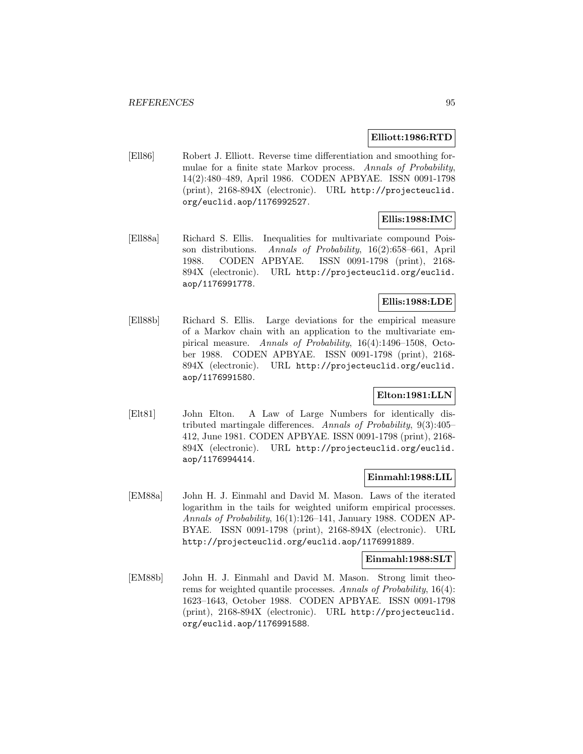### **Elliott:1986:RTD**

[Ell86] Robert J. Elliott. Reverse time differentiation and smoothing formulae for a finite state Markov process. Annals of Probability, 14(2):480–489, April 1986. CODEN APBYAE. ISSN 0091-1798 (print), 2168-894X (electronic). URL http://projecteuclid. org/euclid.aop/1176992527.

# **Ellis:1988:IMC**

[Ell88a] Richard S. Ellis. Inequalities for multivariate compound Poisson distributions. Annals of Probability, 16(2):658-661, April 1988. CODEN APBYAE. ISSN 0091-1798 (print), 2168- 894X (electronic). URL http://projecteuclid.org/euclid. aop/1176991778.

## **Ellis:1988:LDE**

[Ell88b] Richard S. Ellis. Large deviations for the empirical measure of a Markov chain with an application to the multivariate empirical measure. Annals of Probability, 16(4):1496–1508, October 1988. CODEN APBYAE. ISSN 0091-1798 (print), 2168- 894X (electronic). URL http://projecteuclid.org/euclid. aop/1176991580.

## **Elton:1981:LLN**

[Elt81] John Elton. A Law of Large Numbers for identically distributed martingale differences. Annals of Probability, 9(3):405– 412, June 1981. CODEN APBYAE. ISSN 0091-1798 (print), 2168- 894X (electronic). URL http://projecteuclid.org/euclid. aop/1176994414.

### **Einmahl:1988:LIL**

[EM88a] John H. J. Einmahl and David M. Mason. Laws of the iterated logarithm in the tails for weighted uniform empirical processes. Annals of Probability, 16(1):126–141, January 1988. CODEN AP-BYAE. ISSN 0091-1798 (print), 2168-894X (electronic). URL http://projecteuclid.org/euclid.aop/1176991889.

#### **Einmahl:1988:SLT**

[EM88b] John H. J. Einmahl and David M. Mason. Strong limit theorems for weighted quantile processes. Annals of Probability, 16(4): 1623–1643, October 1988. CODEN APBYAE. ISSN 0091-1798 (print), 2168-894X (electronic). URL http://projecteuclid. org/euclid.aop/1176991588.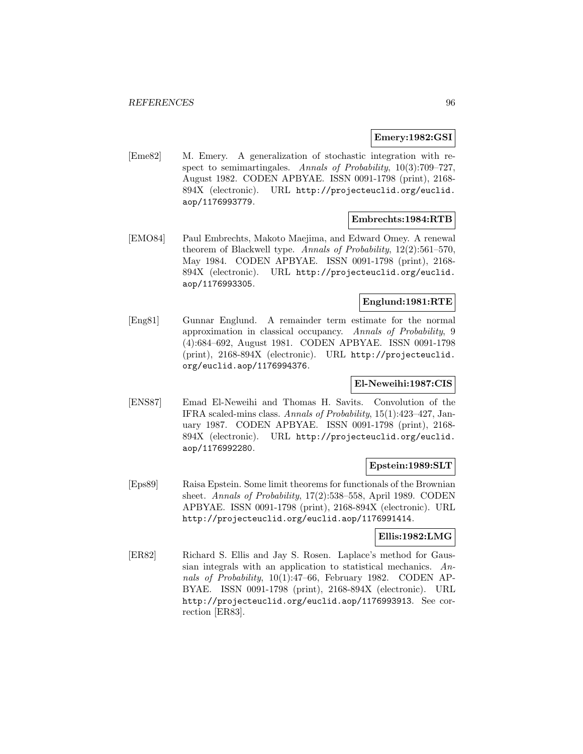### **Emery:1982:GSI**

[Eme82] M. Emery. A generalization of stochastic integration with respect to semimartingales. Annals of Probability, 10(3):709–727, August 1982. CODEN APBYAE. ISSN 0091-1798 (print), 2168- 894X (electronic). URL http://projecteuclid.org/euclid. aop/1176993779.

### **Embrechts:1984:RTB**

[EMO84] Paul Embrechts, Makoto Maejima, and Edward Omey. A renewal theorem of Blackwell type. Annals of Probability, 12(2):561-570, May 1984. CODEN APBYAE. ISSN 0091-1798 (print), 2168- 894X (electronic). URL http://projecteuclid.org/euclid. aop/1176993305.

## **Englund:1981:RTE**

[Eng81] Gunnar Englund. A remainder term estimate for the normal approximation in classical occupancy. Annals of Probability, 9 (4):684–692, August 1981. CODEN APBYAE. ISSN 0091-1798 (print), 2168-894X (electronic). URL http://projecteuclid. org/euclid.aop/1176994376.

## **El-Neweihi:1987:CIS**

[ENS87] Emad El-Neweihi and Thomas H. Savits. Convolution of the IFRA scaled-mins class. Annals of Probability, 15(1):423–427, January 1987. CODEN APBYAE. ISSN 0091-1798 (print), 2168- 894X (electronic). URL http://projecteuclid.org/euclid. aop/1176992280.

### **Epstein:1989:SLT**

[Eps89] Raisa Epstein. Some limit theorems for functionals of the Brownian sheet. Annals of Probability, 17(2):538–558, April 1989. CODEN APBYAE. ISSN 0091-1798 (print), 2168-894X (electronic). URL http://projecteuclid.org/euclid.aop/1176991414.

### **Ellis:1982:LMG**

[ER82] Richard S. Ellis and Jay S. Rosen. Laplace's method for Gaussian integrals with an application to statistical mechanics. Annals of Probability, 10(1):47–66, February 1982. CODEN AP-BYAE. ISSN 0091-1798 (print), 2168-894X (electronic). URL http://projecteuclid.org/euclid.aop/1176993913. See correction [ER83].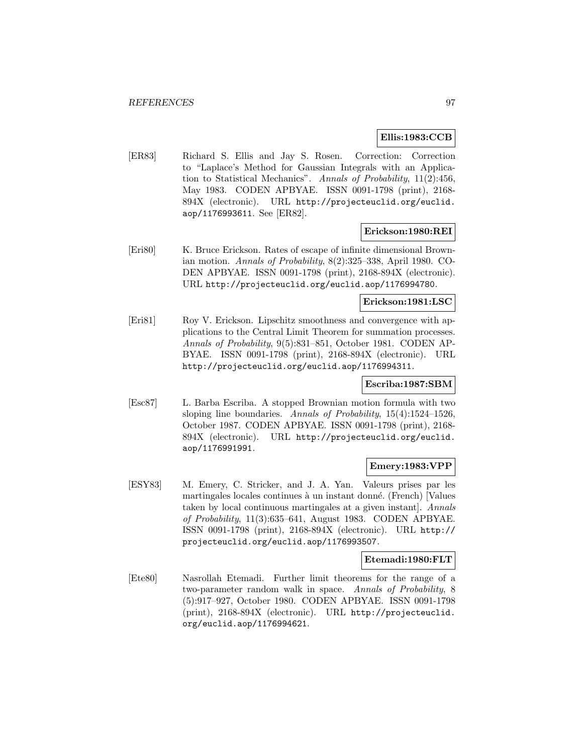### **Ellis:1983:CCB**

[ER83] Richard S. Ellis and Jay S. Rosen. Correction: Correction to "Laplace's Method for Gaussian Integrals with an Application to Statistical Mechanics". Annals of Probability, 11(2):456, May 1983. CODEN APBYAE. ISSN 0091-1798 (print), 2168- 894X (electronic). URL http://projecteuclid.org/euclid. aop/1176993611. See [ER82].

#### **Erickson:1980:REI**

[Eri80] K. Bruce Erickson. Rates of escape of infinite dimensional Brownian motion. Annals of Probability, 8(2):325–338, April 1980. CO-DEN APBYAE. ISSN 0091-1798 (print), 2168-894X (electronic). URL http://projecteuclid.org/euclid.aop/1176994780.

## **Erickson:1981:LSC**

[Eri81] Roy V. Erickson. Lipschitz smoothness and convergence with applications to the Central Limit Theorem for summation processes. Annals of Probability, 9(5):831–851, October 1981. CODEN AP-BYAE. ISSN 0091-1798 (print), 2168-894X (electronic). URL http://projecteuclid.org/euclid.aop/1176994311.

### **Escriba:1987:SBM**

[Esc87] L. Barba Escriba. A stopped Brownian motion formula with two sloping line boundaries. Annals of Probability,  $15(4):1524-1526$ , October 1987. CODEN APBYAE. ISSN 0091-1798 (print), 2168- 894X (electronic). URL http://projecteuclid.org/euclid. aop/1176991991.

## **Emery:1983:VPP**

[ESY83] M. Emery, C. Stricker, and J. A. Yan. Valeurs prises par les martingales locales continues à un instant donné. (French) [Values taken by local continuous martingales at a given instant]. Annals of Probability, 11(3):635–641, August 1983. CODEN APBYAE. ISSN 0091-1798 (print), 2168-894X (electronic). URL http:// projecteuclid.org/euclid.aop/1176993507.

### **Etemadi:1980:FLT**

[Ete80] Nasrollah Etemadi. Further limit theorems for the range of a two-parameter random walk in space. Annals of Probability, 8 (5):917–927, October 1980. CODEN APBYAE. ISSN 0091-1798 (print), 2168-894X (electronic). URL http://projecteuclid. org/euclid.aop/1176994621.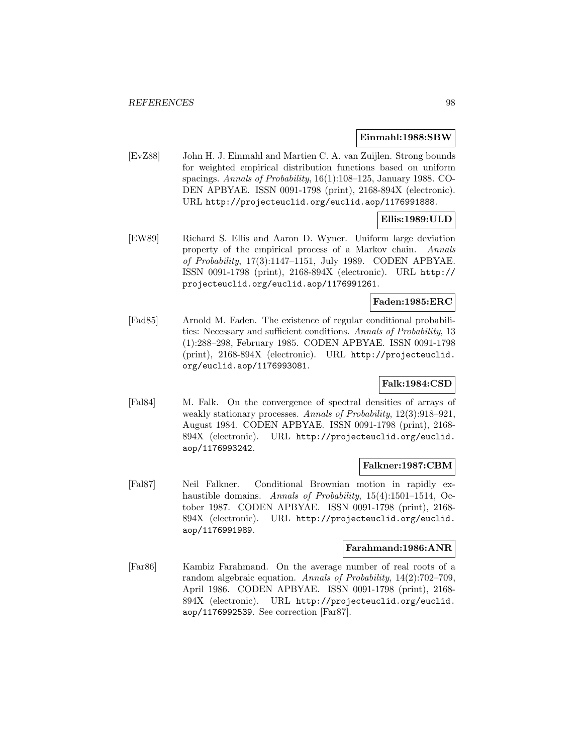#### **Einmahl:1988:SBW**

[EvZ88] John H. J. Einmahl and Martien C. A. van Zuijlen. Strong bounds for weighted empirical distribution functions based on uniform spacings. Annals of Probability, 16(1):108–125, January 1988. CO-DEN APBYAE. ISSN 0091-1798 (print), 2168-894X (electronic). URL http://projecteuclid.org/euclid.aop/1176991888.

# **Ellis:1989:ULD**

[EW89] Richard S. Ellis and Aaron D. Wyner. Uniform large deviation property of the empirical process of a Markov chain. Annals of Probability, 17(3):1147–1151, July 1989. CODEN APBYAE. ISSN 0091-1798 (print), 2168-894X (electronic). URL http:// projecteuclid.org/euclid.aop/1176991261.

### **Faden:1985:ERC**

[Fad85] Arnold M. Faden. The existence of regular conditional probabilities: Necessary and sufficient conditions. Annals of Probability, 13 (1):288–298, February 1985. CODEN APBYAE. ISSN 0091-1798 (print), 2168-894X (electronic). URL http://projecteuclid. org/euclid.aop/1176993081.

## **Falk:1984:CSD**

[Fal84] M. Falk. On the convergence of spectral densities of arrays of weakly stationary processes. Annals of Probability, 12(3):918–921, August 1984. CODEN APBYAE. ISSN 0091-1798 (print), 2168- 894X (electronic). URL http://projecteuclid.org/euclid. aop/1176993242.

### **Falkner:1987:CBM**

[Fal87] Neil Falkner. Conditional Brownian motion in rapidly exhaustible domains. Annals of Probability, 15(4):1501-1514, October 1987. CODEN APBYAE. ISSN 0091-1798 (print), 2168- 894X (electronic). URL http://projecteuclid.org/euclid. aop/1176991989.

### **Farahmand:1986:ANR**

[Far86] Kambiz Farahmand. On the average number of real roots of a random algebraic equation. Annals of Probability, 14(2):702–709, April 1986. CODEN APBYAE. ISSN 0091-1798 (print), 2168- 894X (electronic). URL http://projecteuclid.org/euclid. aop/1176992539. See correction [Far87].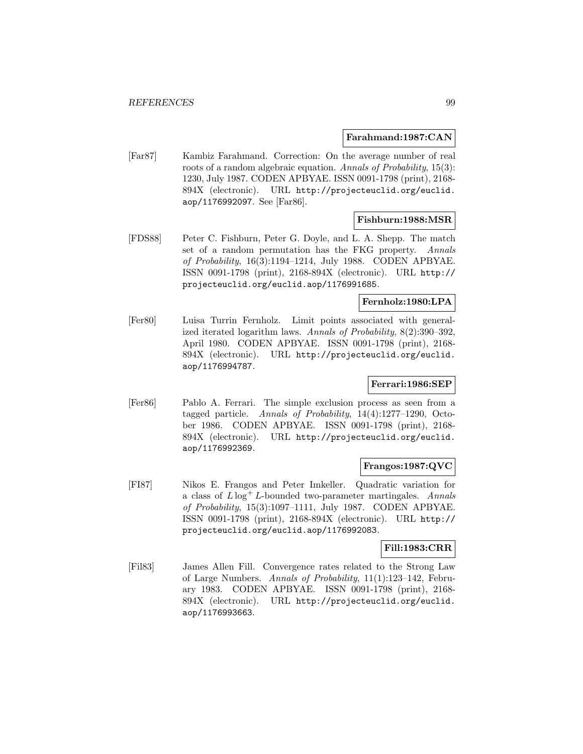### **Farahmand:1987:CAN**

[Far87] Kambiz Farahmand. Correction: On the average number of real roots of a random algebraic equation. Annals of Probability, 15(3): 1230, July 1987. CODEN APBYAE. ISSN 0091-1798 (print), 2168- 894X (electronic). URL http://projecteuclid.org/euclid. aop/1176992097. See [Far86].

## **Fishburn:1988:MSR**

[FDS88] Peter C. Fishburn, Peter G. Doyle, and L. A. Shepp. The match set of a random permutation has the FKG property. Annals of Probability, 16(3):1194–1214, July 1988. CODEN APBYAE. ISSN 0091-1798 (print), 2168-894X (electronic). URL http:// projecteuclid.org/euclid.aop/1176991685.

## **Fernholz:1980:LPA**

[Fer80] Luisa Turrin Fernholz. Limit points associated with generalized iterated logarithm laws. Annals of Probability, 8(2):390–392, April 1980. CODEN APBYAE. ISSN 0091-1798 (print), 2168- 894X (electronic). URL http://projecteuclid.org/euclid. aop/1176994787.

## **Ferrari:1986:SEP**

[Fer86] Pablo A. Ferrari. The simple exclusion process as seen from a tagged particle. Annals of Probability, 14(4):1277–1290, October 1986. CODEN APBYAE. ISSN 0091-1798 (print), 2168- 894X (electronic). URL http://projecteuclid.org/euclid. aop/1176992369.

## **Frangos:1987:QVC**

[FI87] Nikos E. Frangos and Peter Imkeller. Quadratic variation for a class of  $L \log^+ L$ -bounded two-parameter martingales. Annals of Probability, 15(3):1097–1111, July 1987. CODEN APBYAE. ISSN 0091-1798 (print), 2168-894X (electronic). URL http:// projecteuclid.org/euclid.aop/1176992083.

## **Fill:1983:CRR**

[Fil83] James Allen Fill. Convergence rates related to the Strong Law of Large Numbers. Annals of Probability, 11(1):123–142, February 1983. CODEN APBYAE. ISSN 0091-1798 (print), 2168- 894X (electronic). URL http://projecteuclid.org/euclid. aop/1176993663.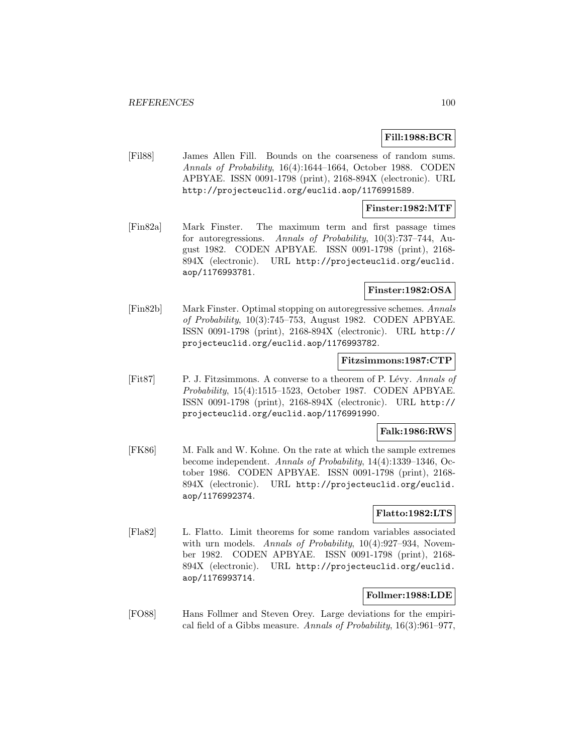## **Fill:1988:BCR**

[Fil88] James Allen Fill. Bounds on the coarseness of random sums. Annals of Probability, 16(4):1644–1664, October 1988. CODEN APBYAE. ISSN 0091-1798 (print), 2168-894X (electronic). URL http://projecteuclid.org/euclid.aop/1176991589.

#### **Finster:1982:MTF**

[Fin82a] Mark Finster. The maximum term and first passage times for autoregressions. Annals of Probability, 10(3):737–744, August 1982. CODEN APBYAE. ISSN 0091-1798 (print), 2168- 894X (electronic). URL http://projecteuclid.org/euclid. aop/1176993781.

## **Finster:1982:OSA**

[Fin82b] Mark Finster. Optimal stopping on autoregressive schemes. Annals of Probability, 10(3):745–753, August 1982. CODEN APBYAE. ISSN 0091-1798 (print), 2168-894X (electronic). URL http:// projecteuclid.org/euclid.aop/1176993782.

### **Fitzsimmons:1987:CTP**

[Fit87] P. J. Fitzsimmons. A converse to a theorem of P. Lévy. Annals of Probability, 15(4):1515–1523, October 1987. CODEN APBYAE. ISSN 0091-1798 (print), 2168-894X (electronic). URL http:// projecteuclid.org/euclid.aop/1176991990.

### **Falk:1986:RWS**

[FK86] M. Falk and W. Kohne. On the rate at which the sample extremes become independent. Annals of Probability, 14(4):1339–1346, October 1986. CODEN APBYAE. ISSN 0091-1798 (print), 2168- 894X (electronic). URL http://projecteuclid.org/euclid. aop/1176992374.

## **Flatto:1982:LTS**

[Fla82] L. Flatto. Limit theorems for some random variables associated with urn models. Annals of Probability,  $10(4):927-934$ , November 1982. CODEN APBYAE. ISSN 0091-1798 (print), 2168- 894X (electronic). URL http://projecteuclid.org/euclid. aop/1176993714.

#### **Follmer:1988:LDE**

[FO88] Hans Follmer and Steven Orey. Large deviations for the empirical field of a Gibbs measure. Annals of Probability, 16(3):961–977,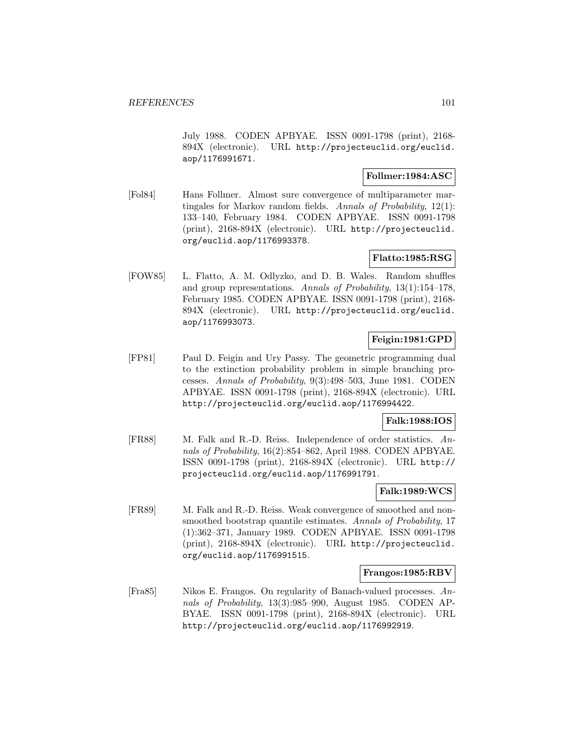July 1988. CODEN APBYAE. ISSN 0091-1798 (print), 2168- 894X (electronic). URL http://projecteuclid.org/euclid. aop/1176991671.

## **Follmer:1984:ASC**

[Fol84] Hans Follmer. Almost sure convergence of multiparameter martingales for Markov random fields. Annals of Probability, 12(1): 133–140, February 1984. CODEN APBYAE. ISSN 0091-1798 (print), 2168-894X (electronic). URL http://projecteuclid. org/euclid.aop/1176993378.

## **Flatto:1985:RSG**

[FOW85] L. Flatto, A. M. Odlyzko, and D. B. Wales. Random shuffles and group representations. Annals of Probability, 13(1):154–178, February 1985. CODEN APBYAE. ISSN 0091-1798 (print), 2168- 894X (electronic). URL http://projecteuclid.org/euclid. aop/1176993073.

## **Feigin:1981:GPD**

[FP81] Paul D. Feigin and Ury Passy. The geometric programming dual to the extinction probability problem in simple branching processes. Annals of Probability, 9(3):498–503, June 1981. CODEN APBYAE. ISSN 0091-1798 (print), 2168-894X (electronic). URL http://projecteuclid.org/euclid.aop/1176994422.

## **Falk:1988:IOS**

[FR88] M. Falk and R.-D. Reiss. Independence of order statistics. Annals of Probability, 16(2):854–862, April 1988. CODEN APBYAE. ISSN 0091-1798 (print), 2168-894X (electronic). URL http:// projecteuclid.org/euclid.aop/1176991791.

### **Falk:1989:WCS**

[FR89] M. Falk and R.-D. Reiss. Weak convergence of smoothed and nonsmoothed bootstrap quantile estimates. Annals of Probability, 17 (1):362–371, January 1989. CODEN APBYAE. ISSN 0091-1798 (print), 2168-894X (electronic). URL http://projecteuclid. org/euclid.aop/1176991515.

### **Frangos:1985:RBV**

[Fra85] Nikos E. Frangos. On regularity of Banach-valued processes. Annals of Probability, 13(3):985–990, August 1985. CODEN AP-BYAE. ISSN 0091-1798 (print), 2168-894X (electronic). URL http://projecteuclid.org/euclid.aop/1176992919.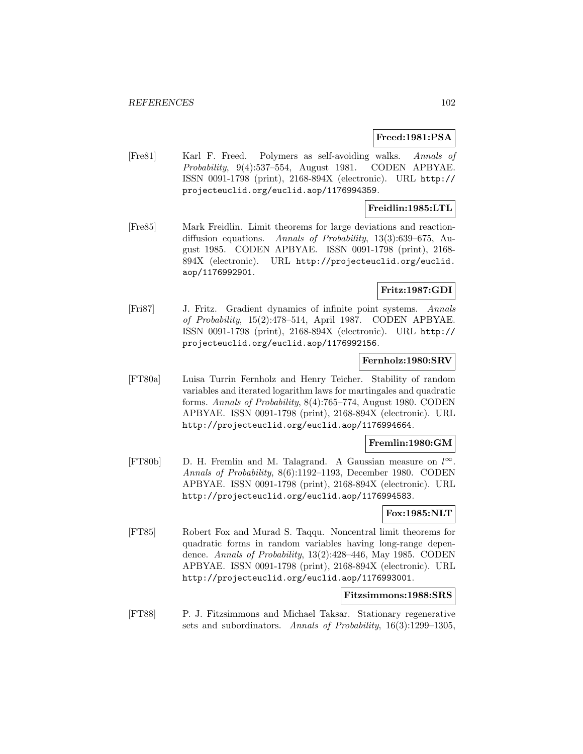### **Freed:1981:PSA**

[Fre81] Karl F. Freed. Polymers as self-avoiding walks. Annals of Probability, 9(4):537–554, August 1981. CODEN APBYAE. ISSN 0091-1798 (print), 2168-894X (electronic). URL http:// projecteuclid.org/euclid.aop/1176994359.

## **Freidlin:1985:LTL**

[Fre85] Mark Freidlin. Limit theorems for large deviations and reactiondiffusion equations. Annals of Probability, 13(3):639–675, August 1985. CODEN APBYAE. ISSN 0091-1798 (print), 2168- 894X (electronic). URL http://projecteuclid.org/euclid. aop/1176992901.

## **Fritz:1987:GDI**

[Fri87] J. Fritz. Gradient dynamics of infinite point systems. Annals of Probability, 15(2):478–514, April 1987. CODEN APBYAE. ISSN 0091-1798 (print), 2168-894X (electronic). URL http:// projecteuclid.org/euclid.aop/1176992156.

#### **Fernholz:1980:SRV**

[FT80a] Luisa Turrin Fernholz and Henry Teicher. Stability of random variables and iterated logarithm laws for martingales and quadratic forms. Annals of Probability, 8(4):765–774, August 1980. CODEN APBYAE. ISSN 0091-1798 (print), 2168-894X (electronic). URL http://projecteuclid.org/euclid.aop/1176994664.

## **Fremlin:1980:GM**

[FT80b] D. H. Fremlin and M. Talagrand. A Gaussian measure on  $l^{\infty}$ . Annals of Probability, 8(6):1192–1193, December 1980. CODEN APBYAE. ISSN 0091-1798 (print), 2168-894X (electronic). URL http://projecteuclid.org/euclid.aop/1176994583.

#### **Fox:1985:NLT**

[FT85] Robert Fox and Murad S. Taqqu. Noncentral limit theorems for quadratic forms in random variables having long-range dependence. Annals of Probability, 13(2):428–446, May 1985. CODEN APBYAE. ISSN 0091-1798 (print), 2168-894X (electronic). URL http://projecteuclid.org/euclid.aop/1176993001.

### **Fitzsimmons:1988:SRS**

[FT88] P. J. Fitzsimmons and Michael Taksar. Stationary regenerative sets and subordinators. Annals of Probability, 16(3):1299–1305,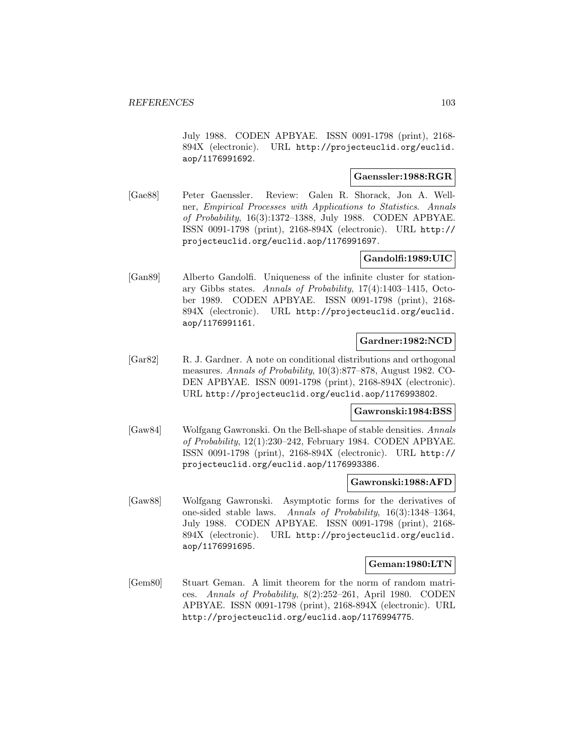July 1988. CODEN APBYAE. ISSN 0091-1798 (print), 2168- 894X (electronic). URL http://projecteuclid.org/euclid. aop/1176991692.

## **Gaenssler:1988:RGR**

[Gae88] Peter Gaenssler. Review: Galen R. Shorack, Jon A. Wellner, Empirical Processes with Applications to Statistics. Annals of Probability, 16(3):1372–1388, July 1988. CODEN APBYAE. ISSN 0091-1798 (print), 2168-894X (electronic). URL http:// projecteuclid.org/euclid.aop/1176991697.

## **Gandolfi:1989:UIC**

[Gan89] Alberto Gandolfi. Uniqueness of the infinite cluster for stationary Gibbs states. Annals of Probability, 17(4):1403–1415, October 1989. CODEN APBYAE. ISSN 0091-1798 (print), 2168- 894X (electronic). URL http://projecteuclid.org/euclid. aop/1176991161.

### **Gardner:1982:NCD**

[Gar82] R. J. Gardner. A note on conditional distributions and orthogonal measures. Annals of Probability, 10(3):877–878, August 1982. CO-DEN APBYAE. ISSN 0091-1798 (print), 2168-894X (electronic). URL http://projecteuclid.org/euclid.aop/1176993802.

### **Gawronski:1984:BSS**

[Gaw84] Wolfgang Gawronski. On the Bell-shape of stable densities. Annals of Probability, 12(1):230–242, February 1984. CODEN APBYAE. ISSN 0091-1798 (print), 2168-894X (electronic). URL http:// projecteuclid.org/euclid.aop/1176993386.

### **Gawronski:1988:AFD**

[Gaw88] Wolfgang Gawronski. Asymptotic forms for the derivatives of one-sided stable laws. Annals of Probability, 16(3):1348–1364, July 1988. CODEN APBYAE. ISSN 0091-1798 (print), 2168- 894X (electronic). URL http://projecteuclid.org/euclid. aop/1176991695.

## **Geman:1980:LTN**

[Gem80] Stuart Geman. A limit theorem for the norm of random matrices. Annals of Probability, 8(2):252–261, April 1980. CODEN APBYAE. ISSN 0091-1798 (print), 2168-894X (electronic). URL http://projecteuclid.org/euclid.aop/1176994775.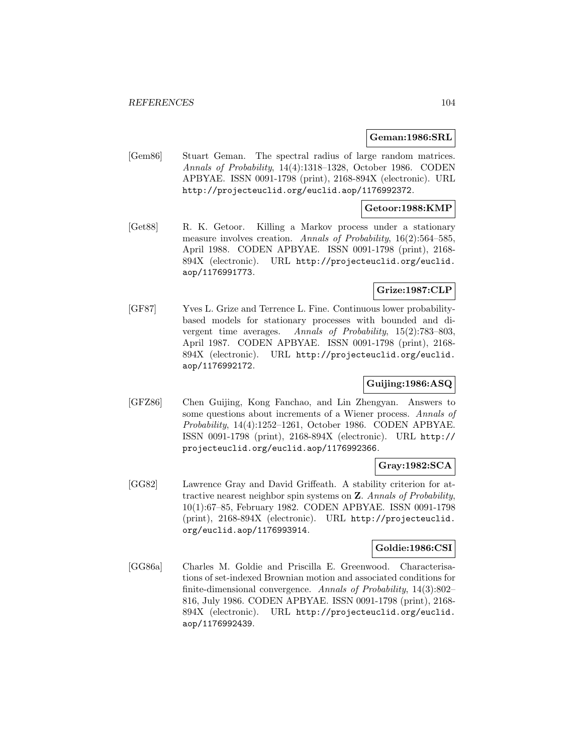#### **Geman:1986:SRL**

[Gem86] Stuart Geman. The spectral radius of large random matrices. Annals of Probability, 14(4):1318–1328, October 1986. CODEN APBYAE. ISSN 0091-1798 (print), 2168-894X (electronic). URL http://projecteuclid.org/euclid.aop/1176992372.

### **Getoor:1988:KMP**

[Get88] R. K. Getoor. Killing a Markov process under a stationary measure involves creation. Annals of Probability, 16(2):564–585, April 1988. CODEN APBYAE. ISSN 0091-1798 (print), 2168- 894X (electronic). URL http://projecteuclid.org/euclid. aop/1176991773.

## **Grize:1987:CLP**

[GF87] Yves L. Grize and Terrence L. Fine. Continuous lower probabilitybased models for stationary processes with bounded and divergent time averages. Annals of Probability, 15(2):783–803, April 1987. CODEN APBYAE. ISSN 0091-1798 (print), 2168- 894X (electronic). URL http://projecteuclid.org/euclid. aop/1176992172.

## **Guijing:1986:ASQ**

[GFZ86] Chen Guijing, Kong Fanchao, and Lin Zhengyan. Answers to some questions about increments of a Wiener process. Annals of Probability, 14(4):1252–1261, October 1986. CODEN APBYAE. ISSN 0091-1798 (print), 2168-894X (electronic). URL http:// projecteuclid.org/euclid.aop/1176992366.

## **Gray:1982:SCA**

[GG82] Lawrence Gray and David Griffeath. A stability criterion for attractive nearest neighbor spin systems on **Z**. Annals of Probability, 10(1):67–85, February 1982. CODEN APBYAE. ISSN 0091-1798 (print), 2168-894X (electronic). URL http://projecteuclid. org/euclid.aop/1176993914.

## **Goldie:1986:CSI**

[GG86a] Charles M. Goldie and Priscilla E. Greenwood. Characterisations of set-indexed Brownian motion and associated conditions for finite-dimensional convergence. Annals of Probability, 14(3):802– 816, July 1986. CODEN APBYAE. ISSN 0091-1798 (print), 2168- 894X (electronic). URL http://projecteuclid.org/euclid. aop/1176992439.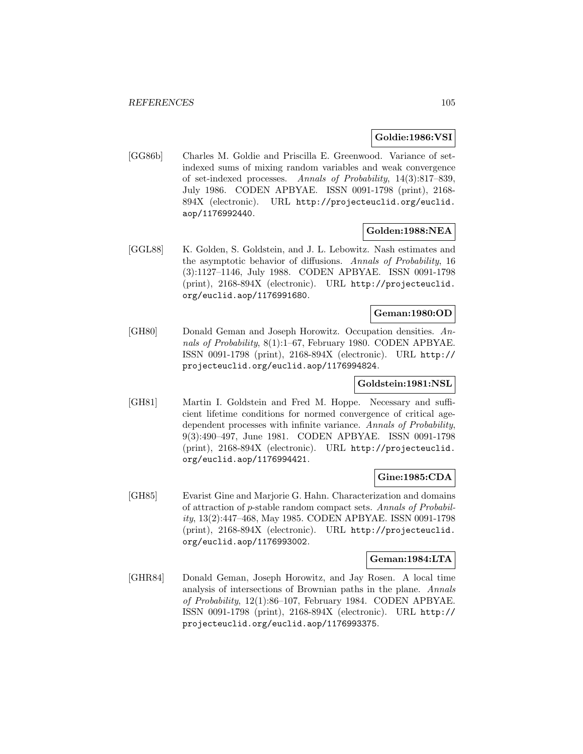### **Goldie:1986:VSI**

[GG86b] Charles M. Goldie and Priscilla E. Greenwood. Variance of setindexed sums of mixing random variables and weak convergence of set-indexed processes. Annals of Probability, 14(3):817–839, July 1986. CODEN APBYAE. ISSN 0091-1798 (print), 2168- 894X (electronic). URL http://projecteuclid.org/euclid. aop/1176992440.

### **Golden:1988:NEA**

[GGL88] K. Golden, S. Goldstein, and J. L. Lebowitz. Nash estimates and the asymptotic behavior of diffusions. Annals of Probability, 16 (3):1127–1146, July 1988. CODEN APBYAE. ISSN 0091-1798 (print), 2168-894X (electronic). URL http://projecteuclid. org/euclid.aop/1176991680.

## **Geman:1980:OD**

[GH80] Donald Geman and Joseph Horowitz. Occupation densities. Annals of Probability, 8(1):1–67, February 1980. CODEN APBYAE. ISSN 0091-1798 (print), 2168-894X (electronic). URL http:// projecteuclid.org/euclid.aop/1176994824.

### **Goldstein:1981:NSL**

[GH81] Martin I. Goldstein and Fred M. Hoppe. Necessary and sufficient lifetime conditions for normed convergence of critical agedependent processes with infinite variance. Annals of Probability, 9(3):490–497, June 1981. CODEN APBYAE. ISSN 0091-1798 (print), 2168-894X (electronic). URL http://projecteuclid. org/euclid.aop/1176994421.

### **Gine:1985:CDA**

[GH85] Evarist Gine and Marjorie G. Hahn. Characterization and domains of attraction of p-stable random compact sets. Annals of Probability, 13(2):447–468, May 1985. CODEN APBYAE. ISSN 0091-1798 (print), 2168-894X (electronic). URL http://projecteuclid. org/euclid.aop/1176993002.

#### **Geman:1984:LTA**

[GHR84] Donald Geman, Joseph Horowitz, and Jay Rosen. A local time analysis of intersections of Brownian paths in the plane. Annals of Probability, 12(1):86–107, February 1984. CODEN APBYAE. ISSN 0091-1798 (print), 2168-894X (electronic). URL http:// projecteuclid.org/euclid.aop/1176993375.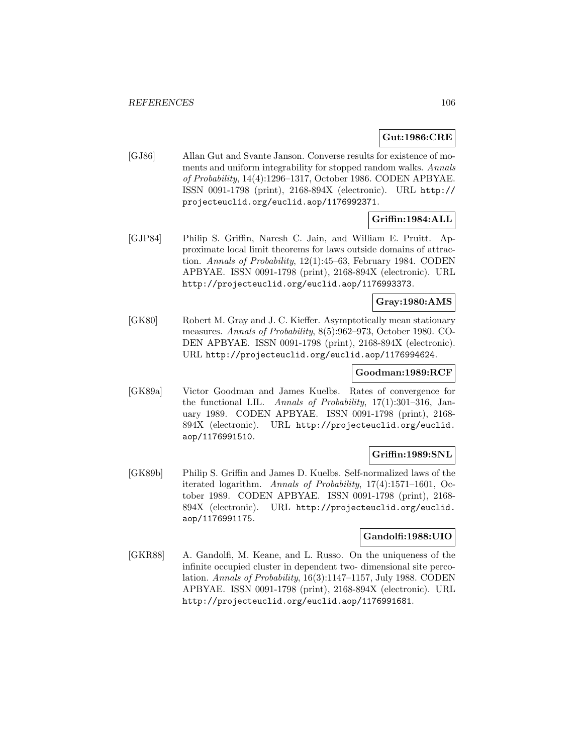## **Gut:1986:CRE**

[GJ86] Allan Gut and Svante Janson. Converse results for existence of moments and uniform integrability for stopped random walks. Annals of Probability, 14(4):1296–1317, October 1986. CODEN APBYAE. ISSN 0091-1798 (print), 2168-894X (electronic). URL http:// projecteuclid.org/euclid.aop/1176992371.

# **Griffin:1984:ALL**

[GJP84] Philip S. Griffin, Naresh C. Jain, and William E. Pruitt. Approximate local limit theorems for laws outside domains of attraction. Annals of Probability, 12(1):45–63, February 1984. CODEN APBYAE. ISSN 0091-1798 (print), 2168-894X (electronic). URL http://projecteuclid.org/euclid.aop/1176993373.

## **Gray:1980:AMS**

[GK80] Robert M. Gray and J. C. Kieffer. Asymptotically mean stationary measures. Annals of Probability, 8(5):962–973, October 1980. CO-DEN APBYAE. ISSN 0091-1798 (print), 2168-894X (electronic). URL http://projecteuclid.org/euclid.aop/1176994624.

### **Goodman:1989:RCF**

[GK89a] Victor Goodman and James Kuelbs. Rates of convergence for the functional LIL. Annals of Probability, 17(1):301–316, January 1989. CODEN APBYAE. ISSN 0091-1798 (print), 2168- 894X (electronic). URL http://projecteuclid.org/euclid. aop/1176991510.

## **Griffin:1989:SNL**

[GK89b] Philip S. Griffin and James D. Kuelbs. Self-normalized laws of the iterated logarithm. Annals of Probability, 17(4):1571–1601, October 1989. CODEN APBYAE. ISSN 0091-1798 (print), 2168- 894X (electronic). URL http://projecteuclid.org/euclid. aop/1176991175.

### **Gandolfi:1988:UIO**

[GKR88] A. Gandolfi, M. Keane, and L. Russo. On the uniqueness of the infinite occupied cluster in dependent two- dimensional site percolation. Annals of Probability, 16(3):1147–1157, July 1988. CODEN APBYAE. ISSN 0091-1798 (print), 2168-894X (electronic). URL http://projecteuclid.org/euclid.aop/1176991681.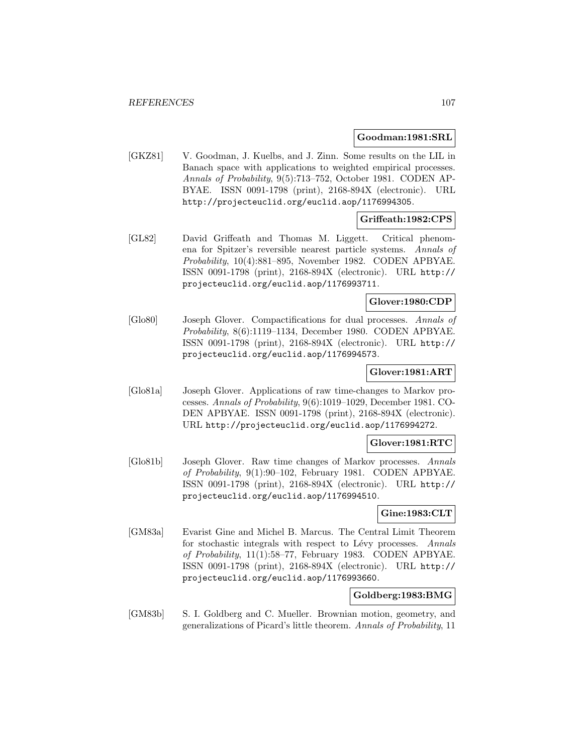### **Goodman:1981:SRL**

[GKZ81] V. Goodman, J. Kuelbs, and J. Zinn. Some results on the LIL in Banach space with applications to weighted empirical processes. Annals of Probability, 9(5):713–752, October 1981. CODEN AP-BYAE. ISSN 0091-1798 (print), 2168-894X (electronic). URL http://projecteuclid.org/euclid.aop/1176994305.

## **Griffeath:1982:CPS**

[GL82] David Griffeath and Thomas M. Liggett. Critical phenomena for Spitzer's reversible nearest particle systems. Annals of Probability, 10(4):881–895, November 1982. CODEN APBYAE. ISSN 0091-1798 (print), 2168-894X (electronic). URL http:// projecteuclid.org/euclid.aop/1176993711.

## **Glover:1980:CDP**

[Glo80] Joseph Glover. Compactifications for dual processes. Annals of Probability, 8(6):1119–1134, December 1980. CODEN APBYAE. ISSN 0091-1798 (print), 2168-894X (electronic). URL http:// projecteuclid.org/euclid.aop/1176994573.

## **Glover:1981:ART**

[Glo81a] Joseph Glover. Applications of raw time-changes to Markov processes. Annals of Probability, 9(6):1019–1029, December 1981. CO-DEN APBYAE. ISSN 0091-1798 (print), 2168-894X (electronic). URL http://projecteuclid.org/euclid.aop/1176994272.

### **Glover:1981:RTC**

[Glo81b] Joseph Glover. Raw time changes of Markov processes. Annals of Probability, 9(1):90–102, February 1981. CODEN APBYAE. ISSN 0091-1798 (print), 2168-894X (electronic). URL http:// projecteuclid.org/euclid.aop/1176994510.

## **Gine:1983:CLT**

[GM83a] Evarist Gine and Michel B. Marcus. The Central Limit Theorem for stochastic integrals with respect to Lévy processes. Annals of Probability, 11(1):58–77, February 1983. CODEN APBYAE. ISSN 0091-1798 (print), 2168-894X (electronic). URL http:// projecteuclid.org/euclid.aop/1176993660.

### **Goldberg:1983:BMG**

[GM83b] S. I. Goldberg and C. Mueller. Brownian motion, geometry, and generalizations of Picard's little theorem. Annals of Probability, 11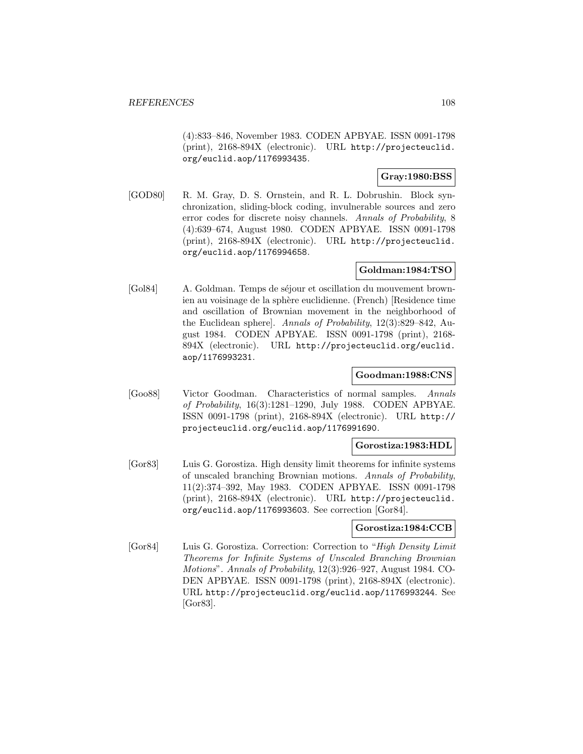(4):833–846, November 1983. CODEN APBYAE. ISSN 0091-1798 (print), 2168-894X (electronic). URL http://projecteuclid. org/euclid.aop/1176993435.

## **Gray:1980:BSS**

[GOD80] R. M. Gray, D. S. Ornstein, and R. L. Dobrushin. Block synchronization, sliding-block coding, invulnerable sources and zero error codes for discrete noisy channels. Annals of Probability, 8 (4):639–674, August 1980. CODEN APBYAE. ISSN 0091-1798 (print), 2168-894X (electronic). URL http://projecteuclid. org/euclid.aop/1176994658.

## **Goldman:1984:TSO**

[Gol84] A. Goldman. Temps de séjour et oscillation du mouvement brownien au voisinage de la sphère euclidienne. (French) [Residence time and oscillation of Brownian movement in the neighborhood of the Euclidean sphere]. Annals of Probability, 12(3):829–842, August 1984. CODEN APBYAE. ISSN 0091-1798 (print), 2168- 894X (electronic). URL http://projecteuclid.org/euclid. aop/1176993231.

### **Goodman:1988:CNS**

[Goo88] Victor Goodman. Characteristics of normal samples. Annals of Probability, 16(3):1281–1290, July 1988. CODEN APBYAE. ISSN 0091-1798 (print), 2168-894X (electronic). URL http:// projecteuclid.org/euclid.aop/1176991690.

### **Gorostiza:1983:HDL**

[Gor83] Luis G. Gorostiza. High density limit theorems for infinite systems of unscaled branching Brownian motions. Annals of Probability, 11(2):374–392, May 1983. CODEN APBYAE. ISSN 0091-1798 (print), 2168-894X (electronic). URL http://projecteuclid. org/euclid.aop/1176993603. See correction [Gor84].

### **Gorostiza:1984:CCB**

[Gor84] Luis G. Gorostiza. Correction: Correction to "High Density Limit Theorems for Infinite Systems of Unscaled Branching Brownian Motions". Annals of Probability, 12(3):926–927, August 1984. CO-DEN APBYAE. ISSN 0091-1798 (print), 2168-894X (electronic). URL http://projecteuclid.org/euclid.aop/1176993244. See [Gor83].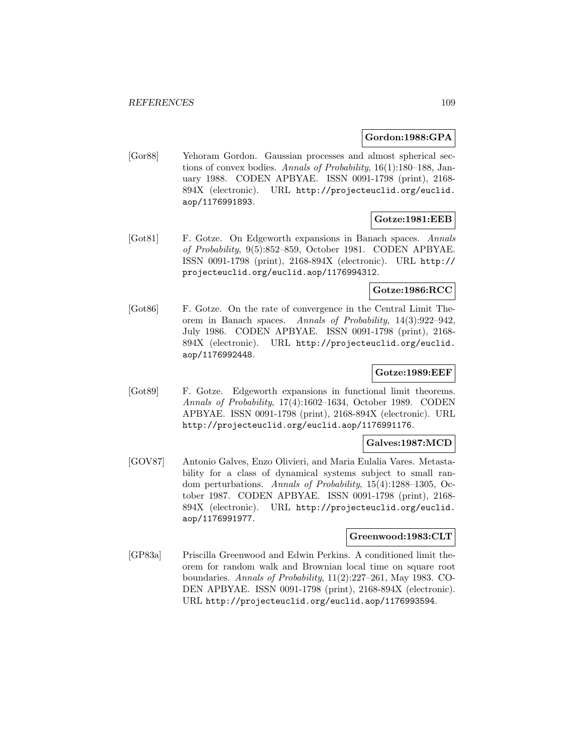#### **Gordon:1988:GPA**

[Gor88] Yehoram Gordon. Gaussian processes and almost spherical sections of convex bodies. Annals of Probability, 16(1):180–188, January 1988. CODEN APBYAE. ISSN 0091-1798 (print), 2168- 894X (electronic). URL http://projecteuclid.org/euclid. aop/1176991893.

# **Gotze:1981:EEB**

[Got81] F. Gotze. On Edgeworth expansions in Banach spaces. Annals of Probability, 9(5):852–859, October 1981. CODEN APBYAE. ISSN 0091-1798 (print), 2168-894X (electronic). URL http:// projecteuclid.org/euclid.aop/1176994312.

## **Gotze:1986:RCC**

[Got86] F. Gotze. On the rate of convergence in the Central Limit Theorem in Banach spaces. Annals of Probability, 14(3):922–942, July 1986. CODEN APBYAE. ISSN 0091-1798 (print), 2168- 894X (electronic). URL http://projecteuclid.org/euclid. aop/1176992448.

## **Gotze:1989:EEF**

[Got89] F. Gotze. Edgeworth expansions in functional limit theorems. Annals of Probability, 17(4):1602–1634, October 1989. CODEN APBYAE. ISSN 0091-1798 (print), 2168-894X (electronic). URL http://projecteuclid.org/euclid.aop/1176991176.

### **Galves:1987:MCD**

[GOV87] Antonio Galves, Enzo Olivieri, and Maria Eulalia Vares. Metastability for a class of dynamical systems subject to small random perturbations. Annals of Probability, 15(4):1288–1305, October 1987. CODEN APBYAE. ISSN 0091-1798 (print), 2168- 894X (electronic). URL http://projecteuclid.org/euclid. aop/1176991977.

## **Greenwood:1983:CLT**

[GP83a] Priscilla Greenwood and Edwin Perkins. A conditioned limit theorem for random walk and Brownian local time on square root boundaries. Annals of Probability, 11(2):227–261, May 1983. CO-DEN APBYAE. ISSN 0091-1798 (print), 2168-894X (electronic). URL http://projecteuclid.org/euclid.aop/1176993594.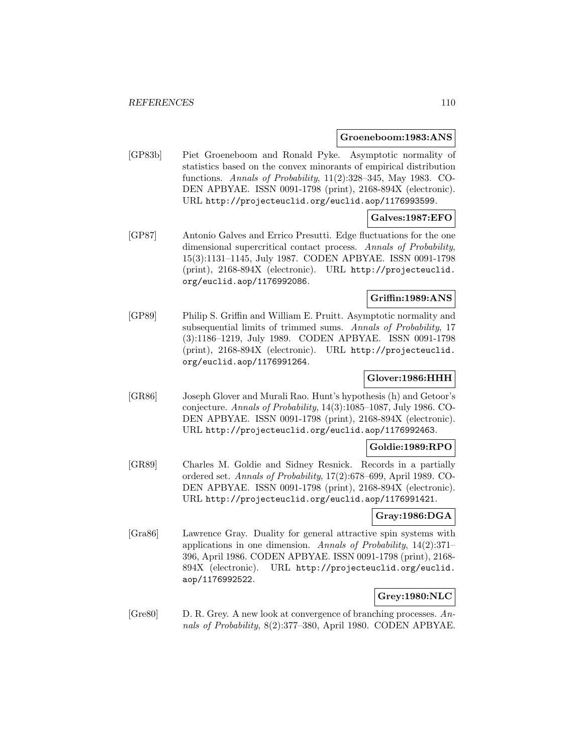#### **Groeneboom:1983:ANS**

[GP83b] Piet Groeneboom and Ronald Pyke. Asymptotic normality of statistics based on the convex minorants of empirical distribution functions. Annals of Probability, 11(2):328–345, May 1983. CO-DEN APBYAE. ISSN 0091-1798 (print), 2168-894X (electronic). URL http://projecteuclid.org/euclid.aop/1176993599.

## **Galves:1987:EFO**

[GP87] Antonio Galves and Errico Presutti. Edge fluctuations for the one dimensional supercritical contact process. Annals of Probability, 15(3):1131–1145, July 1987. CODEN APBYAE. ISSN 0091-1798 (print), 2168-894X (electronic). URL http://projecteuclid. org/euclid.aop/1176992086.

## **Griffin:1989:ANS**

[GP89] Philip S. Griffin and William E. Pruitt. Asymptotic normality and subsequential limits of trimmed sums. Annals of Probability, 17 (3):1186–1219, July 1989. CODEN APBYAE. ISSN 0091-1798 (print), 2168-894X (electronic). URL http://projecteuclid. org/euclid.aop/1176991264.

## **Glover:1986:HHH**

[GR86] Joseph Glover and Murali Rao. Hunt's hypothesis (h) and Getoor's conjecture. Annals of Probability, 14(3):1085–1087, July 1986. CO-DEN APBYAE. ISSN 0091-1798 (print), 2168-894X (electronic). URL http://projecteuclid.org/euclid.aop/1176992463.

### **Goldie:1989:RPO**

[GR89] Charles M. Goldie and Sidney Resnick. Records in a partially ordered set. Annals of Probability, 17(2):678–699, April 1989. CO-DEN APBYAE. ISSN 0091-1798 (print), 2168-894X (electronic). URL http://projecteuclid.org/euclid.aop/1176991421.

## **Gray:1986:DGA**

[Gra86] Lawrence Gray. Duality for general attractive spin systems with applications in one dimension. Annals of Probability, 14(2):371– 396, April 1986. CODEN APBYAE. ISSN 0091-1798 (print), 2168- 894X (electronic). URL http://projecteuclid.org/euclid. aop/1176992522.

# **Grey:1980:NLC**

[Gre80] D. R. Grey. A new look at convergence of branching processes. Annals of Probability, 8(2):377–380, April 1980. CODEN APBYAE.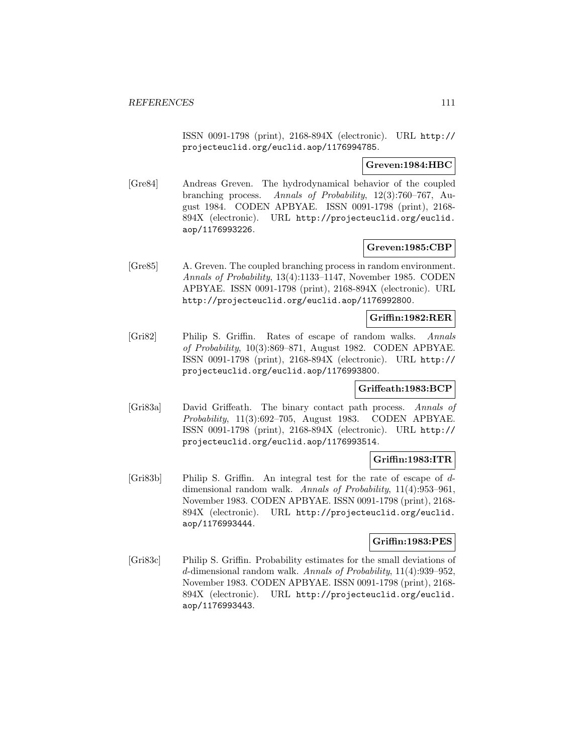ISSN 0091-1798 (print), 2168-894X (electronic). URL http:// projecteuclid.org/euclid.aop/1176994785.

### **Greven:1984:HBC**

[Gre84] Andreas Greven. The hydrodynamical behavior of the coupled branching process. Annals of Probability, 12(3):760–767, August 1984. CODEN APBYAE. ISSN 0091-1798 (print), 2168- 894X (electronic). URL http://projecteuclid.org/euclid. aop/1176993226.

### **Greven:1985:CBP**

[Gre85] A. Greven. The coupled branching process in random environment. Annals of Probability, 13(4):1133–1147, November 1985. CODEN APBYAE. ISSN 0091-1798 (print), 2168-894X (electronic). URL http://projecteuclid.org/euclid.aop/1176992800.

## **Griffin:1982:RER**

[Gri82] Philip S. Griffin. Rates of escape of random walks. Annals of Probability, 10(3):869–871, August 1982. CODEN APBYAE. ISSN 0091-1798 (print), 2168-894X (electronic). URL http:// projecteuclid.org/euclid.aop/1176993800.

### **Griffeath:1983:BCP**

[Gri83a] David Griffeath. The binary contact path process. Annals of Probability, 11(3):692–705, August 1983. CODEN APBYAE. ISSN 0091-1798 (print), 2168-894X (electronic). URL http:// projecteuclid.org/euclid.aop/1176993514.

### **Griffin:1983:ITR**

[Gri83b] Philip S. Griffin. An integral test for the rate of escape of ddimensional random walk. Annals of Probability, 11(4):953–961, November 1983. CODEN APBYAE. ISSN 0091-1798 (print), 2168- 894X (electronic). URL http://projecteuclid.org/euclid. aop/1176993444.

### **Griffin:1983:PES**

[Gri83c] Philip S. Griffin. Probability estimates for the small deviations of d-dimensional random walk. Annals of Probability, 11(4):939–952, November 1983. CODEN APBYAE. ISSN 0091-1798 (print), 2168- 894X (electronic). URL http://projecteuclid.org/euclid. aop/1176993443.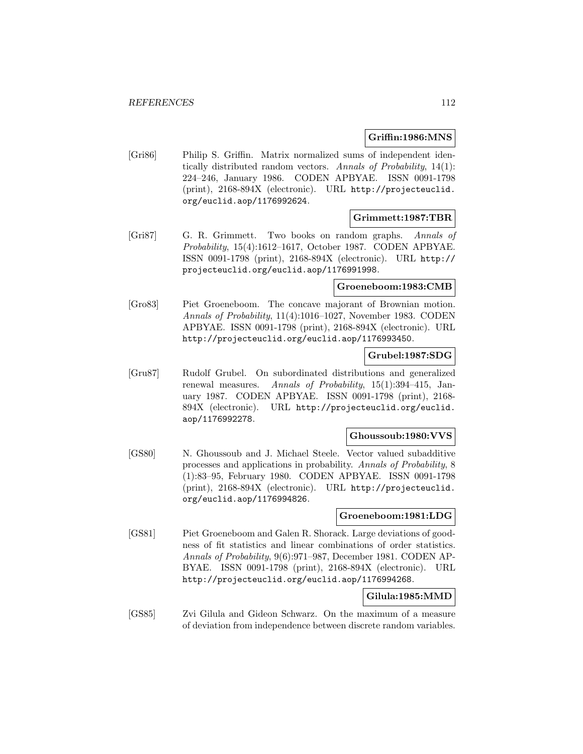### **Griffin:1986:MNS**

[Gri86] Philip S. Griffin. Matrix normalized sums of independent identically distributed random vectors. Annals of Probability, 14(1): 224–246, January 1986. CODEN APBYAE. ISSN 0091-1798 (print), 2168-894X (electronic). URL http://projecteuclid. org/euclid.aop/1176992624.

#### **Grimmett:1987:TBR**

[Gri87] G. R. Grimmett. Two books on random graphs. Annals of Probability, 15(4):1612–1617, October 1987. CODEN APBYAE. ISSN 0091-1798 (print), 2168-894X (electronic). URL http:// projecteuclid.org/euclid.aop/1176991998.

### **Groeneboom:1983:CMB**

[Gro83] Piet Groeneboom. The concave majorant of Brownian motion. Annals of Probability, 11(4):1016–1027, November 1983. CODEN APBYAE. ISSN 0091-1798 (print), 2168-894X (electronic). URL http://projecteuclid.org/euclid.aop/1176993450.

### **Grubel:1987:SDG**

[Gru87] Rudolf Grubel. On subordinated distributions and generalized renewal measures. Annals of Probability, 15(1):394–415, January 1987. CODEN APBYAE. ISSN 0091-1798 (print), 2168- 894X (electronic). URL http://projecteuclid.org/euclid. aop/1176992278.

#### **Ghoussoub:1980:VVS**

[GS80] N. Ghoussoub and J. Michael Steele. Vector valued subadditive processes and applications in probability. Annals of Probability, 8 (1):83–95, February 1980. CODEN APBYAE. ISSN 0091-1798 (print), 2168-894X (electronic). URL http://projecteuclid. org/euclid.aop/1176994826.

### **Groeneboom:1981:LDG**

[GS81] Piet Groeneboom and Galen R. Shorack. Large deviations of goodness of fit statistics and linear combinations of order statistics. Annals of Probability, 9(6):971–987, December 1981. CODEN AP-BYAE. ISSN 0091-1798 (print), 2168-894X (electronic). URL http://projecteuclid.org/euclid.aop/1176994268.

## **Gilula:1985:MMD**

[GS85] Zvi Gilula and Gideon Schwarz. On the maximum of a measure of deviation from independence between discrete random variables.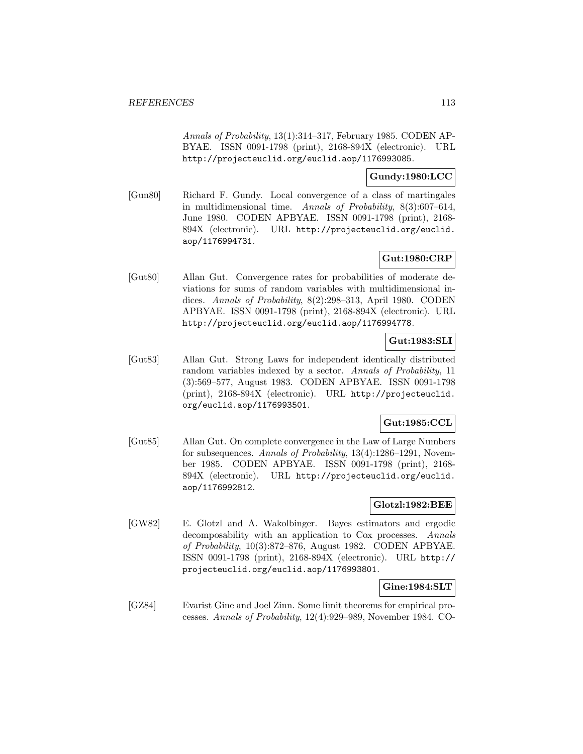Annals of Probability, 13(1):314–317, February 1985. CODEN AP-BYAE. ISSN 0091-1798 (print), 2168-894X (electronic). URL http://projecteuclid.org/euclid.aop/1176993085.

## **Gundy:1980:LCC**

[Gun80] Richard F. Gundy. Local convergence of a class of martingales in multidimensional time. Annals of Probability,  $8(3):607-614$ , June 1980. CODEN APBYAE. ISSN 0091-1798 (print), 2168- 894X (electronic). URL http://projecteuclid.org/euclid. aop/1176994731.

# **Gut:1980:CRP**

[Gut80] Allan Gut. Convergence rates for probabilities of moderate deviations for sums of random variables with multidimensional indices. Annals of Probability, 8(2):298–313, April 1980. CODEN APBYAE. ISSN 0091-1798 (print), 2168-894X (electronic). URL http://projecteuclid.org/euclid.aop/1176994778.

## **Gut:1983:SLI**

[Gut83] Allan Gut. Strong Laws for independent identically distributed random variables indexed by a sector. Annals of Probability, 11 (3):569–577, August 1983. CODEN APBYAE. ISSN 0091-1798 (print), 2168-894X (electronic). URL http://projecteuclid. org/euclid.aop/1176993501.

# **Gut:1985:CCL**

[Gut85] Allan Gut. On complete convergence in the Law of Large Numbers for subsequences. Annals of Probability, 13(4):1286–1291, November 1985. CODEN APBYAE. ISSN 0091-1798 (print), 2168- 894X (electronic). URL http://projecteuclid.org/euclid. aop/1176992812.

## **Glotzl:1982:BEE**

[GW82] E. Glotzl and A. Wakolbinger. Bayes estimators and ergodic decomposability with an application to Cox processes. Annals of Probability, 10(3):872–876, August 1982. CODEN APBYAE. ISSN 0091-1798 (print), 2168-894X (electronic). URL http:// projecteuclid.org/euclid.aop/1176993801.

## **Gine:1984:SLT**

[GZ84] Evarist Gine and Joel Zinn. Some limit theorems for empirical processes. Annals of Probability, 12(4):929–989, November 1984. CO-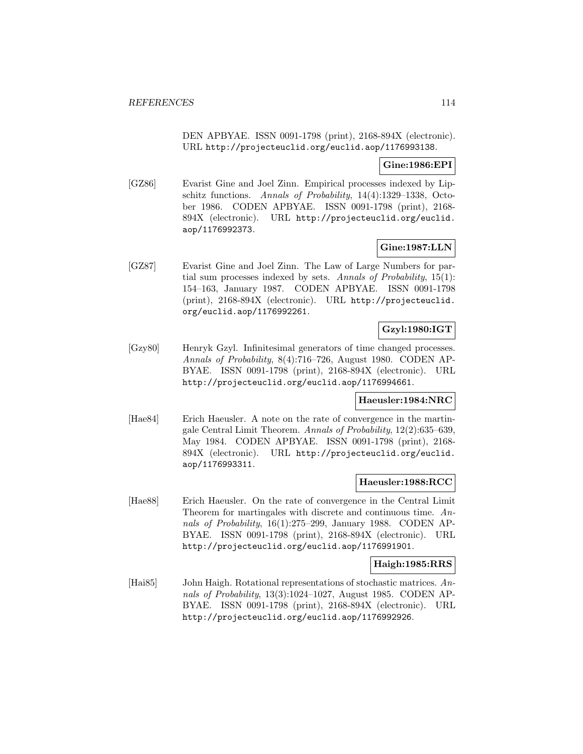DEN APBYAE. ISSN 0091-1798 (print), 2168-894X (electronic). URL http://projecteuclid.org/euclid.aop/1176993138.

## **Gine:1986:EPI**

[GZ86] Evarist Gine and Joel Zinn. Empirical processes indexed by Lipschitz functions. Annals of Probability, 14(4):1329–1338, October 1986. CODEN APBYAE. ISSN 0091-1798 (print), 2168- 894X (electronic). URL http://projecteuclid.org/euclid. aop/1176992373.

## **Gine:1987:LLN**

[GZ87] Evarist Gine and Joel Zinn. The Law of Large Numbers for partial sum processes indexed by sets. Annals of Probability,  $15(1)$ : 154–163, January 1987. CODEN APBYAE. ISSN 0091-1798 (print), 2168-894X (electronic). URL http://projecteuclid. org/euclid.aop/1176992261.

# **Gzyl:1980:IGT**

[Gzy80] Henryk Gzyl. Infinitesimal generators of time changed processes. Annals of Probability, 8(4):716–726, August 1980. CODEN AP-BYAE. ISSN 0091-1798 (print), 2168-894X (electronic). URL http://projecteuclid.org/euclid.aop/1176994661.

## **Haeusler:1984:NRC**

[Hae84] Erich Haeusler. A note on the rate of convergence in the martingale Central Limit Theorem. Annals of Probability, 12(2):635–639, May 1984. CODEN APBYAE. ISSN 0091-1798 (print), 2168- 894X (electronic). URL http://projecteuclid.org/euclid. aop/1176993311.

### **Haeusler:1988:RCC**

[Hae88] Erich Haeusler. On the rate of convergence in the Central Limit Theorem for martingales with discrete and continuous time. Annals of Probability, 16(1):275–299, January 1988. CODEN AP-BYAE. ISSN 0091-1798 (print), 2168-894X (electronic). URL http://projecteuclid.org/euclid.aop/1176991901.

## **Haigh:1985:RRS**

[Hai85] John Haigh. Rotational representations of stochastic matrices. Annals of Probability, 13(3):1024–1027, August 1985. CODEN AP-BYAE. ISSN 0091-1798 (print), 2168-894X (electronic). URL http://projecteuclid.org/euclid.aop/1176992926.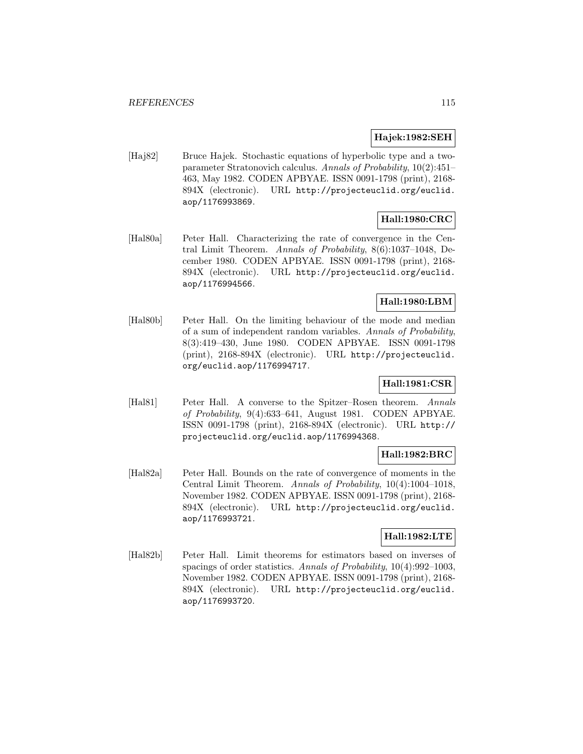## **Hajek:1982:SEH**

[Haj82] Bruce Hajek. Stochastic equations of hyperbolic type and a twoparameter Stratonovich calculus. Annals of Probability, 10(2):451– 463, May 1982. CODEN APBYAE. ISSN 0091-1798 (print), 2168- 894X (electronic). URL http://projecteuclid.org/euclid. aop/1176993869.

# **Hall:1980:CRC**

[Hal80a] Peter Hall. Characterizing the rate of convergence in the Central Limit Theorem. Annals of Probability, 8(6):1037–1048, December 1980. CODEN APBYAE. ISSN 0091-1798 (print), 2168- 894X (electronic). URL http://projecteuclid.org/euclid. aop/1176994566.

## **Hall:1980:LBM**

[Hal80b] Peter Hall. On the limiting behaviour of the mode and median of a sum of independent random variables. Annals of Probability, 8(3):419–430, June 1980. CODEN APBYAE. ISSN 0091-1798 (print), 2168-894X (electronic). URL http://projecteuclid. org/euclid.aop/1176994717.

# **Hall:1981:CSR**

[Hal81] Peter Hall. A converse to the Spitzer–Rosen theorem. Annals of Probability, 9(4):633–641, August 1981. CODEN APBYAE. ISSN 0091-1798 (print), 2168-894X (electronic). URL http:// projecteuclid.org/euclid.aop/1176994368.

## **Hall:1982:BRC**

[Hal82a] Peter Hall. Bounds on the rate of convergence of moments in the Central Limit Theorem. Annals of Probability, 10(4):1004–1018, November 1982. CODEN APBYAE. ISSN 0091-1798 (print), 2168- 894X (electronic). URL http://projecteuclid.org/euclid. aop/1176993721.

## **Hall:1982:LTE**

[Hal82b] Peter Hall. Limit theorems for estimators based on inverses of spacings of order statistics. Annals of Probability,  $10(4):992-1003$ , November 1982. CODEN APBYAE. ISSN 0091-1798 (print), 2168- 894X (electronic). URL http://projecteuclid.org/euclid. aop/1176993720.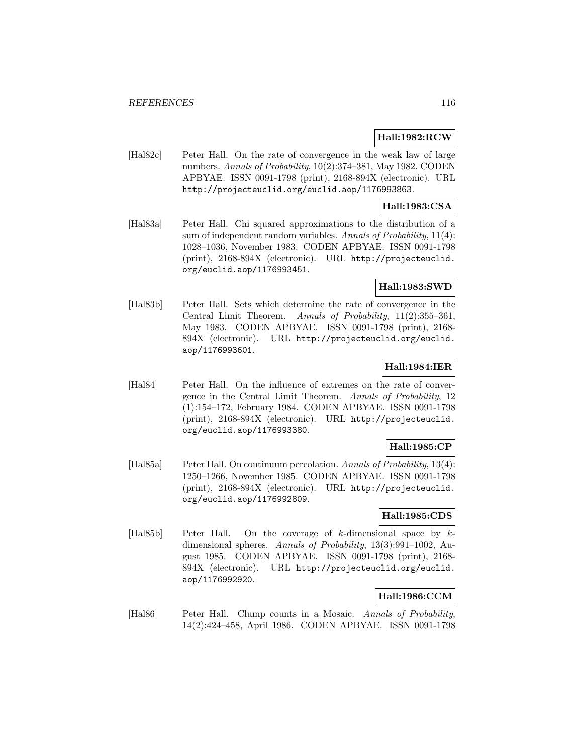## **Hall:1982:RCW**

[Hal82c] Peter Hall. On the rate of convergence in the weak law of large numbers. Annals of Probability, 10(2):374–381, May 1982. CODEN APBYAE. ISSN 0091-1798 (print), 2168-894X (electronic). URL http://projecteuclid.org/euclid.aop/1176993863.

## **Hall:1983:CSA**

[Hal83a] Peter Hall. Chi squared approximations to the distribution of a sum of independent random variables. Annals of Probability,  $11(4)$ : 1028–1036, November 1983. CODEN APBYAE. ISSN 0091-1798 (print), 2168-894X (electronic). URL http://projecteuclid. org/euclid.aop/1176993451.

## **Hall:1983:SWD**

[Hal83b] Peter Hall. Sets which determine the rate of convergence in the Central Limit Theorem. Annals of Probability, 11(2):355–361, May 1983. CODEN APBYAE. ISSN 0091-1798 (print), 2168- 894X (electronic). URL http://projecteuclid.org/euclid. aop/1176993601.

## **Hall:1984:IER**

[Hal84] Peter Hall. On the influence of extremes on the rate of convergence in the Central Limit Theorem. Annals of Probability, 12 (1):154–172, February 1984. CODEN APBYAE. ISSN 0091-1798 (print), 2168-894X (electronic). URL http://projecteuclid. org/euclid.aop/1176993380.

### **Hall:1985:CP**

[Hal85a] Peter Hall. On continuum percolation. Annals of Probability, 13(4): 1250–1266, November 1985. CODEN APBYAE. ISSN 0091-1798 (print), 2168-894X (electronic). URL http://projecteuclid. org/euclid.aop/1176992809.

## **Hall:1985:CDS**

[Hal85b] Peter Hall. On the coverage of k-dimensional space by kdimensional spheres. Annals of Probability, 13(3):991-1002, August 1985. CODEN APBYAE. ISSN 0091-1798 (print), 2168- 894X (electronic). URL http://projecteuclid.org/euclid. aop/1176992920.

## **Hall:1986:CCM**

[Hal86] Peter Hall. Clump counts in a Mosaic. Annals of Probability, 14(2):424–458, April 1986. CODEN APBYAE. ISSN 0091-1798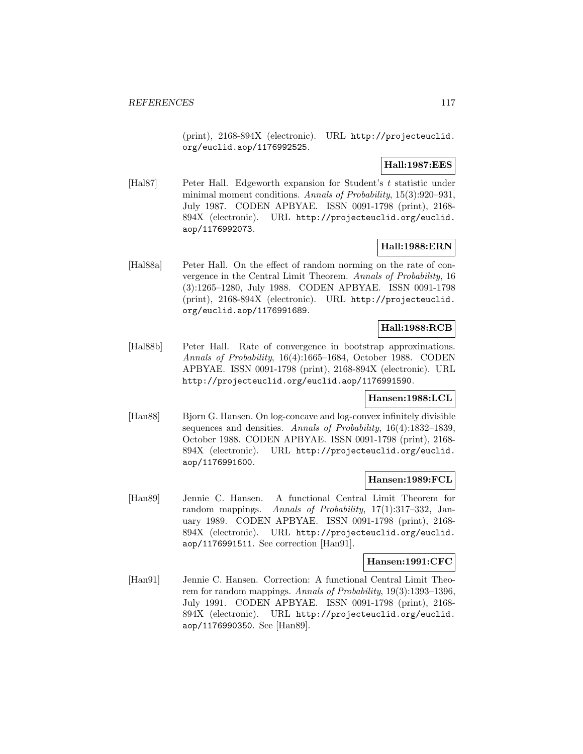(print), 2168-894X (electronic). URL http://projecteuclid. org/euclid.aop/1176992525.

## **Hall:1987:EES**

[Hal87] Peter Hall. Edgeworth expansion for Student's t statistic under minimal moment conditions. Annals of Probability, 15(3):920–931, July 1987. CODEN APBYAE. ISSN 0091-1798 (print), 2168- 894X (electronic). URL http://projecteuclid.org/euclid. aop/1176992073.

## **Hall:1988:ERN**

[Hal88a] Peter Hall. On the effect of random norming on the rate of convergence in the Central Limit Theorem. Annals of Probability, 16 (3):1265–1280, July 1988. CODEN APBYAE. ISSN 0091-1798 (print), 2168-894X (electronic). URL http://projecteuclid. org/euclid.aop/1176991689.

# **Hall:1988:RCB**

[Hal88b] Peter Hall. Rate of convergence in bootstrap approximations. Annals of Probability, 16(4):1665–1684, October 1988. CODEN APBYAE. ISSN 0091-1798 (print), 2168-894X (electronic). URL http://projecteuclid.org/euclid.aop/1176991590.

## **Hansen:1988:LCL**

[Han88] Bjorn G. Hansen. On log-concave and log-convex infinitely divisible sequences and densities. Annals of Probability, 16(4):1832-1839, October 1988. CODEN APBYAE. ISSN 0091-1798 (print), 2168- 894X (electronic). URL http://projecteuclid.org/euclid. aop/1176991600.

### **Hansen:1989:FCL**

[Han89] Jennie C. Hansen. A functional Central Limit Theorem for random mappings. Annals of Probability, 17(1):317–332, January 1989. CODEN APBYAE. ISSN 0091-1798 (print), 2168- 894X (electronic). URL http://projecteuclid.org/euclid. aop/1176991511. See correction [Han91].

#### **Hansen:1991:CFC**

[Han91] Jennie C. Hansen. Correction: A functional Central Limit Theorem for random mappings. Annals of Probability,  $19(3)$ :1393-1396, July 1991. CODEN APBYAE. ISSN 0091-1798 (print), 2168- 894X (electronic). URL http://projecteuclid.org/euclid. aop/1176990350. See [Han89].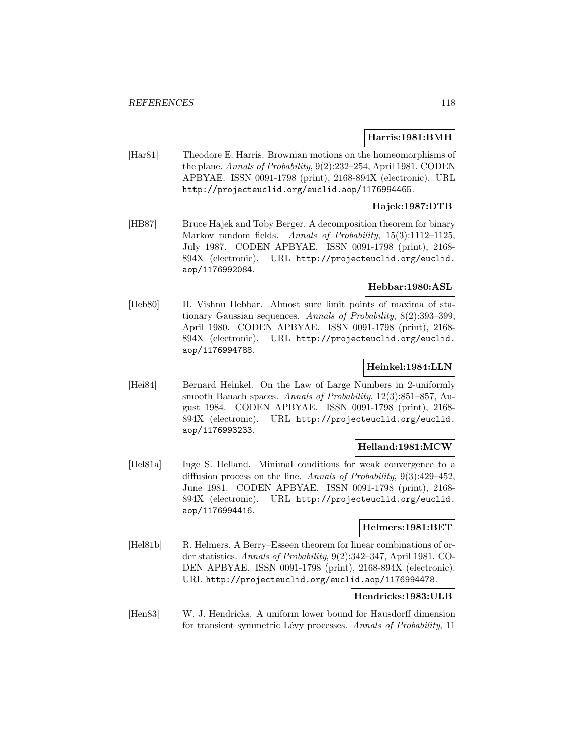## **Harris:1981:BMH**

[Har81] Theodore E. Harris. Brownian motions on the homeomorphisms of the plane. Annals of Probability, 9(2):232–254, April 1981. CODEN APBYAE. ISSN 0091-1798 (print), 2168-894X (electronic). URL http://projecteuclid.org/euclid.aop/1176994465.

## **Hajek:1987:DTB**

[HB87] Bruce Hajek and Toby Berger. A decomposition theorem for binary Markov random fields. Annals of Probability, 15(3):1112-1125, July 1987. CODEN APBYAE. ISSN 0091-1798 (print), 2168- 894X (electronic). URL http://projecteuclid.org/euclid. aop/1176992084.

## **Hebbar:1980:ASL**

[Heb80] H. Vishnu Hebbar. Almost sure limit points of maxima of stationary Gaussian sequences. Annals of Probability, 8(2):393–399, April 1980. CODEN APBYAE. ISSN 0091-1798 (print), 2168- 894X (electronic). URL http://projecteuclid.org/euclid. aop/1176994788.

## **Heinkel:1984:LLN**

[Hei84] Bernard Heinkel. On the Law of Large Numbers in 2-uniformly smooth Banach spaces. Annals of Probability, 12(3):851–857, August 1984. CODEN APBYAE. ISSN 0091-1798 (print), 2168- 894X (electronic). URL http://projecteuclid.org/euclid. aop/1176993233.

### **Helland:1981:MCW**

[Hel81a] Inge S. Helland. Minimal conditions for weak convergence to a diffusion process on the line. Annals of Probability, 9(3):429–452, June 1981. CODEN APBYAE. ISSN 0091-1798 (print), 2168- 894X (electronic). URL http://projecteuclid.org/euclid. aop/1176994416.

## **Helmers:1981:BET**

[Hel81b] R. Helmers. A Berry–Esseen theorem for linear combinations of order statistics. Annals of Probability, 9(2):342–347, April 1981. CO-DEN APBYAE. ISSN 0091-1798 (print), 2168-894X (electronic). URL http://projecteuclid.org/euclid.aop/1176994478.

## **Hendricks:1983:ULB**

[Hen83] W. J. Hendricks. A uniform lower bound for Hausdorff dimension for transient symmetric Lévy processes. Annals of Probability, 11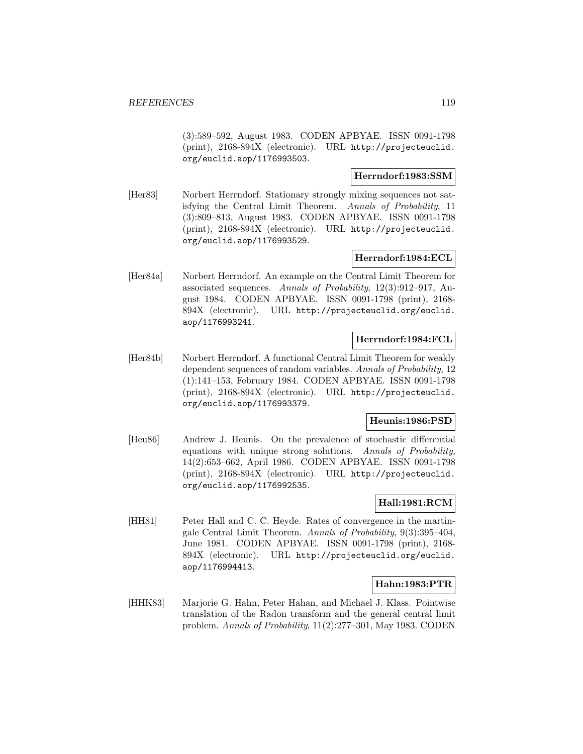(3):589–592, August 1983. CODEN APBYAE. ISSN 0091-1798 (print), 2168-894X (electronic). URL http://projecteuclid. org/euclid.aop/1176993503.

## **Herrndorf:1983:SSM**

[Her83] Norbert Herrndorf. Stationary strongly mixing sequences not satisfying the Central Limit Theorem. Annals of Probability, 11 (3):809–813, August 1983. CODEN APBYAE. ISSN 0091-1798 (print), 2168-894X (electronic). URL http://projecteuclid. org/euclid.aop/1176993529.

## **Herrndorf:1984:ECL**

[Her84a] Norbert Herrndorf. An example on the Central Limit Theorem for associated sequences. Annals of Probability, 12(3):912–917, August 1984. CODEN APBYAE. ISSN 0091-1798 (print), 2168- 894X (electronic). URL http://projecteuclid.org/euclid. aop/1176993241.

## **Herrndorf:1984:FCL**

[Her84b] Norbert Herrndorf. A functional Central Limit Theorem for weakly dependent sequences of random variables. Annals of Probability, 12 (1):141–153, February 1984. CODEN APBYAE. ISSN 0091-1798 (print), 2168-894X (electronic). URL http://projecteuclid. org/euclid.aop/1176993379.

### **Heunis:1986:PSD**

[Heu86] Andrew J. Heunis. On the prevalence of stochastic differential equations with unique strong solutions. Annals of Probability, 14(2):653–662, April 1986. CODEN APBYAE. ISSN 0091-1798 (print), 2168-894X (electronic). URL http://projecteuclid. org/euclid.aop/1176992535.

## **Hall:1981:RCM**

[HH81] Peter Hall and C. C. Heyde. Rates of convergence in the martingale Central Limit Theorem. Annals of Probability, 9(3):395–404, June 1981. CODEN APBYAE. ISSN 0091-1798 (print), 2168- 894X (electronic). URL http://projecteuclid.org/euclid. aop/1176994413.

## **Hahn:1983:PTR**

[HHK83] Marjorie G. Hahn, Peter Hahan, and Michael J. Klass. Pointwise translation of the Radon transform and the general central limit problem. Annals of Probability, 11(2):277–301, May 1983. CODEN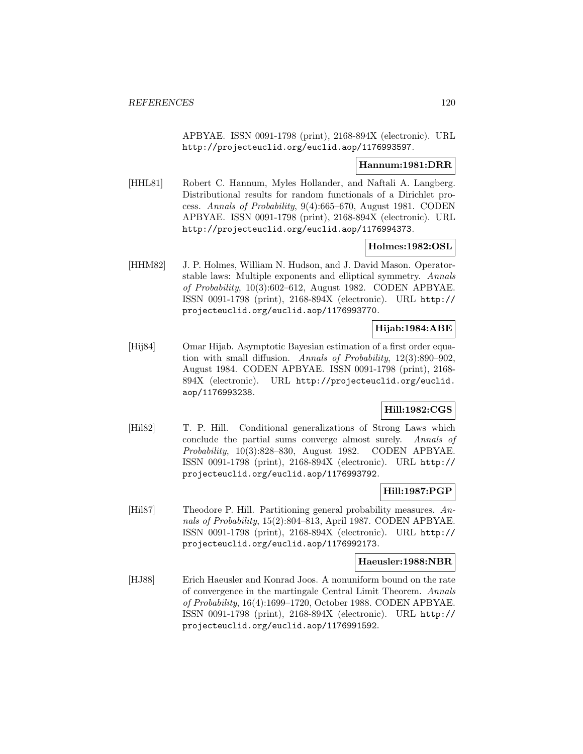APBYAE. ISSN 0091-1798 (print), 2168-894X (electronic). URL http://projecteuclid.org/euclid.aop/1176993597.

#### **Hannum:1981:DRR**

[HHL81] Robert C. Hannum, Myles Hollander, and Naftali A. Langberg. Distributional results for random functionals of a Dirichlet process. Annals of Probability, 9(4):665–670, August 1981. CODEN APBYAE. ISSN 0091-1798 (print), 2168-894X (electronic). URL http://projecteuclid.org/euclid.aop/1176994373.

### **Holmes:1982:OSL**

[HHM82] J. P. Holmes, William N. Hudson, and J. David Mason. Operatorstable laws: Multiple exponents and elliptical symmetry. Annals of Probability, 10(3):602–612, August 1982. CODEN APBYAE. ISSN 0091-1798 (print), 2168-894X (electronic). URL http:// projecteuclid.org/euclid.aop/1176993770.

# **Hijab:1984:ABE**

[Hij84] Omar Hijab. Asymptotic Bayesian estimation of a first order equation with small diffusion. Annals of Probability, 12(3):890–902, August 1984. CODEN APBYAE. ISSN 0091-1798 (print), 2168- 894X (electronic). URL http://projecteuclid.org/euclid. aop/1176993238.

## **Hill:1982:CGS**

[Hil82] T. P. Hill. Conditional generalizations of Strong Laws which conclude the partial sums converge almost surely. Annals of Probability, 10(3):828–830, August 1982. CODEN APBYAE. ISSN 0091-1798 (print), 2168-894X (electronic). URL http:// projecteuclid.org/euclid.aop/1176993792.

#### **Hill:1987:PGP**

[Hil87] Theodore P. Hill. Partitioning general probability measures. Annals of Probability, 15(2):804–813, April 1987. CODEN APBYAE. ISSN 0091-1798 (print), 2168-894X (electronic). URL http:// projecteuclid.org/euclid.aop/1176992173.

#### **Haeusler:1988:NBR**

[HJ88] Erich Haeusler and Konrad Joos. A nonuniform bound on the rate of convergence in the martingale Central Limit Theorem. Annals of Probability, 16(4):1699–1720, October 1988. CODEN APBYAE. ISSN 0091-1798 (print), 2168-894X (electronic). URL http:// projecteuclid.org/euclid.aop/1176991592.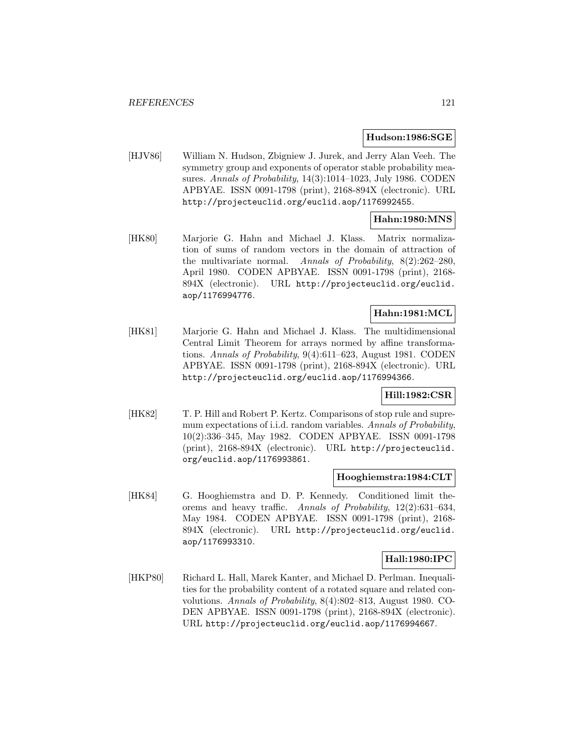#### **Hudson:1986:SGE**

[HJV86] William N. Hudson, Zbigniew J. Jurek, and Jerry Alan Veeh. The symmetry group and exponents of operator stable probability measures. Annals of Probability, 14(3):1014-1023, July 1986. CODEN APBYAE. ISSN 0091-1798 (print), 2168-894X (electronic). URL http://projecteuclid.org/euclid.aop/1176992455.

# **Hahn:1980:MNS**

[HK80] Marjorie G. Hahn and Michael J. Klass. Matrix normalization of sums of random vectors in the domain of attraction of the multivariate normal. Annals of Probability,  $8(2):262-280$ , April 1980. CODEN APBYAE. ISSN 0091-1798 (print), 2168- 894X (electronic). URL http://projecteuclid.org/euclid. aop/1176994776.

## **Hahn:1981:MCL**

[HK81] Marjorie G. Hahn and Michael J. Klass. The multidimensional Central Limit Theorem for arrays normed by affine transformations. Annals of Probability, 9(4):611–623, August 1981. CODEN APBYAE. ISSN 0091-1798 (print), 2168-894X (electronic). URL http://projecteuclid.org/euclid.aop/1176994366.

### **Hill:1982:CSR**

[HK82] T. P. Hill and Robert P. Kertz. Comparisons of stop rule and supremum expectations of i.i.d. random variables. Annals of Probability, 10(2):336–345, May 1982. CODEN APBYAE. ISSN 0091-1798 (print), 2168-894X (electronic). URL http://projecteuclid. org/euclid.aop/1176993861.

### **Hooghiemstra:1984:CLT**

[HK84] G. Hooghiemstra and D. P. Kennedy. Conditioned limit theorems and heavy traffic. Annals of Probability, 12(2):631–634, May 1984. CODEN APBYAE. ISSN 0091-1798 (print), 2168- 894X (electronic). URL http://projecteuclid.org/euclid. aop/1176993310.

## **Hall:1980:IPC**

[HKP80] Richard L. Hall, Marek Kanter, and Michael D. Perlman. Inequalities for the probability content of a rotated square and related convolutions. Annals of Probability, 8(4):802–813, August 1980. CO-DEN APBYAE. ISSN 0091-1798 (print), 2168-894X (electronic). URL http://projecteuclid.org/euclid.aop/1176994667.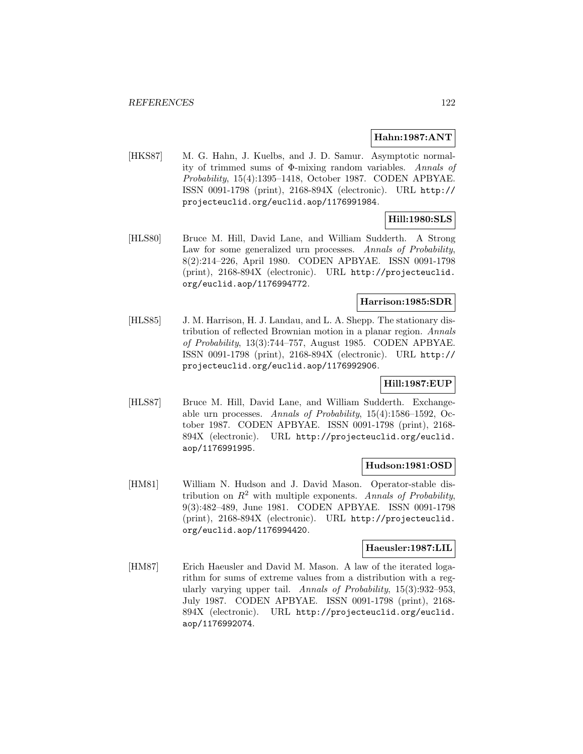## **Hahn:1987:ANT**

[HKS87] M. G. Hahn, J. Kuelbs, and J. D. Samur. Asymptotic normality of trimmed sums of Φ-mixing random variables. Annals of Probability, 15(4):1395–1418, October 1987. CODEN APBYAE. ISSN 0091-1798 (print), 2168-894X (electronic). URL http:// projecteuclid.org/euclid.aop/1176991984.

## **Hill:1980:SLS**

[HLS80] Bruce M. Hill, David Lane, and William Sudderth. A Strong Law for some generalized urn processes. Annals of Probability, 8(2):214–226, April 1980. CODEN APBYAE. ISSN 0091-1798 (print), 2168-894X (electronic). URL http://projecteuclid. org/euclid.aop/1176994772.

## **Harrison:1985:SDR**

[HLS85] J. M. Harrison, H. J. Landau, and L. A. Shepp. The stationary distribution of reflected Brownian motion in a planar region. Annals of Probability, 13(3):744–757, August 1985. CODEN APBYAE. ISSN 0091-1798 (print), 2168-894X (electronic). URL http:// projecteuclid.org/euclid.aop/1176992906.

## **Hill:1987:EUP**

[HLS87] Bruce M. Hill, David Lane, and William Sudderth. Exchangeable urn processes. Annals of Probability,  $15(4)$ :1586–1592, October 1987. CODEN APBYAE. ISSN 0091-1798 (print), 2168- 894X (electronic). URL http://projecteuclid.org/euclid. aop/1176991995.

### **Hudson:1981:OSD**

[HM81] William N. Hudson and J. David Mason. Operator-stable distribution on  $R^2$  with multiple exponents. Annals of Probability, 9(3):482–489, June 1981. CODEN APBYAE. ISSN 0091-1798 (print), 2168-894X (electronic). URL http://projecteuclid. org/euclid.aop/1176994420.

## **Haeusler:1987:LIL**

[HM87] Erich Haeusler and David M. Mason. A law of the iterated logarithm for sums of extreme values from a distribution with a regularly varying upper tail. Annals of Probability, 15(3):932–953, July 1987. CODEN APBYAE. ISSN 0091-1798 (print), 2168- 894X (electronic). URL http://projecteuclid.org/euclid. aop/1176992074.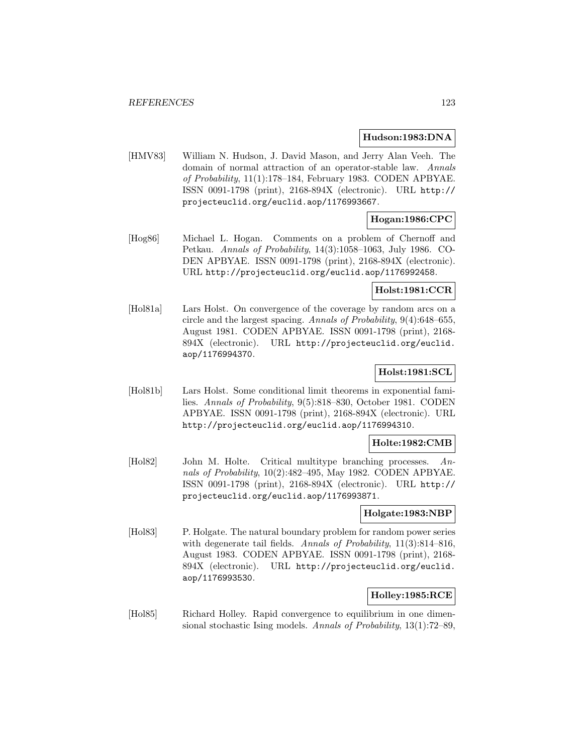#### **Hudson:1983:DNA**

[HMV83] William N. Hudson, J. David Mason, and Jerry Alan Veeh. The domain of normal attraction of an operator-stable law. Annals of Probability, 11(1):178–184, February 1983. CODEN APBYAE. ISSN 0091-1798 (print), 2168-894X (electronic). URL http:// projecteuclid.org/euclid.aop/1176993667.

# **Hogan:1986:CPC**

[Hog86] Michael L. Hogan. Comments on a problem of Chernoff and Petkau. Annals of Probability, 14(3):1058–1063, July 1986. CO-DEN APBYAE. ISSN 0091-1798 (print), 2168-894X (electronic). URL http://projecteuclid.org/euclid.aop/1176992458.

## **Holst:1981:CCR**

[Hol81a] Lars Holst. On convergence of the coverage by random arcs on a circle and the largest spacing. Annals of Probability, 9(4):648–655, August 1981. CODEN APBYAE. ISSN 0091-1798 (print), 2168- 894X (electronic). URL http://projecteuclid.org/euclid. aop/1176994370.

## **Holst:1981:SCL**

[Hol81b] Lars Holst. Some conditional limit theorems in exponential families. Annals of Probability, 9(5):818–830, October 1981. CODEN APBYAE. ISSN 0091-1798 (print), 2168-894X (electronic). URL http://projecteuclid.org/euclid.aop/1176994310.

### **Holte:1982:CMB**

[Hol82] John M. Holte. Critical multitype branching processes. Annals of Probability, 10(2):482–495, May 1982. CODEN APBYAE. ISSN 0091-1798 (print), 2168-894X (electronic). URL http:// projecteuclid.org/euclid.aop/1176993871.

#### **Holgate:1983:NBP**

[Hol83] P. Holgate. The natural boundary problem for random power series with degenerate tail fields. Annals of Probability, 11(3):814-816, August 1983. CODEN APBYAE. ISSN 0091-1798 (print), 2168- 894X (electronic). URL http://projecteuclid.org/euclid. aop/1176993530.

## **Holley:1985:RCE**

[Hol85] Richard Holley. Rapid convergence to equilibrium in one dimensional stochastic Ising models. Annals of Probability, 13(1):72–89,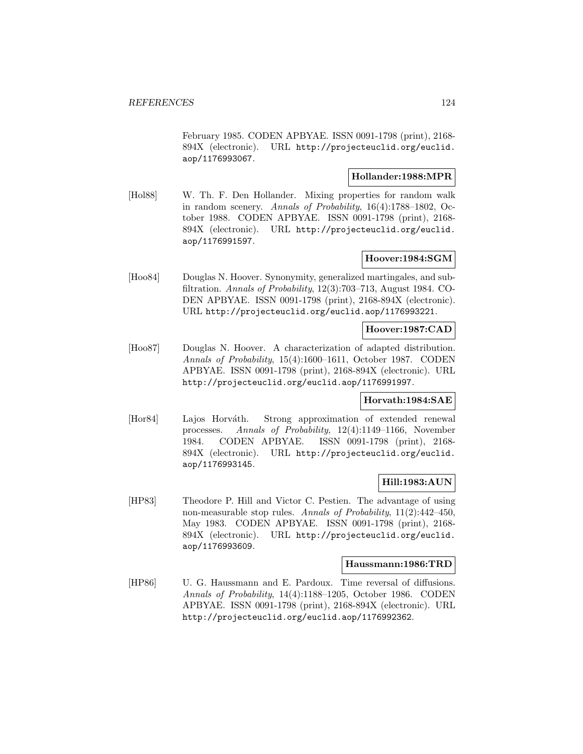February 1985. CODEN APBYAE. ISSN 0091-1798 (print), 2168- 894X (electronic). URL http://projecteuclid.org/euclid. aop/1176993067.

## **Hollander:1988:MPR**

[Hol88] W. Th. F. Den Hollander. Mixing properties for random walk in random scenery. Annals of Probability, 16(4):1788–1802, October 1988. CODEN APBYAE. ISSN 0091-1798 (print), 2168- 894X (electronic). URL http://projecteuclid.org/euclid. aop/1176991597.

## **Hoover:1984:SGM**

[Hoo84] Douglas N. Hoover. Synonymity, generalized martingales, and subfiltration. Annals of Probability, 12(3):703–713, August 1984. CO-DEN APBYAE. ISSN 0091-1798 (print), 2168-894X (electronic). URL http://projecteuclid.org/euclid.aop/1176993221.

## **Hoover:1987:CAD**

[Hoo87] Douglas N. Hoover. A characterization of adapted distribution. Annals of Probability, 15(4):1600–1611, October 1987. CODEN APBYAE. ISSN 0091-1798 (print), 2168-894X (electronic). URL http://projecteuclid.org/euclid.aop/1176991997.

### **Horvath:1984:SAE**

[Hor84] Lajos Horváth. Strong approximation of extended renewal processes. Annals of Probability, 12(4):1149–1166, November 1984. CODEN APBYAE. ISSN 0091-1798 (print), 2168- 894X (electronic). URL http://projecteuclid.org/euclid. aop/1176993145.

### **Hill:1983:AUN**

[HP83] Theodore P. Hill and Victor C. Pestien. The advantage of using non-measurable stop rules. Annals of Probability,  $11(2):442-450$ , May 1983. CODEN APBYAE. ISSN 0091-1798 (print), 2168- 894X (electronic). URL http://projecteuclid.org/euclid. aop/1176993609.

#### **Haussmann:1986:TRD**

[HP86] U. G. Haussmann and E. Pardoux. Time reversal of diffusions. Annals of Probability, 14(4):1188–1205, October 1986. CODEN APBYAE. ISSN 0091-1798 (print), 2168-894X (electronic). URL http://projecteuclid.org/euclid.aop/1176992362.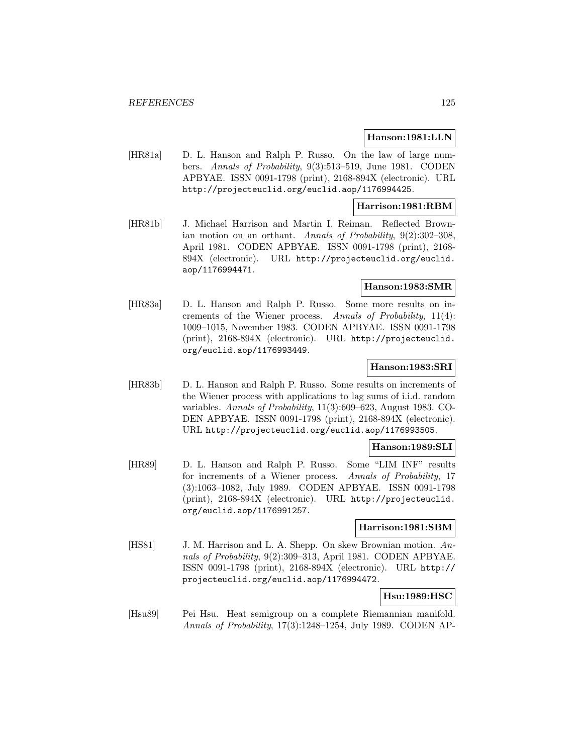#### **Hanson:1981:LLN**

[HR81a] D. L. Hanson and Ralph P. Russo. On the law of large numbers. Annals of Probability, 9(3):513–519, June 1981. CODEN APBYAE. ISSN 0091-1798 (print), 2168-894X (electronic). URL http://projecteuclid.org/euclid.aop/1176994425.

### **Harrison:1981:RBM**

[HR81b] J. Michael Harrison and Martin I. Reiman. Reflected Brownian motion on an orthant. Annals of Probability, 9(2):302–308, April 1981. CODEN APBYAE. ISSN 0091-1798 (print), 2168- 894X (electronic). URL http://projecteuclid.org/euclid. aop/1176994471.

## **Hanson:1983:SMR**

[HR83a] D. L. Hanson and Ralph P. Russo. Some more results on increments of the Wiener process. Annals of Probability, 11(4): 1009–1015, November 1983. CODEN APBYAE. ISSN 0091-1798 (print), 2168-894X (electronic). URL http://projecteuclid. org/euclid.aop/1176993449.

## **Hanson:1983:SRI**

[HR83b] D. L. Hanson and Ralph P. Russo. Some results on increments of the Wiener process with applications to lag sums of i.i.d. random variables. Annals of Probability, 11(3):609–623, August 1983. CO-DEN APBYAE. ISSN 0091-1798 (print), 2168-894X (electronic). URL http://projecteuclid.org/euclid.aop/1176993505.

### **Hanson:1989:SLI**

[HR89] D. L. Hanson and Ralph P. Russo. Some "LIM INF" results for increments of a Wiener process. Annals of Probability, 17 (3):1063–1082, July 1989. CODEN APBYAE. ISSN 0091-1798 (print), 2168-894X (electronic). URL http://projecteuclid. org/euclid.aop/1176991257.

## **Harrison:1981:SBM**

[HS81] J. M. Harrison and L. A. Shepp. On skew Brownian motion. Annals of Probability, 9(2):309–313, April 1981. CODEN APBYAE. ISSN 0091-1798 (print), 2168-894X (electronic). URL http:// projecteuclid.org/euclid.aop/1176994472.

# **Hsu:1989:HSC**

[Hsu89] Pei Hsu. Heat semigroup on a complete Riemannian manifold. Annals of Probability, 17(3):1248–1254, July 1989. CODEN AP-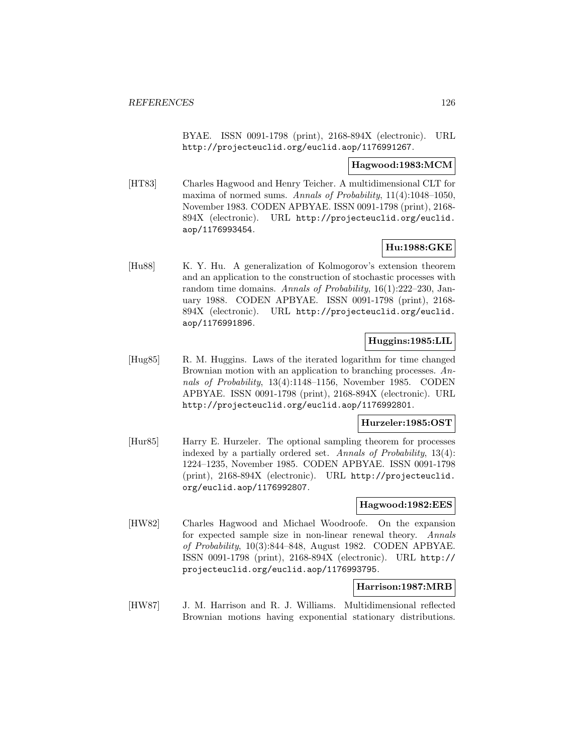BYAE. ISSN 0091-1798 (print), 2168-894X (electronic). URL http://projecteuclid.org/euclid.aop/1176991267.

#### **Hagwood:1983:MCM**

[HT83] Charles Hagwood and Henry Teicher. A multidimensional CLT for maxima of normed sums. Annals of Probability,  $11(4):1048-1050$ , November 1983. CODEN APBYAE. ISSN 0091-1798 (print), 2168- 894X (electronic). URL http://projecteuclid.org/euclid. aop/1176993454.

# **Hu:1988:GKE**

[Hu88] K. Y. Hu. A generalization of Kolmogorov's extension theorem and an application to the construction of stochastic processes with random time domains. Annals of Probability, 16(1):222–230, January 1988. CODEN APBYAE. ISSN 0091-1798 (print), 2168- 894X (electronic). URL http://projecteuclid.org/euclid. aop/1176991896.

### **Huggins:1985:LIL**

[Hug85] R. M. Huggins. Laws of the iterated logarithm for time changed Brownian motion with an application to branching processes. Annals of Probability, 13(4):1148–1156, November 1985. CODEN APBYAE. ISSN 0091-1798 (print), 2168-894X (electronic). URL http://projecteuclid.org/euclid.aop/1176992801.

## **Hurzeler:1985:OST**

[Hur85] Harry E. Hurzeler. The optional sampling theorem for processes indexed by a partially ordered set. Annals of Probability, 13(4): 1224–1235, November 1985. CODEN APBYAE. ISSN 0091-1798 (print), 2168-894X (electronic). URL http://projecteuclid. org/euclid.aop/1176992807.

## **Hagwood:1982:EES**

[HW82] Charles Hagwood and Michael Woodroofe. On the expansion for expected sample size in non-linear renewal theory. Annals of Probability, 10(3):844–848, August 1982. CODEN APBYAE. ISSN 0091-1798 (print), 2168-894X (electronic). URL http:// projecteuclid.org/euclid.aop/1176993795.

## **Harrison:1987:MRB**

[HW87] J. M. Harrison and R. J. Williams. Multidimensional reflected Brownian motions having exponential stationary distributions.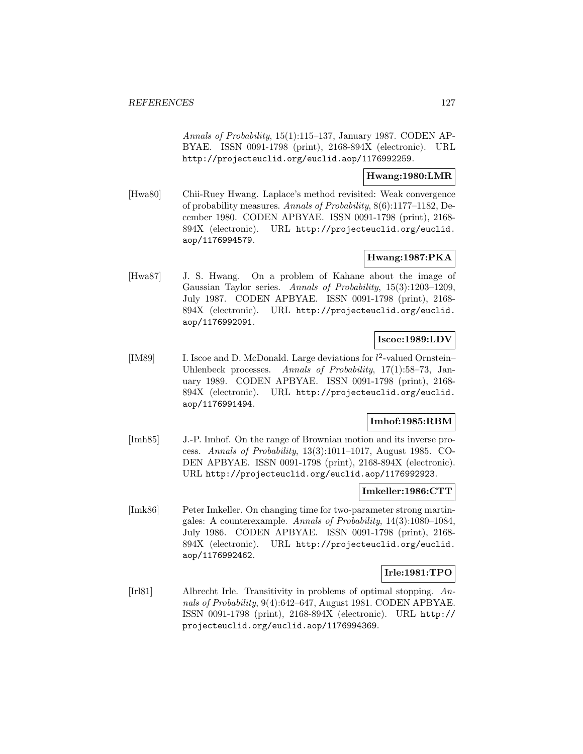Annals of Probability, 15(1):115–137, January 1987. CODEN AP-BYAE. ISSN 0091-1798 (print), 2168-894X (electronic). URL http://projecteuclid.org/euclid.aop/1176992259.

### **Hwang:1980:LMR**

[Hwa80] Chii-Ruey Hwang. Laplace's method revisited: Weak convergence of probability measures. Annals of Probability, 8(6):1177–1182, December 1980. CODEN APBYAE. ISSN 0091-1798 (print), 2168- 894X (electronic). URL http://projecteuclid.org/euclid. aop/1176994579.

## **Hwang:1987:PKA**

[Hwa87] J. S. Hwang. On a problem of Kahane about the image of Gaussian Taylor series. Annals of Probability, 15(3):1203–1209, July 1987. CODEN APBYAE. ISSN 0091-1798 (print), 2168- 894X (electronic). URL http://projecteuclid.org/euclid. aop/1176992091.

## **Iscoe:1989:LDV**

[IM89] I. Iscoe and D. McDonald. Large deviations for  $l^2$ -valued Ornstein-Uhlenbeck processes. Annals of Probability, 17(1):58–73, January 1989. CODEN APBYAE. ISSN 0091-1798 (print), 2168- 894X (electronic). URL http://projecteuclid.org/euclid. aop/1176991494.

### **Imhof:1985:RBM**

[Imh85] J.-P. Imhof. On the range of Brownian motion and its inverse process. Annals of Probability, 13(3):1011–1017, August 1985. CO-DEN APBYAE. ISSN 0091-1798 (print), 2168-894X (electronic). URL http://projecteuclid.org/euclid.aop/1176992923.

#### **Imkeller:1986:CTT**

[Imk86] Peter Imkeller. On changing time for two-parameter strong martingales: A counterexample. Annals of Probability, 14(3):1080–1084, July 1986. CODEN APBYAE. ISSN 0091-1798 (print), 2168- 894X (electronic). URL http://projecteuclid.org/euclid. aop/1176992462.

## **Irle:1981:TPO**

[Irl81] Albrecht Irle. Transitivity in problems of optimal stopping. Annals of Probability, 9(4):642–647, August 1981. CODEN APBYAE. ISSN 0091-1798 (print), 2168-894X (electronic). URL http:// projecteuclid.org/euclid.aop/1176994369.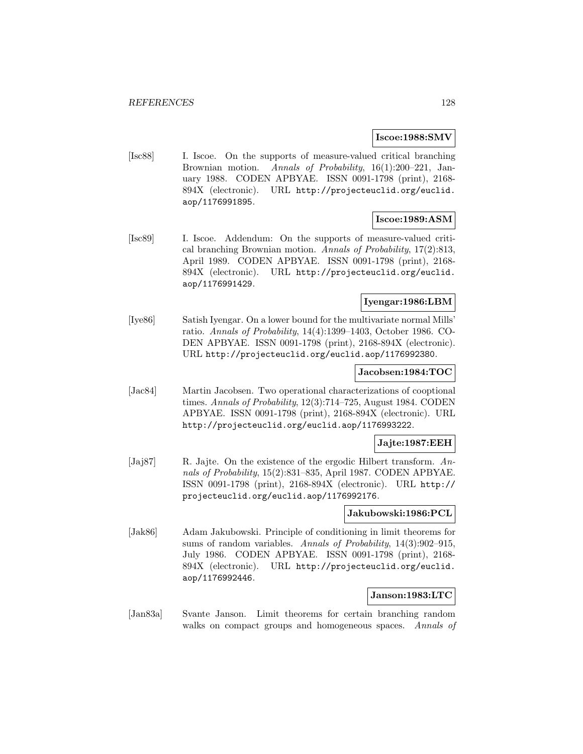## **Iscoe:1988:SMV**

[Isc88] I. Iscoe. On the supports of measure-valued critical branching Brownian motion. Annals of Probability, 16(1):200–221, January 1988. CODEN APBYAE. ISSN 0091-1798 (print), 2168- 894X (electronic). URL http://projecteuclid.org/euclid. aop/1176991895.

# **Iscoe:1989:ASM**

[Isc89] I. Iscoe. Addendum: On the supports of measure-valued critical branching Brownian motion. Annals of Probability, 17(2):813, April 1989. CODEN APBYAE. ISSN 0091-1798 (print), 2168- 894X (electronic). URL http://projecteuclid.org/euclid. aop/1176991429.

## **Iyengar:1986:LBM**

[Iye86] Satish Iyengar. On a lower bound for the multivariate normal Mills' ratio. Annals of Probability, 14(4):1399–1403, October 1986. CO-DEN APBYAE. ISSN 0091-1798 (print), 2168-894X (electronic). URL http://projecteuclid.org/euclid.aop/1176992380.

#### **Jacobsen:1984:TOC**

[Jac84] Martin Jacobsen. Two operational characterizations of cooptional times. Annals of Probability, 12(3):714–725, August 1984. CODEN APBYAE. ISSN 0091-1798 (print), 2168-894X (electronic). URL http://projecteuclid.org/euclid.aop/1176993222.

## **Jajte:1987:EEH**

[Jaj87] R. Jajte. On the existence of the ergodic Hilbert transform. Annals of Probability, 15(2):831–835, April 1987. CODEN APBYAE. ISSN 0091-1798 (print), 2168-894X (electronic). URL http:// projecteuclid.org/euclid.aop/1176992176.

#### **Jakubowski:1986:PCL**

[Jak86] Adam Jakubowski. Principle of conditioning in limit theorems for sums of random variables. Annals of Probability, 14(3):902-915, July 1986. CODEN APBYAE. ISSN 0091-1798 (print), 2168- 894X (electronic). URL http://projecteuclid.org/euclid. aop/1176992446.

### **Janson:1983:LTC**

[Jan83a] Svante Janson. Limit theorems for certain branching random walks on compact groups and homogeneous spaces. Annals of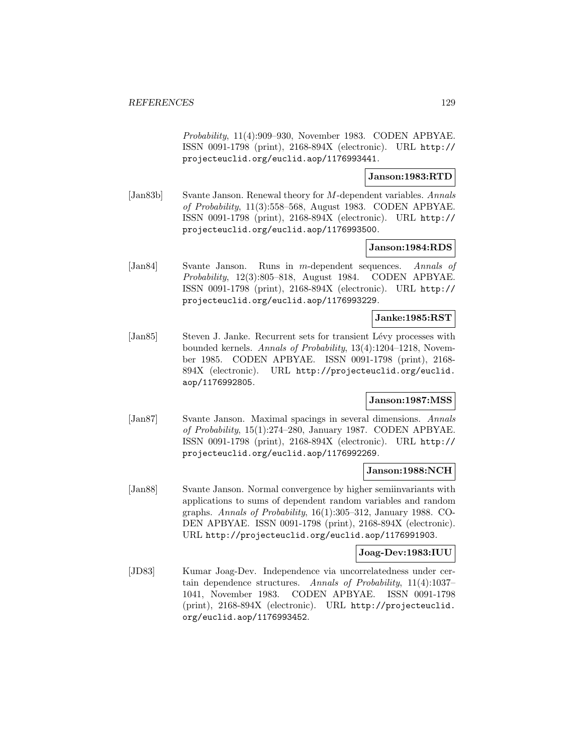Probability, 11(4):909–930, November 1983. CODEN APBYAE. ISSN 0091-1798 (print), 2168-894X (electronic). URL http:// projecteuclid.org/euclid.aop/1176993441.

## **Janson:1983:RTD**

[Jan83b] Svante Janson. Renewal theory for M-dependent variables. Annals of Probability, 11(3):558–568, August 1983. CODEN APBYAE. ISSN 0091-1798 (print), 2168-894X (electronic). URL http:// projecteuclid.org/euclid.aop/1176993500.

#### **Janson:1984:RDS**

[Jan84] Svante Janson. Runs in m-dependent sequences. Annals of Probability, 12(3):805–818, August 1984. CODEN APBYAE. ISSN 0091-1798 (print), 2168-894X (electronic). URL http:// projecteuclid.org/euclid.aop/1176993229.

#### **Janke:1985:RST**

[Jan85] Steven J. Janke. Recurrent sets for transient Lévy processes with bounded kernels. Annals of Probability, 13(4):1204–1218, November 1985. CODEN APBYAE. ISSN 0091-1798 (print), 2168- 894X (electronic). URL http://projecteuclid.org/euclid. aop/1176992805.

## **Janson:1987:MSS**

[Jan87] Svante Janson. Maximal spacings in several dimensions. Annals of Probability, 15(1):274–280, January 1987. CODEN APBYAE. ISSN 0091-1798 (print), 2168-894X (electronic). URL http:// projecteuclid.org/euclid.aop/1176992269.

## **Janson:1988:NCH**

[Jan88] Svante Janson. Normal convergence by higher semiinvariants with applications to sums of dependent random variables and random graphs. Annals of Probability, 16(1):305–312, January 1988. CO-DEN APBYAE. ISSN 0091-1798 (print), 2168-894X (electronic). URL http://projecteuclid.org/euclid.aop/1176991903.

### **Joag-Dev:1983:IUU**

[JD83] Kumar Joag-Dev. Independence via uncorrelatedness under certain dependence structures. Annals of Probability, 11(4):1037– 1041, November 1983. CODEN APBYAE. ISSN 0091-1798 (print), 2168-894X (electronic). URL http://projecteuclid. org/euclid.aop/1176993452.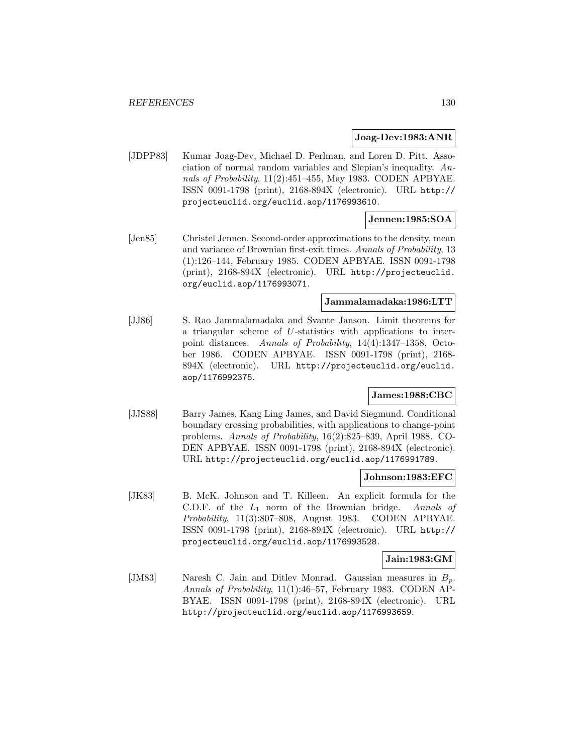#### **Joag-Dev:1983:ANR**

[JDPP83] Kumar Joag-Dev, Michael D. Perlman, and Loren D. Pitt. Association of normal random variables and Slepian's inequality. Annals of Probability, 11(2):451–455, May 1983. CODEN APBYAE. ISSN 0091-1798 (print), 2168-894X (electronic). URL http:// projecteuclid.org/euclid.aop/1176993610.

### **Jennen:1985:SOA**

[Jen85] Christel Jennen. Second-order approximations to the density, mean and variance of Brownian first-exit times. Annals of Probability, 13 (1):126–144, February 1985. CODEN APBYAE. ISSN 0091-1798 (print), 2168-894X (electronic). URL http://projecteuclid. org/euclid.aop/1176993071.

# **Jammalamadaka:1986:LTT**

[JJ86] S. Rao Jammalamadaka and Svante Janson. Limit theorems for a triangular scheme of U-statistics with applications to interpoint distances. Annals of Probability, 14(4):1347–1358, October 1986. CODEN APBYAE. ISSN 0091-1798 (print), 2168- 894X (electronic). URL http://projecteuclid.org/euclid. aop/1176992375.

## **James:1988:CBC**

[JJS88] Barry James, Kang Ling James, and David Siegmund. Conditional boundary crossing probabilities, with applications to change-point problems. Annals of Probability, 16(2):825–839, April 1988. CO-DEN APBYAE. ISSN 0091-1798 (print), 2168-894X (electronic). URL http://projecteuclid.org/euclid.aop/1176991789.

#### **Johnson:1983:EFC**

[JK83] B. McK. Johnson and T. Killeen. An explicit formula for the C.D.F. of the  $L_1$  norm of the Brownian bridge. Annals of Probability, 11(3):807–808, August 1983. CODEN APBYAE. ISSN 0091-1798 (print), 2168-894X (electronic). URL http:// projecteuclid.org/euclid.aop/1176993528.

#### **Jain:1983:GM**

[JM83] Naresh C. Jain and Ditlev Monrad. Gaussian measures in  $B_p$ . Annals of Probability, 11(1):46–57, February 1983. CODEN AP-BYAE. ISSN 0091-1798 (print), 2168-894X (electronic). URL http://projecteuclid.org/euclid.aop/1176993659.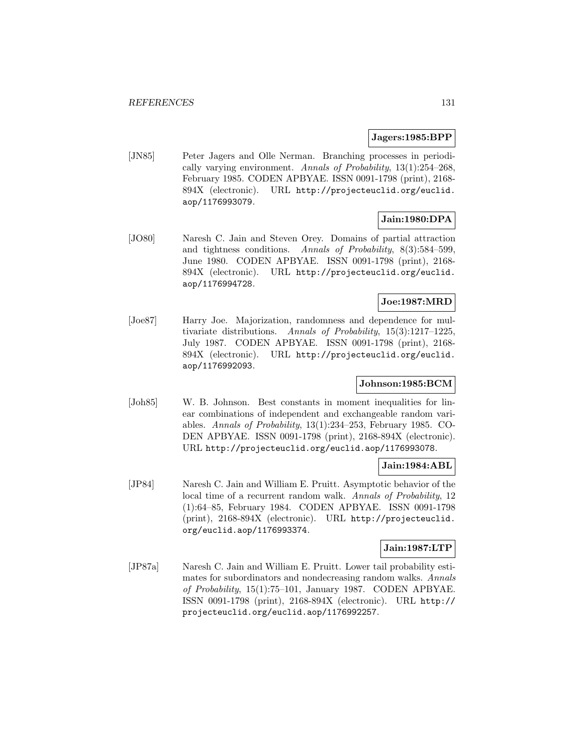#### **Jagers:1985:BPP**

[JN85] Peter Jagers and Olle Nerman. Branching processes in periodically varying environment. Annals of Probability,  $13(1):254-268$ , February 1985. CODEN APBYAE. ISSN 0091-1798 (print), 2168- 894X (electronic). URL http://projecteuclid.org/euclid. aop/1176993079.

# **Jain:1980:DPA**

[JO80] Naresh C. Jain and Steven Orey. Domains of partial attraction and tightness conditions. Annals of Probability, 8(3):584–599, June 1980. CODEN APBYAE. ISSN 0091-1798 (print), 2168- 894X (electronic). URL http://projecteuclid.org/euclid. aop/1176994728.

## **Joe:1987:MRD**

[Joe87] Harry Joe. Majorization, randomness and dependence for multivariate distributions. Annals of Probability, 15(3):1217–1225, July 1987. CODEN APBYAE. ISSN 0091-1798 (print), 2168- 894X (electronic). URL http://projecteuclid.org/euclid. aop/1176992093.

## **Johnson:1985:BCM**

[Joh85] W. B. Johnson. Best constants in moment inequalities for linear combinations of independent and exchangeable random variables. Annals of Probability, 13(1):234–253, February 1985. CO-DEN APBYAE. ISSN 0091-1798 (print), 2168-894X (electronic). URL http://projecteuclid.org/euclid.aop/1176993078.

## **Jain:1984:ABL**

[JP84] Naresh C. Jain and William E. Pruitt. Asymptotic behavior of the local time of a recurrent random walk. Annals of Probability, 12 (1):64–85, February 1984. CODEN APBYAE. ISSN 0091-1798 (print), 2168-894X (electronic). URL http://projecteuclid. org/euclid.aop/1176993374.

## **Jain:1987:LTP**

[JP87a] Naresh C. Jain and William E. Pruitt. Lower tail probability estimates for subordinators and nondecreasing random walks. Annals of Probability, 15(1):75–101, January 1987. CODEN APBYAE. ISSN 0091-1798 (print), 2168-894X (electronic). URL http:// projecteuclid.org/euclid.aop/1176992257.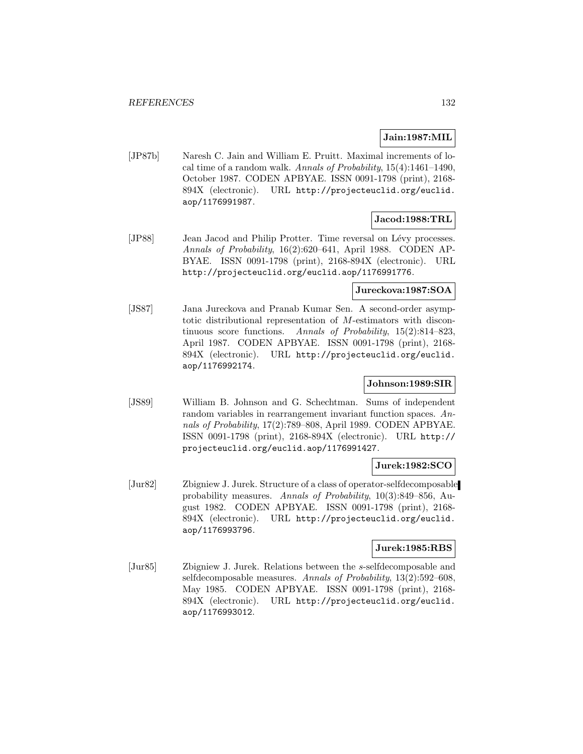## **Jain:1987:MIL**

[JP87b] Naresh C. Jain and William E. Pruitt. Maximal increments of local time of a random walk. Annals of Probability,  $15(4)$ :1461-1490, October 1987. CODEN APBYAE. ISSN 0091-1798 (print), 2168- 894X (electronic). URL http://projecteuclid.org/euclid. aop/1176991987.

# **Jacod:1988:TRL**

[JP88] Jean Jacod and Philip Protter. Time reversal on Lévy processes. Annals of Probability, 16(2):620–641, April 1988. CODEN AP-BYAE. ISSN 0091-1798 (print), 2168-894X (electronic). URL http://projecteuclid.org/euclid.aop/1176991776.

## **Jureckova:1987:SOA**

[JS87] Jana Jureckova and Pranab Kumar Sen. A second-order asymptotic distributional representation of M-estimators with discontinuous score functions. Annals of Probability, 15(2):814–823, April 1987. CODEN APBYAE. ISSN 0091-1798 (print), 2168- 894X (electronic). URL http://projecteuclid.org/euclid. aop/1176992174.

### **Johnson:1989:SIR**

[JS89] William B. Johnson and G. Schechtman. Sums of independent random variables in rearrangement invariant function spaces. Annals of Probability, 17(2):789–808, April 1989. CODEN APBYAE. ISSN 0091-1798 (print), 2168-894X (electronic). URL http:// projecteuclid.org/euclid.aop/1176991427.

## **Jurek:1982:SCO**

[Jur82] Zbigniew J. Jurek. Structure of a class of operator-selfdecomposable probability measures. Annals of Probability, 10(3):849–856, August 1982. CODEN APBYAE. ISSN 0091-1798 (print), 2168- 894X (electronic). URL http://projecteuclid.org/euclid. aop/1176993796.

## **Jurek:1985:RBS**

[Jur85] Zbigniew J. Jurek. Relations between the s-selfdecomposable and selfdecomposable measures. Annals of Probability, 13(2):592–608, May 1985. CODEN APBYAE. ISSN 0091-1798 (print), 2168- 894X (electronic). URL http://projecteuclid.org/euclid. aop/1176993012.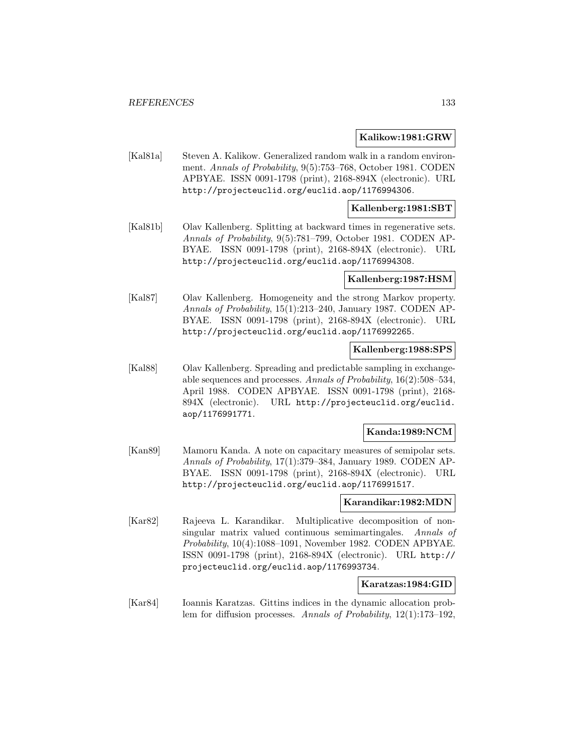#### **Kalikow:1981:GRW**

[Kal81a] Steven A. Kalikow. Generalized random walk in a random environment. Annals of Probability, 9(5):753–768, October 1981. CODEN APBYAE. ISSN 0091-1798 (print), 2168-894X (electronic). URL http://projecteuclid.org/euclid.aop/1176994306.

#### **Kallenberg:1981:SBT**

[Kal81b] Olav Kallenberg. Splitting at backward times in regenerative sets. Annals of Probability, 9(5):781–799, October 1981. CODEN AP-BYAE. ISSN 0091-1798 (print), 2168-894X (electronic). URL http://projecteuclid.org/euclid.aop/1176994308.

#### **Kallenberg:1987:HSM**

[Kal87] Olav Kallenberg. Homogeneity and the strong Markov property. Annals of Probability, 15(1):213–240, January 1987. CODEN AP-BYAE. ISSN 0091-1798 (print), 2168-894X (electronic). URL http://projecteuclid.org/euclid.aop/1176992265.

#### **Kallenberg:1988:SPS**

[Kal88] Olav Kallenberg. Spreading and predictable sampling in exchangeable sequences and processes. Annals of Probability, 16(2):508–534, April 1988. CODEN APBYAE. ISSN 0091-1798 (print), 2168- 894X (electronic). URL http://projecteuclid.org/euclid. aop/1176991771.

### **Kanda:1989:NCM**

[Kan89] Mamoru Kanda. A note on capacitary measures of semipolar sets. Annals of Probability, 17(1):379–384, January 1989. CODEN AP-BYAE. ISSN 0091-1798 (print), 2168-894X (electronic). URL http://projecteuclid.org/euclid.aop/1176991517.

## **Karandikar:1982:MDN**

[Kar82] Rajeeva L. Karandikar. Multiplicative decomposition of nonsingular matrix valued continuous semimartingales. Annals of Probability, 10(4):1088–1091, November 1982. CODEN APBYAE. ISSN 0091-1798 (print), 2168-894X (electronic). URL http:// projecteuclid.org/euclid.aop/1176993734.

#### **Karatzas:1984:GID**

[Kar84] Ioannis Karatzas. Gittins indices in the dynamic allocation problem for diffusion processes. Annals of Probability, 12(1):173–192,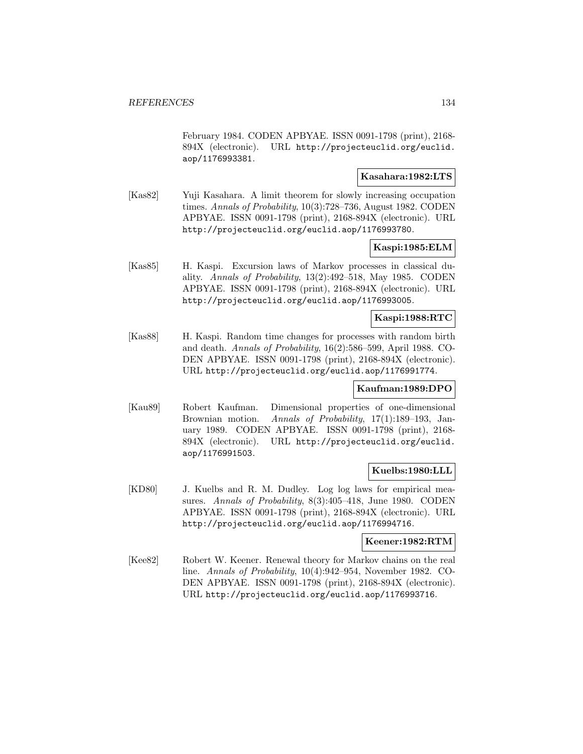February 1984. CODEN APBYAE. ISSN 0091-1798 (print), 2168- 894X (electronic). URL http://projecteuclid.org/euclid. aop/1176993381.

## **Kasahara:1982:LTS**

[Kas82] Yuji Kasahara. A limit theorem for slowly increasing occupation times. Annals of Probability, 10(3):728–736, August 1982. CODEN APBYAE. ISSN 0091-1798 (print), 2168-894X (electronic). URL http://projecteuclid.org/euclid.aop/1176993780.

### **Kaspi:1985:ELM**

[Kas85] H. Kaspi. Excursion laws of Markov processes in classical duality. Annals of Probability, 13(2):492–518, May 1985. CODEN APBYAE. ISSN 0091-1798 (print), 2168-894X (electronic). URL http://projecteuclid.org/euclid.aop/1176993005.

## **Kaspi:1988:RTC**

[Kas88] H. Kaspi. Random time changes for processes with random birth and death. Annals of Probability, 16(2):586–599, April 1988. CO-DEN APBYAE. ISSN 0091-1798 (print), 2168-894X (electronic). URL http://projecteuclid.org/euclid.aop/1176991774.

#### **Kaufman:1989:DPO**

[Kau89] Robert Kaufman. Dimensional properties of one-dimensional Brownian motion. Annals of Probability, 17(1):189–193, January 1989. CODEN APBYAE. ISSN 0091-1798 (print), 2168- 894X (electronic). URL http://projecteuclid.org/euclid. aop/1176991503.

## **Kuelbs:1980:LLL**

[KD80] J. Kuelbs and R. M. Dudley. Log log laws for empirical measures. Annals of Probability, 8(3):405-418, June 1980. CODEN APBYAE. ISSN 0091-1798 (print), 2168-894X (electronic). URL http://projecteuclid.org/euclid.aop/1176994716.

#### **Keener:1982:RTM**

[Kee82] Robert W. Keener. Renewal theory for Markov chains on the real line. Annals of Probability, 10(4):942–954, November 1982. CO-DEN APBYAE. ISSN 0091-1798 (print), 2168-894X (electronic). URL http://projecteuclid.org/euclid.aop/1176993716.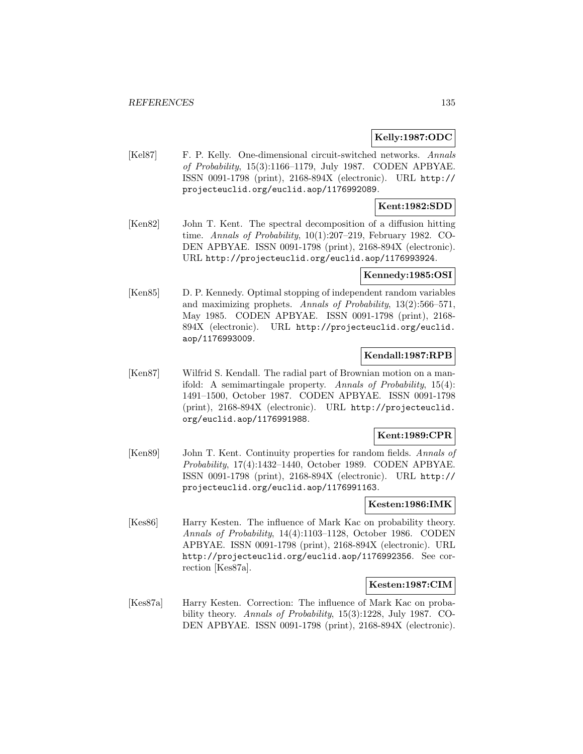## **Kelly:1987:ODC**

[Kel87] F. P. Kelly. One-dimensional circuit-switched networks. Annals of Probability, 15(3):1166–1179, July 1987. CODEN APBYAE. ISSN 0091-1798 (print), 2168-894X (electronic). URL http:// projecteuclid.org/euclid.aop/1176992089.

## **Kent:1982:SDD**

[Ken82] John T. Kent. The spectral decomposition of a diffusion hitting time. Annals of Probability, 10(1):207–219, February 1982. CO-DEN APBYAE. ISSN 0091-1798 (print), 2168-894X (electronic). URL http://projecteuclid.org/euclid.aop/1176993924.

#### **Kennedy:1985:OSI**

[Ken85] D. P. Kennedy. Optimal stopping of independent random variables and maximizing prophets. Annals of Probability, 13(2):566–571, May 1985. CODEN APBYAE. ISSN 0091-1798 (print), 2168- 894X (electronic). URL http://projecteuclid.org/euclid. aop/1176993009.

### **Kendall:1987:RPB**

[Ken87] Wilfrid S. Kendall. The radial part of Brownian motion on a manifold: A semimartingale property. Annals of Probability, 15(4): 1491–1500, October 1987. CODEN APBYAE. ISSN 0091-1798 (print), 2168-894X (electronic). URL http://projecteuclid. org/euclid.aop/1176991988.

## **Kent:1989:CPR**

[Ken89] John T. Kent. Continuity properties for random fields. Annals of Probability, 17(4):1432–1440, October 1989. CODEN APBYAE. ISSN 0091-1798 (print), 2168-894X (electronic). URL http:// projecteuclid.org/euclid.aop/1176991163.

#### **Kesten:1986:IMK**

[Kes86] Harry Kesten. The influence of Mark Kac on probability theory. Annals of Probability, 14(4):1103–1128, October 1986. CODEN APBYAE. ISSN 0091-1798 (print), 2168-894X (electronic). URL http://projecteuclid.org/euclid.aop/1176992356. See correction [Kes87a].

### **Kesten:1987:CIM**

[Kes87a] Harry Kesten. Correction: The influence of Mark Kac on probability theory. Annals of Probability, 15(3):1228, July 1987. CO-DEN APBYAE. ISSN 0091-1798 (print), 2168-894X (electronic).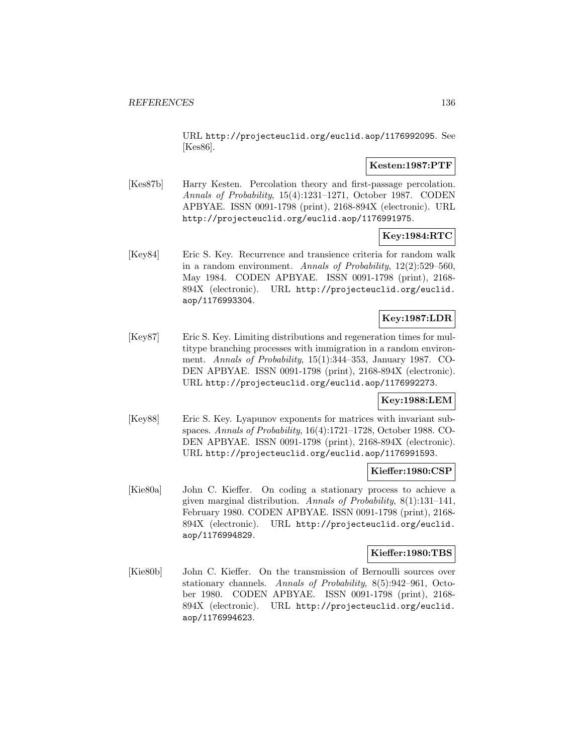URL http://projecteuclid.org/euclid.aop/1176992095. See [Kes86].

## **Kesten:1987:PTF**

[Kes87b] Harry Kesten. Percolation theory and first-passage percolation. Annals of Probability, 15(4):1231–1271, October 1987. CODEN APBYAE. ISSN 0091-1798 (print), 2168-894X (electronic). URL http://projecteuclid.org/euclid.aop/1176991975.

## **Key:1984:RTC**

[Key84] Eric S. Key. Recurrence and transience criteria for random walk in a random environment. Annals of Probability,  $12(2):529-560$ , May 1984. CODEN APBYAE. ISSN 0091-1798 (print), 2168- 894X (electronic). URL http://projecteuclid.org/euclid. aop/1176993304.

# **Key:1987:LDR**

[Key87] Eric S. Key. Limiting distributions and regeneration times for multitype branching processes with immigration in a random environment. Annals of Probability, 15(1):344–353, January 1987. CO-DEN APBYAE. ISSN 0091-1798 (print), 2168-894X (electronic). URL http://projecteuclid.org/euclid.aop/1176992273.

## **Key:1988:LEM**

[Key88] Eric S. Key. Lyapunov exponents for matrices with invariant subspaces. Annals of Probability, 16(4):1721–1728, October 1988. CO-DEN APBYAE. ISSN 0091-1798 (print), 2168-894X (electronic). URL http://projecteuclid.org/euclid.aop/1176991593.

# **Kieffer:1980:CSP**

[Kie80a] John C. Kieffer. On coding a stationary process to achieve a given marginal distribution. Annals of Probability, 8(1):131–141, February 1980. CODEN APBYAE. ISSN 0091-1798 (print), 2168- 894X (electronic). URL http://projecteuclid.org/euclid. aop/1176994829.

## **Kieffer:1980:TBS**

[Kie80b] John C. Kieffer. On the transmission of Bernoulli sources over stationary channels. Annals of Probability, 8(5):942–961, October 1980. CODEN APBYAE. ISSN 0091-1798 (print), 2168- 894X (electronic). URL http://projecteuclid.org/euclid. aop/1176994623.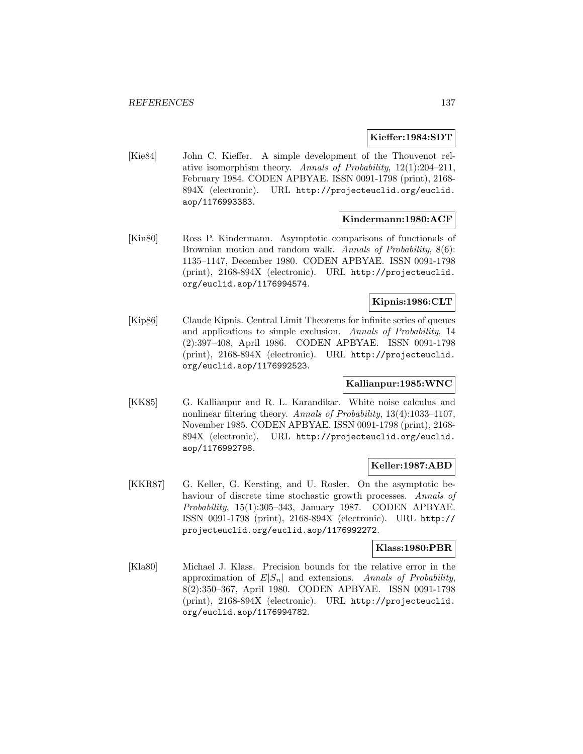#### **Kieffer:1984:SDT**

[Kie84] John C. Kieffer. A simple development of the Thouvenot relative isomorphism theory. Annals of Probability, 12(1):204–211, February 1984. CODEN APBYAE. ISSN 0091-1798 (print), 2168- 894X (electronic). URL http://projecteuclid.org/euclid. aop/1176993383.

## **Kindermann:1980:ACF**

[Kin80] Ross P. Kindermann. Asymptotic comparisons of functionals of Brownian motion and random walk. Annals of Probability, 8(6): 1135–1147, December 1980. CODEN APBYAE. ISSN 0091-1798 (print), 2168-894X (electronic). URL http://projecteuclid. org/euclid.aop/1176994574.

## **Kipnis:1986:CLT**

[Kip86] Claude Kipnis. Central Limit Theorems for infinite series of queues and applications to simple exclusion. Annals of Probability, 14 (2):397–408, April 1986. CODEN APBYAE. ISSN 0091-1798 (print), 2168-894X (electronic). URL http://projecteuclid. org/euclid.aop/1176992523.

## **Kallianpur:1985:WNC**

[KK85] G. Kallianpur and R. L. Karandikar. White noise calculus and nonlinear filtering theory. Annals of Probability, 13(4):1033-1107, November 1985. CODEN APBYAE. ISSN 0091-1798 (print), 2168- 894X (electronic). URL http://projecteuclid.org/euclid. aop/1176992798.

### **Keller:1987:ABD**

[KKR87] G. Keller, G. Kersting, and U. Rosler. On the asymptotic behaviour of discrete time stochastic growth processes. Annals of Probability, 15(1):305–343, January 1987. CODEN APBYAE. ISSN 0091-1798 (print), 2168-894X (electronic). URL http:// projecteuclid.org/euclid.aop/1176992272.

### **Klass:1980:PBR**

[Kla80] Michael J. Klass. Precision bounds for the relative error in the approximation of  $E|S_n|$  and extensions. Annals of Probability, 8(2):350–367, April 1980. CODEN APBYAE. ISSN 0091-1798 (print), 2168-894X (electronic). URL http://projecteuclid. org/euclid.aop/1176994782.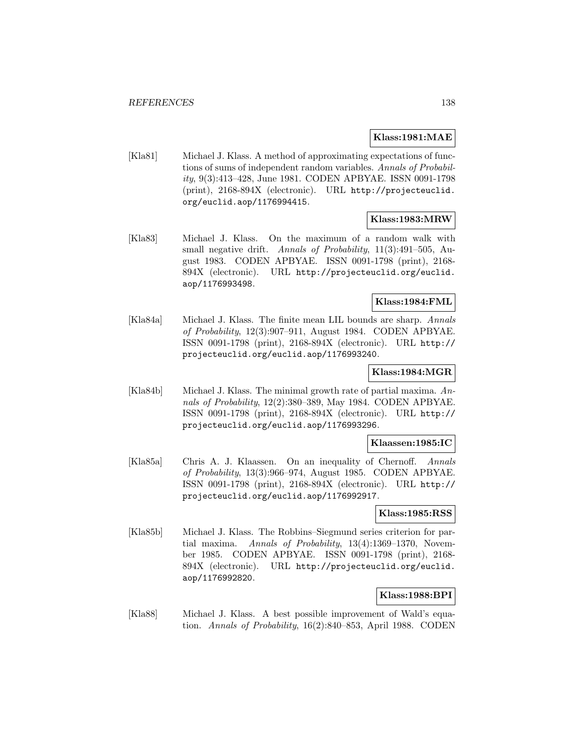### **Klass:1981:MAE**

[Kla81] Michael J. Klass. A method of approximating expectations of functions of sums of independent random variables. Annals of Probability, 9(3):413–428, June 1981. CODEN APBYAE. ISSN 0091-1798 (print), 2168-894X (electronic). URL http://projecteuclid. org/euclid.aop/1176994415.

## **Klass:1983:MRW**

[Kla83] Michael J. Klass. On the maximum of a random walk with small negative drift. Annals of Probability, 11(3):491-505, August 1983. CODEN APBYAE. ISSN 0091-1798 (print), 2168- 894X (electronic). URL http://projecteuclid.org/euclid. aop/1176993498.

## **Klass:1984:FML**

[Kla84a] Michael J. Klass. The finite mean LIL bounds are sharp. Annals of Probability, 12(3):907–911, August 1984. CODEN APBYAE. ISSN 0091-1798 (print), 2168-894X (electronic). URL http:// projecteuclid.org/euclid.aop/1176993240.

### **Klass:1984:MGR**

[Kla84b] Michael J. Klass. The minimal growth rate of partial maxima. Annals of Probability, 12(2):380–389, May 1984. CODEN APBYAE. ISSN 0091-1798 (print), 2168-894X (electronic). URL http:// projecteuclid.org/euclid.aop/1176993296.

#### **Klaassen:1985:IC**

[Kla85a] Chris A. J. Klaassen. On an inequality of Chernoff. Annals of Probability, 13(3):966–974, August 1985. CODEN APBYAE. ISSN 0091-1798 (print), 2168-894X (electronic). URL http:// projecteuclid.org/euclid.aop/1176992917.

#### **Klass:1985:RSS**

[Kla85b] Michael J. Klass. The Robbins–Siegmund series criterion for partial maxima. Annals of Probability, 13(4):1369-1370, November 1985. CODEN APBYAE. ISSN 0091-1798 (print), 2168- 894X (electronic). URL http://projecteuclid.org/euclid. aop/1176992820.

### **Klass:1988:BPI**

[Kla88] Michael J. Klass. A best possible improvement of Wald's equation. Annals of Probability, 16(2):840–853, April 1988. CODEN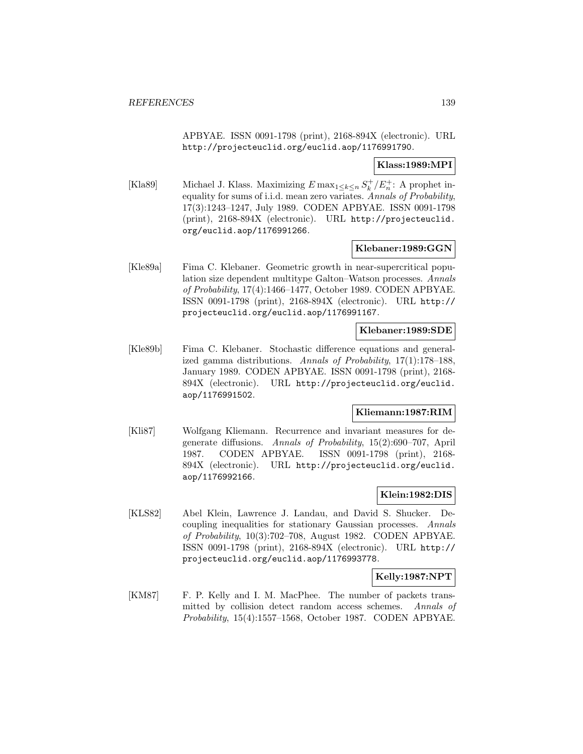APBYAE. ISSN 0091-1798 (print), 2168-894X (electronic). URL http://projecteuclid.org/euclid.aop/1176991790.

## **Klass:1989:MPI**

[Kla89] Michael J. Klass. Maximizing  $E \max_{1 \leq k \leq n} S_k^+/E_n^+$ : A prophet inequality for sums of i.i.d. mean zero variates. Annals of Probability, 17(3):1243–1247, July 1989. CODEN APBYAE. ISSN 0091-1798 (print), 2168-894X (electronic). URL http://projecteuclid. org/euclid.aop/1176991266.

### **Klebaner:1989:GGN**

[Kle89a] Fima C. Klebaner. Geometric growth in near-supercritical population size dependent multitype Galton–Watson processes. Annals of Probability, 17(4):1466–1477, October 1989. CODEN APBYAE. ISSN 0091-1798 (print), 2168-894X (electronic). URL http:// projecteuclid.org/euclid.aop/1176991167.

## **Klebaner:1989:SDE**

[Kle89b] Fima C. Klebaner. Stochastic difference equations and generalized gamma distributions. Annals of Probability, 17(1):178–188, January 1989. CODEN APBYAE. ISSN 0091-1798 (print), 2168- 894X (electronic). URL http://projecteuclid.org/euclid. aop/1176991502.

# **Kliemann:1987:RIM**

[Kli87] Wolfgang Kliemann. Recurrence and invariant measures for degenerate diffusions. Annals of Probability, 15(2):690–707, April 1987. CODEN APBYAE. ISSN 0091-1798 (print), 2168- 894X (electronic). URL http://projecteuclid.org/euclid. aop/1176992166.

## **Klein:1982:DIS**

[KLS82] Abel Klein, Lawrence J. Landau, and David S. Shucker. Decoupling inequalities for stationary Gaussian processes. Annals of Probability, 10(3):702–708, August 1982. CODEN APBYAE. ISSN 0091-1798 (print), 2168-894X (electronic). URL http:// projecteuclid.org/euclid.aop/1176993778.

## **Kelly:1987:NPT**

[KM87] F. P. Kelly and I. M. MacPhee. The number of packets transmitted by collision detect random access schemes. Annals of Probability, 15(4):1557–1568, October 1987. CODEN APBYAE.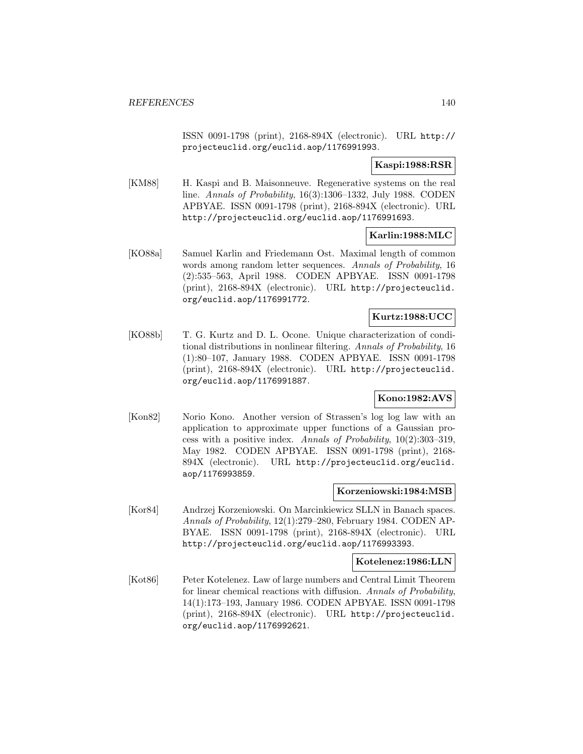ISSN 0091-1798 (print), 2168-894X (electronic). URL http:// projecteuclid.org/euclid.aop/1176991993.

## **Kaspi:1988:RSR**

[KM88] H. Kaspi and B. Maisonneuve. Regenerative systems on the real line. Annals of Probability, 16(3):1306–1332, July 1988. CODEN APBYAE. ISSN 0091-1798 (print), 2168-894X (electronic). URL http://projecteuclid.org/euclid.aop/1176991693.

## **Karlin:1988:MLC**

[KO88a] Samuel Karlin and Friedemann Ost. Maximal length of common words among random letter sequences. Annals of Probability, 16 (2):535–563, April 1988. CODEN APBYAE. ISSN 0091-1798 (print), 2168-894X (electronic). URL http://projecteuclid. org/euclid.aop/1176991772.

## **Kurtz:1988:UCC**

[KO88b] T. G. Kurtz and D. L. Ocone. Unique characterization of conditional distributions in nonlinear filtering. Annals of Probability, 16 (1):80–107, January 1988. CODEN APBYAE. ISSN 0091-1798 (print), 2168-894X (electronic). URL http://projecteuclid. org/euclid.aop/1176991887.

## **Kono:1982:AVS**

[Kon82] Norio Kono. Another version of Strassen's log log law with an application to approximate upper functions of a Gaussian process with a positive index. Annals of Probability,  $10(2):303-319$ , May 1982. CODEN APBYAE. ISSN 0091-1798 (print), 2168- 894X (electronic). URL http://projecteuclid.org/euclid. aop/1176993859.

## **Korzeniowski:1984:MSB**

[Kor84] Andrzej Korzeniowski. On Marcinkiewicz SLLN in Banach spaces. Annals of Probability, 12(1):279–280, February 1984. CODEN AP-BYAE. ISSN 0091-1798 (print), 2168-894X (electronic). URL http://projecteuclid.org/euclid.aop/1176993393.

#### **Kotelenez:1986:LLN**

[Kot86] Peter Kotelenez. Law of large numbers and Central Limit Theorem for linear chemical reactions with diffusion. Annals of Probability, 14(1):173–193, January 1986. CODEN APBYAE. ISSN 0091-1798 (print), 2168-894X (electronic). URL http://projecteuclid. org/euclid.aop/1176992621.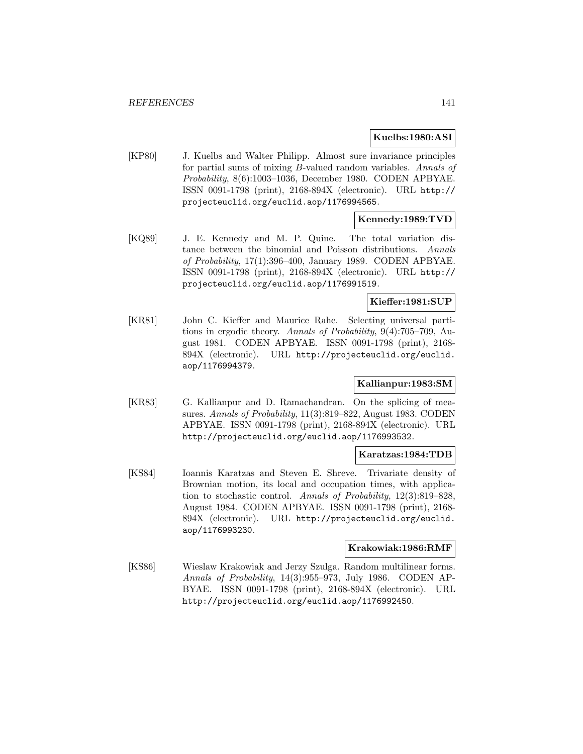## **Kuelbs:1980:ASI**

[KP80] J. Kuelbs and Walter Philipp. Almost sure invariance principles for partial sums of mixing B-valued random variables. Annals of Probability, 8(6):1003–1036, December 1980. CODEN APBYAE. ISSN 0091-1798 (print), 2168-894X (electronic). URL http:// projecteuclid.org/euclid.aop/1176994565.

# **Kennedy:1989:TVD**

[KQ89] J. E. Kennedy and M. P. Quine. The total variation distance between the binomial and Poisson distributions. Annals of Probability, 17(1):396–400, January 1989. CODEN APBYAE. ISSN 0091-1798 (print), 2168-894X (electronic). URL http:// projecteuclid.org/euclid.aop/1176991519.

## **Kieffer:1981:SUP**

[KR81] John C. Kieffer and Maurice Rahe. Selecting universal partitions in ergodic theory. Annals of Probability, 9(4):705–709, August 1981. CODEN APBYAE. ISSN 0091-1798 (print), 2168- 894X (electronic). URL http://projecteuclid.org/euclid. aop/1176994379.

## **Kallianpur:1983:SM**

[KR83] G. Kallianpur and D. Ramachandran. On the splicing of measures. Annals of Probability, 11(3):819–822, August 1983. CODEN APBYAE. ISSN 0091-1798 (print), 2168-894X (electronic). URL http://projecteuclid.org/euclid.aop/1176993532.

#### **Karatzas:1984:TDB**

[KS84] Ioannis Karatzas and Steven E. Shreve. Trivariate density of Brownian motion, its local and occupation times, with application to stochastic control. Annals of Probability, 12(3):819–828, August 1984. CODEN APBYAE. ISSN 0091-1798 (print), 2168- 894X (electronic). URL http://projecteuclid.org/euclid. aop/1176993230.

### **Krakowiak:1986:RMF**

[KS86] Wieslaw Krakowiak and Jerzy Szulga. Random multilinear forms. Annals of Probability, 14(3):955–973, July 1986. CODEN AP-BYAE. ISSN 0091-1798 (print), 2168-894X (electronic). URL http://projecteuclid.org/euclid.aop/1176992450.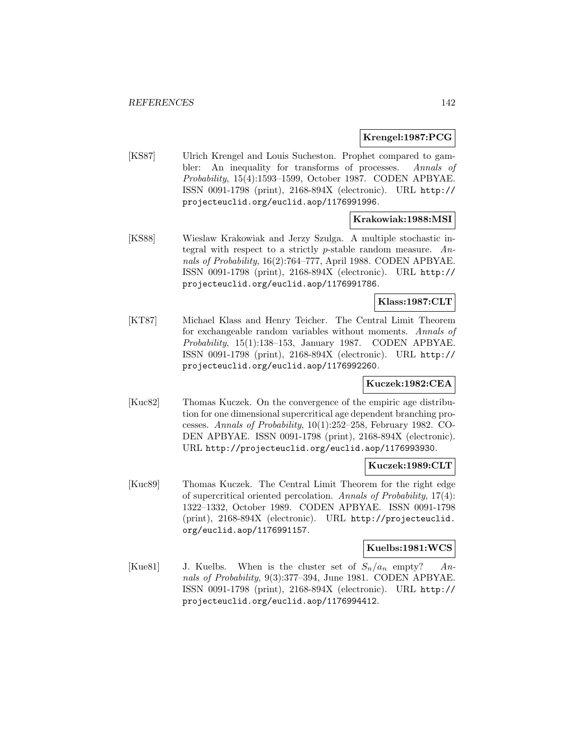### **Krengel:1987:PCG**

[KS87] Ulrich Krengel and Louis Sucheston. Prophet compared to gambler: An inequality for transforms of processes. Annals of Probability, 15(4):1593–1599, October 1987. CODEN APBYAE. ISSN 0091-1798 (print), 2168-894X (electronic). URL http:// projecteuclid.org/euclid.aop/1176991996.

## **Krakowiak:1988:MSI**

[KS88] Wieslaw Krakowiak and Jerzy Szulga. A multiple stochastic integral with respect to a strictly  $p$ -stable random measure. Annals of Probability, 16(2):764–777, April 1988. CODEN APBYAE. ISSN 0091-1798 (print), 2168-894X (electronic). URL http:// projecteuclid.org/euclid.aop/1176991786.

## **Klass:1987:CLT**

[KT87] Michael Klass and Henry Teicher. The Central Limit Theorem for exchangeable random variables without moments. Annals of Probability, 15(1):138–153, January 1987. CODEN APBYAE. ISSN 0091-1798 (print), 2168-894X (electronic). URL http:// projecteuclid.org/euclid.aop/1176992260.

### **Kuczek:1982:CEA**

[Kuc82] Thomas Kuczek. On the convergence of the empiric age distribution for one dimensional supercritical age dependent branching processes. Annals of Probability, 10(1):252–258, February 1982. CO-DEN APBYAE. ISSN 0091-1798 (print), 2168-894X (electronic). URL http://projecteuclid.org/euclid.aop/1176993930.

#### **Kuczek:1989:CLT**

[Kuc89] Thomas Kuczek. The Central Limit Theorem for the right edge of supercritical oriented percolation. Annals of Probability, 17(4): 1322–1332, October 1989. CODEN APBYAE. ISSN 0091-1798 (print), 2168-894X (electronic). URL http://projecteuclid. org/euclid.aop/1176991157.

### **Kuelbs:1981:WCS**

[Kue81] J. Kuelbs. When is the cluster set of  $S_n/a_n$  empty? Annals of Probability, 9(3):377–394, June 1981. CODEN APBYAE. ISSN 0091-1798 (print), 2168-894X (electronic). URL http:// projecteuclid.org/euclid.aop/1176994412.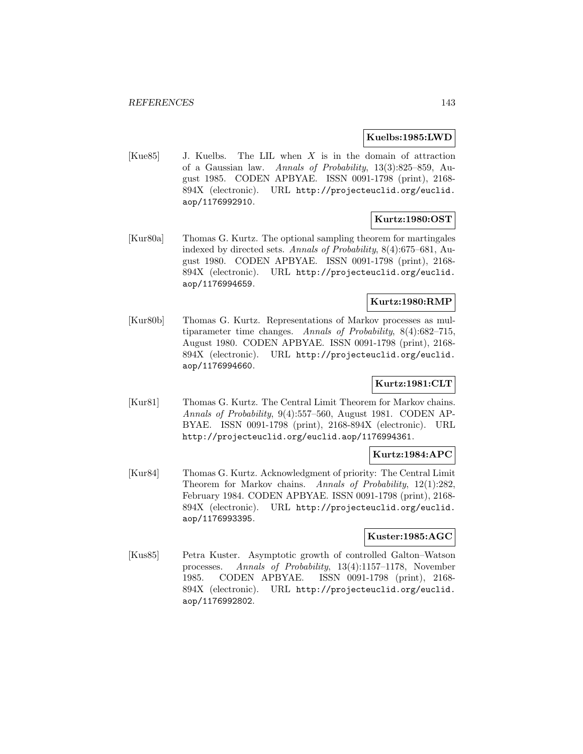#### **Kuelbs:1985:LWD**

[Kue85] J. Kuelbs. The LIL when X is in the domain of attraction of a Gaussian law. Annals of Probability, 13(3):825–859, August 1985. CODEN APBYAE. ISSN 0091-1798 (print), 2168- 894X (electronic). URL http://projecteuclid.org/euclid. aop/1176992910.

# **Kurtz:1980:OST**

[Kur80a] Thomas G. Kurtz. The optional sampling theorem for martingales indexed by directed sets. Annals of Probability, 8(4):675–681, August 1980. CODEN APBYAE. ISSN 0091-1798 (print), 2168- 894X (electronic). URL http://projecteuclid.org/euclid. aop/1176994659.

## **Kurtz:1980:RMP**

[Kur80b] Thomas G. Kurtz. Representations of Markov processes as multiparameter time changes. Annals of Probability, 8(4):682–715, August 1980. CODEN APBYAE. ISSN 0091-1798 (print), 2168- 894X (electronic). URL http://projecteuclid.org/euclid. aop/1176994660.

## **Kurtz:1981:CLT**

[Kur81] Thomas G. Kurtz. The Central Limit Theorem for Markov chains. Annals of Probability, 9(4):557–560, August 1981. CODEN AP-BYAE. ISSN 0091-1798 (print), 2168-894X (electronic). URL http://projecteuclid.org/euclid.aop/1176994361.

### **Kurtz:1984:APC**

[Kur84] Thomas G. Kurtz. Acknowledgment of priority: The Central Limit Theorem for Markov chains. Annals of Probability, 12(1):282, February 1984. CODEN APBYAE. ISSN 0091-1798 (print), 2168- 894X (electronic). URL http://projecteuclid.org/euclid. aop/1176993395.

### **Kuster:1985:AGC**

[Kus85] Petra Kuster. Asymptotic growth of controlled Galton–Watson processes. Annals of Probability, 13(4):1157–1178, November 1985. CODEN APBYAE. ISSN 0091-1798 (print), 2168- 894X (electronic). URL http://projecteuclid.org/euclid. aop/1176992802.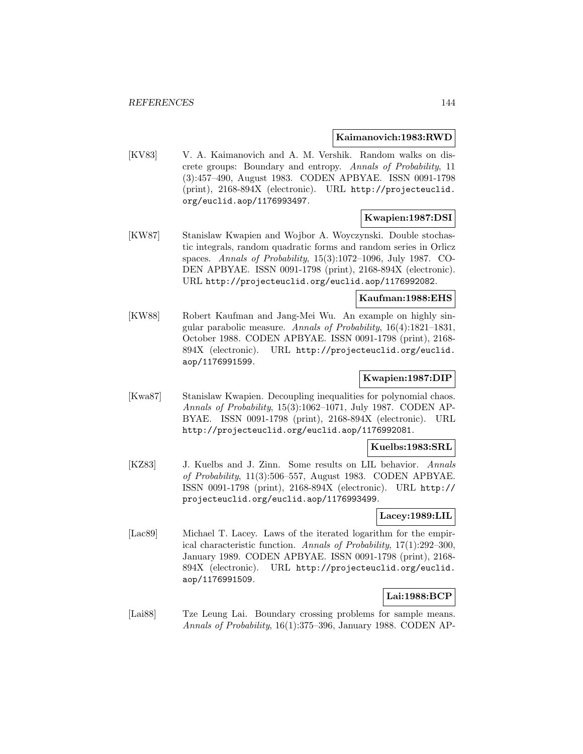#### **Kaimanovich:1983:RWD**

[KV83] V. A. Kaimanovich and A. M. Vershik. Random walks on discrete groups: Boundary and entropy. Annals of Probability, 11 (3):457–490, August 1983. CODEN APBYAE. ISSN 0091-1798 (print), 2168-894X (electronic). URL http://projecteuclid. org/euclid.aop/1176993497.

### **Kwapien:1987:DSI**

[KW87] Stanislaw Kwapien and Wojbor A. Woyczynski. Double stochastic integrals, random quadratic forms and random series in Orlicz spaces. Annals of Probability, 15(3):1072–1096, July 1987. CO-DEN APBYAE. ISSN 0091-1798 (print), 2168-894X (electronic). URL http://projecteuclid.org/euclid.aop/1176992082.

# **Kaufman:1988:EHS**

[KW88] Robert Kaufman and Jang-Mei Wu. An example on highly singular parabolic measure. Annals of Probability, 16(4):1821–1831, October 1988. CODEN APBYAE. ISSN 0091-1798 (print), 2168- 894X (electronic). URL http://projecteuclid.org/euclid. aop/1176991599.

## **Kwapien:1987:DIP**

[Kwa87] Stanislaw Kwapien. Decoupling inequalities for polynomial chaos. Annals of Probability, 15(3):1062–1071, July 1987. CODEN AP-BYAE. ISSN 0091-1798 (print), 2168-894X (electronic). URL http://projecteuclid.org/euclid.aop/1176992081.

### **Kuelbs:1983:SRL**

[KZ83] J. Kuelbs and J. Zinn. Some results on LIL behavior. Annals of Probability, 11(3):506–557, August 1983. CODEN APBYAE. ISSN 0091-1798 (print), 2168-894X (electronic). URL http:// projecteuclid.org/euclid.aop/1176993499.

## **Lacey:1989:LIL**

[Lac89] Michael T. Lacey. Laws of the iterated logarithm for the empirical characteristic function. Annals of Probability, 17(1):292–300, January 1989. CODEN APBYAE. ISSN 0091-1798 (print), 2168- 894X (electronic). URL http://projecteuclid.org/euclid. aop/1176991509.

## **Lai:1988:BCP**

[Lai88] Tze Leung Lai. Boundary crossing problems for sample means. Annals of Probability, 16(1):375–396, January 1988. CODEN AP-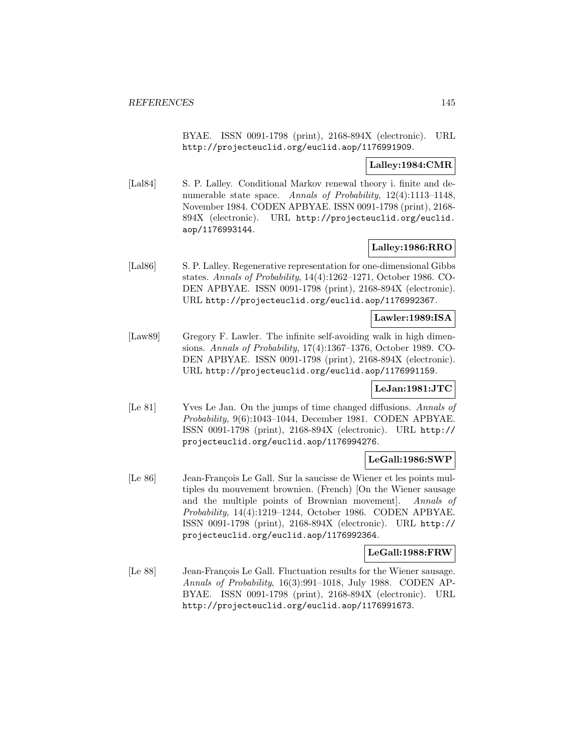BYAE. ISSN 0091-1798 (print), 2168-894X (electronic). URL http://projecteuclid.org/euclid.aop/1176991909.

### **Lalley:1984:CMR**

[Lal84] S. P. Lalley. Conditional Markov renewal theory i. finite and denumerable state space. Annals of Probability,  $12(4):1113-1148$ , November 1984. CODEN APBYAE. ISSN 0091-1798 (print), 2168- 894X (electronic). URL http://projecteuclid.org/euclid. aop/1176993144.

## **Lalley:1986:RRO**

[Lal86] S. P. Lalley. Regenerative representation for one-dimensional Gibbs states. Annals of Probability, 14(4):1262–1271, October 1986. CO-DEN APBYAE. ISSN 0091-1798 (print), 2168-894X (electronic). URL http://projecteuclid.org/euclid.aop/1176992367.

#### **Lawler:1989:ISA**

[Law89] Gregory F. Lawler. The infinite self-avoiding walk in high dimensions. Annals of Probability, 17(4):1367–1376, October 1989. CO-DEN APBYAE. ISSN 0091-1798 (print), 2168-894X (electronic). URL http://projecteuclid.org/euclid.aop/1176991159.

#### **LeJan:1981:JTC**

[Le 81] Yves Le Jan. On the jumps of time changed diffusions. Annals of Probability, 9(6):1043–1044, December 1981. CODEN APBYAE. ISSN 0091-1798 (print), 2168-894X (electronic). URL http:// projecteuclid.org/euclid.aop/1176994276.

## **LeGall:1986:SWP**

[Le 86] Jean-François Le Gall. Sur la saucisse de Wiener et les points multiples du mouvement brownien. (French) [On the Wiener sausage and the multiple points of Brownian movement]. Annals of Probability, 14(4):1219–1244, October 1986. CODEN APBYAE. ISSN 0091-1798 (print), 2168-894X (electronic). URL http:// projecteuclid.org/euclid.aop/1176992364.

#### **LeGall:1988:FRW**

[Le 88] Jean-François Le Gall. Fluctuation results for the Wiener sausage. Annals of Probability, 16(3):991–1018, July 1988. CODEN AP-BYAE. ISSN 0091-1798 (print), 2168-894X (electronic). URL http://projecteuclid.org/euclid.aop/1176991673.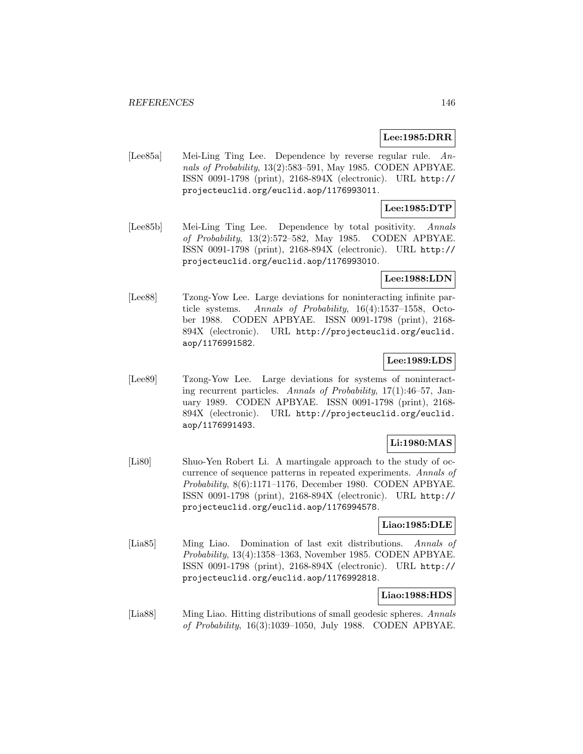### **Lee:1985:DRR**

[Lee85a] Mei-Ling Ting Lee. Dependence by reverse regular rule. Annals of Probability, 13(2):583–591, May 1985. CODEN APBYAE. ISSN 0091-1798 (print), 2168-894X (electronic). URL http:// projecteuclid.org/euclid.aop/1176993011.

# **Lee:1985:DTP**

[Lee85b] Mei-Ling Ting Lee. Dependence by total positivity. Annals of Probability, 13(2):572–582, May 1985. CODEN APBYAE. ISSN 0091-1798 (print), 2168-894X (electronic). URL http:// projecteuclid.org/euclid.aop/1176993010.

#### **Lee:1988:LDN**

[Lee88] Tzong-Yow Lee. Large deviations for noninteracting infinite particle systems. Annals of Probability, 16(4):1537–1558, October 1988. CODEN APBYAE. ISSN 0091-1798 (print), 2168- 894X (electronic). URL http://projecteuclid.org/euclid. aop/1176991582.

# **Lee:1989:LDS**

[Lee89] Tzong-Yow Lee. Large deviations for systems of noninteracting recurrent particles. Annals of Probability, 17(1):46–57, January 1989. CODEN APBYAE. ISSN 0091-1798 (print), 2168- 894X (electronic). URL http://projecteuclid.org/euclid. aop/1176991493.

# **Li:1980:MAS**

[Li80] Shuo-Yen Robert Li. A martingale approach to the study of occurrence of sequence patterns in repeated experiments. Annals of Probability, 8(6):1171–1176, December 1980. CODEN APBYAE. ISSN 0091-1798 (print), 2168-894X (electronic). URL http:// projecteuclid.org/euclid.aop/1176994578.

#### **Liao:1985:DLE**

[Lia85] Ming Liao. Domination of last exit distributions. Annals of Probability, 13(4):1358–1363, November 1985. CODEN APBYAE. ISSN 0091-1798 (print), 2168-894X (electronic). URL http:// projecteuclid.org/euclid.aop/1176992818.

# **Liao:1988:HDS**

[Lia88] Ming Liao. Hitting distributions of small geodesic spheres. Annals of Probability, 16(3):1039–1050, July 1988. CODEN APBYAE.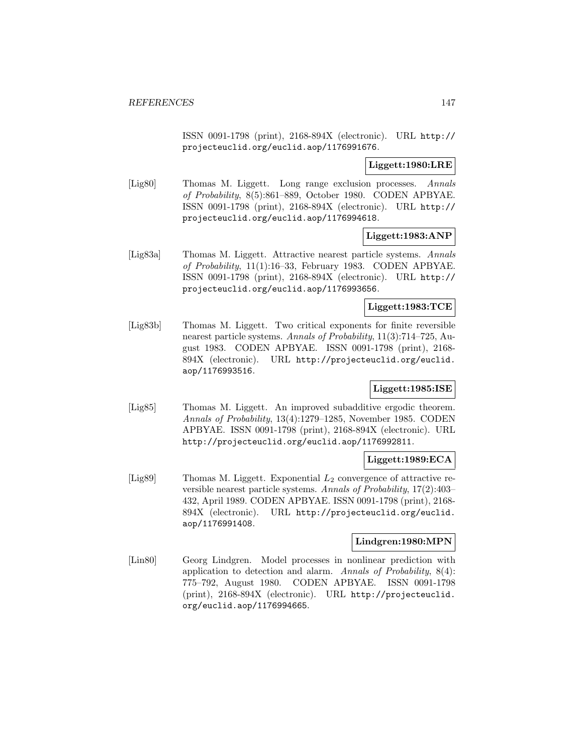ISSN 0091-1798 (print), 2168-894X (electronic). URL http:// projecteuclid.org/euclid.aop/1176991676.

**Liggett:1980:LRE**

[Lig80] Thomas M. Liggett. Long range exclusion processes. Annals of Probability, 8(5):861–889, October 1980. CODEN APBYAE. ISSN 0091-1798 (print), 2168-894X (electronic). URL http:// projecteuclid.org/euclid.aop/1176994618.

**Liggett:1983:ANP**

[Lig83a] Thomas M. Liggett. Attractive nearest particle systems. Annals of Probability, 11(1):16–33, February 1983. CODEN APBYAE. ISSN 0091-1798 (print), 2168-894X (electronic). URL http:// projecteuclid.org/euclid.aop/1176993656.

**Liggett:1983:TCE**

[Lig83b] Thomas M. Liggett. Two critical exponents for finite reversible nearest particle systems. Annals of Probability, 11(3):714–725, August 1983. CODEN APBYAE. ISSN 0091-1798 (print), 2168- 894X (electronic). URL http://projecteuclid.org/euclid. aop/1176993516.

# **Liggett:1985:ISE**

[Lig85] Thomas M. Liggett. An improved subadditive ergodic theorem. Annals of Probability, 13(4):1279–1285, November 1985. CODEN APBYAE. ISSN 0091-1798 (print), 2168-894X (electronic). URL http://projecteuclid.org/euclid.aop/1176992811.

### **Liggett:1989:ECA**

[Lig89] Thomas M. Liggett. Exponential  $L_2$  convergence of attractive reversible nearest particle systems. Annals of Probability, 17(2):403– 432, April 1989. CODEN APBYAE. ISSN 0091-1798 (print), 2168- 894X (electronic). URL http://projecteuclid.org/euclid. aop/1176991408.

#### **Lindgren:1980:MPN**

[Lin80] Georg Lindgren. Model processes in nonlinear prediction with application to detection and alarm. Annals of Probability,  $8(4)$ : 775–792, August 1980. CODEN APBYAE. ISSN 0091-1798 (print), 2168-894X (electronic). URL http://projecteuclid. org/euclid.aop/1176994665.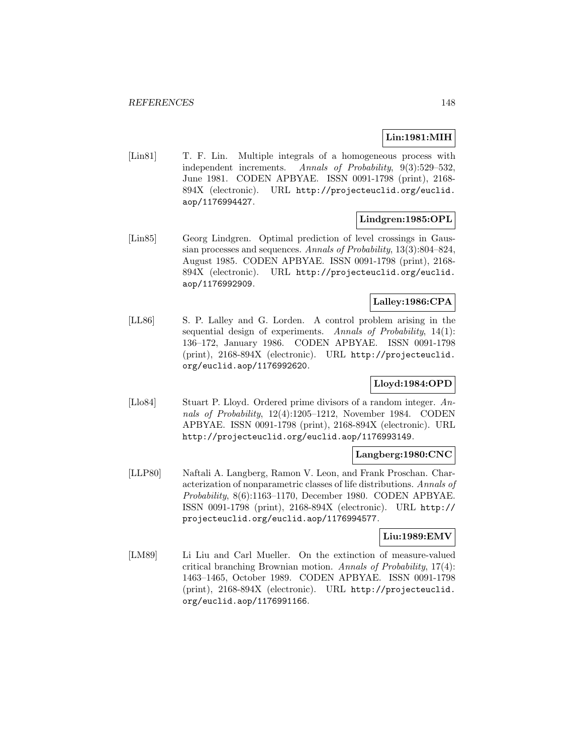# **Lin:1981:MIH**

[Lin81] T. F. Lin. Multiple integrals of a homogeneous process with independent increments. Annals of Probability, 9(3):529–532, June 1981. CODEN APBYAE. ISSN 0091-1798 (print), 2168- 894X (electronic). URL http://projecteuclid.org/euclid. aop/1176994427.

# **Lindgren:1985:OPL**

[Lin85] Georg Lindgren. Optimal prediction of level crossings in Gaussian processes and sequences. Annals of Probability, 13(3):804–824, August 1985. CODEN APBYAE. ISSN 0091-1798 (print), 2168- 894X (electronic). URL http://projecteuclid.org/euclid. aop/1176992909.

# **Lalley:1986:CPA**

[LL86] S. P. Lalley and G. Lorden. A control problem arising in the sequential design of experiments. Annals of Probability,  $14(1)$ : 136–172, January 1986. CODEN APBYAE. ISSN 0091-1798 (print), 2168-894X (electronic). URL http://projecteuclid. org/euclid.aop/1176992620.

# **Lloyd:1984:OPD**

[Llo84] Stuart P. Lloyd. Ordered prime divisors of a random integer. Annals of Probability, 12(4):1205–1212, November 1984. CODEN APBYAE. ISSN 0091-1798 (print), 2168-894X (electronic). URL http://projecteuclid.org/euclid.aop/1176993149.

#### **Langberg:1980:CNC**

[LLP80] Naftali A. Langberg, Ramon V. Leon, and Frank Proschan. Characterization of nonparametric classes of life distributions. Annals of Probability, 8(6):1163–1170, December 1980. CODEN APBYAE. ISSN 0091-1798 (print), 2168-894X (electronic). URL http:// projecteuclid.org/euclid.aop/1176994577.

# **Liu:1989:EMV**

[LM89] Li Liu and Carl Mueller. On the extinction of measure-valued critical branching Brownian motion. Annals of Probability, 17(4): 1463–1465, October 1989. CODEN APBYAE. ISSN 0091-1798 (print), 2168-894X (electronic). URL http://projecteuclid. org/euclid.aop/1176991166.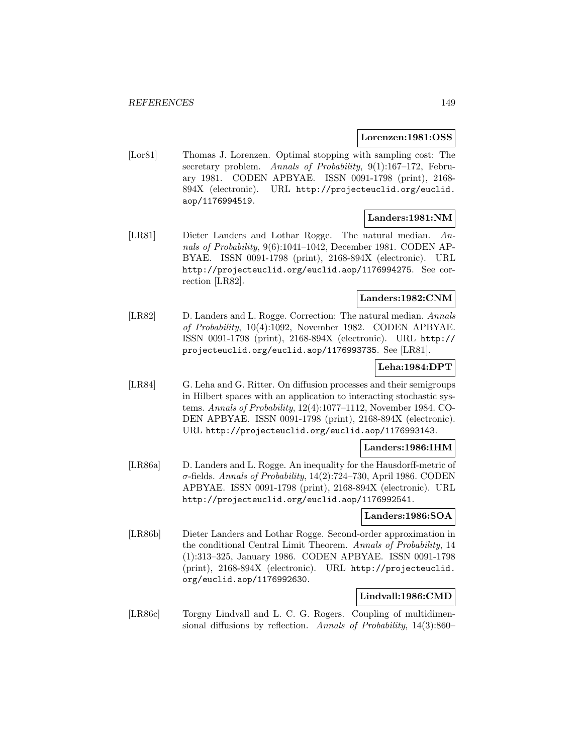#### **Lorenzen:1981:OSS**

[Lor81] Thomas J. Lorenzen. Optimal stopping with sampling cost: The secretary problem. Annals of Probability, 9(1):167-172, February 1981. CODEN APBYAE. ISSN 0091-1798 (print), 2168- 894X (electronic). URL http://projecteuclid.org/euclid. aop/1176994519.

## **Landers:1981:NM**

[LR81] Dieter Landers and Lothar Rogge. The natural median. Annals of Probability, 9(6):1041–1042, December 1981. CODEN AP-BYAE. ISSN 0091-1798 (print), 2168-894X (electronic). URL http://projecteuclid.org/euclid.aop/1176994275. See correction [LR82].

## **Landers:1982:CNM**

[LR82] D. Landers and L. Rogge. Correction: The natural median. Annals of Probability, 10(4):1092, November 1982. CODEN APBYAE. ISSN 0091-1798 (print), 2168-894X (electronic). URL http:// projecteuclid.org/euclid.aop/1176993735. See [LR81].

### **Leha:1984:DPT**

[LR84] G. Leha and G. Ritter. On diffusion processes and their semigroups in Hilbert spaces with an application to interacting stochastic systems. Annals of Probability, 12(4):1077–1112, November 1984. CO-DEN APBYAE. ISSN 0091-1798 (print), 2168-894X (electronic). URL http://projecteuclid.org/euclid.aop/1176993143.

#### **Landers:1986:IHM**

[LR86a] D. Landers and L. Rogge. An inequality for the Hausdorff-metric of  $\sigma$ -fields. Annals of Probability, 14(2):724–730, April 1986. CODEN APBYAE. ISSN 0091-1798 (print), 2168-894X (electronic). URL http://projecteuclid.org/euclid.aop/1176992541.

#### **Landers:1986:SOA**

[LR86b] Dieter Landers and Lothar Rogge. Second-order approximation in the conditional Central Limit Theorem. Annals of Probability, 14 (1):313–325, January 1986. CODEN APBYAE. ISSN 0091-1798 (print), 2168-894X (electronic). URL http://projecteuclid. org/euclid.aop/1176992630.

### **Lindvall:1986:CMD**

[LR86c] Torgny Lindvall and L. C. G. Rogers. Coupling of multidimensional diffusions by reflection. Annals of Probability, 14(3):860–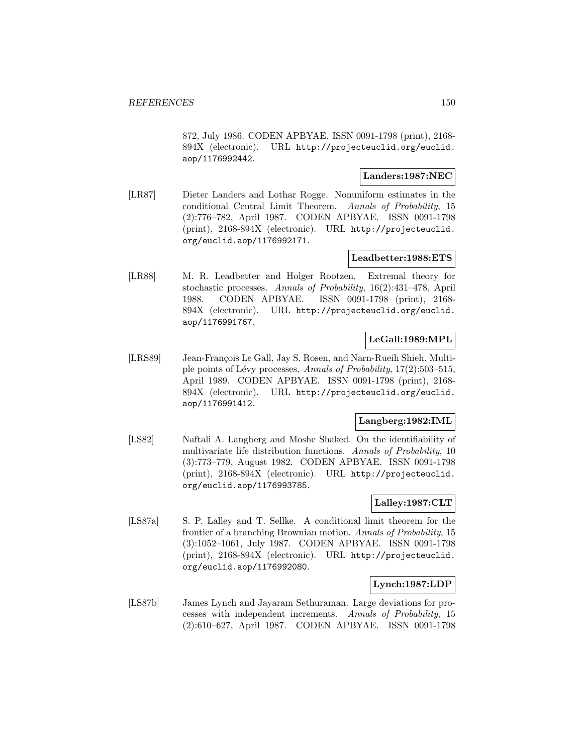872, July 1986. CODEN APBYAE. ISSN 0091-1798 (print), 2168- 894X (electronic). URL http://projecteuclid.org/euclid. aop/1176992442.

# **Landers:1987:NEC**

[LR87] Dieter Landers and Lothar Rogge. Nonuniform estimates in the conditional Central Limit Theorem. Annals of Probability, 15 (2):776–782, April 1987. CODEN APBYAE. ISSN 0091-1798 (print), 2168-894X (electronic). URL http://projecteuclid. org/euclid.aop/1176992171.

## **Leadbetter:1988:ETS**

[LR88] M. R. Leadbetter and Holger Rootzen. Extremal theory for stochastic processes. Annals of Probability, 16(2):431–478, April 1988. CODEN APBYAE. ISSN 0091-1798 (print), 2168- 894X (electronic). URL http://projecteuclid.org/euclid. aop/1176991767.

# **LeGall:1989:MPL**

[LRS89] Jean-François Le Gall, Jay S. Rosen, and Narn-Rueih Shieh. Multiple points of Lévy processes. Annals of Probability,  $17(2):503-515$ , April 1989. CODEN APBYAE. ISSN 0091-1798 (print), 2168- 894X (electronic). URL http://projecteuclid.org/euclid. aop/1176991412.

#### **Langberg:1982:IML**

[LS82] Naftali A. Langberg and Moshe Shaked. On the identifiability of multivariate life distribution functions. Annals of Probability, 10 (3):773–779, August 1982. CODEN APBYAE. ISSN 0091-1798 (print), 2168-894X (electronic). URL http://projecteuclid. org/euclid.aop/1176993785.

# **Lalley:1987:CLT**

[LS87a] S. P. Lalley and T. Sellke. A conditional limit theorem for the frontier of a branching Brownian motion. Annals of Probability, 15 (3):1052–1061, July 1987. CODEN APBYAE. ISSN 0091-1798 (print), 2168-894X (electronic). URL http://projecteuclid. org/euclid.aop/1176992080.

# **Lynch:1987:LDP**

[LS87b] James Lynch and Jayaram Sethuraman. Large deviations for processes with independent increments. Annals of Probability, 15 (2):610–627, April 1987. CODEN APBYAE. ISSN 0091-1798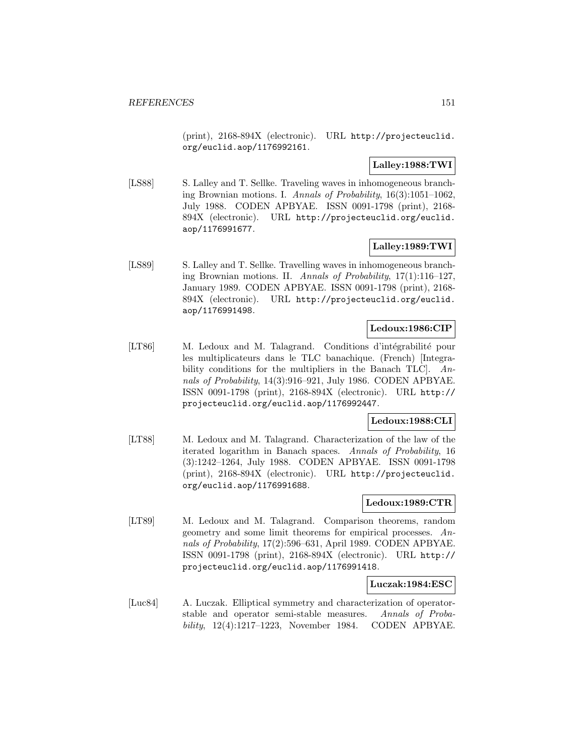(print), 2168-894X (electronic). URL http://projecteuclid. org/euclid.aop/1176992161.

# **Lalley:1988:TWI**

[LS88] S. Lalley and T. Sellke. Traveling waves in inhomogeneous branching Brownian motions. I. Annals of Probability, 16(3):1051–1062, July 1988. CODEN APBYAE. ISSN 0091-1798 (print), 2168- 894X (electronic). URL http://projecteuclid.org/euclid. aop/1176991677.

# **Lalley:1989:TWI**

[LS89] S. Lalley and T. Sellke. Travelling waves in inhomogeneous branching Brownian motions. II. Annals of Probability, 17(1):116–127, January 1989. CODEN APBYAE. ISSN 0091-1798 (print), 2168- 894X (electronic). URL http://projecteuclid.org/euclid. aop/1176991498.

# **Ledoux:1986:CIP**

[LT86] M. Ledoux and M. Talagrand. Conditions d'intégrabilité pour les multiplicateurs dans le TLC banachique. (French) [Integrability conditions for the multipliers in the Banach TLC. Annals of Probability, 14(3):916–921, July 1986. CODEN APBYAE. ISSN 0091-1798 (print), 2168-894X (electronic). URL http:// projecteuclid.org/euclid.aop/1176992447.

# **Ledoux:1988:CLI**

[LT88] M. Ledoux and M. Talagrand. Characterization of the law of the iterated logarithm in Banach spaces. Annals of Probability, 16 (3):1242–1264, July 1988. CODEN APBYAE. ISSN 0091-1798 (print), 2168-894X (electronic). URL http://projecteuclid. org/euclid.aop/1176991688.

## **Ledoux:1989:CTR**

[LT89] M. Ledoux and M. Talagrand. Comparison theorems, random geometry and some limit theorems for empirical processes. Annals of Probability, 17(2):596–631, April 1989. CODEN APBYAE. ISSN 0091-1798 (print), 2168-894X (electronic). URL http:// projecteuclid.org/euclid.aop/1176991418.

#### **Luczak:1984:ESC**

[Luc84] A. Luczak. Elliptical symmetry and characterization of operatorstable and operator semi-stable measures. Annals of Probability, 12(4):1217–1223, November 1984. CODEN APBYAE.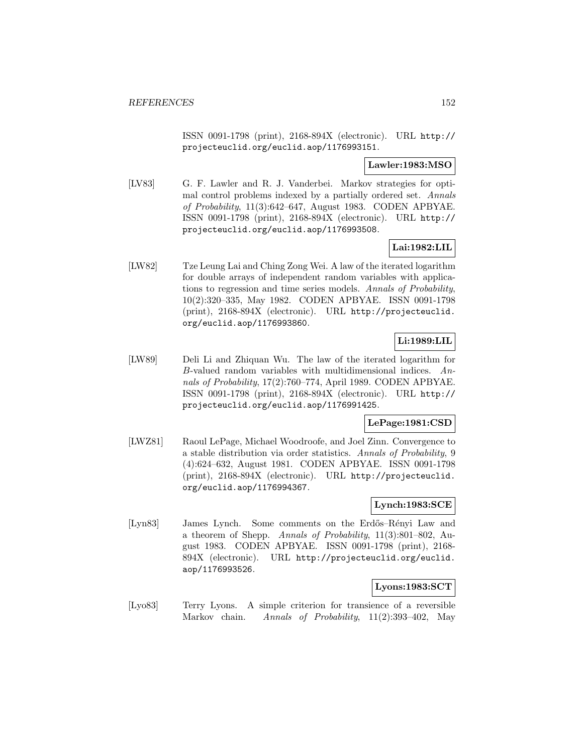ISSN 0091-1798 (print), 2168-894X (electronic). URL http:// projecteuclid.org/euclid.aop/1176993151.

## **Lawler:1983:MSO**

[LV83] G. F. Lawler and R. J. Vanderbei. Markov strategies for optimal control problems indexed by a partially ordered set. Annals of Probability, 11(3):642–647, August 1983. CODEN APBYAE. ISSN 0091-1798 (print), 2168-894X (electronic). URL http:// projecteuclid.org/euclid.aop/1176993508.

# **Lai:1982:LIL**

[LW82] Tze Leung Lai and Ching Zong Wei. A law of the iterated logarithm for double arrays of independent random variables with applications to regression and time series models. Annals of Probability, 10(2):320–335, May 1982. CODEN APBYAE. ISSN 0091-1798 (print), 2168-894X (electronic). URL http://projecteuclid. org/euclid.aop/1176993860.

# **Li:1989:LIL**

[LW89] Deli Li and Zhiquan Wu. The law of the iterated logarithm for B-valued random variables with multidimensional indices. Annals of Probability, 17(2):760–774, April 1989. CODEN APBYAE. ISSN 0091-1798 (print), 2168-894X (electronic). URL http:// projecteuclid.org/euclid.aop/1176991425.

# **LePage:1981:CSD**

[LWZ81] Raoul LePage, Michael Woodroofe, and Joel Zinn. Convergence to a stable distribution via order statistics. Annals of Probability, 9 (4):624–632, August 1981. CODEN APBYAE. ISSN 0091-1798 (print), 2168-894X (electronic). URL http://projecteuclid. org/euclid.aop/1176994367.

# **Lynch:1983:SCE**

[Lyn83] James Lynch. Some comments on the Erdős–Rényi Law and a theorem of Shepp. Annals of Probability,  $11(3):801-802$ , August 1983. CODEN APBYAE. ISSN 0091-1798 (print), 2168- 894X (electronic). URL http://projecteuclid.org/euclid. aop/1176993526.

# **Lyons:1983:SCT**

[Lyo83] Terry Lyons. A simple criterion for transience of a reversible Markov chain. Annals of Probability, 11(2):393-402, May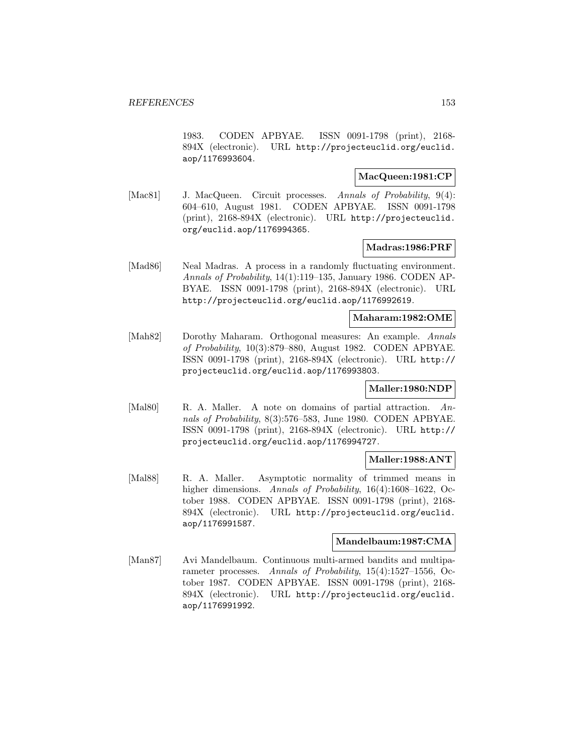1983. CODEN APBYAE. ISSN 0091-1798 (print), 2168- 894X (electronic). URL http://projecteuclid.org/euclid. aop/1176993604.

# **MacQueen:1981:CP**

[Mac81] J. MacQueen. Circuit processes. Annals of Probability, 9(4): 604–610, August 1981. CODEN APBYAE. ISSN 0091-1798 (print), 2168-894X (electronic). URL http://projecteuclid. org/euclid.aop/1176994365.

#### **Madras:1986:PRF**

[Mad86] Neal Madras. A process in a randomly fluctuating environment. Annals of Probability, 14(1):119–135, January 1986. CODEN AP-BYAE. ISSN 0091-1798 (print), 2168-894X (electronic). URL http://projecteuclid.org/euclid.aop/1176992619.

#### **Maharam:1982:OME**

[Mah82] Dorothy Maharam. Orthogonal measures: An example. Annals of Probability, 10(3):879–880, August 1982. CODEN APBYAE. ISSN 0091-1798 (print), 2168-894X (electronic). URL http:// projecteuclid.org/euclid.aop/1176993803.

#### **Maller:1980:NDP**

[Mal80] R. A. Maller. A note on domains of partial attraction. Annals of Probability, 8(3):576–583, June 1980. CODEN APBYAE. ISSN 0091-1798 (print), 2168-894X (electronic). URL http:// projecteuclid.org/euclid.aop/1176994727.

#### **Maller:1988:ANT**

[Mal88] R. A. Maller. Asymptotic normality of trimmed means in higher dimensions. Annals of Probability, 16(4):1608–1622, October 1988. CODEN APBYAE. ISSN 0091-1798 (print), 2168- 894X (electronic). URL http://projecteuclid.org/euclid. aop/1176991587.

#### **Mandelbaum:1987:CMA**

[Man87] Avi Mandelbaum. Continuous multi-armed bandits and multiparameter processes. Annals of Probability, 15(4):1527–1556, October 1987. CODEN APBYAE. ISSN 0091-1798 (print), 2168- 894X (electronic). URL http://projecteuclid.org/euclid. aop/1176991992.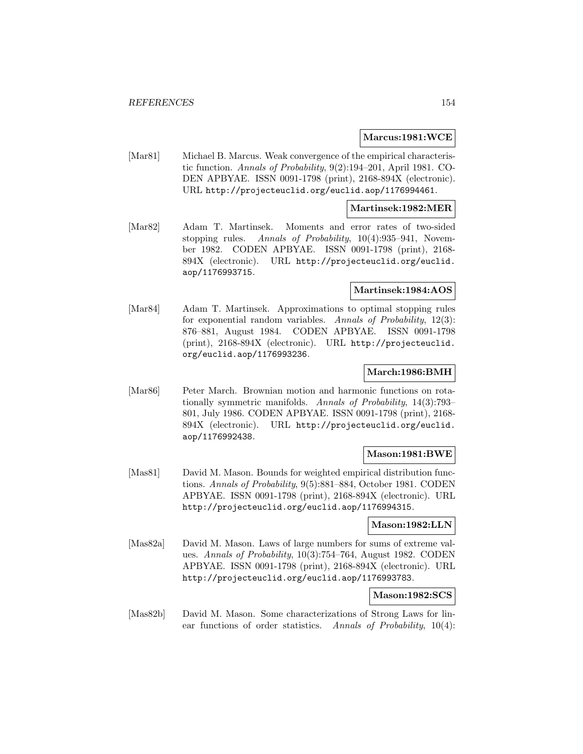#### **Marcus:1981:WCE**

[Mar81] Michael B. Marcus. Weak convergence of the empirical characteristic function. Annals of Probability, 9(2):194–201, April 1981. CO-DEN APBYAE. ISSN 0091-1798 (print), 2168-894X (electronic). URL http://projecteuclid.org/euclid.aop/1176994461.

#### **Martinsek:1982:MER**

[Mar82] Adam T. Martinsek. Moments and error rates of two-sided stopping rules. Annals of Probability, 10(4):935–941, November 1982. CODEN APBYAE. ISSN 0091-1798 (print), 2168- 894X (electronic). URL http://projecteuclid.org/euclid. aop/1176993715.

#### **Martinsek:1984:AOS**

[Mar84] Adam T. Martinsek. Approximations to optimal stopping rules for exponential random variables. Annals of Probability, 12(3): 876–881, August 1984. CODEN APBYAE. ISSN 0091-1798 (print), 2168-894X (electronic). URL http://projecteuclid. org/euclid.aop/1176993236.

#### **March:1986:BMH**

[Mar86] Peter March. Brownian motion and harmonic functions on rotationally symmetric manifolds. Annals of Probability, 14(3):793– 801, July 1986. CODEN APBYAE. ISSN 0091-1798 (print), 2168- 894X (electronic). URL http://projecteuclid.org/euclid. aop/1176992438.

#### **Mason:1981:BWE**

[Mas81] David M. Mason. Bounds for weighted empirical distribution functions. Annals of Probability, 9(5):881–884, October 1981. CODEN APBYAE. ISSN 0091-1798 (print), 2168-894X (electronic). URL http://projecteuclid.org/euclid.aop/1176994315.

#### **Mason:1982:LLN**

[Mas82a] David M. Mason. Laws of large numbers for sums of extreme values. Annals of Probability, 10(3):754–764, August 1982. CODEN APBYAE. ISSN 0091-1798 (print), 2168-894X (electronic). URL http://projecteuclid.org/euclid.aop/1176993783.

#### **Mason:1982:SCS**

[Mas82b] David M. Mason. Some characterizations of Strong Laws for linear functions of order statistics. Annals of Probability, 10(4):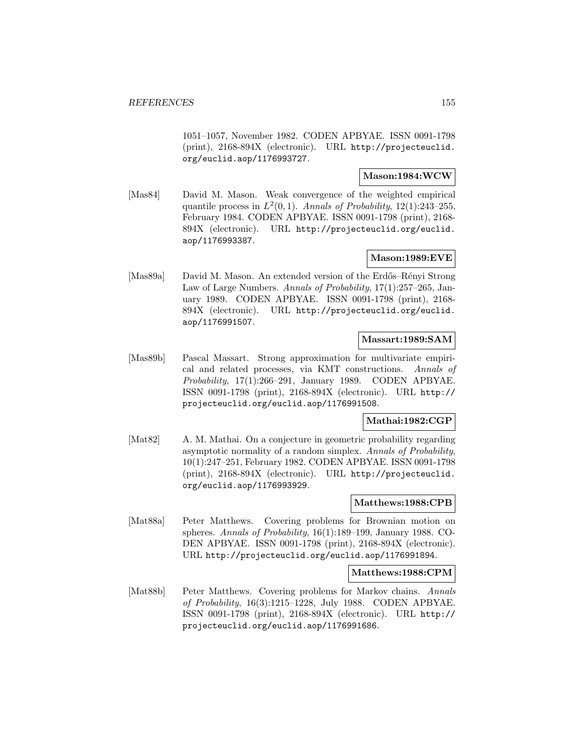1051–1057, November 1982. CODEN APBYAE. ISSN 0091-1798 (print), 2168-894X (electronic). URL http://projecteuclid. org/euclid.aop/1176993727.

# **Mason:1984:WCW**

[Mas84] David M. Mason. Weak convergence of the weighted empirical quantile process in  $L^2(0,1)$ . Annals of Probability, 12(1):243–255, February 1984. CODEN APBYAE. ISSN 0091-1798 (print), 2168- 894X (electronic). URL http://projecteuclid.org/euclid. aop/1176993387.

# **Mason:1989:EVE**

[Mas89a] David M. Mason. An extended version of the Erdős–Rényi Strong Law of Large Numbers. Annals of Probability, 17(1):257–265, January 1989. CODEN APBYAE. ISSN 0091-1798 (print), 2168- 894X (electronic). URL http://projecteuclid.org/euclid. aop/1176991507.

#### **Massart:1989:SAM**

[Mas89b] Pascal Massart. Strong approximation for multivariate empirical and related processes, via KMT constructions. Annals of Probability, 17(1):266–291, January 1989. CODEN APBYAE. ISSN 0091-1798 (print), 2168-894X (electronic). URL http:// projecteuclid.org/euclid.aop/1176991508.

#### **Mathai:1982:CGP**

[Mat82] A. M. Mathai. On a conjecture in geometric probability regarding asymptotic normality of a random simplex. Annals of Probability, 10(1):247–251, February 1982. CODEN APBYAE. ISSN 0091-1798 (print), 2168-894X (electronic). URL http://projecteuclid. org/euclid.aop/1176993929.

### **Matthews:1988:CPB**

[Mat88a] Peter Matthews. Covering problems for Brownian motion on spheres. Annals of Probability,  $16(1)$ :189–199, January 1988. CO-DEN APBYAE. ISSN 0091-1798 (print), 2168-894X (electronic). URL http://projecteuclid.org/euclid.aop/1176991894.

#### **Matthews:1988:CPM**

[Mat88b] Peter Matthews. Covering problems for Markov chains. Annals of Probability, 16(3):1215–1228, July 1988. CODEN APBYAE. ISSN 0091-1798 (print), 2168-894X (electronic). URL http:// projecteuclid.org/euclid.aop/1176991686.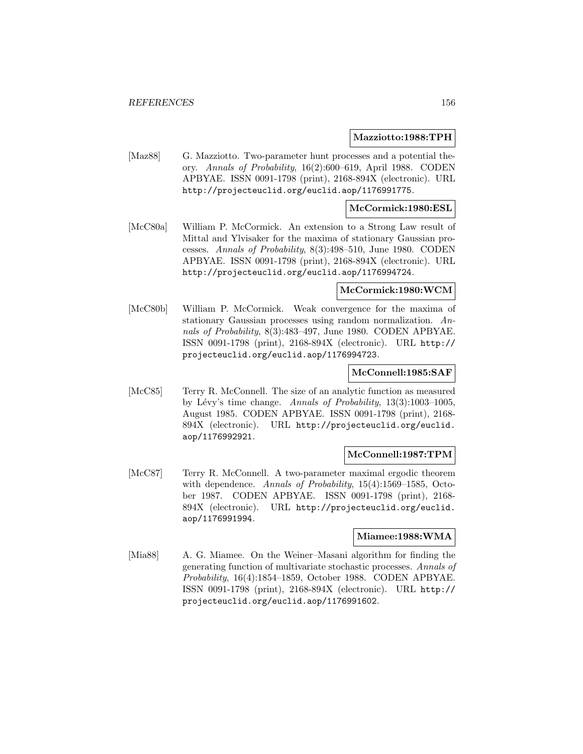#### **Mazziotto:1988:TPH**

[Maz88] G. Mazziotto. Two-parameter hunt processes and a potential theory. Annals of Probability, 16(2):600–619, April 1988. CODEN APBYAE. ISSN 0091-1798 (print), 2168-894X (electronic). URL http://projecteuclid.org/euclid.aop/1176991775.

#### **McCormick:1980:ESL**

[McC80a] William P. McCormick. An extension to a Strong Law result of Mittal and Ylvisaker for the maxima of stationary Gaussian processes. Annals of Probability, 8(3):498–510, June 1980. CODEN APBYAE. ISSN 0091-1798 (print), 2168-894X (electronic). URL http://projecteuclid.org/euclid.aop/1176994724.

#### **McCormick:1980:WCM**

[McC80b] William P. McCormick. Weak convergence for the maxima of stationary Gaussian processes using random normalization. Annals of Probability, 8(3):483–497, June 1980. CODEN APBYAE. ISSN 0091-1798 (print), 2168-894X (electronic). URL http:// projecteuclid.org/euclid.aop/1176994723.

#### **McConnell:1985:SAF**

[McC85] Terry R. McConnell. The size of an analytic function as measured by Lévy's time change. Annals of Probability,  $13(3):1003-1005$ , August 1985. CODEN APBYAE. ISSN 0091-1798 (print), 2168- 894X (electronic). URL http://projecteuclid.org/euclid. aop/1176992921.

#### **McConnell:1987:TPM**

[McC87] Terry R. McConnell. A two-parameter maximal ergodic theorem with dependence. Annals of Probability, 15(4):1569–1585, October 1987. CODEN APBYAE. ISSN 0091-1798 (print), 2168- 894X (electronic). URL http://projecteuclid.org/euclid. aop/1176991994.

#### **Miamee:1988:WMA**

[Mia88] A. G. Miamee. On the Weiner–Masani algorithm for finding the generating function of multivariate stochastic processes. Annals of Probability, 16(4):1854–1859, October 1988. CODEN APBYAE. ISSN 0091-1798 (print), 2168-894X (electronic). URL http:// projecteuclid.org/euclid.aop/1176991602.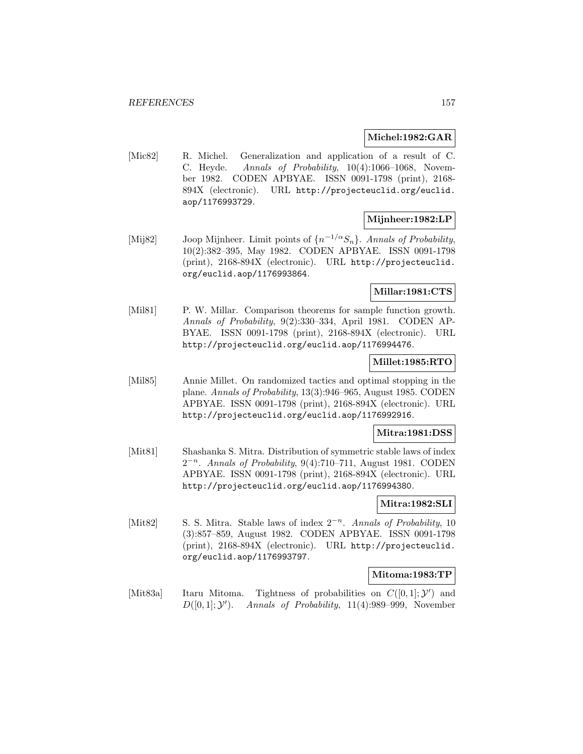#### **Michel:1982:GAR**

[Mic82] R. Michel. Generalization and application of a result of C. C. Heyde. Annals of Probability, 10(4):1066–1068, November 1982. CODEN APBYAE. ISSN 0091-1798 (print), 2168- 894X (electronic). URL http://projecteuclid.org/euclid. aop/1176993729.

#### **Mijnheer:1982:LP**

[Mij82] Joop Mijnheer. Limit points of  $\{n^{-1/\alpha}S_n\}$ . Annals of Probability, 10(2):382–395, May 1982. CODEN APBYAE. ISSN 0091-1798 (print), 2168-894X (electronic). URL http://projecteuclid. org/euclid.aop/1176993864.

## **Millar:1981:CTS**

[Mil81] P. W. Millar. Comparison theorems for sample function growth. Annals of Probability, 9(2):330–334, April 1981. CODEN AP-BYAE. ISSN 0091-1798 (print), 2168-894X (electronic). URL http://projecteuclid.org/euclid.aop/1176994476.

## **Millet:1985:RTO**

[Mil85] Annie Millet. On randomized tactics and optimal stopping in the plane. Annals of Probability, 13(3):946–965, August 1985. CODEN APBYAE. ISSN 0091-1798 (print), 2168-894X (electronic). URL http://projecteuclid.org/euclid.aop/1176992916.

#### **Mitra:1981:DSS**

[Mit81] Shashanka S. Mitra. Distribution of symmetric stable laws of index  $2^{-n}$ . Annals of Probability, 9(4):710–711, August 1981. CODEN APBYAE. ISSN 0091-1798 (print), 2168-894X (electronic). URL http://projecteuclid.org/euclid.aop/1176994380.

### **Mitra:1982:SLI**

[Mit82] S. S. Mitra. Stable laws of index  $2^{-n}$ . Annals of Probability, 10 (3):857–859, August 1982. CODEN APBYAE. ISSN 0091-1798 (print), 2168-894X (electronic). URL http://projecteuclid. org/euclid.aop/1176993797.

## **Mitoma:1983:TP**

[Mit83a] Itaru Mitoma. Tightness of probabilities on  $C([0,1];\mathcal{Y}')$  and  $D([0,1]; \mathcal{Y}')$ . ). Annals of Probability, 11(4):989–999, November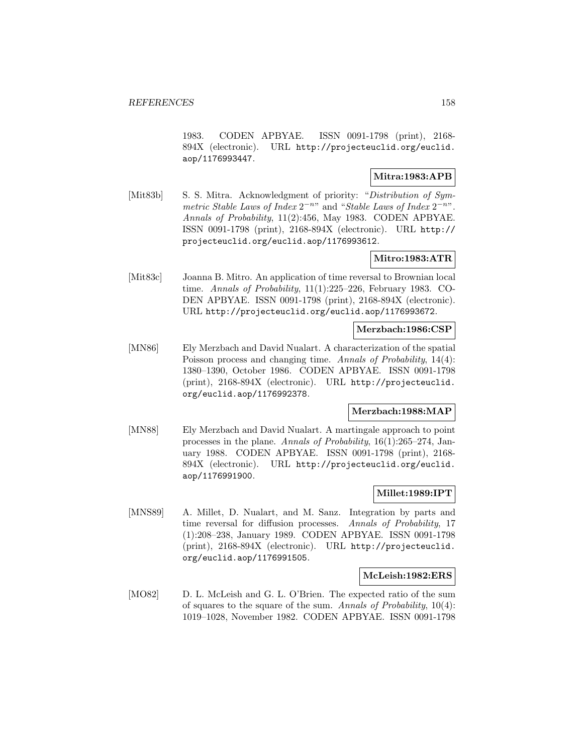1983. CODEN APBYAE. ISSN 0091-1798 (print), 2168- 894X (electronic). URL http://projecteuclid.org/euclid. aop/1176993447.

## **Mitra:1983:APB**

[Mit83b] S. S. Mitra. Acknowledgment of priority: "Distribution of Symmetric Stable Laws of Index  $2^{-n}$ " and "Stable Laws of Index  $2^{-n}$ ". Annals of Probability, 11(2):456, May 1983. CODEN APBYAE. ISSN 0091-1798 (print), 2168-894X (electronic). URL http:// projecteuclid.org/euclid.aop/1176993612.

# **Mitro:1983:ATR**

[Mit83c] Joanna B. Mitro. An application of time reversal to Brownian local time. Annals of Probability, 11(1):225–226, February 1983. CO-DEN APBYAE. ISSN 0091-1798 (print), 2168-894X (electronic). URL http://projecteuclid.org/euclid.aop/1176993672.

#### **Merzbach:1986:CSP**

[MN86] Ely Merzbach and David Nualart. A characterization of the spatial Poisson process and changing time. Annals of Probability, 14(4): 1380–1390, October 1986. CODEN APBYAE. ISSN 0091-1798 (print), 2168-894X (electronic). URL http://projecteuclid. org/euclid.aop/1176992378.

# **Merzbach:1988:MAP**

[MN88] Ely Merzbach and David Nualart. A martingale approach to point processes in the plane. Annals of Probability, 16(1):265–274, January 1988. CODEN APBYAE. ISSN 0091-1798 (print), 2168- 894X (electronic). URL http://projecteuclid.org/euclid. aop/1176991900.

#### **Millet:1989:IPT**

[MNS89] A. Millet, D. Nualart, and M. Sanz. Integration by parts and time reversal for diffusion processes. Annals of Probability, 17 (1):208–238, January 1989. CODEN APBYAE. ISSN 0091-1798 (print), 2168-894X (electronic). URL http://projecteuclid. org/euclid.aop/1176991505.

#### **McLeish:1982:ERS**

[MO82] D. L. McLeish and G. L. O'Brien. The expected ratio of the sum of squares to the square of the sum. Annals of Probability,  $10(4)$ : 1019–1028, November 1982. CODEN APBYAE. ISSN 0091-1798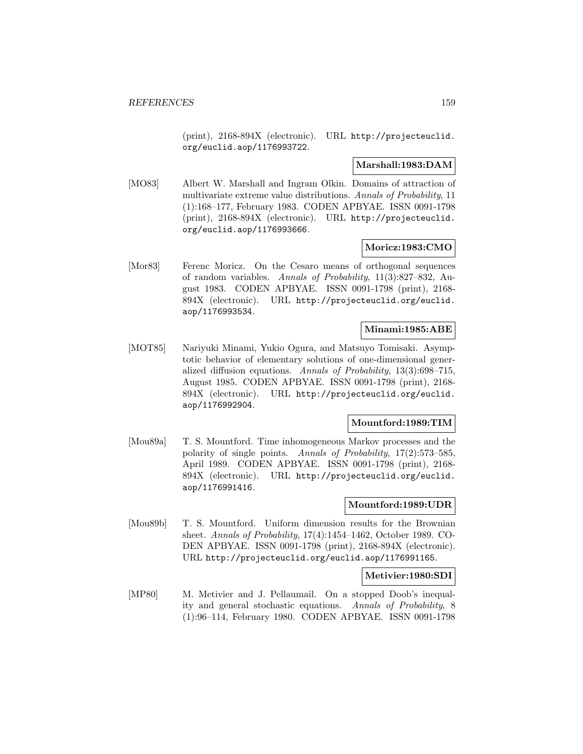(print), 2168-894X (electronic). URL http://projecteuclid. org/euclid.aop/1176993722.

## **Marshall:1983:DAM**

[MO83] Albert W. Marshall and Ingram Olkin. Domains of attraction of multivariate extreme value distributions. Annals of Probability, 11 (1):168–177, February 1983. CODEN APBYAE. ISSN 0091-1798 (print), 2168-894X (electronic). URL http://projecteuclid. org/euclid.aop/1176993666.

## **Moricz:1983:CMO**

[Mor83] Ferenc Moricz. On the Cesaro means of orthogonal sequences of random variables. Annals of Probability, 11(3):827–832, August 1983. CODEN APBYAE. ISSN 0091-1798 (print), 2168- 894X (electronic). URL http://projecteuclid.org/euclid. aop/1176993534.

## **Minami:1985:ABE**

[MOT85] Nariyuki Minami, Yukio Ogura, and Matsuyo Tomisaki. Asymptotic behavior of elementary solutions of one-dimensional generalized diffusion equations. Annals of Probability, 13(3):698–715, August 1985. CODEN APBYAE. ISSN 0091-1798 (print), 2168- 894X (electronic). URL http://projecteuclid.org/euclid. aop/1176992904.

# **Mountford:1989:TIM**

[Mou89a] T. S. Mountford. Time inhomogeneous Markov processes and the polarity of single points. Annals of Probability, 17(2):573–585, April 1989. CODEN APBYAE. ISSN 0091-1798 (print), 2168- 894X (electronic). URL http://projecteuclid.org/euclid. aop/1176991416.

### **Mountford:1989:UDR**

[Mou89b] T. S. Mountford. Uniform dimension results for the Brownian sheet. Annals of Probability, 17(4):1454–1462, October 1989. CO-DEN APBYAE. ISSN 0091-1798 (print), 2168-894X (electronic). URL http://projecteuclid.org/euclid.aop/1176991165.

## **Metivier:1980:SDI**

[MP80] M. Metivier and J. Pellaumail. On a stopped Doob's inequality and general stochastic equations. Annals of Probability, 8 (1):96–114, February 1980. CODEN APBYAE. ISSN 0091-1798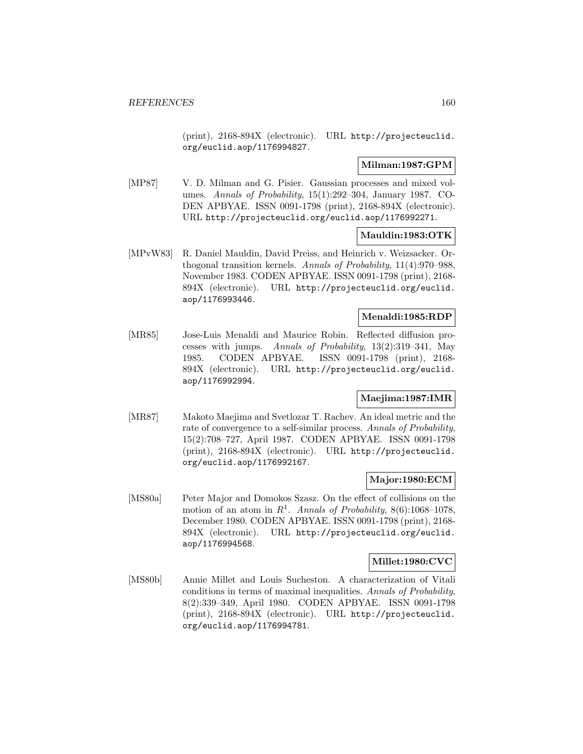(print), 2168-894X (electronic). URL http://projecteuclid. org/euclid.aop/1176994827.

# **Milman:1987:GPM**

[MP87] V. D. Milman and G. Pisier. Gaussian processes and mixed volumes. Annals of Probability, 15(1):292–304, January 1987. CO-DEN APBYAE. ISSN 0091-1798 (print), 2168-894X (electronic). URL http://projecteuclid.org/euclid.aop/1176992271.

## **Mauldin:1983:OTK**

[MPvW83] R. Daniel Mauldin, David Preiss, and Heinrich v. Weizsacker. Orthogonal transition kernels. Annals of Probability, 11(4):970–988, November 1983. CODEN APBYAE. ISSN 0091-1798 (print), 2168- 894X (electronic). URL http://projecteuclid.org/euclid. aop/1176993446.

## **Menaldi:1985:RDP**

[MR85] Jose-Luis Menaldi and Maurice Robin. Reflected diffusion processes with jumps. Annals of Probability, 13(2):319–341, May 1985. CODEN APBYAE. ISSN 0091-1798 (print), 2168- 894X (electronic). URL http://projecteuclid.org/euclid. aop/1176992994.

# **Maejima:1987:IMR**

[MR87] Makoto Maejima and Svetlozar T. Rachev. An ideal metric and the rate of convergence to a self-similar process. Annals of Probability, 15(2):708–727, April 1987. CODEN APBYAE. ISSN 0091-1798 (print), 2168-894X (electronic). URL http://projecteuclid. org/euclid.aop/1176992167.

# **Major:1980:ECM**

[MS80a] Peter Major and Domokos Szasz. On the effect of collisions on the motion of an atom in  $R^1$ . Annals of Probability, 8(6):1068-1078, December 1980. CODEN APBYAE. ISSN 0091-1798 (print), 2168- 894X (electronic). URL http://projecteuclid.org/euclid. aop/1176994568.

### **Millet:1980:CVC**

[MS80b] Annie Millet and Louis Sucheston. A characterization of Vitali conditions in terms of maximal inequalities. Annals of Probability, 8(2):339–349, April 1980. CODEN APBYAE. ISSN 0091-1798 (print), 2168-894X (electronic). URL http://projecteuclid. org/euclid.aop/1176994781.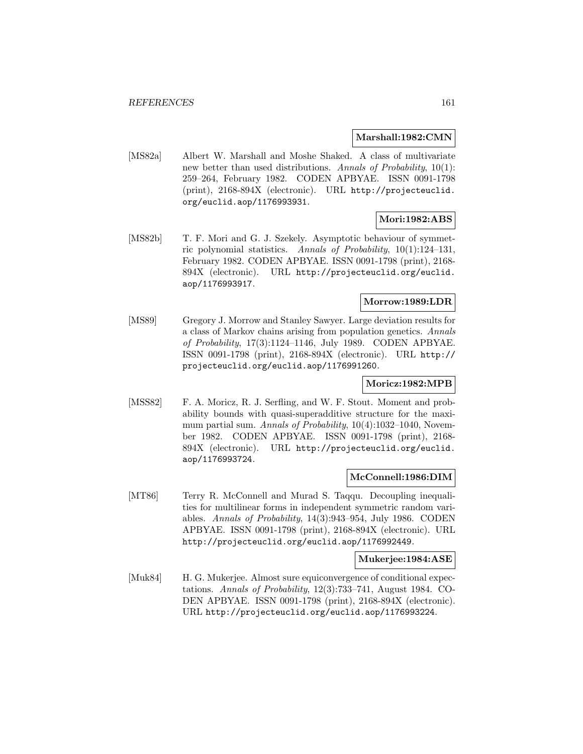#### **Marshall:1982:CMN**

[MS82a] Albert W. Marshall and Moshe Shaked. A class of multivariate new better than used distributions. Annals of Probability, 10(1): 259–264, February 1982. CODEN APBYAE. ISSN 0091-1798 (print), 2168-894X (electronic). URL http://projecteuclid. org/euclid.aop/1176993931.

#### **Mori:1982:ABS**

[MS82b] T. F. Mori and G. J. Szekely. Asymptotic behaviour of symmetric polynomial statistics. Annals of Probability, 10(1):124–131, February 1982. CODEN APBYAE. ISSN 0091-1798 (print), 2168- 894X (electronic). URL http://projecteuclid.org/euclid. aop/1176993917.

# **Morrow:1989:LDR**

[MS89] Gregory J. Morrow and Stanley Sawyer. Large deviation results for a class of Markov chains arising from population genetics. Annals of Probability, 17(3):1124–1146, July 1989. CODEN APBYAE. ISSN 0091-1798 (print), 2168-894X (electronic). URL http:// projecteuclid.org/euclid.aop/1176991260.

#### **Moricz:1982:MPB**

[MSS82] F. A. Moricz, R. J. Serfling, and W. F. Stout. Moment and probability bounds with quasi-superadditive structure for the maximum partial sum. Annals of Probability, 10(4):1032-1040, November 1982. CODEN APBYAE. ISSN 0091-1798 (print), 2168- 894X (electronic). URL http://projecteuclid.org/euclid. aop/1176993724.

#### **McConnell:1986:DIM**

[MT86] Terry R. McConnell and Murad S. Taqqu. Decoupling inequalities for multilinear forms in independent symmetric random variables. Annals of Probability, 14(3):943–954, July 1986. CODEN APBYAE. ISSN 0091-1798 (print), 2168-894X (electronic). URL http://projecteuclid.org/euclid.aop/1176992449.

#### **Mukerjee:1984:ASE**

[Muk84] H. G. Mukerjee. Almost sure equiconvergence of conditional expectations. Annals of Probability, 12(3):733–741, August 1984. CO-DEN APBYAE. ISSN 0091-1798 (print), 2168-894X (electronic). URL http://projecteuclid.org/euclid.aop/1176993224.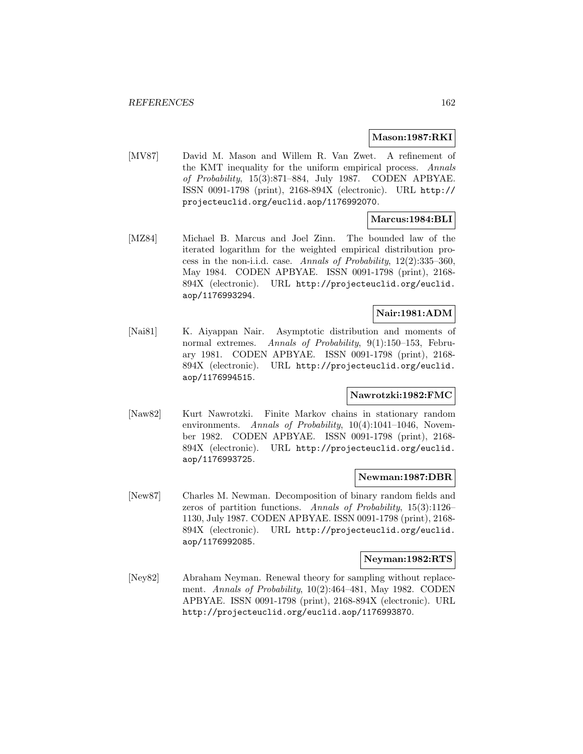#### **Mason:1987:RKI**

[MV87] David M. Mason and Willem R. Van Zwet. A refinement of the KMT inequality for the uniform empirical process. Annals of Probability, 15(3):871–884, July 1987. CODEN APBYAE. ISSN 0091-1798 (print), 2168-894X (electronic). URL http:// projecteuclid.org/euclid.aop/1176992070.

## **Marcus:1984:BLI**

[MZ84] Michael B. Marcus and Joel Zinn. The bounded law of the iterated logarithm for the weighted empirical distribution process in the non-i.i.d. case. Annals of Probability, 12(2):335–360, May 1984. CODEN APBYAE. ISSN 0091-1798 (print), 2168- 894X (electronic). URL http://projecteuclid.org/euclid. aop/1176993294.

# **Nair:1981:ADM**

[Nai81] K. Aiyappan Nair. Asymptotic distribution and moments of normal extremes. Annals of Probability, 9(1):150–153, February 1981. CODEN APBYAE. ISSN 0091-1798 (print), 2168- 894X (electronic). URL http://projecteuclid.org/euclid. aop/1176994515.

#### **Nawrotzki:1982:FMC**

[Naw82] Kurt Nawrotzki. Finite Markov chains in stationary random environments. Annals of Probability, 10(4):1041-1046, November 1982. CODEN APBYAE. ISSN 0091-1798 (print), 2168- 894X (electronic). URL http://projecteuclid.org/euclid. aop/1176993725.

#### **Newman:1987:DBR**

[New87] Charles M. Newman. Decomposition of binary random fields and zeros of partition functions. Annals of Probability, 15(3):1126– 1130, July 1987. CODEN APBYAE. ISSN 0091-1798 (print), 2168- 894X (electronic). URL http://projecteuclid.org/euclid. aop/1176992085.

#### **Neyman:1982:RTS**

[Ney82] Abraham Neyman. Renewal theory for sampling without replacement. Annals of Probability, 10(2):464–481, May 1982. CODEN APBYAE. ISSN 0091-1798 (print), 2168-894X (electronic). URL http://projecteuclid.org/euclid.aop/1176993870.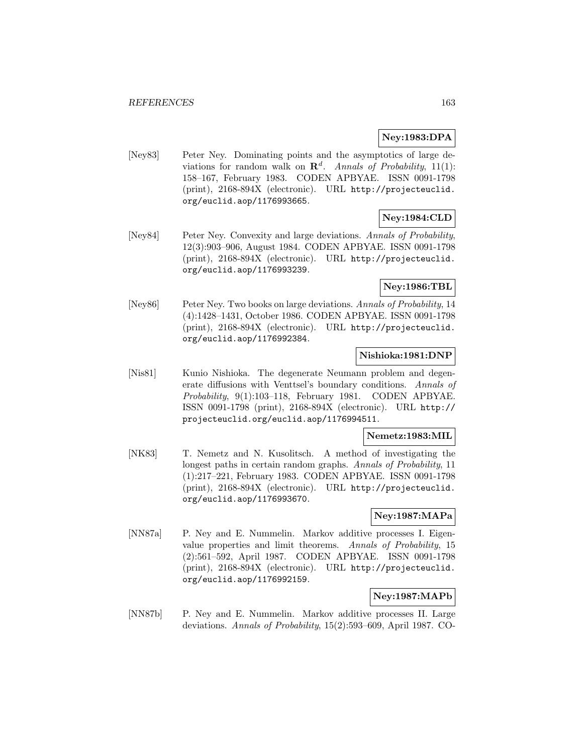# **Ney:1983:DPA**

[Ney83] Peter Ney. Dominating points and the asymptotics of large deviations for random walk on  $\mathbb{R}^d$ . Annals of Probability, 11(1): 158–167, February 1983. CODEN APBYAE. ISSN 0091-1798 (print), 2168-894X (electronic). URL http://projecteuclid. org/euclid.aop/1176993665.

# **Ney:1984:CLD**

[Ney84] Peter Ney. Convexity and large deviations. Annals of Probability, 12(3):903–906, August 1984. CODEN APBYAE. ISSN 0091-1798 (print), 2168-894X (electronic). URL http://projecteuclid. org/euclid.aop/1176993239.

# **Ney:1986:TBL**

[Ney86] Peter Ney. Two books on large deviations. Annals of Probability, 14 (4):1428–1431, October 1986. CODEN APBYAE. ISSN 0091-1798 (print), 2168-894X (electronic). URL http://projecteuclid. org/euclid.aop/1176992384.

### **Nishioka:1981:DNP**

[Nis81] Kunio Nishioka. The degenerate Neumann problem and degenerate diffusions with Venttsel's boundary conditions. Annals of Probability, 9(1):103–118, February 1981. CODEN APBYAE. ISSN 0091-1798 (print), 2168-894X (electronic). URL http:// projecteuclid.org/euclid.aop/1176994511.

## **Nemetz:1983:MIL**

[NK83] T. Nemetz and N. Kusolitsch. A method of investigating the longest paths in certain random graphs. Annals of Probability, 11 (1):217–221, February 1983. CODEN APBYAE. ISSN 0091-1798 (print), 2168-894X (electronic). URL http://projecteuclid. org/euclid.aop/1176993670.

# **Ney:1987:MAPa**

[NN87a] P. Ney and E. Nummelin. Markov additive processes I. Eigenvalue properties and limit theorems. Annals of Probability, 15 (2):561–592, April 1987. CODEN APBYAE. ISSN 0091-1798 (print), 2168-894X (electronic). URL http://projecteuclid. org/euclid.aop/1176992159.

# **Ney:1987:MAPb**

[NN87b] P. Ney and E. Nummelin. Markov additive processes II. Large deviations. Annals of Probability, 15(2):593–609, April 1987. CO-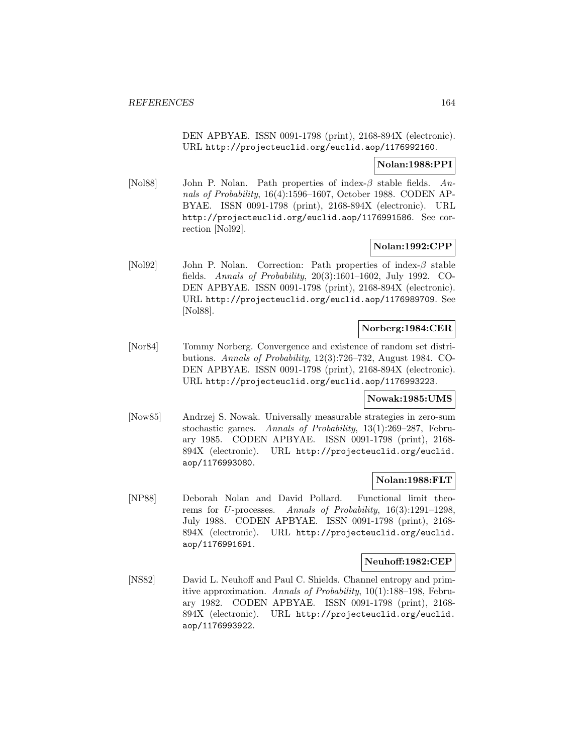DEN APBYAE. ISSN 0091-1798 (print), 2168-894X (electronic). URL http://projecteuclid.org/euclid.aop/1176992160.

### **Nolan:1988:PPI**

[Nol88] John P. Nolan. Path properties of index- $\beta$  stable fields. Annals of Probability, 16(4):1596–1607, October 1988. CODEN AP-BYAE. ISSN 0091-1798 (print), 2168-894X (electronic). URL http://projecteuclid.org/euclid.aop/1176991586. See correction [Nol92].

## **Nolan:1992:CPP**

[Nol92] John P. Nolan. Correction: Path properties of index-β stable fields. Annals of Probability, 20(3):1601–1602, July 1992. CO-DEN APBYAE. ISSN 0091-1798 (print), 2168-894X (electronic). URL http://projecteuclid.org/euclid.aop/1176989709. See [Nol88].

## **Norberg:1984:CER**

[Nor84] Tommy Norberg. Convergence and existence of random set distributions. Annals of Probability, 12(3):726–732, August 1984. CO-DEN APBYAE. ISSN 0091-1798 (print), 2168-894X (electronic). URL http://projecteuclid.org/euclid.aop/1176993223.

#### **Nowak:1985:UMS**

[Now85] Andrzej S. Nowak. Universally measurable strategies in zero-sum stochastic games. Annals of Probability, 13(1):269–287, February 1985. CODEN APBYAE. ISSN 0091-1798 (print), 2168- 894X (electronic). URL http://projecteuclid.org/euclid. aop/1176993080.

## **Nolan:1988:FLT**

[NP88] Deborah Nolan and David Pollard. Functional limit theorems for U-processes. Annals of Probability, 16(3):1291–1298, July 1988. CODEN APBYAE. ISSN 0091-1798 (print), 2168- 894X (electronic). URL http://projecteuclid.org/euclid. aop/1176991691.

#### **Neuhoff:1982:CEP**

[NS82] David L. Neuhoff and Paul C. Shields. Channel entropy and primitive approximation. Annals of Probability, 10(1):188–198, February 1982. CODEN APBYAE. ISSN 0091-1798 (print), 2168- 894X (electronic). URL http://projecteuclid.org/euclid. aop/1176993922.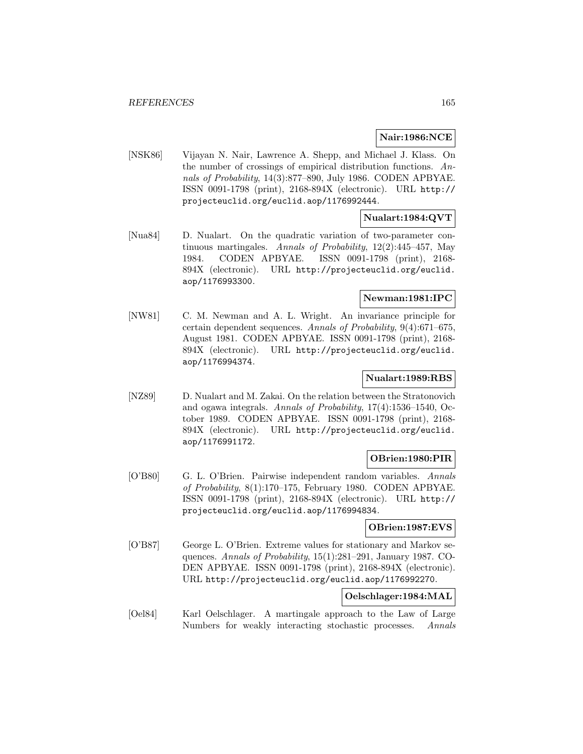### **Nair:1986:NCE**

[NSK86] Vijayan N. Nair, Lawrence A. Shepp, and Michael J. Klass. On the number of crossings of empirical distribution functions. Annals of Probability, 14(3):877–890, July 1986. CODEN APBYAE. ISSN 0091-1798 (print), 2168-894X (electronic). URL http:// projecteuclid.org/euclid.aop/1176992444.

## **Nualart:1984:QVT**

[Nua84] D. Nualart. On the quadratic variation of two-parameter continuous martingales. Annals of Probability,  $12(2):445-457$ , May 1984. CODEN APBYAE. ISSN 0091-1798 (print), 2168- 894X (electronic). URL http://projecteuclid.org/euclid. aop/1176993300.

# **Newman:1981:IPC**

[NW81] C. M. Newman and A. L. Wright. An invariance principle for certain dependent sequences. Annals of Probability, 9(4):671–675, August 1981. CODEN APBYAE. ISSN 0091-1798 (print), 2168- 894X (electronic). URL http://projecteuclid.org/euclid. aop/1176994374.

## **Nualart:1989:RBS**

[NZ89] D. Nualart and M. Zakai. On the relation between the Stratonovich and ogawa integrals. Annals of Probability, 17(4):1536–1540, October 1989. CODEN APBYAE. ISSN 0091-1798 (print), 2168- 894X (electronic). URL http://projecteuclid.org/euclid. aop/1176991172.

# **OBrien:1980:PIR**

[O'B80] G. L. O'Brien. Pairwise independent random variables. Annals of Probability, 8(1):170–175, February 1980. CODEN APBYAE. ISSN 0091-1798 (print), 2168-894X (electronic). URL http:// projecteuclid.org/euclid.aop/1176994834.

### **OBrien:1987:EVS**

[O'B87] George L. O'Brien. Extreme values for stationary and Markov sequences. Annals of Probability, 15(1):281–291, January 1987. CO-DEN APBYAE. ISSN 0091-1798 (print), 2168-894X (electronic). URL http://projecteuclid.org/euclid.aop/1176992270.

### **Oelschlager:1984:MAL**

[Oel84] Karl Oelschlager. A martingale approach to the Law of Large Numbers for weakly interacting stochastic processes. Annals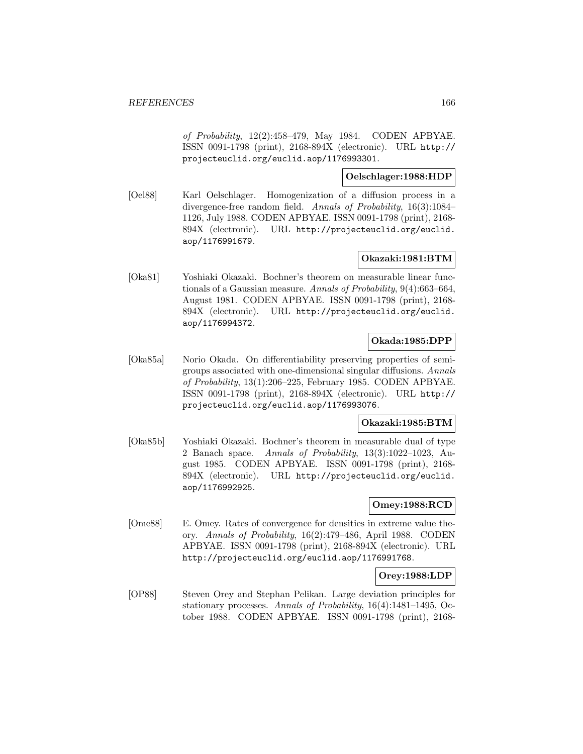of Probability, 12(2):458–479, May 1984. CODEN APBYAE. ISSN 0091-1798 (print), 2168-894X (electronic). URL http:// projecteuclid.org/euclid.aop/1176993301.

## **Oelschlager:1988:HDP**

[Oel88] Karl Oelschlager. Homogenization of a diffusion process in a divergence-free random field. Annals of Probability, 16(3):1084– 1126, July 1988. CODEN APBYAE. ISSN 0091-1798 (print), 2168- 894X (electronic). URL http://projecteuclid.org/euclid. aop/1176991679.

# **Okazaki:1981:BTM**

[Oka81] Yoshiaki Okazaki. Bochner's theorem on measurable linear functionals of a Gaussian measure. Annals of Probability, 9(4):663–664, August 1981. CODEN APBYAE. ISSN 0091-1798 (print), 2168- 894X (electronic). URL http://projecteuclid.org/euclid. aop/1176994372.

### **Okada:1985:DPP**

[Oka85a] Norio Okada. On differentiability preserving properties of semigroups associated with one-dimensional singular diffusions. Annals of Probability, 13(1):206–225, February 1985. CODEN APBYAE. ISSN 0091-1798 (print), 2168-894X (electronic). URL http:// projecteuclid.org/euclid.aop/1176993076.

# **Okazaki:1985:BTM**

[Oka85b] Yoshiaki Okazaki. Bochner's theorem in measurable dual of type 2 Banach space. Annals of Probability, 13(3):1022–1023, August 1985. CODEN APBYAE. ISSN 0091-1798 (print), 2168- 894X (electronic). URL http://projecteuclid.org/euclid. aop/1176992925.

### **Omey:1988:RCD**

[Ome88] E. Omey. Rates of convergence for densities in extreme value theory. Annals of Probability, 16(2):479–486, April 1988. CODEN APBYAE. ISSN 0091-1798 (print), 2168-894X (electronic). URL http://projecteuclid.org/euclid.aop/1176991768.

# **Orey:1988:LDP**

[OP88] Steven Orey and Stephan Pelikan. Large deviation principles for stationary processes. Annals of Probability, 16(4):1481–1495, October 1988. CODEN APBYAE. ISSN 0091-1798 (print), 2168-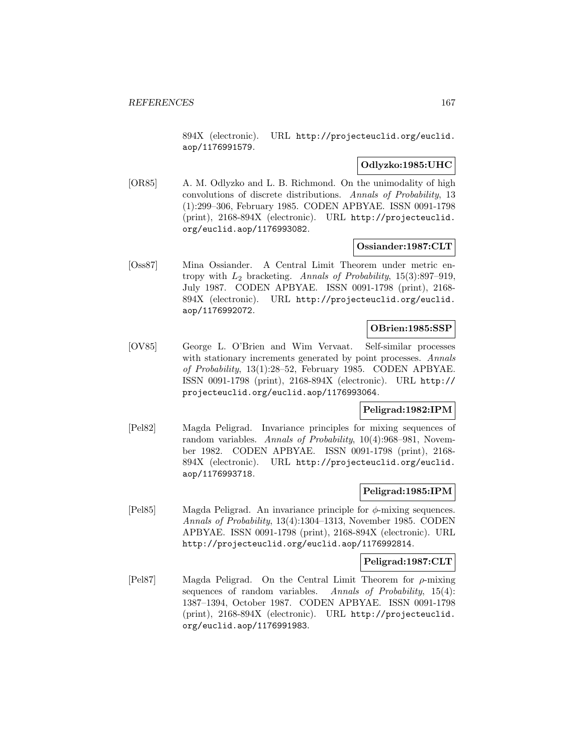894X (electronic). URL http://projecteuclid.org/euclid. aop/1176991579.

## **Odlyzko:1985:UHC**

[OR85] A. M. Odlyzko and L. B. Richmond. On the unimodality of high convolutions of discrete distributions. Annals of Probability, 13 (1):299–306, February 1985. CODEN APBYAE. ISSN 0091-1798 (print), 2168-894X (electronic). URL http://projecteuclid. org/euclid.aop/1176993082.

#### **Ossiander:1987:CLT**

[Oss87] Mina Ossiander. A Central Limit Theorem under metric entropy with  $L_2$  bracketing. Annals of Probability, 15(3):897-919, July 1987. CODEN APBYAE. ISSN 0091-1798 (print), 2168- 894X (electronic). URL http://projecteuclid.org/euclid. aop/1176992072.

#### **OBrien:1985:SSP**

[OV85] George L. O'Brien and Wim Vervaat. Self-similar processes with stationary increments generated by point processes. Annals of Probability, 13(1):28–52, February 1985. CODEN APBYAE. ISSN 0091-1798 (print), 2168-894X (electronic). URL http:// projecteuclid.org/euclid.aop/1176993064.

## **Peligrad:1982:IPM**

[Pel82] Magda Peligrad. Invariance principles for mixing sequences of random variables. Annals of Probability, 10(4):968–981, November 1982. CODEN APBYAE. ISSN 0091-1798 (print), 2168- 894X (electronic). URL http://projecteuclid.org/euclid. aop/1176993718.

### **Peligrad:1985:IPM**

[Pel85] Magda Peligrad. An invariance principle for  $\phi$ -mixing sequences. Annals of Probability, 13(4):1304–1313, November 1985. CODEN APBYAE. ISSN 0091-1798 (print), 2168-894X (electronic). URL http://projecteuclid.org/euclid.aop/1176992814.

#### **Peligrad:1987:CLT**

[Pel87] Magda Peligrad. On the Central Limit Theorem for ρ-mixing sequences of random variables. Annals of Probability, 15(4): 1387–1394, October 1987. CODEN APBYAE. ISSN 0091-1798 (print), 2168-894X (electronic). URL http://projecteuclid. org/euclid.aop/1176991983.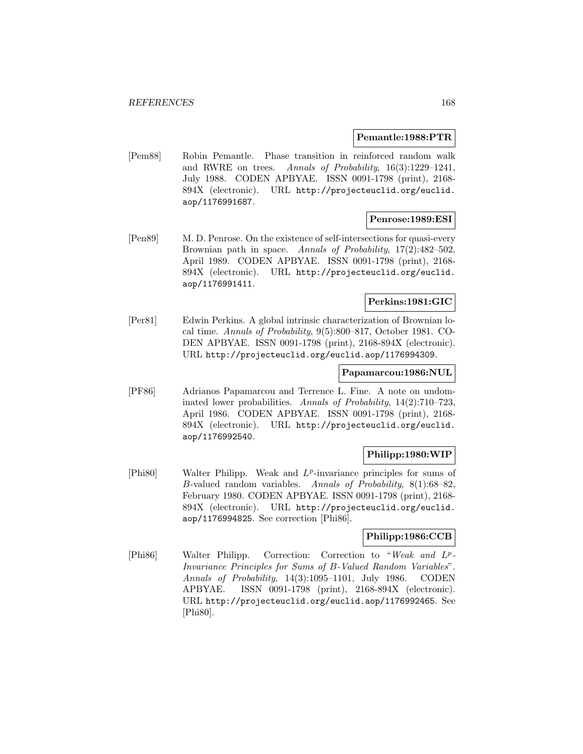#### **Pemantle:1988:PTR**

[Pem88] Robin Pemantle. Phase transition in reinforced random walk and RWRE on trees. Annals of Probability, 16(3):1229–1241, July 1988. CODEN APBYAE. ISSN 0091-1798 (print), 2168- 894X (electronic). URL http://projecteuclid.org/euclid. aop/1176991687.

## **Penrose:1989:ESI**

[Pen89] M. D. Penrose. On the existence of self-intersections for quasi-every Brownian path in space. Annals of Probability, 17(2):482-502, April 1989. CODEN APBYAE. ISSN 0091-1798 (print), 2168- 894X (electronic). URL http://projecteuclid.org/euclid. aop/1176991411.

# **Perkins:1981:GIC**

[Per81] Edwin Perkins. A global intrinsic characterization of Brownian local time. Annals of Probability, 9(5):800–817, October 1981. CO-DEN APBYAE. ISSN 0091-1798 (print), 2168-894X (electronic). URL http://projecteuclid.org/euclid.aop/1176994309.

#### **Papamarcou:1986:NUL**

[PF86] Adrianos Papamarcou and Terrence L. Fine. A note on undominated lower probabilities. Annals of Probability, 14(2):710–723, April 1986. CODEN APBYAE. ISSN 0091-1798 (print), 2168- 894X (electronic). URL http://projecteuclid.org/euclid. aop/1176992540.

#### **Philipp:1980:WIP**

[Phi80] Walter Philipp. Weak and  $L^p$ -invariance principles for sums of B-valued random variables. Annals of Probability, 8(1):68–82, February 1980. CODEN APBYAE. ISSN 0091-1798 (print), 2168- 894X (electronic). URL http://projecteuclid.org/euclid. aop/1176994825. See correction [Phi86].

# **Philipp:1986:CCB**

[Phi86] Walter Philipp. Correction: Correction to "Weak and L<sup>p</sup>-Invariance Principles for Sums of B-Valued Random Variables". Annals of Probability, 14(3):1095–1101, July 1986. CODEN APBYAE. ISSN 0091-1798 (print), 2168-894X (electronic). URL http://projecteuclid.org/euclid.aop/1176992465. See [Phi80].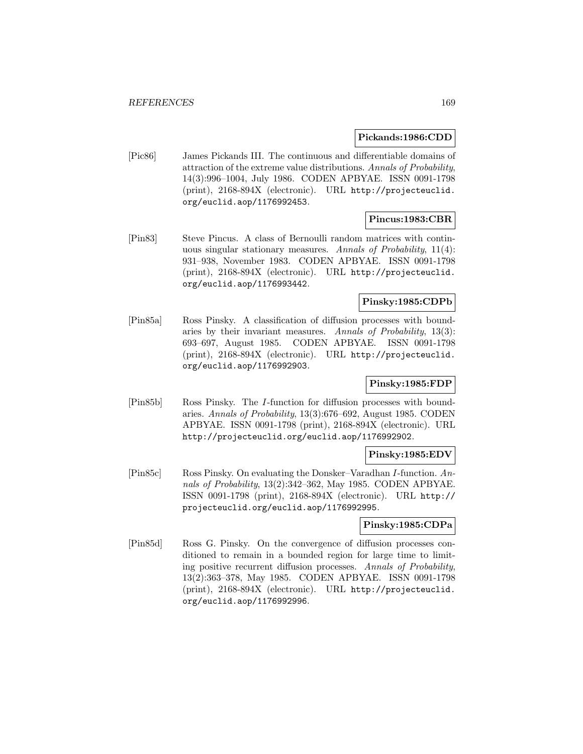#### **Pickands:1986:CDD**

[Pic86] James Pickands III. The continuous and differentiable domains of attraction of the extreme value distributions. Annals of Probability, 14(3):996–1004, July 1986. CODEN APBYAE. ISSN 0091-1798 (print), 2168-894X (electronic). URL http://projecteuclid. org/euclid.aop/1176992453.

# **Pincus:1983:CBR**

[Pin83] Steve Pincus. A class of Bernoulli random matrices with continuous singular stationary measures. Annals of Probability, 11(4): 931–938, November 1983. CODEN APBYAE. ISSN 0091-1798 (print), 2168-894X (electronic). URL http://projecteuclid. org/euclid.aop/1176993442.

# **Pinsky:1985:CDPb**

[Pin85a] Ross Pinsky. A classification of diffusion processes with boundaries by their invariant measures. Annals of Probability, 13(3): 693–697, August 1985. CODEN APBYAE. ISSN 0091-1798 (print), 2168-894X (electronic). URL http://projecteuclid. org/euclid.aop/1176992903.

# **Pinsky:1985:FDP**

[Pin85b] Ross Pinsky. The I-function for diffusion processes with boundaries. Annals of Probability, 13(3):676–692, August 1985. CODEN APBYAE. ISSN 0091-1798 (print), 2168-894X (electronic). URL http://projecteuclid.org/euclid.aop/1176992902.

#### **Pinsky:1985:EDV**

[Pin85c] Ross Pinsky. On evaluating the Donsker–Varadhan I-function. Annals of Probability, 13(2):342–362, May 1985. CODEN APBYAE. ISSN 0091-1798 (print), 2168-894X (electronic). URL http:// projecteuclid.org/euclid.aop/1176992995.

#### **Pinsky:1985:CDPa**

[Pin85d] Ross G. Pinsky. On the convergence of diffusion processes conditioned to remain in a bounded region for large time to limiting positive recurrent diffusion processes. Annals of Probability, 13(2):363–378, May 1985. CODEN APBYAE. ISSN 0091-1798 (print), 2168-894X (electronic). URL http://projecteuclid. org/euclid.aop/1176992996.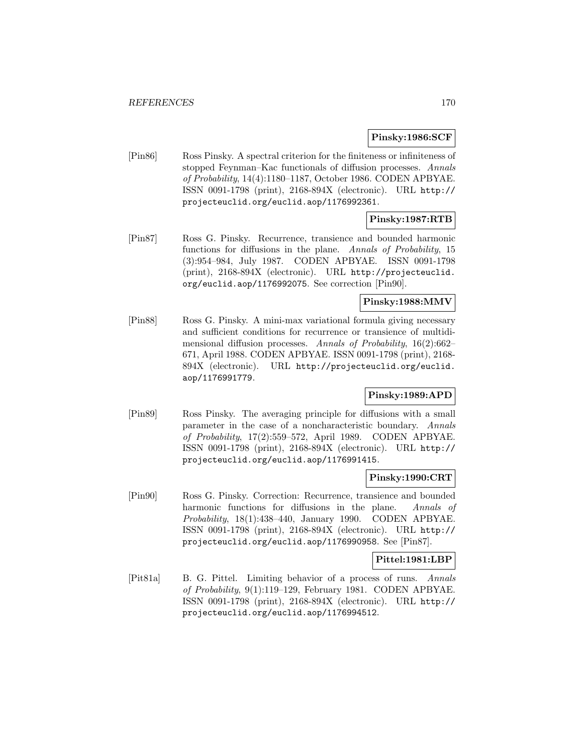#### **Pinsky:1986:SCF**

[Pin86] Ross Pinsky. A spectral criterion for the finiteness or infiniteness of stopped Feynman–Kac functionals of diffusion processes. Annals of Probability, 14(4):1180–1187, October 1986. CODEN APBYAE. ISSN 0091-1798 (print), 2168-894X (electronic). URL http:// projecteuclid.org/euclid.aop/1176992361.

# **Pinsky:1987:RTB**

[Pin87] Ross G. Pinsky. Recurrence, transience and bounded harmonic functions for diffusions in the plane. Annals of Probability, 15 (3):954–984, July 1987. CODEN APBYAE. ISSN 0091-1798 (print), 2168-894X (electronic). URL http://projecteuclid. org/euclid.aop/1176992075. See correction [Pin90].

## **Pinsky:1988:MMV**

[Pin88] Ross G. Pinsky. A mini-max variational formula giving necessary and sufficient conditions for recurrence or transience of multidimensional diffusion processes. Annals of Probability, 16(2):662– 671, April 1988. CODEN APBYAE. ISSN 0091-1798 (print), 2168- 894X (electronic). URL http://projecteuclid.org/euclid. aop/1176991779.

## **Pinsky:1989:APD**

[Pin89] Ross Pinsky. The averaging principle for diffusions with a small parameter in the case of a noncharacteristic boundary. Annals of Probability, 17(2):559–572, April 1989. CODEN APBYAE. ISSN 0091-1798 (print), 2168-894X (electronic). URL http:// projecteuclid.org/euclid.aop/1176991415.

#### **Pinsky:1990:CRT**

[Pin90] Ross G. Pinsky. Correction: Recurrence, transience and bounded harmonic functions for diffusions in the plane. Annals of Probability, 18(1):438–440, January 1990. CODEN APBYAE. ISSN 0091-1798 (print), 2168-894X (electronic). URL http:// projecteuclid.org/euclid.aop/1176990958. See [Pin87].

#### **Pittel:1981:LBP**

[Pit81a] B. G. Pittel. Limiting behavior of a process of runs. Annals of Probability, 9(1):119–129, February 1981. CODEN APBYAE. ISSN 0091-1798 (print), 2168-894X (electronic). URL http:// projecteuclid.org/euclid.aop/1176994512.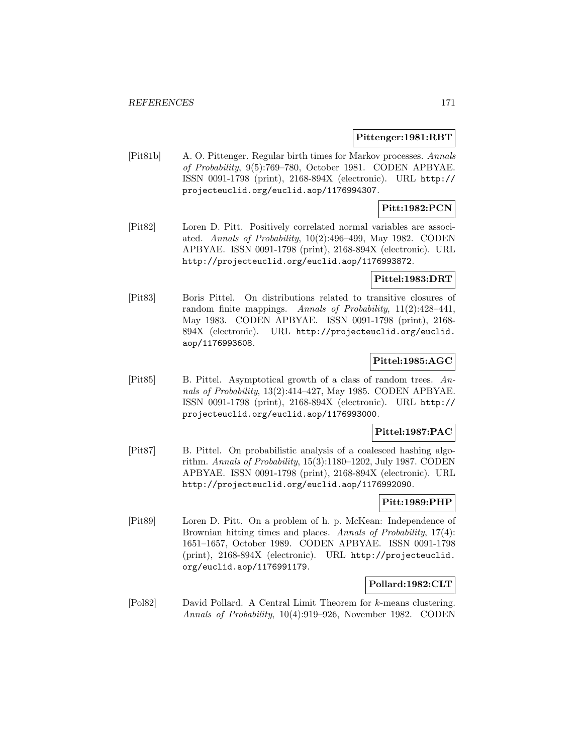#### **Pittenger:1981:RBT**

[Pit81b] A. O. Pittenger. Regular birth times for Markov processes. Annals of Probability, 9(5):769–780, October 1981. CODEN APBYAE. ISSN 0091-1798 (print), 2168-894X (electronic). URL http:// projecteuclid.org/euclid.aop/1176994307.

## **Pitt:1982:PCN**

[Pit82] Loren D. Pitt. Positively correlated normal variables are associated. Annals of Probability, 10(2):496–499, May 1982. CODEN APBYAE. ISSN 0091-1798 (print), 2168-894X (electronic). URL http://projecteuclid.org/euclid.aop/1176993872.

#### **Pittel:1983:DRT**

[Pit83] Boris Pittel. On distributions related to transitive closures of random finite mappings. Annals of Probability, 11(2):428–441, May 1983. CODEN APBYAE. ISSN 0091-1798 (print), 2168- 894X (electronic). URL http://projecteuclid.org/euclid. aop/1176993608.

# **Pittel:1985:AGC**

[Pit85] B. Pittel. Asymptotical growth of a class of random trees. Annals of Probability, 13(2):414–427, May 1985. CODEN APBYAE. ISSN 0091-1798 (print), 2168-894X (electronic). URL http:// projecteuclid.org/euclid.aop/1176993000.

# **Pittel:1987:PAC**

[Pit87] B. Pittel. On probabilistic analysis of a coalesced hashing algorithm. Annals of Probability, 15(3):1180–1202, July 1987. CODEN APBYAE. ISSN 0091-1798 (print), 2168-894X (electronic). URL http://projecteuclid.org/euclid.aop/1176992090.

# **Pitt:1989:PHP**

[Pit89] Loren D. Pitt. On a problem of h. p. McKean: Independence of Brownian hitting times and places. Annals of Probability, 17(4): 1651–1657, October 1989. CODEN APBYAE. ISSN 0091-1798 (print), 2168-894X (electronic). URL http://projecteuclid. org/euclid.aop/1176991179.

#### **Pollard:1982:CLT**

[Pol82] David Pollard. A Central Limit Theorem for k-means clustering. Annals of Probability, 10(4):919–926, November 1982. CODEN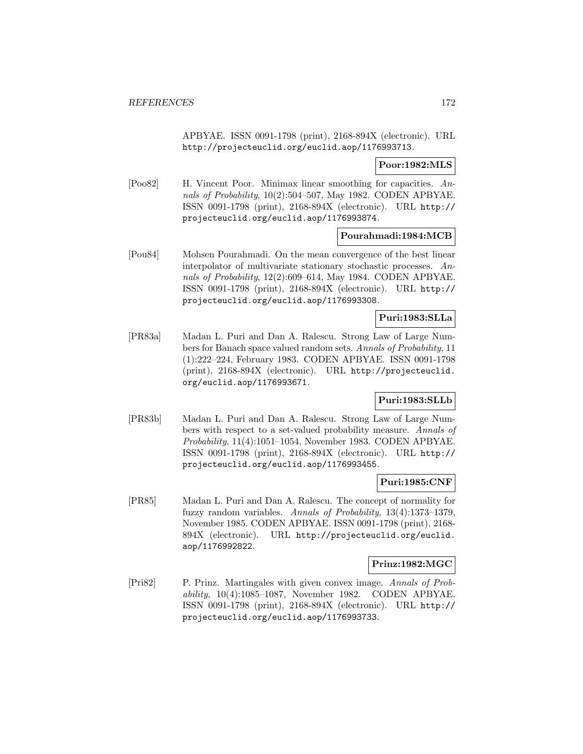APBYAE. ISSN 0091-1798 (print), 2168-894X (electronic). URL http://projecteuclid.org/euclid.aop/1176993713.

**Poor:1982:MLS**

[Poo82] H. Vincent Poor. Minimax linear smoothing for capacities. Annals of Probability, 10(2):504–507, May 1982. CODEN APBYAE. ISSN 0091-1798 (print), 2168-894X (electronic). URL http:// projecteuclid.org/euclid.aop/1176993874.

## **Pourahmadi:1984:MCB**

[Pou84] Mohsen Pourahmadi. On the mean convergence of the best linear interpolator of multivariate stationary stochastic processes. Annals of Probability, 12(2):609–614, May 1984. CODEN APBYAE. ISSN 0091-1798 (print), 2168-894X (electronic). URL http:// projecteuclid.org/euclid.aop/1176993308.

#### **Puri:1983:SLLa**

[PR83a] Madan L. Puri and Dan A. Ralescu. Strong Law of Large Numbers for Banach space valued random sets. Annals of Probability, 11 (1):222–224, February 1983. CODEN APBYAE. ISSN 0091-1798 (print), 2168-894X (electronic). URL http://projecteuclid. org/euclid.aop/1176993671.

# **Puri:1983:SLLb**

[PR83b] Madan L. Puri and Dan A. Ralescu. Strong Law of Large Numbers with respect to a set-valued probability measure. Annals of Probability, 11(4):1051–1054, November 1983. CODEN APBYAE. ISSN 0091-1798 (print), 2168-894X (electronic). URL http:// projecteuclid.org/euclid.aop/1176993455.

#### **Puri:1985:CNF**

[PR85] Madan L. Puri and Dan A. Ralescu. The concept of normality for fuzzy random variables. Annals of Probability, 13(4):1373–1379, November 1985. CODEN APBYAE. ISSN 0091-1798 (print), 2168- 894X (electronic). URL http://projecteuclid.org/euclid. aop/1176992822.

# **Prinz:1982:MGC**

[Pri82] P. Prinz. Martingales with given convex image. Annals of Probability, 10(4):1085–1087, November 1982. CODEN APBYAE. ISSN 0091-1798 (print), 2168-894X (electronic). URL http:// projecteuclid.org/euclid.aop/1176993733.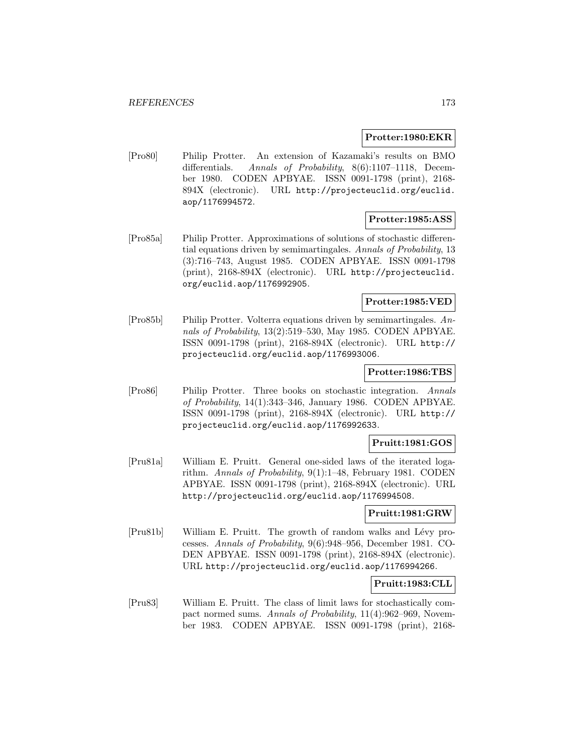#### **Protter:1980:EKR**

[Pro80] Philip Protter. An extension of Kazamaki's results on BMO differentials. Annals of Probability, 8(6):1107–1118, December 1980. CODEN APBYAE. ISSN 0091-1798 (print), 2168- 894X (electronic). URL http://projecteuclid.org/euclid. aop/1176994572.

## **Protter:1985:ASS**

[Pro85a] Philip Protter. Approximations of solutions of stochastic differential equations driven by semimartingales. Annals of Probability, 13 (3):716–743, August 1985. CODEN APBYAE. ISSN 0091-1798 (print), 2168-894X (electronic). URL http://projecteuclid. org/euclid.aop/1176992905.

## **Protter:1985:VED**

[Pro85b] Philip Protter. Volterra equations driven by semimartingales. Annals of Probability, 13(2):519–530, May 1985. CODEN APBYAE. ISSN 0091-1798 (print), 2168-894X (electronic). URL http:// projecteuclid.org/euclid.aop/1176993006.

#### **Protter:1986:TBS**

[Pro86] Philip Protter. Three books on stochastic integration. Annals of Probability, 14(1):343–346, January 1986. CODEN APBYAE. ISSN 0091-1798 (print), 2168-894X (electronic). URL http:// projecteuclid.org/euclid.aop/1176992633.

#### **Pruitt:1981:GOS**

[Pru81a] William E. Pruitt. General one-sided laws of the iterated logarithm. Annals of Probability, 9(1):1–48, February 1981. CODEN APBYAE. ISSN 0091-1798 (print), 2168-894X (electronic). URL http://projecteuclid.org/euclid.aop/1176994508.

## **Pruitt:1981:GRW**

[Pru81b] William E. Pruitt. The growth of random walks and Lévy processes. Annals of Probability, 9(6):948–956, December 1981. CO-DEN APBYAE. ISSN 0091-1798 (print), 2168-894X (electronic). URL http://projecteuclid.org/euclid.aop/1176994266.

#### **Pruitt:1983:CLL**

[Pru83] William E. Pruitt. The class of limit laws for stochastically compact normed sums. Annals of Probability, 11(4):962–969, November 1983. CODEN APBYAE. ISSN 0091-1798 (print), 2168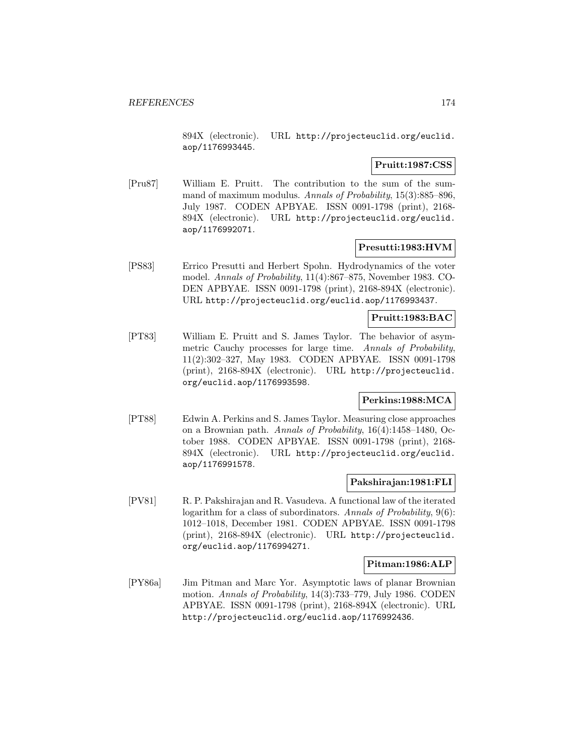894X (electronic). URL http://projecteuclid.org/euclid. aop/1176993445.

# **Pruitt:1987:CSS**

[Pru87] William E. Pruitt. The contribution to the sum of the summand of maximum modulus. Annals of Probability, 15(3):885–896, July 1987. CODEN APBYAE. ISSN 0091-1798 (print), 2168- 894X (electronic). URL http://projecteuclid.org/euclid. aop/1176992071.

## **Presutti:1983:HVM**

[PS83] Errico Presutti and Herbert Spohn. Hydrodynamics of the voter model. Annals of Probability, 11(4):867–875, November 1983. CO-DEN APBYAE. ISSN 0091-1798 (print), 2168-894X (electronic). URL http://projecteuclid.org/euclid.aop/1176993437.

#### **Pruitt:1983:BAC**

[PT83] William E. Pruitt and S. James Taylor. The behavior of asymmetric Cauchy processes for large time. Annals of Probability, 11(2):302–327, May 1983. CODEN APBYAE. ISSN 0091-1798 (print), 2168-894X (electronic). URL http://projecteuclid. org/euclid.aop/1176993598.

# **Perkins:1988:MCA**

[PT88] Edwin A. Perkins and S. James Taylor. Measuring close approaches on a Brownian path. Annals of Probability, 16(4):1458–1480, October 1988. CODEN APBYAE. ISSN 0091-1798 (print), 2168- 894X (electronic). URL http://projecteuclid.org/euclid. aop/1176991578.

### **Pakshirajan:1981:FLI**

[PV81] R. P. Pakshirajan and R. Vasudeva. A functional law of the iterated logarithm for a class of subordinators. Annals of Probability, 9(6): 1012–1018, December 1981. CODEN APBYAE. ISSN 0091-1798 (print), 2168-894X (electronic). URL http://projecteuclid. org/euclid.aop/1176994271.

#### **Pitman:1986:ALP**

[PY86a] Jim Pitman and Marc Yor. Asymptotic laws of planar Brownian motion. Annals of Probability, 14(3):733–779, July 1986. CODEN APBYAE. ISSN 0091-1798 (print), 2168-894X (electronic). URL http://projecteuclid.org/euclid.aop/1176992436.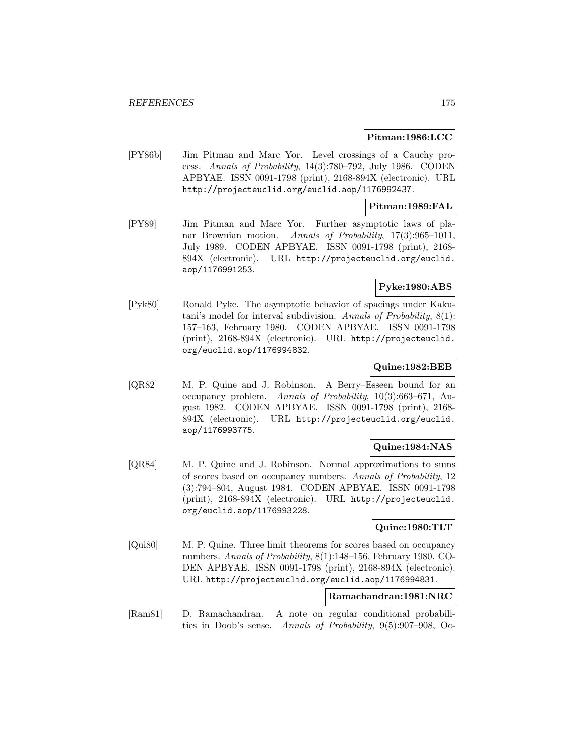#### **Pitman:1986:LCC**

[PY86b] Jim Pitman and Marc Yor. Level crossings of a Cauchy process. Annals of Probability, 14(3):780–792, July 1986. CODEN APBYAE. ISSN 0091-1798 (print), 2168-894X (electronic). URL http://projecteuclid.org/euclid.aop/1176992437.

## **Pitman:1989:FAL**

[PY89] Jim Pitman and Marc Yor. Further asymptotic laws of planar Brownian motion. Annals of Probability, 17(3):965–1011, July 1989. CODEN APBYAE. ISSN 0091-1798 (print), 2168- 894X (electronic). URL http://projecteuclid.org/euclid. aop/1176991253.

# **Pyke:1980:ABS**

[Pyk80] Ronald Pyke. The asymptotic behavior of spacings under Kakutani's model for interval subdivision. Annals of Probability, 8(1): 157–163, February 1980. CODEN APBYAE. ISSN 0091-1798 (print), 2168-894X (electronic). URL http://projecteuclid. org/euclid.aop/1176994832.

## **Quine:1982:BEB**

[QR82] M. P. Quine and J. Robinson. A Berry–Esseen bound for an occupancy problem. Annals of Probability, 10(3):663–671, August 1982. CODEN APBYAE. ISSN 0091-1798 (print), 2168- 894X (electronic). URL http://projecteuclid.org/euclid. aop/1176993775.

# **Quine:1984:NAS**

[QR84] M. P. Quine and J. Robinson. Normal approximations to sums of scores based on occupancy numbers. Annals of Probability, 12 (3):794–804, August 1984. CODEN APBYAE. ISSN 0091-1798 (print), 2168-894X (electronic). URL http://projecteuclid. org/euclid.aop/1176993228.

### **Quine:1980:TLT**

[Qui80] M. P. Quine. Three limit theorems for scores based on occupancy numbers. Annals of Probability, 8(1):148–156, February 1980. CO-DEN APBYAE. ISSN 0091-1798 (print), 2168-894X (electronic). URL http://projecteuclid.org/euclid.aop/1176994831.

## **Ramachandran:1981:NRC**

[Ram81] D. Ramachandran. A note on regular conditional probabilities in Doob's sense. Annals of Probability, 9(5):907–908, Oc-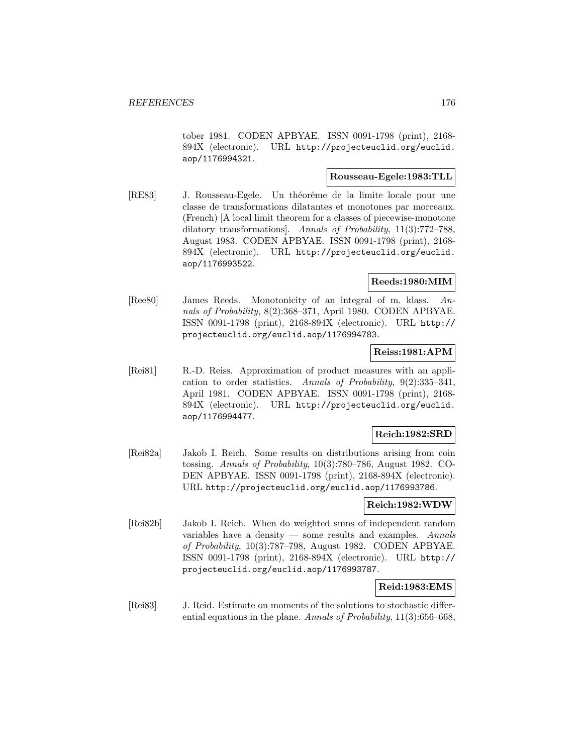tober 1981. CODEN APBYAE. ISSN 0091-1798 (print), 2168- 894X (electronic). URL http://projecteuclid.org/euclid. aop/1176994321.

## **Rousseau-Egele:1983:TLL**

[RE83] J. Rousseau-Egele. Un théorême de la limite locale pour une classe de transformations dilatantes et monotones par morceaux. (French) [A local limit theorem for a classes of piecewise-monotone dilatory transformations]. Annals of Probability, 11(3):772–788, August 1983. CODEN APBYAE. ISSN 0091-1798 (print), 2168- 894X (electronic). URL http://projecteuclid.org/euclid. aop/1176993522.

# **Reeds:1980:MIM**

[Ree80] James Reeds. Monotonicity of an integral of m. klass. Annals of Probability, 8(2):368–371, April 1980. CODEN APBYAE. ISSN 0091-1798 (print), 2168-894X (electronic). URL http:// projecteuclid.org/euclid.aop/1176994783.

## **Reiss:1981:APM**

[Rei81] R.-D. Reiss. Approximation of product measures with an application to order statistics. Annals of Probability, 9(2):335–341, April 1981. CODEN APBYAE. ISSN 0091-1798 (print), 2168- 894X (electronic). URL http://projecteuclid.org/euclid. aop/1176994477.

### **Reich:1982:SRD**

[Rei82a] Jakob I. Reich. Some results on distributions arising from coin tossing. Annals of Probability, 10(3):780–786, August 1982. CO-DEN APBYAE. ISSN 0091-1798 (print), 2168-894X (electronic). URL http://projecteuclid.org/euclid.aop/1176993786.

#### **Reich:1982:WDW**

[Rei82b] Jakob I. Reich. When do weighted sums of independent random variables have a density  $-$  some results and examples. Annals of Probability, 10(3):787–798, August 1982. CODEN APBYAE. ISSN 0091-1798 (print), 2168-894X (electronic). URL http:// projecteuclid.org/euclid.aop/1176993787.

### **Reid:1983:EMS**

[Rei83] J. Reid. Estimate on moments of the solutions to stochastic differential equations in the plane. Annals of Probability,  $11(3)$ :656–668,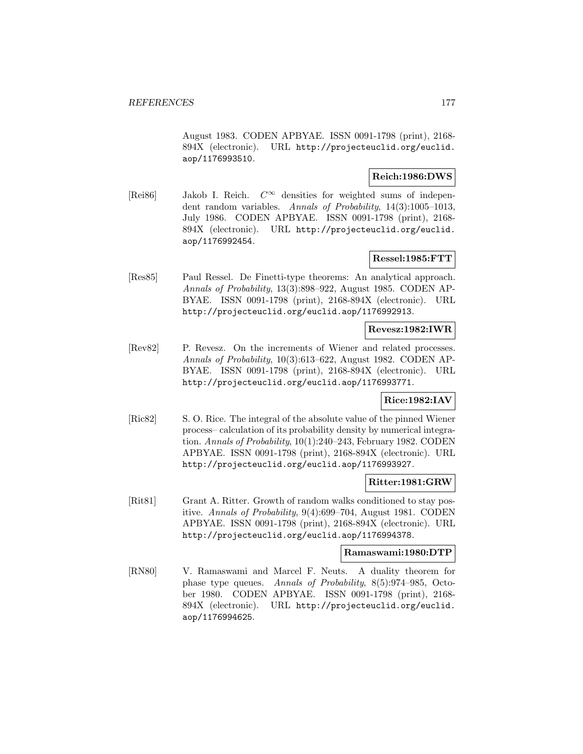August 1983. CODEN APBYAE. ISSN 0091-1798 (print), 2168- 894X (electronic). URL http://projecteuclid.org/euclid. aop/1176993510.

#### **Reich:1986:DWS**

[Rei86] Jakob I. Reich.  $C^{\infty}$  densities for weighted sums of independent random variables. Annals of Probability, 14(3):1005–1013, July 1986. CODEN APBYAE. ISSN 0091-1798 (print), 2168- 894X (electronic). URL http://projecteuclid.org/euclid. aop/1176992454.

## **Ressel:1985:FTT**

[Res85] Paul Ressel. De Finetti-type theorems: An analytical approach. Annals of Probability, 13(3):898–922, August 1985. CODEN AP-BYAE. ISSN 0091-1798 (print), 2168-894X (electronic). URL http://projecteuclid.org/euclid.aop/1176992913.

# **Revesz:1982:IWR**

[Rev82] P. Revesz. On the increments of Wiener and related processes. Annals of Probability, 10(3):613–622, August 1982. CODEN AP-BYAE. ISSN 0091-1798 (print), 2168-894X (electronic). URL http://projecteuclid.org/euclid.aop/1176993771.

# **Rice:1982:IAV**

[Ric82] S. O. Rice. The integral of the absolute value of the pinned Wiener process– calculation of its probability density by numerical integration. Annals of Probability, 10(1):240–243, February 1982. CODEN APBYAE. ISSN 0091-1798 (print), 2168-894X (electronic). URL http://projecteuclid.org/euclid.aop/1176993927.

#### **Ritter:1981:GRW**

[Rit81] Grant A. Ritter. Growth of random walks conditioned to stay positive. Annals of Probability, 9(4):699–704, August 1981. CODEN APBYAE. ISSN 0091-1798 (print), 2168-894X (electronic). URL http://projecteuclid.org/euclid.aop/1176994378.

#### **Ramaswami:1980:DTP**

[RN80] V. Ramaswami and Marcel F. Neuts. A duality theorem for phase type queues. Annals of Probability, 8(5):974–985, October 1980. CODEN APBYAE. ISSN 0091-1798 (print), 2168- 894X (electronic). URL http://projecteuclid.org/euclid. aop/1176994625.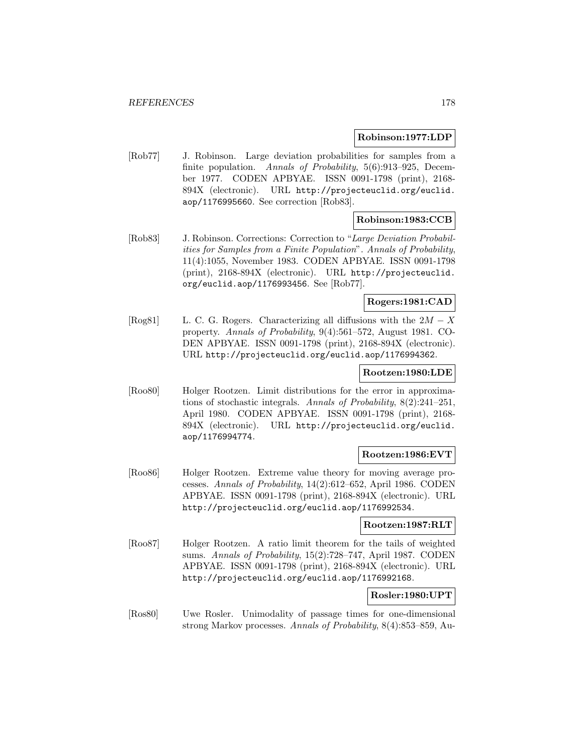#### **Robinson:1977:LDP**

[Rob77] J. Robinson. Large deviation probabilities for samples from a finite population. Annals of Probability, 5(6):913-925, December 1977. CODEN APBYAE. ISSN 0091-1798 (print), 2168- 894X (electronic). URL http://projecteuclid.org/euclid. aop/1176995660. See correction [Rob83].

# **Robinson:1983:CCB**

[Rob83] J. Robinson. Corrections: Correction to "Large Deviation Probabilities for Samples from a Finite Population". Annals of Probability, 11(4):1055, November 1983. CODEN APBYAE. ISSN 0091-1798 (print), 2168-894X (electronic). URL http://projecteuclid. org/euclid.aop/1176993456. See [Rob77].

## **Rogers:1981:CAD**

[Rog81] L. C. G. Rogers. Characterizing all diffusions with the  $2M - X$ property. Annals of Probability, 9(4):561–572, August 1981. CO-DEN APBYAE. ISSN 0091-1798 (print), 2168-894X (electronic). URL http://projecteuclid.org/euclid.aop/1176994362.

#### **Rootzen:1980:LDE**

[Roo80] Holger Rootzen. Limit distributions for the error in approximations of stochastic integrals. Annals of Probability, 8(2):241–251, April 1980. CODEN APBYAE. ISSN 0091-1798 (print), 2168- 894X (electronic). URL http://projecteuclid.org/euclid. aop/1176994774.

#### **Rootzen:1986:EVT**

[Roo86] Holger Rootzen. Extreme value theory for moving average processes. Annals of Probability, 14(2):612–652, April 1986. CODEN APBYAE. ISSN 0091-1798 (print), 2168-894X (electronic). URL http://projecteuclid.org/euclid.aop/1176992534.

#### **Rootzen:1987:RLT**

[Roo87] Holger Rootzen. A ratio limit theorem for the tails of weighted sums. Annals of Probability, 15(2):728–747, April 1987. CODEN APBYAE. ISSN 0091-1798 (print), 2168-894X (electronic). URL http://projecteuclid.org/euclid.aop/1176992168.

#### **Rosler:1980:UPT**

[Ros80] Uwe Rosler. Unimodality of passage times for one-dimensional strong Markov processes. Annals of Probability, 8(4):853–859, Au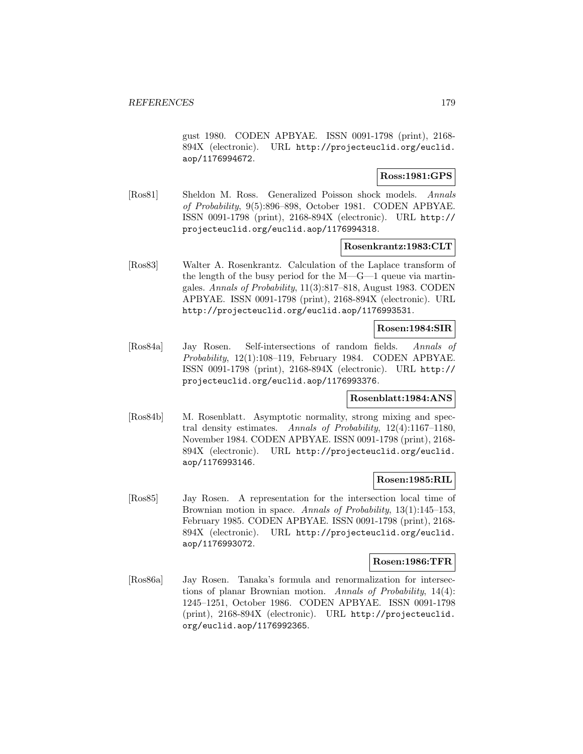gust 1980. CODEN APBYAE. ISSN 0091-1798 (print), 2168- 894X (electronic). URL http://projecteuclid.org/euclid. aop/1176994672.

## **Ross:1981:GPS**

[Ros81] Sheldon M. Ross. Generalized Poisson shock models. Annals of Probability, 9(5):896–898, October 1981. CODEN APBYAE. ISSN 0091-1798 (print), 2168-894X (electronic). URL http:// projecteuclid.org/euclid.aop/1176994318.

#### **Rosenkrantz:1983:CLT**

[Ros83] Walter A. Rosenkrantz. Calculation of the Laplace transform of the length of the busy period for the M—G—1 queue via martingales. Annals of Probability, 11(3):817–818, August 1983. CODEN APBYAE. ISSN 0091-1798 (print), 2168-894X (electronic). URL http://projecteuclid.org/euclid.aop/1176993531.

## **Rosen:1984:SIR**

[Ros84a] Jay Rosen. Self-intersections of random fields. Annals of Probability, 12(1):108–119, February 1984. CODEN APBYAE. ISSN 0091-1798 (print), 2168-894X (electronic). URL http:// projecteuclid.org/euclid.aop/1176993376.

### **Rosenblatt:1984:ANS**

[Ros84b] M. Rosenblatt. Asymptotic normality, strong mixing and spectral density estimates. Annals of Probability, 12(4):1167–1180, November 1984. CODEN APBYAE. ISSN 0091-1798 (print), 2168- 894X (electronic). URL http://projecteuclid.org/euclid. aop/1176993146.

#### **Rosen:1985:RIL**

[Ros85] Jay Rosen. A representation for the intersection local time of Brownian motion in space. Annals of Probability, 13(1):145–153, February 1985. CODEN APBYAE. ISSN 0091-1798 (print), 2168- 894X (electronic). URL http://projecteuclid.org/euclid. aop/1176993072.

#### **Rosen:1986:TFR**

[Ros86a] Jay Rosen. Tanaka's formula and renormalization for intersections of planar Brownian motion. Annals of Probability, 14(4): 1245–1251, October 1986. CODEN APBYAE. ISSN 0091-1798 (print), 2168-894X (electronic). URL http://projecteuclid. org/euclid.aop/1176992365.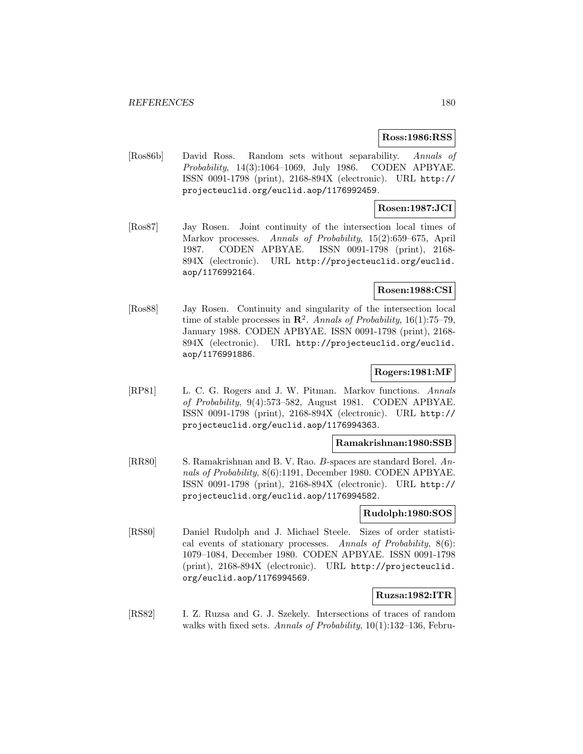#### **Ross:1986:RSS**

[Ros86b] David Ross. Random sets without separability. Annals of Probability, 14(3):1064–1069, July 1986. CODEN APBYAE. ISSN 0091-1798 (print), 2168-894X (electronic). URL http:// projecteuclid.org/euclid.aop/1176992459.

## **Rosen:1987:JCI**

[Ros87] Jay Rosen. Joint continuity of the intersection local times of Markov processes. Annals of Probability, 15(2):659–675, April 1987. CODEN APBYAE. ISSN 0091-1798 (print), 2168- 894X (electronic). URL http://projecteuclid.org/euclid. aop/1176992164.

### **Rosen:1988:CSI**

[Ros88] Jay Rosen. Continuity and singularity of the intersection local time of stable processes in  $\mathbb{R}^2$ . Annals of Probability, 16(1):75–79, January 1988. CODEN APBYAE. ISSN 0091-1798 (print), 2168- 894X (electronic). URL http://projecteuclid.org/euclid. aop/1176991886.

#### **Rogers:1981:MF**

[RP81] L. C. G. Rogers and J. W. Pitman. Markov functions. Annals of Probability, 9(4):573–582, August 1981. CODEN APBYAE. ISSN 0091-1798 (print), 2168-894X (electronic). URL http:// projecteuclid.org/euclid.aop/1176994363.

#### **Ramakrishnan:1980:SSB**

[RR80] S. Ramakrishnan and B. V. Rao. B-spaces are standard Borel. Annals of Probability, 8(6):1191, December 1980. CODEN APBYAE. ISSN 0091-1798 (print), 2168-894X (electronic). URL http:// projecteuclid.org/euclid.aop/1176994582.

#### **Rudolph:1980:SOS**

[RS80] Daniel Rudolph and J. Michael Steele. Sizes of order statistical events of stationary processes. Annals of Probability,  $8(6)$ : 1079–1084, December 1980. CODEN APBYAE. ISSN 0091-1798 (print), 2168-894X (electronic). URL http://projecteuclid. org/euclid.aop/1176994569.

#### **Ruzsa:1982:ITR**

[RS82] I. Z. Ruzsa and G. J. Szekely. Intersections of traces of random walks with fixed sets. Annals of Probability, 10(1):132–136, Febru-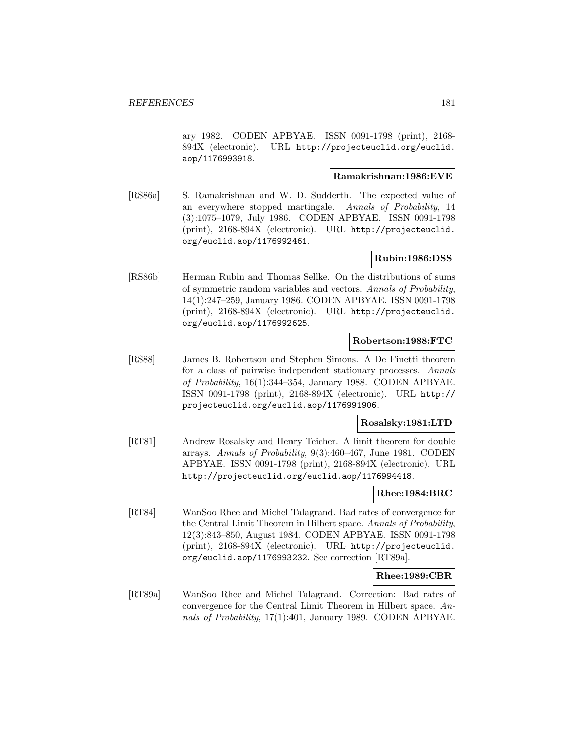ary 1982. CODEN APBYAE. ISSN 0091-1798 (print), 2168- 894X (electronic). URL http://projecteuclid.org/euclid. aop/1176993918.

## **Ramakrishnan:1986:EVE**

[RS86a] S. Ramakrishnan and W. D. Sudderth. The expected value of an everywhere stopped martingale. Annals of Probability, 14 (3):1075–1079, July 1986. CODEN APBYAE. ISSN 0091-1798 (print), 2168-894X (electronic). URL http://projecteuclid. org/euclid.aop/1176992461.

# **Rubin:1986:DSS**

[RS86b] Herman Rubin and Thomas Sellke. On the distributions of sums of symmetric random variables and vectors. Annals of Probability, 14(1):247–259, January 1986. CODEN APBYAE. ISSN 0091-1798 (print), 2168-894X (electronic). URL http://projecteuclid. org/euclid.aop/1176992625.

#### **Robertson:1988:FTC**

[RS88] James B. Robertson and Stephen Simons. A De Finetti theorem for a class of pairwise independent stationary processes. Annals of Probability, 16(1):344–354, January 1988. CODEN APBYAE. ISSN 0091-1798 (print), 2168-894X (electronic). URL http:// projecteuclid.org/euclid.aop/1176991906.

## **Rosalsky:1981:LTD**

[RT81] Andrew Rosalsky and Henry Teicher. A limit theorem for double arrays. Annals of Probability, 9(3):460–467, June 1981. CODEN APBYAE. ISSN 0091-1798 (print), 2168-894X (electronic). URL http://projecteuclid.org/euclid.aop/1176994418.

#### **Rhee:1984:BRC**

[RT84] WanSoo Rhee and Michel Talagrand. Bad rates of convergence for the Central Limit Theorem in Hilbert space. Annals of Probability, 12(3):843–850, August 1984. CODEN APBYAE. ISSN 0091-1798 (print), 2168-894X (electronic). URL http://projecteuclid. org/euclid.aop/1176993232. See correction [RT89a].

## **Rhee:1989:CBR**

[RT89a] WanSoo Rhee and Michel Talagrand. Correction: Bad rates of convergence for the Central Limit Theorem in Hilbert space. Annals of Probability, 17(1):401, January 1989. CODEN APBYAE.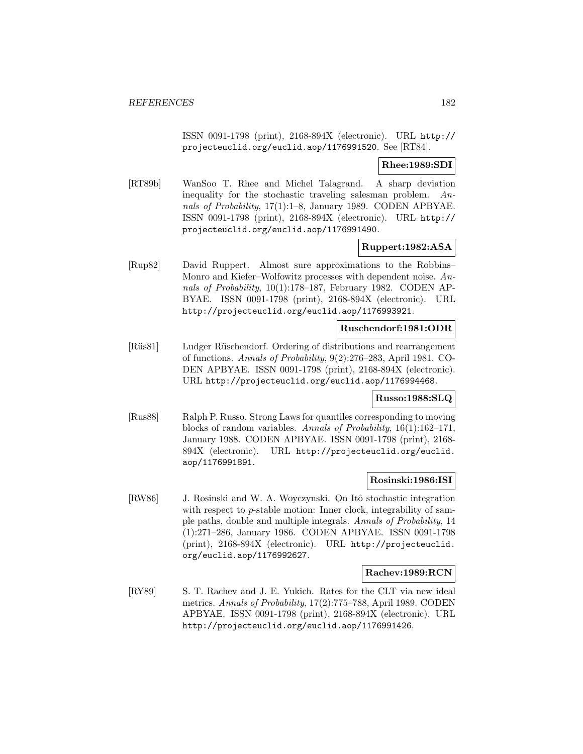ISSN 0091-1798 (print), 2168-894X (electronic). URL http:// projecteuclid.org/euclid.aop/1176991520. See [RT84].

# **Rhee:1989:SDI**

[RT89b] WanSoo T. Rhee and Michel Talagrand. A sharp deviation inequality for the stochastic traveling salesman problem.  $An$ nals of Probability, 17(1):1–8, January 1989. CODEN APBYAE. ISSN 0091-1798 (print), 2168-894X (electronic). URL http:// projecteuclid.org/euclid.aop/1176991490.

# **Ruppert:1982:ASA**

[Rup82] David Ruppert. Almost sure approximations to the Robbins– Monro and Kiefer–Wolfowitz processes with dependent noise. Annals of Probability, 10(1):178–187, February 1982. CODEN AP-BYAE. ISSN 0091-1798 (print), 2168-894X (electronic). URL http://projecteuclid.org/euclid.aop/1176993921.

# **Ruschendorf:1981:ODR**

[Rüs81] Ludger Rüschendorf. Ordering of distributions and rearrangement of functions. Annals of Probability, 9(2):276–283, April 1981. CO-DEN APBYAE. ISSN 0091-1798 (print), 2168-894X (electronic). URL http://projecteuclid.org/euclid.aop/1176994468.

## **Russo:1988:SLQ**

[Rus88] Ralph P. Russo. Strong Laws for quantiles corresponding to moving blocks of random variables. Annals of Probability, 16(1):162–171, January 1988. CODEN APBYAE. ISSN 0091-1798 (print), 2168- 894X (electronic). URL http://projecteuclid.org/euclid. aop/1176991891.

## **Rosinski:1986:ISI**

[RW86] J. Rosinski and W. A. Woyczynski. On Itô stochastic integration with respect to *p*-stable motion: Inner clock, integrability of sample paths, double and multiple integrals. Annals of Probability, 14 (1):271–286, January 1986. CODEN APBYAE. ISSN 0091-1798 (print), 2168-894X (electronic). URL http://projecteuclid. org/euclid.aop/1176992627.

## **Rachev:1989:RCN**

[RY89] S. T. Rachev and J. E. Yukich. Rates for the CLT via new ideal metrics. Annals of Probability, 17(2):775–788, April 1989. CODEN APBYAE. ISSN 0091-1798 (print), 2168-894X (electronic). URL http://projecteuclid.org/euclid.aop/1176991426.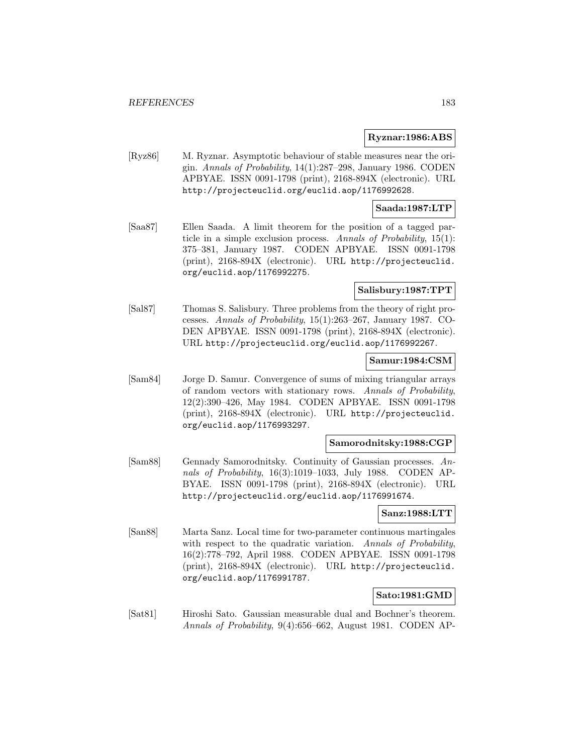#### **Ryznar:1986:ABS**

[Ryz86] M. Ryznar. Asymptotic behaviour of stable measures near the origin. Annals of Probability, 14(1):287–298, January 1986. CODEN APBYAE. ISSN 0091-1798 (print), 2168-894X (electronic). URL http://projecteuclid.org/euclid.aop/1176992628.

### **Saada:1987:LTP**

[Saa87] Ellen Saada. A limit theorem for the position of a tagged particle in a simple exclusion process. Annals of Probability, 15(1): 375–381, January 1987. CODEN APBYAE. ISSN 0091-1798 (print), 2168-894X (electronic). URL http://projecteuclid. org/euclid.aop/1176992275.

# **Salisbury:1987:TPT**

[Sal87] Thomas S. Salisbury. Three problems from the theory of right processes. Annals of Probability, 15(1):263–267, January 1987. CO-DEN APBYAE. ISSN 0091-1798 (print), 2168-894X (electronic). URL http://projecteuclid.org/euclid.aop/1176992267.

### **Samur:1984:CSM**

[Sam84] Jorge D. Samur. Convergence of sums of mixing triangular arrays of random vectors with stationary rows. Annals of Probability, 12(2):390–426, May 1984. CODEN APBYAE. ISSN 0091-1798 (print), 2168-894X (electronic). URL http://projecteuclid. org/euclid.aop/1176993297.

## **Samorodnitsky:1988:CGP**

[Sam88] Gennady Samorodnitsky. Continuity of Gaussian processes. Annals of Probability, 16(3):1019–1033, July 1988. CODEN AP-BYAE. ISSN 0091-1798 (print), 2168-894X (electronic). URL http://projecteuclid.org/euclid.aop/1176991674.

#### **Sanz:1988:LTT**

[San88] Marta Sanz. Local time for two-parameter continuous martingales with respect to the quadratic variation. Annals of Probability, 16(2):778–792, April 1988. CODEN APBYAE. ISSN 0091-1798 (print), 2168-894X (electronic). URL http://projecteuclid. org/euclid.aop/1176991787.

## **Sato:1981:GMD**

[Sat81] Hiroshi Sato. Gaussian measurable dual and Bochner's theorem. Annals of Probability, 9(4):656–662, August 1981. CODEN AP-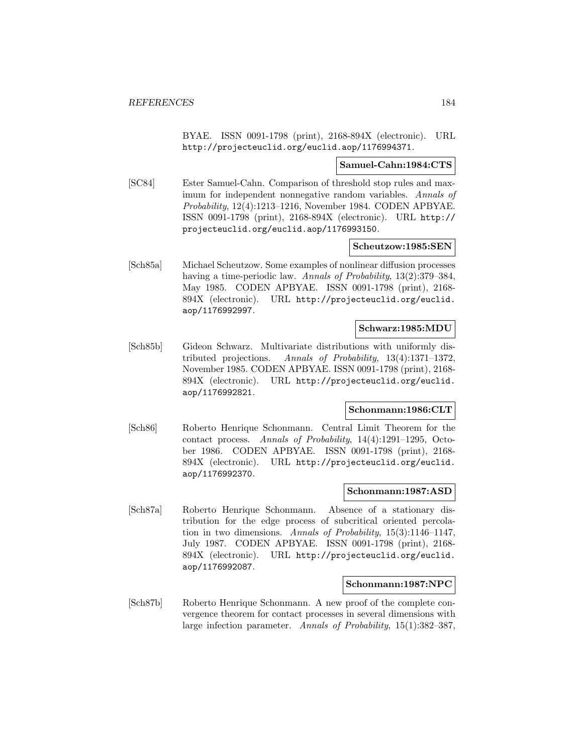BYAE. ISSN 0091-1798 (print), 2168-894X (electronic). URL http://projecteuclid.org/euclid.aop/1176994371.

#### **Samuel-Cahn:1984:CTS**

[SC84] Ester Samuel-Cahn. Comparison of threshold stop rules and maximum for independent nonnegative random variables. Annals of Probability, 12(4):1213–1216, November 1984. CODEN APBYAE. ISSN 0091-1798 (print), 2168-894X (electronic). URL http:// projecteuclid.org/euclid.aop/1176993150.

## **Scheutzow:1985:SEN**

[Sch85a] Michael Scheutzow. Some examples of nonlinear diffusion processes having a time-periodic law. Annals of Probability, 13(2):379–384, May 1985. CODEN APBYAE. ISSN 0091-1798 (print), 2168- 894X (electronic). URL http://projecteuclid.org/euclid. aop/1176992997.

## **Schwarz:1985:MDU**

[Sch85b] Gideon Schwarz. Multivariate distributions with uniformly distributed projections. Annals of Probability, 13(4):1371–1372, November 1985. CODEN APBYAE. ISSN 0091-1798 (print), 2168- 894X (electronic). URL http://projecteuclid.org/euclid. aop/1176992821.

# **Schonmann:1986:CLT**

[Sch86] Roberto Henrique Schonmann. Central Limit Theorem for the contact process. Annals of Probability, 14(4):1291–1295, October 1986. CODEN APBYAE. ISSN 0091-1798 (print), 2168- 894X (electronic). URL http://projecteuclid.org/euclid. aop/1176992370.

## **Schonmann:1987:ASD**

[Sch87a] Roberto Henrique Schonmann. Absence of a stationary distribution for the edge process of subcritical oriented percolation in two dimensions. Annals of Probability,  $15(3):1146-1147$ , July 1987. CODEN APBYAE. ISSN 0091-1798 (print), 2168- 894X (electronic). URL http://projecteuclid.org/euclid. aop/1176992087.

#### **Schonmann:1987:NPC**

[Sch87b] Roberto Henrique Schonmann. A new proof of the complete convergence theorem for contact processes in several dimensions with large infection parameter. Annals of Probability, 15(1):382–387,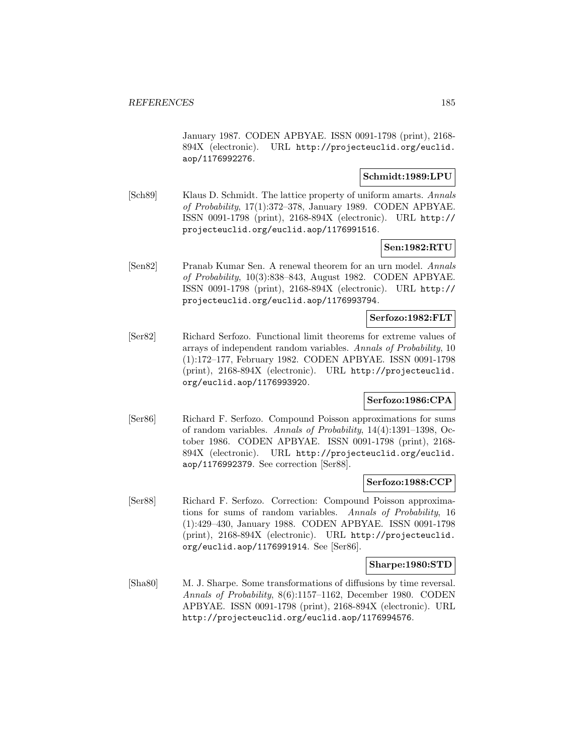January 1987. CODEN APBYAE. ISSN 0091-1798 (print), 2168- 894X (electronic). URL http://projecteuclid.org/euclid. aop/1176992276.

## **Schmidt:1989:LPU**

[Sch89] Klaus D. Schmidt. The lattice property of uniform amarts. Annals of Probability, 17(1):372–378, January 1989. CODEN APBYAE. ISSN 0091-1798 (print), 2168-894X (electronic). URL http:// projecteuclid.org/euclid.aop/1176991516.

**Sen:1982:RTU**

[Sen82] Pranab Kumar Sen. A renewal theorem for an urn model. Annals of Probability, 10(3):838–843, August 1982. CODEN APBYAE. ISSN 0091-1798 (print), 2168-894X (electronic). URL http:// projecteuclid.org/euclid.aop/1176993794.

#### **Serfozo:1982:FLT**

[Ser82] Richard Serfozo. Functional limit theorems for extreme values of arrays of independent random variables. Annals of Probability, 10 (1):172–177, February 1982. CODEN APBYAE. ISSN 0091-1798 (print), 2168-894X (electronic). URL http://projecteuclid. org/euclid.aop/1176993920.

## **Serfozo:1986:CPA**

[Ser86] Richard F. Serfozo. Compound Poisson approximations for sums of random variables. Annals of Probability, 14(4):1391–1398, October 1986. CODEN APBYAE. ISSN 0091-1798 (print), 2168- 894X (electronic). URL http://projecteuclid.org/euclid. aop/1176992379. See correction [Ser88].

#### **Serfozo:1988:CCP**

[Ser88] Richard F. Serfozo. Correction: Compound Poisson approximations for sums of random variables. Annals of Probability, 16 (1):429–430, January 1988. CODEN APBYAE. ISSN 0091-1798 (print), 2168-894X (electronic). URL http://projecteuclid. org/euclid.aop/1176991914. See [Ser86].

#### **Sharpe:1980:STD**

[Sha80] M. J. Sharpe. Some transformations of diffusions by time reversal. Annals of Probability, 8(6):1157–1162, December 1980. CODEN APBYAE. ISSN 0091-1798 (print), 2168-894X (electronic). URL http://projecteuclid.org/euclid.aop/1176994576.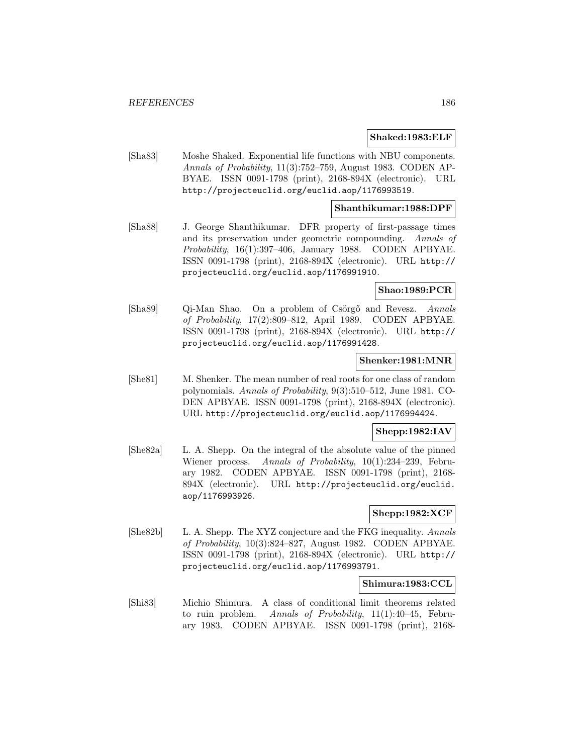#### **Shaked:1983:ELF**

[Sha83] Moshe Shaked. Exponential life functions with NBU components. Annals of Probability, 11(3):752–759, August 1983. CODEN AP-BYAE. ISSN 0091-1798 (print), 2168-894X (electronic). URL http://projecteuclid.org/euclid.aop/1176993519.

#### **Shanthikumar:1988:DPF**

[Sha88] J. George Shanthikumar. DFR property of first-passage times and its preservation under geometric compounding. Annals of Probability, 16(1):397–406, January 1988. CODEN APBYAE. ISSN 0091-1798 (print), 2168-894X (electronic). URL http:// projecteuclid.org/euclid.aop/1176991910.

## **Shao:1989:PCR**

[Sha89] Qi-Man Shao. On a problem of Csörgő and Revesz. Annals of Probability, 17(2):809–812, April 1989. CODEN APBYAE. ISSN 0091-1798 (print), 2168-894X (electronic). URL http:// projecteuclid.org/euclid.aop/1176991428.

#### **Shenker:1981:MNR**

[She81] M. Shenker. The mean number of real roots for one class of random polynomials. Annals of Probability, 9(3):510–512, June 1981. CO-DEN APBYAE. ISSN 0091-1798 (print), 2168-894X (electronic). URL http://projecteuclid.org/euclid.aop/1176994424.

## **Shepp:1982:IAV**

[She82a] L. A. Shepp. On the integral of the absolute value of the pinned Wiener process. Annals of Probability, 10(1):234–239, February 1982. CODEN APBYAE. ISSN 0091-1798 (print), 2168- 894X (electronic). URL http://projecteuclid.org/euclid. aop/1176993926.

# **Shepp:1982:XCF**

[She82b] L. A. Shepp. The XYZ conjecture and the FKG inequality. Annals of Probability, 10(3):824–827, August 1982. CODEN APBYAE. ISSN 0091-1798 (print), 2168-894X (electronic). URL http:// projecteuclid.org/euclid.aop/1176993791.

## **Shimura:1983:CCL**

[Shi83] Michio Shimura. A class of conditional limit theorems related to ruin problem. Annals of Probability, 11(1):40–45, February 1983. CODEN APBYAE. ISSN 0091-1798 (print), 2168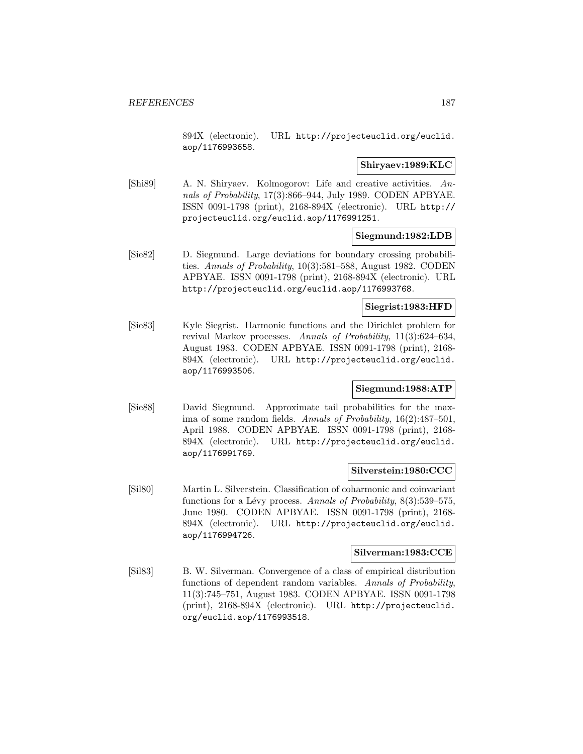894X (electronic). URL http://projecteuclid.org/euclid. aop/1176993658.

## **Shiryaev:1989:KLC**

[Shi89] A. N. Shiryaev. Kolmogorov: Life and creative activities. Annals of Probability, 17(3):866–944, July 1989. CODEN APBYAE. ISSN 0091-1798 (print), 2168-894X (electronic). URL http:// projecteuclid.org/euclid.aop/1176991251.

## **Siegmund:1982:LDB**

[Sie82] D. Siegmund. Large deviations for boundary crossing probabilities. Annals of Probability, 10(3):581–588, August 1982. CODEN APBYAE. ISSN 0091-1798 (print), 2168-894X (electronic). URL http://projecteuclid.org/euclid.aop/1176993768.

#### **Siegrist:1983:HFD**

[Sie83] Kyle Siegrist. Harmonic functions and the Dirichlet problem for revival Markov processes. Annals of Probability, 11(3):624–634, August 1983. CODEN APBYAE. ISSN 0091-1798 (print), 2168- 894X (electronic). URL http://projecteuclid.org/euclid. aop/1176993506.

## **Siegmund:1988:ATP**

[Sie88] David Siegmund. Approximate tail probabilities for the maxima of some random fields. Annals of Probability, 16(2):487–501, April 1988. CODEN APBYAE. ISSN 0091-1798 (print), 2168- 894X (electronic). URL http://projecteuclid.org/euclid. aop/1176991769.

## **Silverstein:1980:CCC**

[Sil80] Martin L. Silverstein. Classification of coharmonic and coinvariant functions for a Lévy process. Annals of Probability,  $8(3):539-575$ , June 1980. CODEN APBYAE. ISSN 0091-1798 (print), 2168- 894X (electronic). URL http://projecteuclid.org/euclid. aop/1176994726.

## **Silverman:1983:CCE**

[Sil83] B. W. Silverman. Convergence of a class of empirical distribution functions of dependent random variables. Annals of Probability, 11(3):745–751, August 1983. CODEN APBYAE. ISSN 0091-1798 (print), 2168-894X (electronic). URL http://projecteuclid. org/euclid.aop/1176993518.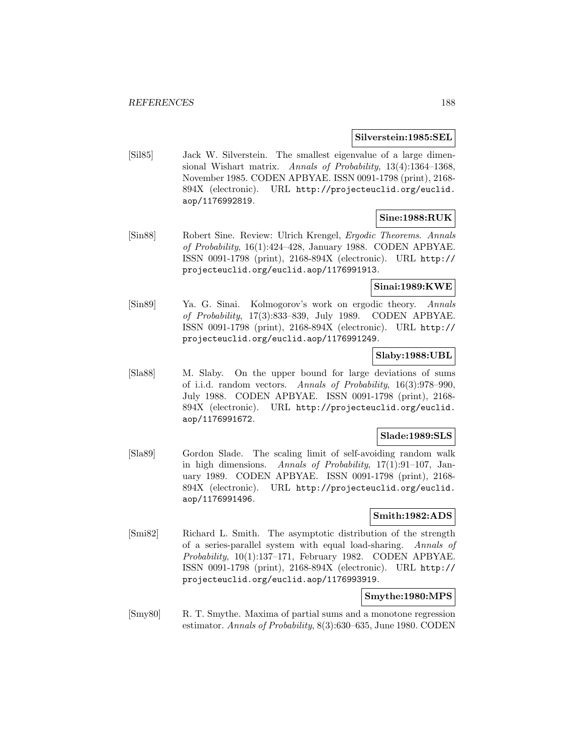#### **Silverstein:1985:SEL**

[Sil85] Jack W. Silverstein. The smallest eigenvalue of a large dimensional Wishart matrix. Annals of Probability, 13(4):1364-1368, November 1985. CODEN APBYAE. ISSN 0091-1798 (print), 2168- 894X (electronic). URL http://projecteuclid.org/euclid. aop/1176992819.

# **Sine:1988:RUK**

[Sin88] Robert Sine. Review: Ulrich Krengel, Ergodic Theorems. Annals of Probability, 16(1):424–428, January 1988. CODEN APBYAE. ISSN 0091-1798 (print), 2168-894X (electronic). URL http:// projecteuclid.org/euclid.aop/1176991913.

## **Sinai:1989:KWE**

[Sin89] Ya. G. Sinai. Kolmogorov's work on ergodic theory. Annals of Probability, 17(3):833–839, July 1989. CODEN APBYAE. ISSN 0091-1798 (print), 2168-894X (electronic). URL http:// projecteuclid.org/euclid.aop/1176991249.

# **Slaby:1988:UBL**

[Sla88] M. Slaby. On the upper bound for large deviations of sums of i.i.d. random vectors. Annals of Probability, 16(3):978–990, July 1988. CODEN APBYAE. ISSN 0091-1798 (print), 2168- 894X (electronic). URL http://projecteuclid.org/euclid. aop/1176991672.

## **Slade:1989:SLS**

[Sla89] Gordon Slade. The scaling limit of self-avoiding random walk in high dimensions. Annals of Probability,  $17(1):91-107$ , January 1989. CODEN APBYAE. ISSN 0091-1798 (print), 2168- 894X (electronic). URL http://projecteuclid.org/euclid. aop/1176991496.

# **Smith:1982:ADS**

[Smi82] Richard L. Smith. The asymptotic distribution of the strength of a series-parallel system with equal load-sharing. Annals of Probability, 10(1):137–171, February 1982. CODEN APBYAE. ISSN 0091-1798 (print), 2168-894X (electronic). URL http:// projecteuclid.org/euclid.aop/1176993919.

## **Smythe:1980:MPS**

[Smy80] R. T. Smythe. Maxima of partial sums and a monotone regression estimator. Annals of Probability, 8(3):630–635, June 1980. CODEN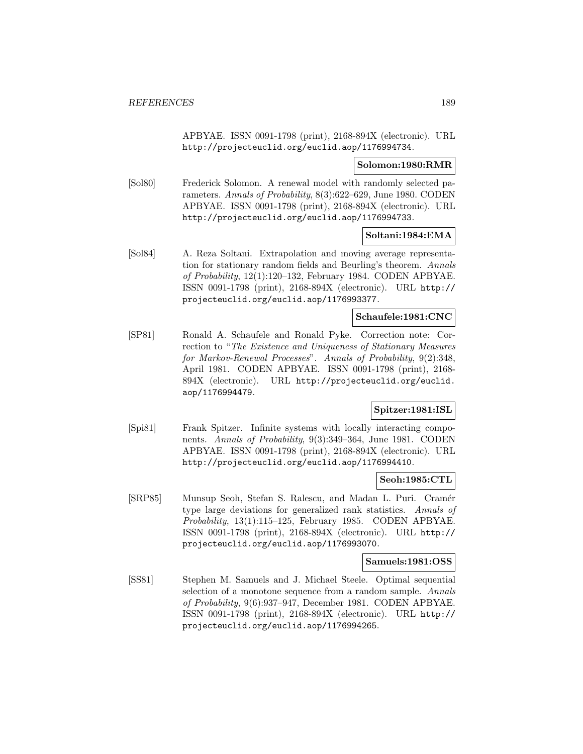APBYAE. ISSN 0091-1798 (print), 2168-894X (electronic). URL http://projecteuclid.org/euclid.aop/1176994734.

#### **Solomon:1980:RMR**

[Sol80] Frederick Solomon. A renewal model with randomly selected parameters. Annals of Probability, 8(3):622–629, June 1980. CODEN APBYAE. ISSN 0091-1798 (print), 2168-894X (electronic). URL http://projecteuclid.org/euclid.aop/1176994733.

#### **Soltani:1984:EMA**

[Sol84] A. Reza Soltani. Extrapolation and moving average representation for stationary random fields and Beurling's theorem. Annals of Probability, 12(1):120–132, February 1984. CODEN APBYAE. ISSN 0091-1798 (print), 2168-894X (electronic). URL http:// projecteuclid.org/euclid.aop/1176993377.

## **Schaufele:1981:CNC**

[SP81] Ronald A. Schaufele and Ronald Pyke. Correction note: Correction to "The Existence and Uniqueness of Stationary Measures for Markov-Renewal Processes". Annals of Probability, 9(2):348, April 1981. CODEN APBYAE. ISSN 0091-1798 (print), 2168- 894X (electronic). URL http://projecteuclid.org/euclid. aop/1176994479.

# **Spitzer:1981:ISL**

[Spi81] Frank Spitzer. Infinite systems with locally interacting components. Annals of Probability, 9(3):349–364, June 1981. CODEN APBYAE. ISSN 0091-1798 (print), 2168-894X (electronic). URL http://projecteuclid.org/euclid.aop/1176994410.

#### **Seoh:1985:CTL**

[SRP85] Munsup Seoh, Stefan S. Ralescu, and Madan L. Puri. Cramér type large deviations for generalized rank statistics. Annals of Probability, 13(1):115–125, February 1985. CODEN APBYAE. ISSN 0091-1798 (print), 2168-894X (electronic). URL http:// projecteuclid.org/euclid.aop/1176993070.

#### **Samuels:1981:OSS**

[SS81] Stephen M. Samuels and J. Michael Steele. Optimal sequential selection of a monotone sequence from a random sample. Annals of Probability, 9(6):937–947, December 1981. CODEN APBYAE. ISSN 0091-1798 (print), 2168-894X (electronic). URL http:// projecteuclid.org/euclid.aop/1176994265.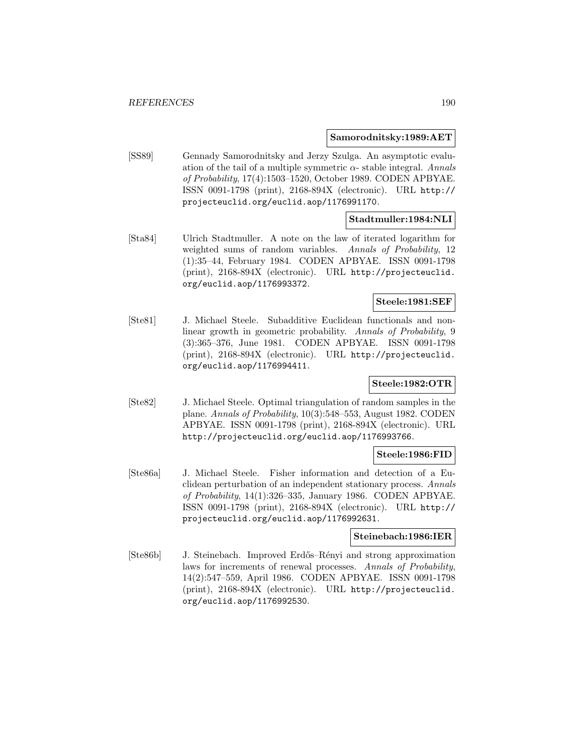#### **Samorodnitsky:1989:AET**

[SS89] Gennady Samorodnitsky and Jerzy Szulga. An asymptotic evaluation of the tail of a multiple symmetric  $\alpha$ -stable integral. Annals of Probability, 17(4):1503–1520, October 1989. CODEN APBYAE. ISSN 0091-1798 (print), 2168-894X (electronic). URL http:// projecteuclid.org/euclid.aop/1176991170.

# **Stadtmuller:1984:NLI**

[Sta84] Ulrich Stadtmuller. A note on the law of iterated logarithm for weighted sums of random variables. Annals of Probability, 12 (1):35–44, February 1984. CODEN APBYAE. ISSN 0091-1798 (print), 2168-894X (electronic). URL http://projecteuclid. org/euclid.aop/1176993372.

# **Steele:1981:SEF**

[Ste81] J. Michael Steele. Subadditive Euclidean functionals and nonlinear growth in geometric probability. Annals of Probability, 9 (3):365–376, June 1981. CODEN APBYAE. ISSN 0091-1798 (print), 2168-894X (electronic). URL http://projecteuclid. org/euclid.aop/1176994411.

# **Steele:1982:OTR**

[Ste82] J. Michael Steele. Optimal triangulation of random samples in the plane. Annals of Probability, 10(3):548–553, August 1982. CODEN APBYAE. ISSN 0091-1798 (print), 2168-894X (electronic). URL http://projecteuclid.org/euclid.aop/1176993766.

#### **Steele:1986:FID**

[Ste86a] J. Michael Steele. Fisher information and detection of a Euclidean perturbation of an independent stationary process. Annals of Probability, 14(1):326–335, January 1986. CODEN APBYAE. ISSN 0091-1798 (print), 2168-894X (electronic). URL http:// projecteuclid.org/euclid.aop/1176992631.

## **Steinebach:1986:IER**

[Ste86b] J. Steinebach. Improved Erdős–Rényi and strong approximation laws for increments of renewal processes. Annals of Probability, 14(2):547–559, April 1986. CODEN APBYAE. ISSN 0091-1798 (print), 2168-894X (electronic). URL http://projecteuclid. org/euclid.aop/1176992530.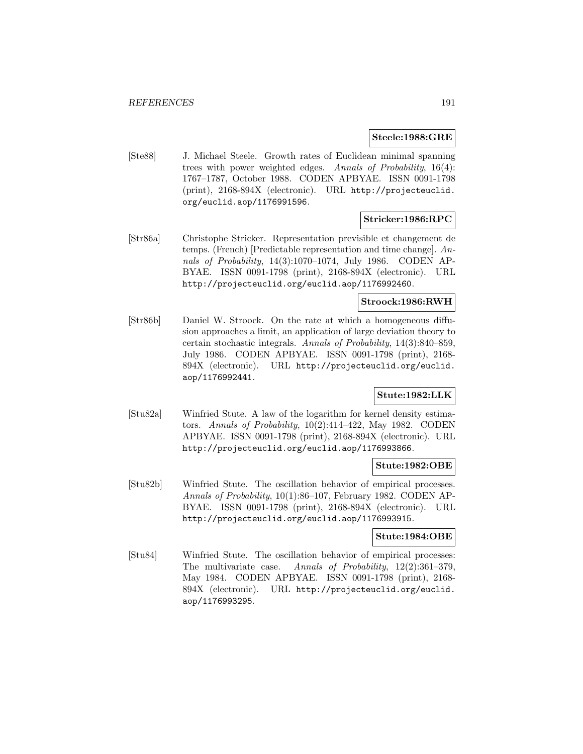#### **Steele:1988:GRE**

[Ste88] J. Michael Steele. Growth rates of Euclidean minimal spanning trees with power weighted edges. Annals of Probability, 16(4): 1767–1787, October 1988. CODEN APBYAE. ISSN 0091-1798 (print), 2168-894X (electronic). URL http://projecteuclid. org/euclid.aop/1176991596.

# **Stricker:1986:RPC**

[Str86a] Christophe Stricker. Representation previsible et changement de temps. (French) [Predictable representation and time change]. Annals of Probability, 14(3):1070–1074, July 1986. CODEN AP-BYAE. ISSN 0091-1798 (print), 2168-894X (electronic). URL http://projecteuclid.org/euclid.aop/1176992460.

# **Stroock:1986:RWH**

[Str86b] Daniel W. Stroock. On the rate at which a homogeneous diffusion approaches a limit, an application of large deviation theory to certain stochastic integrals. Annals of Probability, 14(3):840–859, July 1986. CODEN APBYAE. ISSN 0091-1798 (print), 2168- 894X (electronic). URL http://projecteuclid.org/euclid. aop/1176992441.

# **Stute:1982:LLK**

[Stu82a] Winfried Stute. A law of the logarithm for kernel density estimators. Annals of Probability, 10(2):414–422, May 1982. CODEN APBYAE. ISSN 0091-1798 (print), 2168-894X (electronic). URL http://projecteuclid.org/euclid.aop/1176993866.

# **Stute:1982:OBE**

[Stu82b] Winfried Stute. The oscillation behavior of empirical processes. Annals of Probability, 10(1):86–107, February 1982. CODEN AP-BYAE. ISSN 0091-1798 (print), 2168-894X (electronic). URL http://projecteuclid.org/euclid.aop/1176993915.

## **Stute:1984:OBE**

[Stu84] Winfried Stute. The oscillation behavior of empirical processes: The multivariate case. Annals of Probability, 12(2):361-379, May 1984. CODEN APBYAE. ISSN 0091-1798 (print), 2168- 894X (electronic). URL http://projecteuclid.org/euclid. aop/1176993295.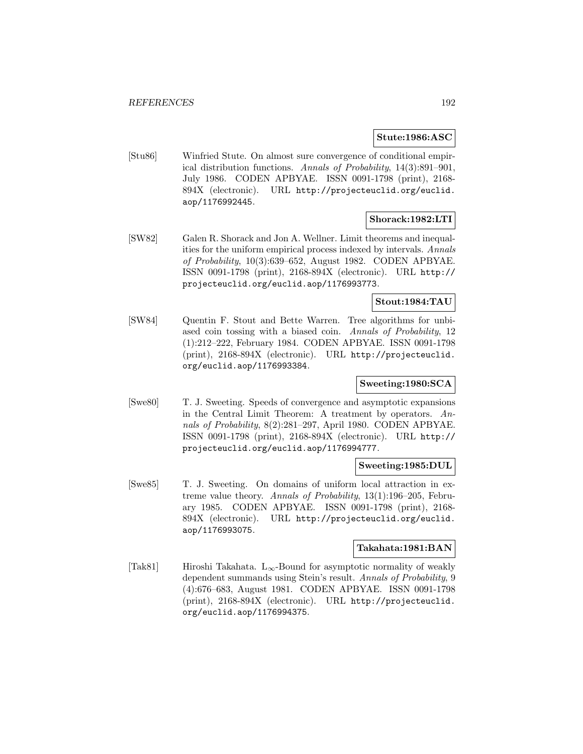#### **Stute:1986:ASC**

[Stu86] Winfried Stute. On almost sure convergence of conditional empirical distribution functions. Annals of Probability, 14(3):891–901, July 1986. CODEN APBYAE. ISSN 0091-1798 (print), 2168- 894X (electronic). URL http://projecteuclid.org/euclid. aop/1176992445.

# **Shorack:1982:LTI**

[SW82] Galen R. Shorack and Jon A. Wellner. Limit theorems and inequalities for the uniform empirical process indexed by intervals. Annals of Probability, 10(3):639–652, August 1982. CODEN APBYAE. ISSN 0091-1798 (print), 2168-894X (electronic). URL http:// projecteuclid.org/euclid.aop/1176993773.

## **Stout:1984:TAU**

[SW84] Quentin F. Stout and Bette Warren. Tree algorithms for unbiased coin tossing with a biased coin. Annals of Probability, 12 (1):212–222, February 1984. CODEN APBYAE. ISSN 0091-1798 (print), 2168-894X (electronic). URL http://projecteuclid. org/euclid.aop/1176993384.

# **Sweeting:1980:SCA**

[Swe80] T. J. Sweeting. Speeds of convergence and asymptotic expansions in the Central Limit Theorem: A treatment by operators. Annals of Probability, 8(2):281–297, April 1980. CODEN APBYAE. ISSN 0091-1798 (print), 2168-894X (electronic). URL http:// projecteuclid.org/euclid.aop/1176994777.

## **Sweeting:1985:DUL**

[Swe85] T. J. Sweeting. On domains of uniform local attraction in extreme value theory. Annals of Probability, 13(1):196–205, February 1985. CODEN APBYAE. ISSN 0091-1798 (print), 2168- 894X (electronic). URL http://projecteuclid.org/euclid. aop/1176993075.

## **Takahata:1981:BAN**

[Tak81] Hiroshi Takahata. L<sub>∞</sub>-Bound for asymptotic normality of weakly dependent summands using Stein's result. Annals of Probability, 9 (4):676–683, August 1981. CODEN APBYAE. ISSN 0091-1798 (print), 2168-894X (electronic). URL http://projecteuclid. org/euclid.aop/1176994375.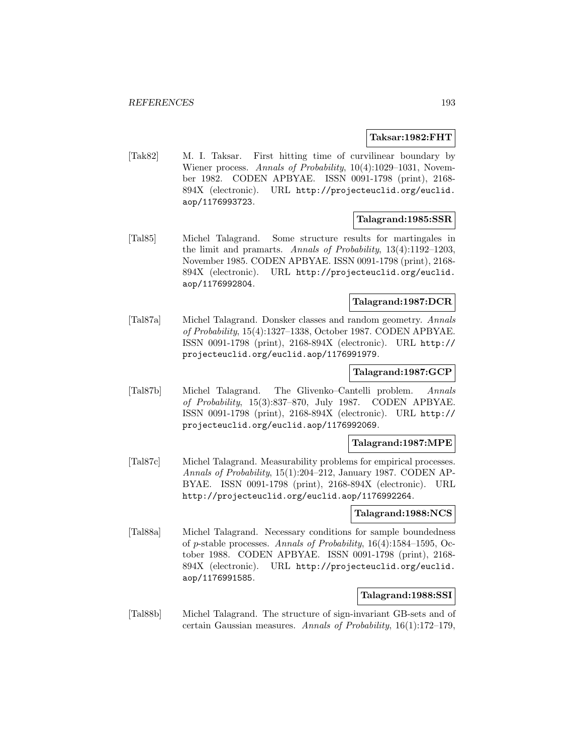#### **Taksar:1982:FHT**

[Tak82] M. I. Taksar. First hitting time of curvilinear boundary by Wiener process. Annals of Probability, 10(4):1029-1031, November 1982. CODEN APBYAE. ISSN 0091-1798 (print), 2168- 894X (electronic). URL http://projecteuclid.org/euclid. aop/1176993723.

## **Talagrand:1985:SSR**

[Tal85] Michel Talagrand. Some structure results for martingales in the limit and pramarts. Annals of Probability,  $13(4):1192-1203$ , November 1985. CODEN APBYAE. ISSN 0091-1798 (print), 2168- 894X (electronic). URL http://projecteuclid.org/euclid. aop/1176992804.

# **Talagrand:1987:DCR**

[Tal87a] Michel Talagrand. Donsker classes and random geometry. Annals of Probability, 15(4):1327–1338, October 1987. CODEN APBYAE. ISSN 0091-1798 (print), 2168-894X (electronic). URL http:// projecteuclid.org/euclid.aop/1176991979.

#### **Talagrand:1987:GCP**

[Tal87b] Michel Talagrand. The Glivenko–Cantelli problem. Annals of Probability, 15(3):837–870, July 1987. CODEN APBYAE. ISSN 0091-1798 (print), 2168-894X (electronic). URL http:// projecteuclid.org/euclid.aop/1176992069.

#### **Talagrand:1987:MPE**

[Tal87c] Michel Talagrand. Measurability problems for empirical processes. Annals of Probability, 15(1):204–212, January 1987. CODEN AP-BYAE. ISSN 0091-1798 (print), 2168-894X (electronic). URL http://projecteuclid.org/euclid.aop/1176992264.

#### **Talagrand:1988:NCS**

[Tal88a] Michel Talagrand. Necessary conditions for sample boundedness of p-stable processes. Annals of Probability, 16(4):1584–1595, October 1988. CODEN APBYAE. ISSN 0091-1798 (print), 2168- 894X (electronic). URL http://projecteuclid.org/euclid. aop/1176991585.

#### **Talagrand:1988:SSI**

[Tal88b] Michel Talagrand. The structure of sign-invariant GB-sets and of certain Gaussian measures. Annals of Probability, 16(1):172–179,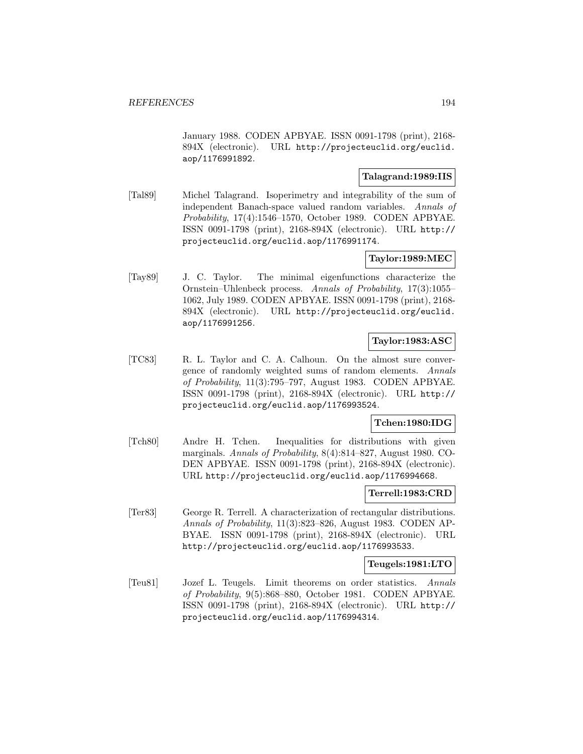January 1988. CODEN APBYAE. ISSN 0091-1798 (print), 2168- 894X (electronic). URL http://projecteuclid.org/euclid. aop/1176991892.

# **Talagrand:1989:IIS**

[Tal89] Michel Talagrand. Isoperimetry and integrability of the sum of independent Banach-space valued random variables. Annals of Probability, 17(4):1546–1570, October 1989. CODEN APBYAE. ISSN 0091-1798 (print), 2168-894X (electronic). URL http:// projecteuclid.org/euclid.aop/1176991174.

# **Taylor:1989:MEC**

[Tay89] J. C. Taylor. The minimal eigenfunctions characterize the Ornstein–Uhlenbeck process. Annals of Probability, 17(3):1055– 1062, July 1989. CODEN APBYAE. ISSN 0091-1798 (print), 2168- 894X (electronic). URL http://projecteuclid.org/euclid. aop/1176991256.

## **Taylor:1983:ASC**

[TC83] R. L. Taylor and C. A. Calhoun. On the almost sure convergence of randomly weighted sums of random elements. Annals of Probability, 11(3):795–797, August 1983. CODEN APBYAE. ISSN 0091-1798 (print), 2168-894X (electronic). URL http:// projecteuclid.org/euclid.aop/1176993524.

# **Tchen:1980:IDG**

[Tch80] Andre H. Tchen. Inequalities for distributions with given marginals. Annals of Probability, 8(4):814–827, August 1980. CO-DEN APBYAE. ISSN 0091-1798 (print), 2168-894X (electronic). URL http://projecteuclid.org/euclid.aop/1176994668.

## **Terrell:1983:CRD**

[Ter83] George R. Terrell. A characterization of rectangular distributions. Annals of Probability, 11(3):823–826, August 1983. CODEN AP-BYAE. ISSN 0091-1798 (print), 2168-894X (electronic). URL http://projecteuclid.org/euclid.aop/1176993533.

## **Teugels:1981:LTO**

[Teu81] Jozef L. Teugels. Limit theorems on order statistics. Annals of Probability, 9(5):868–880, October 1981. CODEN APBYAE. ISSN 0091-1798 (print), 2168-894X (electronic). URL http:// projecteuclid.org/euclid.aop/1176994314.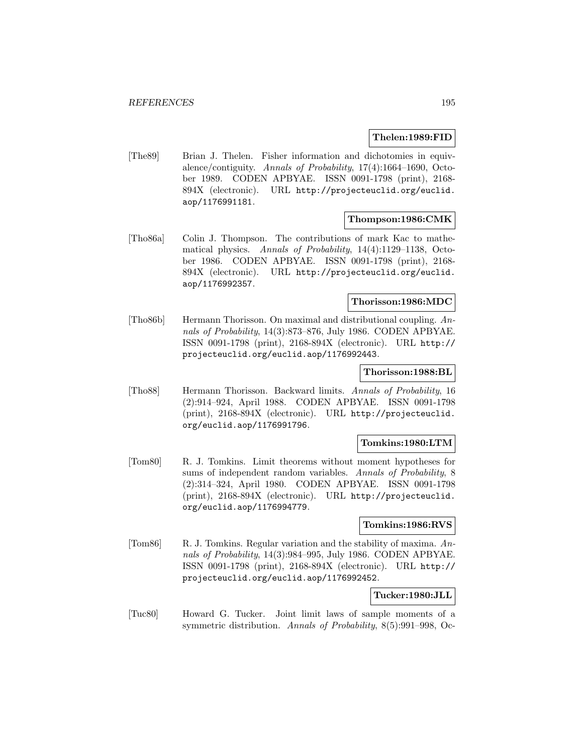#### **Thelen:1989:FID**

[The89] Brian J. Thelen. Fisher information and dichotomies in equivalence/contiguity. Annals of Probability, 17(4):1664–1690, October 1989. CODEN APBYAE. ISSN 0091-1798 (print), 2168- 894X (electronic). URL http://projecteuclid.org/euclid. aop/1176991181.

## **Thompson:1986:CMK**

[Tho86a] Colin J. Thompson. The contributions of mark Kac to mathematical physics. Annals of Probability, 14(4):1129–1138, October 1986. CODEN APBYAE. ISSN 0091-1798 (print), 2168- 894X (electronic). URL http://projecteuclid.org/euclid. aop/1176992357.

#### **Thorisson:1986:MDC**

[Tho86b] Hermann Thorisson. On maximal and distributional coupling. Annals of Probability, 14(3):873–876, July 1986. CODEN APBYAE. ISSN 0091-1798 (print), 2168-894X (electronic). URL http:// projecteuclid.org/euclid.aop/1176992443.

#### **Thorisson:1988:BL**

[Tho88] Hermann Thorisson. Backward limits. Annals of Probability, 16 (2):914–924, April 1988. CODEN APBYAE. ISSN 0091-1798 (print), 2168-894X (electronic). URL http://projecteuclid. org/euclid.aop/1176991796.

## **Tomkins:1980:LTM**

[Tom80] R. J. Tomkins. Limit theorems without moment hypotheses for sums of independent random variables. Annals of Probability, 8 (2):314–324, April 1980. CODEN APBYAE. ISSN 0091-1798 (print), 2168-894X (electronic). URL http://projecteuclid. org/euclid.aop/1176994779.

## **Tomkins:1986:RVS**

[Tom86] R. J. Tomkins. Regular variation and the stability of maxima. Annals of Probability, 14(3):984–995, July 1986. CODEN APBYAE. ISSN 0091-1798 (print), 2168-894X (electronic). URL http:// projecteuclid.org/euclid.aop/1176992452.

# **Tucker:1980:JLL**

[Tuc80] Howard G. Tucker. Joint limit laws of sample moments of a symmetric distribution. Annals of Probability, 8(5):991–998, Oc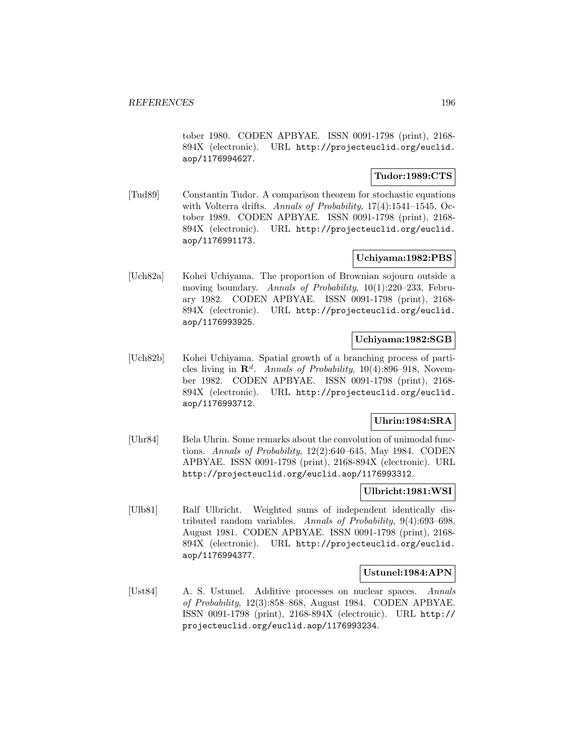tober 1980. CODEN APBYAE. ISSN 0091-1798 (print), 2168- 894X (electronic). URL http://projecteuclid.org/euclid. aop/1176994627.

# **Tudor:1989:CTS**

[Tud89] Constantin Tudor. A comparison theorem for stochastic equations with Volterra drifts. Annals of Probability, 17(4):1541–1545, October 1989. CODEN APBYAE. ISSN 0091-1798 (print), 2168- 894X (electronic). URL http://projecteuclid.org/euclid. aop/1176991173.

# **Uchiyama:1982:PBS**

[Uch82a] Kohei Uchiyama. The proportion of Brownian sojourn outside a moving boundary. Annals of Probability, 10(1):220–233, February 1982. CODEN APBYAE. ISSN 0091-1798 (print), 2168- 894X (electronic). URL http://projecteuclid.org/euclid. aop/1176993925.

# **Uchiyama:1982:SGB**

[Uch82b] Kohei Uchiyama. Spatial growth of a branching process of particles living in  $\mathbb{R}^d$ . Annals of Probability, 10(4):896–918, November 1982. CODEN APBYAE. ISSN 0091-1798 (print), 2168- 894X (electronic). URL http://projecteuclid.org/euclid. aop/1176993712.

# **Uhrin:1984:SRA**

[Uhr84] Bela Uhrin. Some remarks about the convolution of unimodal functions. Annals of Probability, 12(2):640–645, May 1984. CODEN APBYAE. ISSN 0091-1798 (print), 2168-894X (electronic). URL http://projecteuclid.org/euclid.aop/1176993312.

#### **Ulbricht:1981:WSI**

[Ulb81] Ralf Ulbricht. Weighted sums of independent identically distributed random variables. Annals of Probability, 9(4):693–698, August 1981. CODEN APBYAE. ISSN 0091-1798 (print), 2168- 894X (electronic). URL http://projecteuclid.org/euclid. aop/1176994377.

## **Ustunel:1984:APN**

[Ust84] A. S. Ustunel. Additive processes on nuclear spaces. Annals of Probability, 12(3):858–868, August 1984. CODEN APBYAE. ISSN 0091-1798 (print), 2168-894X (electronic). URL http:// projecteuclid.org/euclid.aop/1176993234.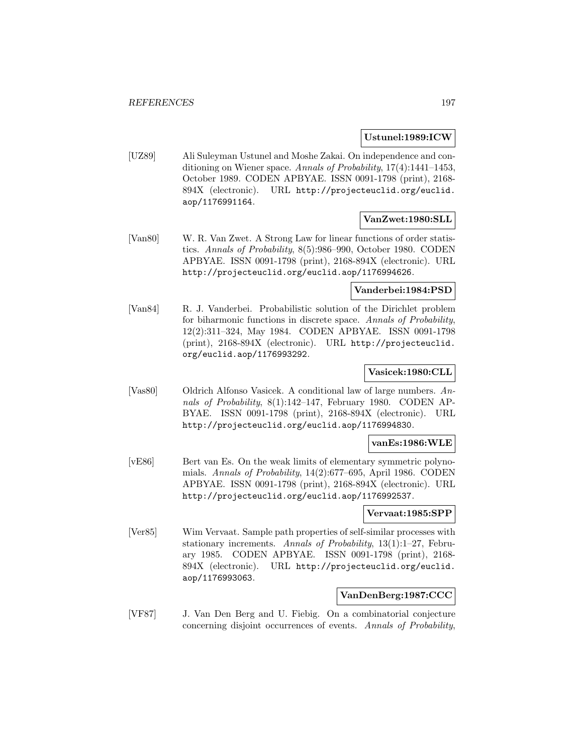#### **Ustunel:1989:ICW**

[UZ89] Ali Suleyman Ustunel and Moshe Zakai. On independence and conditioning on Wiener space. Annals of Probability, 17(4):1441–1453, October 1989. CODEN APBYAE. ISSN 0091-1798 (print), 2168- 894X (electronic). URL http://projecteuclid.org/euclid. aop/1176991164.

# **VanZwet:1980:SLL**

[Van80] W. R. Van Zwet. A Strong Law for linear functions of order statistics. Annals of Probability, 8(5):986–990, October 1980. CODEN APBYAE. ISSN 0091-1798 (print), 2168-894X (electronic). URL http://projecteuclid.org/euclid.aop/1176994626.

#### **Vanderbei:1984:PSD**

[Van84] R. J. Vanderbei. Probabilistic solution of the Dirichlet problem for biharmonic functions in discrete space. Annals of Probability, 12(2):311–324, May 1984. CODEN APBYAE. ISSN 0091-1798 (print), 2168-894X (electronic). URL http://projecteuclid. org/euclid.aop/1176993292.

## **Vasicek:1980:CLL**

[Vas80] Oldrich Alfonso Vasicek. A conditional law of large numbers. Annals of Probability, 8(1):142–147, February 1980. CODEN AP-BYAE. ISSN 0091-1798 (print), 2168-894X (electronic). URL http://projecteuclid.org/euclid.aop/1176994830.

#### **vanEs:1986:WLE**

[vE86] Bert van Es. On the weak limits of elementary symmetric polynomials. Annals of Probability, 14(2):677–695, April 1986. CODEN APBYAE. ISSN 0091-1798 (print), 2168-894X (electronic). URL http://projecteuclid.org/euclid.aop/1176992537.

#### **Vervaat:1985:SPP**

[Ver85] Wim Vervaat. Sample path properties of self-similar processes with stationary increments. Annals of Probability, 13(1):1–27, February 1985. CODEN APBYAE. ISSN 0091-1798 (print), 2168- 894X (electronic). URL http://projecteuclid.org/euclid. aop/1176993063.

## **VanDenBerg:1987:CCC**

[VF87] J. Van Den Berg and U. Fiebig. On a combinatorial conjecture concerning disjoint occurrences of events. Annals of Probability,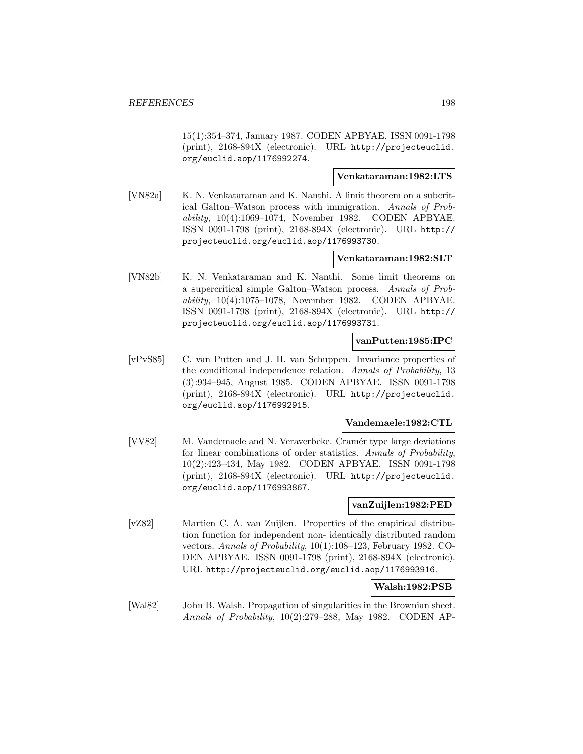15(1):354–374, January 1987. CODEN APBYAE. ISSN 0091-1798 (print), 2168-894X (electronic). URL http://projecteuclid. org/euclid.aop/1176992274.

## **Venkataraman:1982:LTS**

[VN82a] K. N. Venkataraman and K. Nanthi. A limit theorem on a subcritical Galton–Watson process with immigration. Annals of Probability, 10(4):1069–1074, November 1982. CODEN APBYAE. ISSN 0091-1798 (print), 2168-894X (electronic). URL http:// projecteuclid.org/euclid.aop/1176993730.

## **Venkataraman:1982:SLT**

[VN82b] K. N. Venkataraman and K. Nanthi. Some limit theorems on a supercritical simple Galton–Watson process. Annals of Probability, 10(4):1075–1078, November 1982. CODEN APBYAE. ISSN 0091-1798 (print), 2168-894X (electronic). URL http:// projecteuclid.org/euclid.aop/1176993731.

#### **vanPutten:1985:IPC**

[vPvS85] C. van Putten and J. H. van Schuppen. Invariance properties of the conditional independence relation. Annals of Probability, 13 (3):934–945, August 1985. CODEN APBYAE. ISSN 0091-1798 (print), 2168-894X (electronic). URL http://projecteuclid. org/euclid.aop/1176992915.

#### **Vandemaele:1982:CTL**

[VV82] M. Vandemaele and N. Veraverbeke. Cramér type large deviations for linear combinations of order statistics. Annals of Probability, 10(2):423–434, May 1982. CODEN APBYAE. ISSN 0091-1798 (print), 2168-894X (electronic). URL http://projecteuclid. org/euclid.aop/1176993867.

#### **vanZuijlen:1982:PED**

[vZ82] Martien C. A. van Zuijlen. Properties of the empirical distribution function for independent non- identically distributed random vectors. Annals of Probability, 10(1):108–123, February 1982. CO-DEN APBYAE. ISSN 0091-1798 (print), 2168-894X (electronic). URL http://projecteuclid.org/euclid.aop/1176993916.

## **Walsh:1982:PSB**

[Wal82] John B. Walsh. Propagation of singularities in the Brownian sheet. Annals of Probability, 10(2):279–288, May 1982. CODEN AP-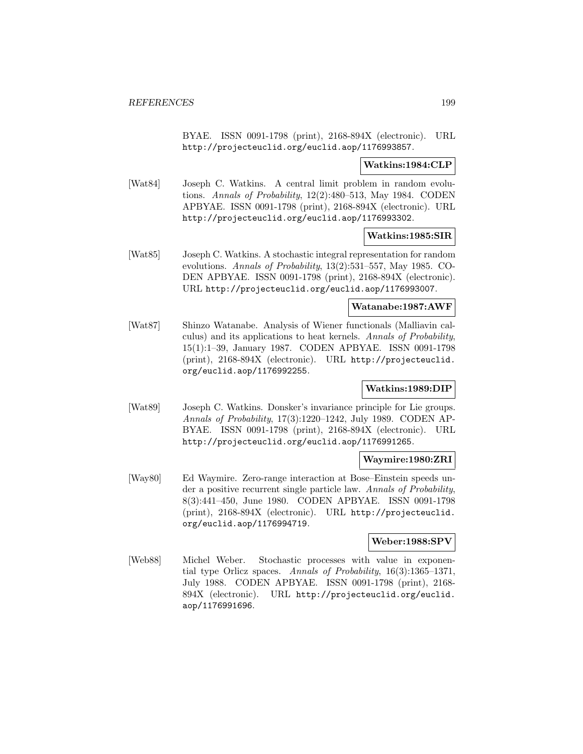BYAE. ISSN 0091-1798 (print), 2168-894X (electronic). URL http://projecteuclid.org/euclid.aop/1176993857.

## **Watkins:1984:CLP**

[Wat84] Joseph C. Watkins. A central limit problem in random evolutions. Annals of Probability, 12(2):480–513, May 1984. CODEN APBYAE. ISSN 0091-1798 (print), 2168-894X (electronic). URL http://projecteuclid.org/euclid.aop/1176993302.

#### **Watkins:1985:SIR**

[Wat85] Joseph C. Watkins. A stochastic integral representation for random evolutions. Annals of Probability, 13(2):531–557, May 1985. CO-DEN APBYAE. ISSN 0091-1798 (print), 2168-894X (electronic). URL http://projecteuclid.org/euclid.aop/1176993007.

# **Watanabe:1987:AWF**

[Wat87] Shinzo Watanabe. Analysis of Wiener functionals (Malliavin calculus) and its applications to heat kernels. Annals of Probability, 15(1):1–39, January 1987. CODEN APBYAE. ISSN 0091-1798 (print), 2168-894X (electronic). URL http://projecteuclid. org/euclid.aop/1176992255.

## **Watkins:1989:DIP**

[Wat89] Joseph C. Watkins. Donsker's invariance principle for Lie groups. Annals of Probability, 17(3):1220–1242, July 1989. CODEN AP-BYAE. ISSN 0091-1798 (print), 2168-894X (electronic). URL http://projecteuclid.org/euclid.aop/1176991265.

## **Waymire:1980:ZRI**

[Way80] Ed Waymire. Zero-range interaction at Bose–Einstein speeds under a positive recurrent single particle law. Annals of Probability, 8(3):441–450, June 1980. CODEN APBYAE. ISSN 0091-1798 (print), 2168-894X (electronic). URL http://projecteuclid. org/euclid.aop/1176994719.

## **Weber:1988:SPV**

[Web88] Michel Weber. Stochastic processes with value in exponential type Orlicz spaces. Annals of Probability, 16(3):1365–1371, July 1988. CODEN APBYAE. ISSN 0091-1798 (print), 2168- 894X (electronic). URL http://projecteuclid.org/euclid. aop/1176991696.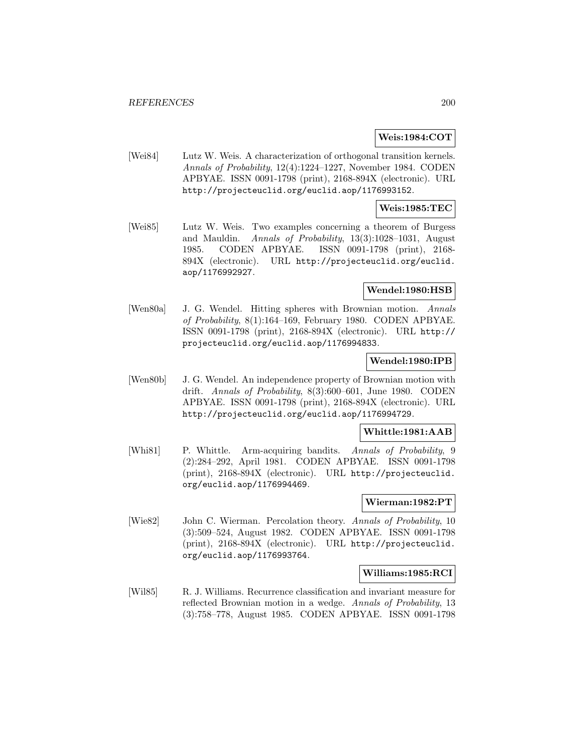#### **Weis:1984:COT**

[Wei84] Lutz W. Weis. A characterization of orthogonal transition kernels. Annals of Probability, 12(4):1224–1227, November 1984. CODEN APBYAE. ISSN 0091-1798 (print), 2168-894X (electronic). URL http://projecteuclid.org/euclid.aop/1176993152.

#### **Weis:1985:TEC**

[Wei85] Lutz W. Weis. Two examples concerning a theorem of Burgess and Mauldin. Annals of Probability, 13(3):1028–1031, August 1985. CODEN APBYAE. ISSN 0091-1798 (print), 2168- 894X (electronic). URL http://projecteuclid.org/euclid. aop/1176992927.

## **Wendel:1980:HSB**

[Wen80a] J. G. Wendel. Hitting spheres with Brownian motion. Annals of Probability, 8(1):164–169, February 1980. CODEN APBYAE. ISSN 0091-1798 (print), 2168-894X (electronic). URL http:// projecteuclid.org/euclid.aop/1176994833.

# **Wendel:1980:IPB**

[Wen80b] J. G. Wendel. An independence property of Brownian motion with drift. Annals of Probability, 8(3):600–601, June 1980. CODEN APBYAE. ISSN 0091-1798 (print), 2168-894X (electronic). URL http://projecteuclid.org/euclid.aop/1176994729.

# **Whittle:1981:AAB**

[Whi81] P. Whittle. Arm-acquiring bandits. Annals of Probability, 9 (2):284–292, April 1981. CODEN APBYAE. ISSN 0091-1798 (print), 2168-894X (electronic). URL http://projecteuclid. org/euclid.aop/1176994469.

## **Wierman:1982:PT**

[Wie82] John C. Wierman. Percolation theory. Annals of Probability, 10 (3):509–524, August 1982. CODEN APBYAE. ISSN 0091-1798 (print), 2168-894X (electronic). URL http://projecteuclid. org/euclid.aop/1176993764.

## **Williams:1985:RCI**

[Wil85] R. J. Williams. Recurrence classification and invariant measure for reflected Brownian motion in a wedge. Annals of Probability, 13 (3):758–778, August 1985. CODEN APBYAE. ISSN 0091-1798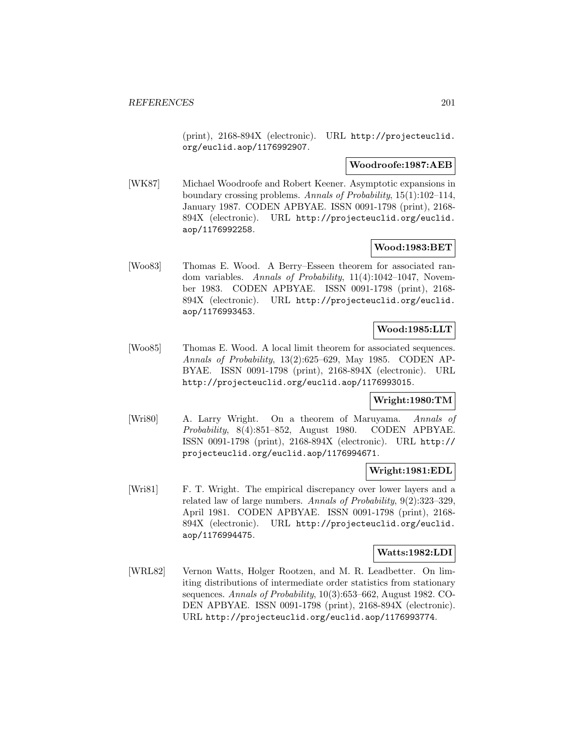(print), 2168-894X (electronic). URL http://projecteuclid. org/euclid.aop/1176992907.

#### **Woodroofe:1987:AEB**

[WK87] Michael Woodroofe and Robert Keener. Asymptotic expansions in boundary crossing problems. Annals of Probability, 15(1):102–114, January 1987. CODEN APBYAE. ISSN 0091-1798 (print), 2168- 894X (electronic). URL http://projecteuclid.org/euclid. aop/1176992258.

## **Wood:1983:BET**

[Woo83] Thomas E. Wood. A Berry–Esseen theorem for associated random variables. Annals of Probability, 11(4):1042-1047, November 1983. CODEN APBYAE. ISSN 0091-1798 (print), 2168- 894X (electronic). URL http://projecteuclid.org/euclid. aop/1176993453.

# **Wood:1985:LLT**

[Woo85] Thomas E. Wood. A local limit theorem for associated sequences. Annals of Probability, 13(2):625–629, May 1985. CODEN AP-BYAE. ISSN 0091-1798 (print), 2168-894X (electronic). URL http://projecteuclid.org/euclid.aop/1176993015.

## **Wright:1980:TM**

[Wri80] A. Larry Wright. On a theorem of Maruyama. Annals of Probability, 8(4):851–852, August 1980. CODEN APBYAE. ISSN 0091-1798 (print), 2168-894X (electronic). URL http:// projecteuclid.org/euclid.aop/1176994671.

## **Wright:1981:EDL**

[Wri81] F. T. Wright. The empirical discrepancy over lower layers and a related law of large numbers. Annals of Probability, 9(2):323–329, April 1981. CODEN APBYAE. ISSN 0091-1798 (print), 2168- 894X (electronic). URL http://projecteuclid.org/euclid. aop/1176994475.

## **Watts:1982:LDI**

[WRL82] Vernon Watts, Holger Rootzen, and M. R. Leadbetter. On limiting distributions of intermediate order statistics from stationary sequences. Annals of Probability, 10(3):653–662, August 1982. CO-DEN APBYAE. ISSN 0091-1798 (print), 2168-894X (electronic). URL http://projecteuclid.org/euclid.aop/1176993774.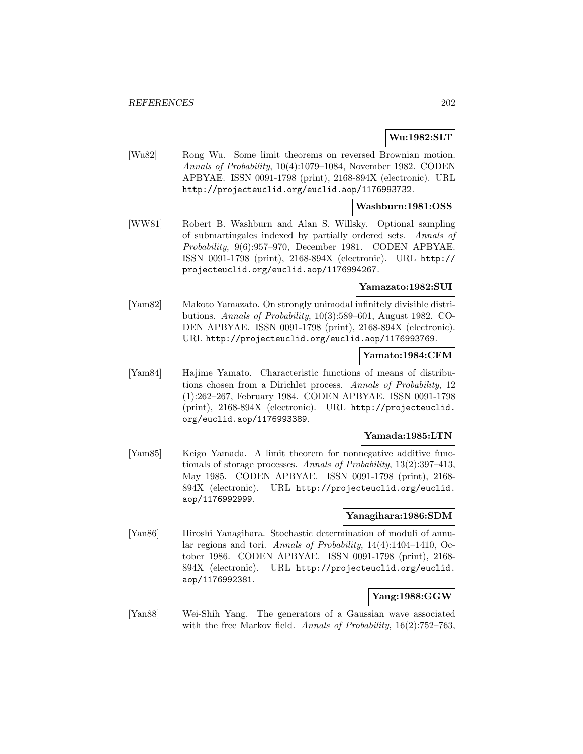# **Wu:1982:SLT**

[Wu82] Rong Wu. Some limit theorems on reversed Brownian motion. Annals of Probability, 10(4):1079–1084, November 1982. CODEN APBYAE. ISSN 0091-1798 (print), 2168-894X (electronic). URL http://projecteuclid.org/euclid.aop/1176993732.

## **Washburn:1981:OSS**

[WW81] Robert B. Washburn and Alan S. Willsky. Optional sampling of submartingales indexed by partially ordered sets. Annals of Probability, 9(6):957–970, December 1981. CODEN APBYAE. ISSN 0091-1798 (print), 2168-894X (electronic). URL http:// projecteuclid.org/euclid.aop/1176994267.

# **Yamazato:1982:SUI**

[Yam82] Makoto Yamazato. On strongly unimodal infinitely divisible distributions. Annals of Probability, 10(3):589–601, August 1982. CO-DEN APBYAE. ISSN 0091-1798 (print), 2168-894X (electronic). URL http://projecteuclid.org/euclid.aop/1176993769.

#### **Yamato:1984:CFM**

[Yam84] Hajime Yamato. Characteristic functions of means of distributions chosen from a Dirichlet process. Annals of Probability, 12 (1):262–267, February 1984. CODEN APBYAE. ISSN 0091-1798 (print), 2168-894X (electronic). URL http://projecteuclid. org/euclid.aop/1176993389.

# **Yamada:1985:LTN**

[Yam85] Keigo Yamada. A limit theorem for nonnegative additive functionals of storage processes. Annals of Probability, 13(2):397–413, May 1985. CODEN APBYAE. ISSN 0091-1798 (print), 2168- 894X (electronic). URL http://projecteuclid.org/euclid. aop/1176992999.

## **Yanagihara:1986:SDM**

[Yan86] Hiroshi Yanagihara. Stochastic determination of moduli of annular regions and tori. Annals of Probability, 14(4):1404–1410, October 1986. CODEN APBYAE. ISSN 0091-1798 (print), 2168- 894X (electronic). URL http://projecteuclid.org/euclid. aop/1176992381.

# **Yang:1988:GGW**

[Yan88] Wei-Shih Yang. The generators of a Gaussian wave associated with the free Markov field. Annals of Probability, 16(2):752–763,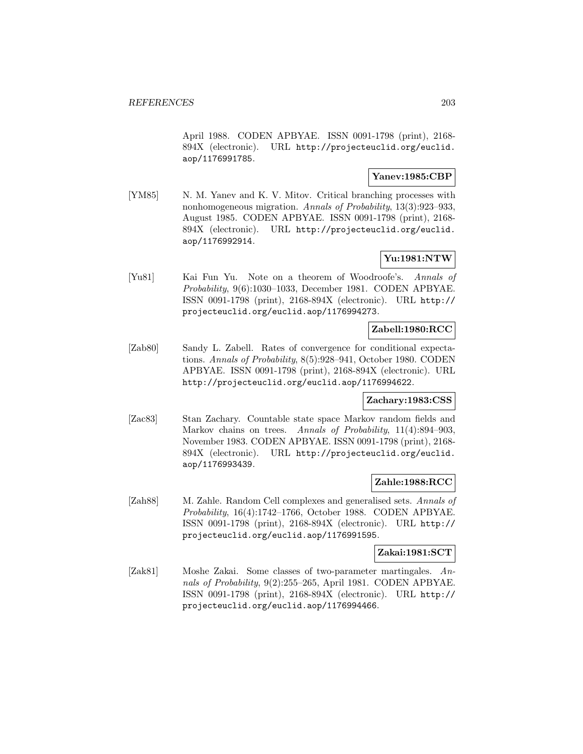April 1988. CODEN APBYAE. ISSN 0091-1798 (print), 2168- 894X (electronic). URL http://projecteuclid.org/euclid. aop/1176991785.

## **Yanev:1985:CBP**

[YM85] N. M. Yanev and K. V. Mitov. Critical branching processes with nonhomogeneous migration. Annals of Probability, 13(3):923–933, August 1985. CODEN APBYAE. ISSN 0091-1798 (print), 2168- 894X (electronic). URL http://projecteuclid.org/euclid. aop/1176992914.

# **Yu:1981:NTW**

[Yu81] Kai Fun Yu. Note on a theorem of Woodroofe's. Annals of Probability, 9(6):1030–1033, December 1981. CODEN APBYAE. ISSN 0091-1798 (print), 2168-894X (electronic). URL http:// projecteuclid.org/euclid.aop/1176994273.

# **Zabell:1980:RCC**

[Zab80] Sandy L. Zabell. Rates of convergence for conditional expectations. Annals of Probability, 8(5):928–941, October 1980. CODEN APBYAE. ISSN 0091-1798 (print), 2168-894X (electronic). URL http://projecteuclid.org/euclid.aop/1176994622.

## **Zachary:1983:CSS**

[Zac83] Stan Zachary. Countable state space Markov random fields and Markov chains on trees. Annals of Probability, 11(4):894–903, November 1983. CODEN APBYAE. ISSN 0091-1798 (print), 2168- 894X (electronic). URL http://projecteuclid.org/euclid. aop/1176993439.

# **Zahle:1988:RCC**

[Zah88] M. Zahle. Random Cell complexes and generalised sets. Annals of Probability, 16(4):1742–1766, October 1988. CODEN APBYAE. ISSN 0091-1798 (print), 2168-894X (electronic). URL http:// projecteuclid.org/euclid.aop/1176991595.

#### **Zakai:1981:SCT**

[Zak81] Moshe Zakai. Some classes of two-parameter martingales. Annals of Probability, 9(2):255–265, April 1981. CODEN APBYAE. ISSN 0091-1798 (print), 2168-894X (electronic). URL http:// projecteuclid.org/euclid.aop/1176994466.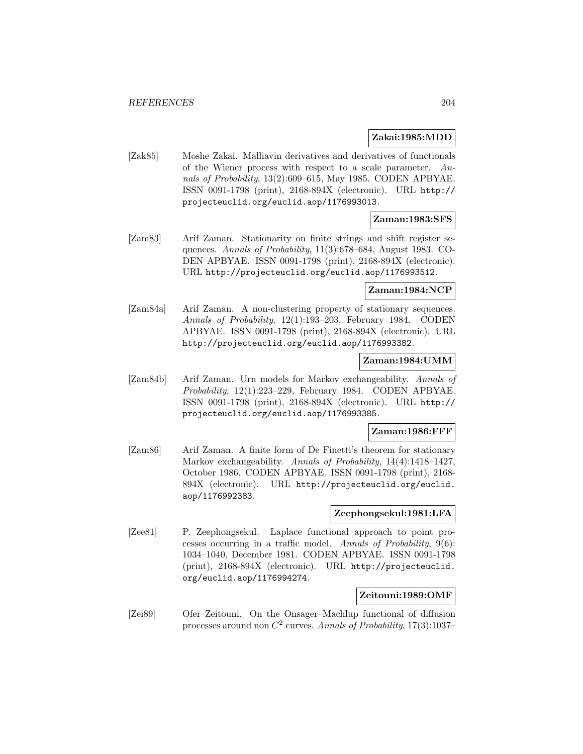#### **Zakai:1985:MDD**

[Zak85] Moshe Zakai. Malliavin derivatives and derivatives of functionals of the Wiener process with respect to a scale parameter. Annals of Probability, 13(2):609–615, May 1985. CODEN APBYAE. ISSN 0091-1798 (print), 2168-894X (electronic). URL http:// projecteuclid.org/euclid.aop/1176993013.

# **Zaman:1983:SFS**

[Zam83] Arif Zaman. Stationarity on finite strings and shift register sequences. Annals of Probability, 11(3):678–684, August 1983. CO-DEN APBYAE. ISSN 0091-1798 (print), 2168-894X (electronic). URL http://projecteuclid.org/euclid.aop/1176993512.

# **Zaman:1984:NCP**

[Zam84a] Arif Zaman. A non-clustering property of stationary sequences. Annals of Probability, 12(1):193–203, February 1984. CODEN APBYAE. ISSN 0091-1798 (print), 2168-894X (electronic). URL http://projecteuclid.org/euclid.aop/1176993382.

## **Zaman:1984:UMM**

[Zam84b] Arif Zaman. Urn models for Markov exchangeability. Annals of Probability, 12(1):223–229, February 1984. CODEN APBYAE. ISSN 0091-1798 (print), 2168-894X (electronic). URL http:// projecteuclid.org/euclid.aop/1176993385.

#### **Zaman:1986:FFF**

[Zam86] Arif Zaman. A finite form of De Finetti's theorem for stationary Markov exchangeability. Annals of Probability, 14(4):1418–1427, October 1986. CODEN APBYAE. ISSN 0091-1798 (print), 2168- 894X (electronic). URL http://projecteuclid.org/euclid. aop/1176992383.

# **Zeephongsekul:1981:LFA**

[Zee81] P. Zeephongsekul. Laplace functional approach to point processes occurring in a traffic model. Annals of Probability, 9(6): 1034–1040, December 1981. CODEN APBYAE. ISSN 0091-1798 (print), 2168-894X (electronic). URL http://projecteuclid. org/euclid.aop/1176994274.

# **Zeitouni:1989:OMF**

[Zei89] Ofer Zeitouni. On the Onsager–Machlup functional of diffusion processes around non  $C^2$  curves. Annals of Probability, 17(3):1037–